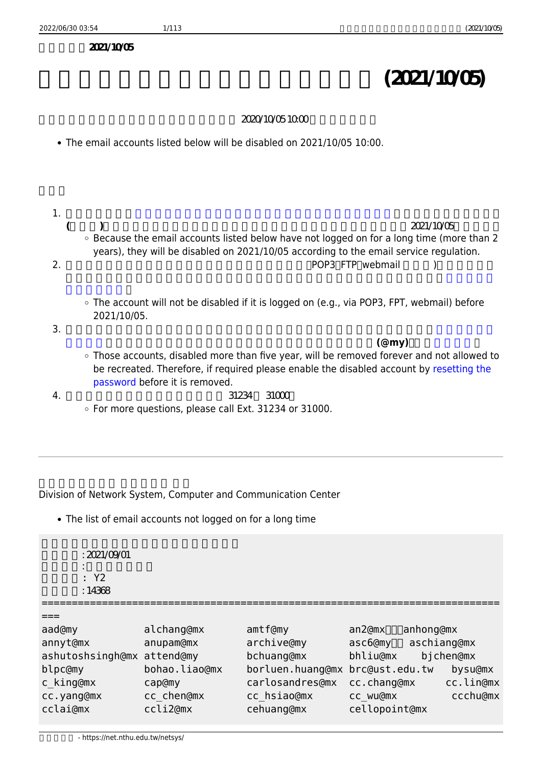$2021/10/05$ 

## **長期未使用電子郵件信箱帳號停用公告 (2021/10/05)**

## 主旨:下列長期未使用電子郵件信箱帳號將於 2020/10/05 10:00 進行停用作業。

- The email accounts listed below will be disabled on 2021/10/05 10:00.
- 1. 以下列表為依據**[「國立清華大學 計算機與通訊中心 電子郵件信箱使用規範」](https://net.nthu.edu.tw/netsys/law:email)第三條規定「連續長時間 (滿兩年)不使用者將予以停用」**所進行清查符合此條件之電子郵件帳號,預定於 2021/10/05 進行停用。 Because the email accounts listed below have not logged on for a long time (more than 2 years), they will be disabled on 2021/10/05 according to the email service regulation. 2. 若仍須使用信箱者,只要在停用期限前登入使用(例如:POP3、FTP、webmail 等服務),則不會被停 [使用紀錄查詢](https://net.nthu.edu.tw/netsys/help:portal:query-log)。 The account will not be disabled if it is logged on (e.g., via POP3, FPT, webmail) before 2021/10/05. 3. 信箱停用連續滿五年後即註銷,註銷後不可再申請重建,**故復用須在註銷前,自行由[校務資訊系統](https://net.nthu.edu.tw/netsys/service:portal:set_password) [重設密碼,](https://net.nthu.edu.tw/netsys/service:portal:set_password)即可復用該信箱帳號(勿再使用相同密碼);若為單位帳號(@my),請[以書面申請](https://net.nthu.edu.tw/netsys/_media/form:deacct.pdf)**。 Those accounts, disabled more than five year, will be removed forever and not allowed to be recreated. Therefore, if required please enable the disabled account by [resetting the](https://net.nthu.edu.tw/netsys/en:service:portal:set_password) [password](https://net.nthu.edu.tw/netsys/en:service:portal:set_password) before it is removed.  $4. \hspace{1.5cm} 31234 \hspace{1.3cm} 31000$ For more questions, please call Ext. 31234 or 31000.

Division of Network System, Computer and Communication Center

The list of email accounts not logged on for a long time

 $\cdot$  2021/09/01 清查類型: 長期未登入帳號 清查範圍: Y2 : 14368

```
===
```

| aad@my                     | alchang@mx   |
|----------------------------|--------------|
| annyt@mx                   | anupam@mx    |
| ashutoshsingh@mx attend@my |              |
| blpc@my                    | bohao.liao@m |
| c king@mx                  | cap@my       |
| cc.yang@mx                 | cc chen@mx   |
| cclai@mx                   | ccli2@mx     |
|                            |              |

cclai@mx ccli2@mx cehuang@mx cellopoint@mx

============================================================================

amtf@my an2@mx<sup>11</sup>anhong@mx archive@my asc6@my aschiang@mx bchuang@mx bhliu@mx bjchen@mx ix borluen.huang@mx brc@ust.edu.tw bysu@mx carlosandres@mx cc.chang@mx cc.lin@mx cc hsiao@mx cc wu@mx ccchu@mx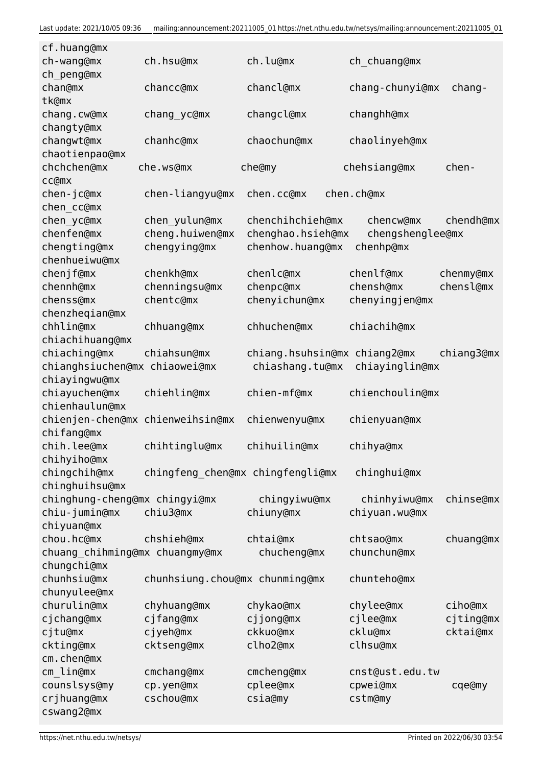| cf.huang@mx                    |                                  |                              |                  |            |
|--------------------------------|----------------------------------|------------------------------|------------------|------------|
| ch-wang@mx                     | ch.hsu@mx                        | ch.lu@mx                     | ch_chuang@mx     |            |
| ch_peng@mx                     |                                  |                              |                  |            |
| chan@mx                        | chancc@mx                        | chancl@mx                    | chang-chunyi@mx  | chang-     |
| tk@mx                          |                                  |                              |                  |            |
| chang.cw@mx                    | chang yc@mx                      | changcl@mx                   | changhh@mx       |            |
| changty@mx                     |                                  |                              |                  |            |
| changwt@mx                     | chanhc@mx                        | chaochun@mx                  | chaolinyeh@mx    |            |
| chaotienpao@mx                 |                                  |                              |                  |            |
| chchchen@mx                    | che.ws@mx                        | che@my                       | chehsiang@mx     | chen-      |
| cc@mx                          |                                  |                              |                  |            |
| chen-jc@mx                     | chen-liangyu@mx                  | chen.cc@mx                   | chen.ch@mx       |            |
| chen cc@mx                     |                                  |                              |                  |            |
| chen yc@mx                     | chen_yulun@mx                    | chenchihchieh@mx             | chencw@mx        | chendh@mx  |
| chenfen@mx                     | cheng.huiwen@mx                  | chenghao.hsieh@mx            | chengshenglee@mx |            |
| chengting@mx                   | chengying@mx                     | chenhow.huang@mx             | chenhp@mx        |            |
|                                |                                  |                              |                  |            |
| chenhueiwu@mx                  |                                  |                              |                  |            |
| chenjf@mx                      | chenkh@mx                        | chenlc@mx                    | chenlf@mx        | chenmy@mx  |
| chennh@mx                      | chenningsu@mx                    | chenpc@mx                    | chensh@mx        | chensl@mx  |
| chenss@mx                      | chentc@mx                        | chenyichun@mx                | chenyingjen@mx   |            |
| chenzheqian@mx                 |                                  |                              |                  |            |
| chhlin@mx                      | chhuang@mx                       | chhuchen@mx                  | chiachih@mx      |            |
| chiachihuang@mx                |                                  |                              |                  |            |
| chiaching@mx                   | chiahsun@mx                      | chiang.hsuhsin@mx chiang2@mx |                  | chiang3@mx |
| chianghsiuchen@mx chiaowei@mx  |                                  | chiashang.tu@mx              | chiayinglin@mx   |            |
| chiayingwu@mx                  |                                  |                              |                  |            |
| chiayuchen@mx                  | chiehlin@mx                      | chien-mf@mx                  | chienchoulin@mx  |            |
| chienhaulun@mx                 |                                  |                              |                  |            |
| chienjen-chen@mx               | chienweihsin@mx                  | chienwenyu@mx                | chienyuan@mx     |            |
| chifang@mx                     |                                  |                              |                  |            |
| chih.lee@mx                    | chihtinglu@mx                    | chihuilin@mx                 | chihya@mx        |            |
| chihyiho@mx                    |                                  |                              |                  |            |
| chingchih@mx                   | chingfeng chen@mx chingfengli@mx |                              | chinghui@mx      |            |
| chinghuihsu@mx                 |                                  |                              |                  |            |
| chinghung-cheng@mx chingyi@mx  |                                  | chingyiwu@mx                 | chinhyiwu@mx     | chinse@mx  |
| chiu-jumin@mx                  | chiu3@mx                         | chiuny@mx                    | chiyuan.wu@mx    |            |
| chiyuan@mx                     |                                  |                              |                  |            |
| chou.hc@mx                     | chshieh@mx                       | chtai@mx                     | chtsao@mx        | chuang@mx  |
| chuang_chihming@mx chuangmy@mx |                                  | chucheng@mx                  | chunchun@mx      |            |
| chungchi@mx                    |                                  |                              |                  |            |
| chunhsiu@mx                    | chunhsiung.chou@mx chunming@mx   |                              | chunteho@mx      |            |
| chunyulee@mx                   |                                  |                              |                  |            |
| churulin@mx                    | chyhuang@mx                      | chykao@mx                    | chylee@mx        | ciho@mx    |
| cjchang@mx                     | cjfang@mx                        | cjjong@mx                    | cjlee@mx         | cjting@mx  |
| cjtu@mx                        | cjyeh@mx                         | ckkuo@mx                     | cklu@mx          | cktai@mx   |
| ckting@mx                      | cktseng@mx                       | clho2@mx                     | clhsu@mx         |            |
| cm.chen@mx                     |                                  |                              |                  |            |
| cm_lin@mx                      | cmchang@mx                       | cmcheng@mx                   | cnst@ust.edu.tw  |            |
| counslsys@my                   | cp.yen@mx                        | cplee@mx                     | cpwei@mx         | cqe@my     |
| crjhuang@mx                    | cschou@mx                        | csia@my                      | cstm@my          |            |
| cswang2@mx                     |                                  |                              |                  |            |
|                                |                                  |                              |                  |            |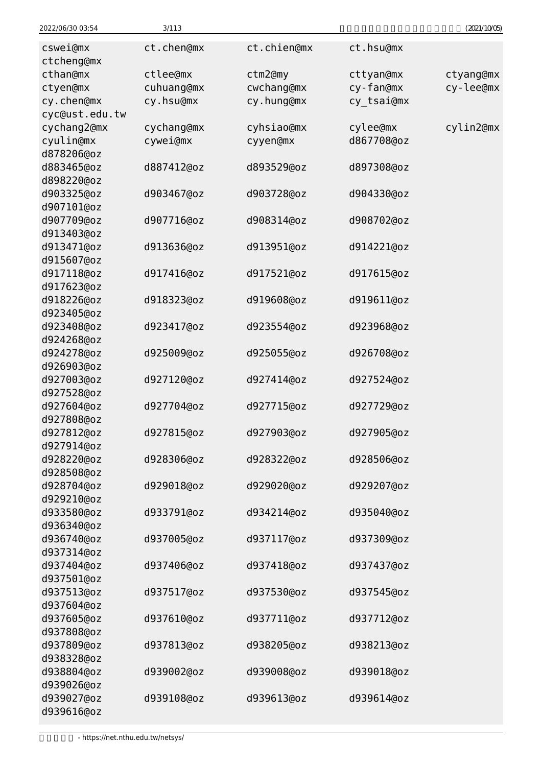| 2022/06/30 03:54         | 3/113      |             |            | (2021/10/05) |
|--------------------------|------------|-------------|------------|--------------|
| cswei@mx                 | ct.chen@mx | ct.chien@mx | ct.hsu@mx  |              |
| ctcheng@mx               |            |             |            |              |
| cthan@mx                 | ctlee@mx   | ctm2@my     | cttyan@mx  | ctyang@mx    |
| ctyen@mx                 | cuhuang@mx | cwchang@mx  | cy-fan@mx  | cy-lee@mx    |
| cy.chen@mx               | cy.hsu@mx  | cy.hung@mx  | cy_tsai@mx |              |
| cyc@ust.edu.tw           |            |             |            |              |
| cychang2@mx              | cychang@mx | cyhsiao@mx  | cylee@mx   | cylin2@mx    |
| cyulin@mx                | cywei@mx   | cyyen@mx    | d867708@oz |              |
| d878206@oz               |            |             |            |              |
| d883465@oz               | d887412@oz | d893529@oz  | d897308@oz |              |
| d898220@oz               |            |             |            |              |
| d903325@oz               | d903467@oz | d903728@oz  | d904330@oz |              |
| d907101@oz               |            |             |            |              |
| d907709@oz               | d907716@oz | d908314@oz  | d908702@oz |              |
| d913403@oz               |            |             |            |              |
| d913471@oz               | d913636@oz | d913951@oz  | d914221@oz |              |
| d915607@oz<br>d917118@oz |            |             |            |              |
| d917623@oz               | d917416@oz | d917521@oz  | d917615@oz |              |
| d918226@oz               | d918323@oz | d919608@oz  | d919611@oz |              |
| d923405@oz               |            |             |            |              |
| d923408@oz               | d923417@oz | d923554@oz  | d923968@oz |              |
| d924268@oz               |            |             |            |              |
| d924278@oz               | d925009@oz | d925055@oz  | d926708@oz |              |
| d926903@oz               |            |             |            |              |
| d927003@oz               | d927120@oz | d927414@oz  | d927524@oz |              |
| d927528@oz               |            |             |            |              |
| d927604@oz               | d927704@oz | d927715@oz  | d927729@oz |              |
| d927808@oz               |            |             |            |              |
| d927812@oz               | d927815@oz | d927903@oz  | d927905@oz |              |
| d927914@oz               |            |             |            |              |
| d928220@oz               | d928306@oz | d928322@oz  | d928506@oz |              |
| d928508@oz               |            |             |            |              |
| d928704@oz               | d929018@oz | d929020@oz  | d929207@oz |              |
| d929210@oz               |            |             |            |              |
| d933580@oz               | d933791@oz | d934214@oz  | d935040@oz |              |
| d936340@oz               |            |             |            |              |
| d936740@oz               | d937005@oz | d937117@oz  | d937309@oz |              |
| d937314@oz               |            |             |            |              |
| d937404@oz               | d937406@oz | d937418@oz  | d937437@oz |              |
| d937501@oz               |            |             |            |              |
| d937513@oz               | d937517@oz | d937530@oz  | d937545@oz |              |
| d937604@oz               |            |             |            |              |
| d937605@oz               | d937610@oz | d937711@oz  | d937712@oz |              |
| d937808@oz               |            |             |            |              |
| d937809@oz               | d937813@oz | d938205@oz  | d938213@oz |              |
| d938328@oz               |            |             |            |              |
| d938804@oz               | d939002@oz | d939008@oz  | d939018@oz |              |
| d939026@oz               |            |             |            |              |
| d939027@oz               | d939108@oz | d939613@oz  | d939614@oz |              |
| d939616@oz               |            |             |            |              |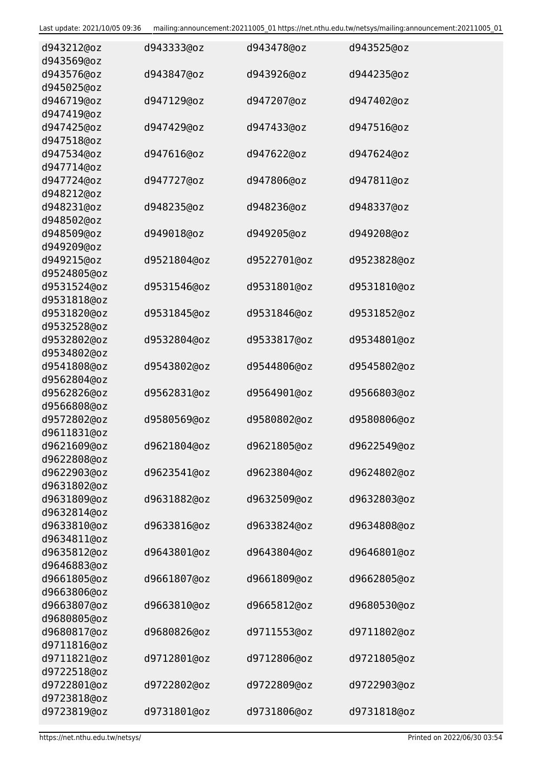| d943212@oz<br>d943569@oz   | d943333@oz  | d943478@oz  | d943525@oz  |
|----------------------------|-------------|-------------|-------------|
| d943576@oz<br>d945025@oz   | d943847@oz  | d943926@oz  | d944235@oz  |
| d946719@oz<br>d947419@oz   | d947129@oz  | d947207@oz  | d947402@oz  |
| d947425@oz<br>d947518@oz   | d947429@oz  | d947433@oz  | d947516@oz  |
| d947534@oz<br>d947714@oz   | d947616@oz  | d947622@oz  | d947624@oz  |
| d947724@oz<br>d948212@oz   | d947727@oz  | d947806@oz  | d947811@oz  |
| d948231@oz<br>d948502@oz   | d948235@oz  | d948236@oz  | d948337@oz  |
| d948509@oz<br>d949209@oz   | d949018@oz  | d949205@oz  | d949208@oz  |
| d949215@oz<br>d9524805@oz  | d9521804@oz | d9522701@oz | d9523828@oz |
| d9531524@oz<br>d9531818@oz | d9531546@oz | d9531801@oz | d9531810@oz |
| d9531820@oz<br>d9532528@oz | d9531845@oz | d9531846@oz | d9531852@oz |
| d9532802@oz<br>d9534802@oz | d9532804@oz | d9533817@oz | d9534801@oz |
| d9541808@oz<br>d9562804@oz | d9543802@oz | d9544806@oz | d9545802@oz |
| d9562826@oz<br>d9566808@oz | d9562831@oz | d9564901@oz | d9566803@oz |
| d9572802@oz<br>d9611831@oz | d9580569@oz | d9580802@oz | d9580806@oz |
| d9621609@oz<br>d9622808@oz | d9621804@oz | d9621805@oz | d9622549@oz |
| d9622903@oz<br>d9631802@oz | d9623541@oz | d9623804@oz | d9624802@oz |
| d9631809@oz<br>d9632814@oz | d9631882@oz | d9632509@oz | d9632803@oz |
| d9633810@oz<br>d9634811@oz | d9633816@oz | d9633824@oz | d9634808@oz |
| d9635812@oz<br>d9646883@oz | d9643801@oz | d9643804@oz | d9646801@oz |
| d9661805@oz<br>d9663806@oz | d9661807@oz | d9661809@oz | d9662805@oz |
| d9663807@oz<br>d9680805@oz | d9663810@oz | d9665812@oz | d9680530@oz |
| d9680817@oz<br>d9711816@oz | d9680826@oz | d9711553@oz | d9711802@oz |
| d9711821@oz<br>d9722518@oz | d9712801@oz | d9712806@oz | d9721805@oz |
| d9722801@oz<br>d9723818@oz | d9722802@oz | d9722809@oz | d9722903@oz |
| d9723819@oz                | d9731801@oz | d9731806@oz | d9731818@oz |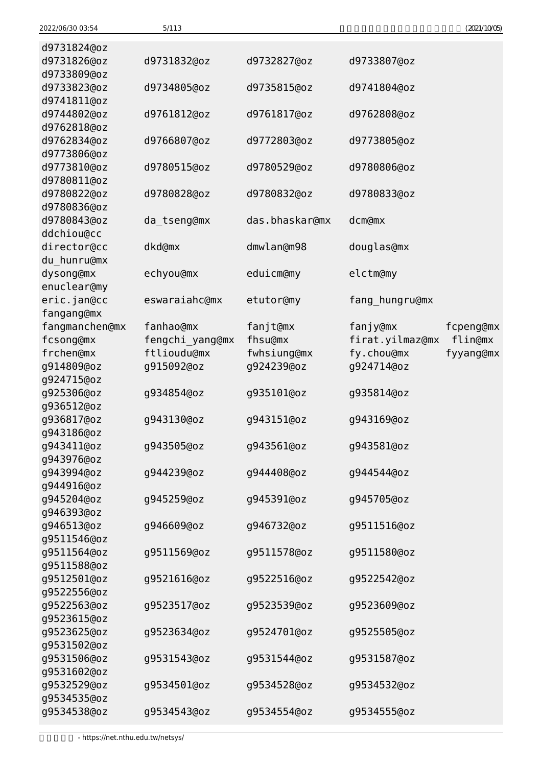| 2022/06/30 03:54 | 5/113           |                |                 | (2021/10/05) |
|------------------|-----------------|----------------|-----------------|--------------|
| d9731824@oz      |                 |                |                 |              |
| d9731826@oz      | d9731832@oz     | d9732827@oz    | d9733807@oz     |              |
| d9733809@oz      |                 |                |                 |              |
| d9733823@oz      | d9734805@oz     | d9735815@oz    | d9741804@oz     |              |
| d9741811@oz      |                 |                |                 |              |
| d9744802@oz      | d9761812@oz     | d9761817@oz    | d9762808@oz     |              |
| d9762818@oz      |                 |                |                 |              |
| d9762834@oz      | d9766807@oz     | d9772803@oz    | d9773805@oz     |              |
| d9773806@oz      |                 |                |                 |              |
| d9773810@oz      | d9780515@oz     | d9780529@oz    | d9780806@oz     |              |
| d9780811@oz      |                 |                |                 |              |
| d9780822@oz      | d9780828@oz     | d9780832@oz    | d9780833@oz     |              |
| d9780836@oz      |                 |                |                 |              |
| d9780843@oz      | da tseng@mx     | das.bhaskar@mx | dcm@mx          |              |
| ddchiou@cc       |                 |                |                 |              |
| director@cc      | dkd@mx          | dmwlan@m98     | douglas@mx      |              |
| du hunru@mx      |                 |                |                 |              |
| dysong@mx        | echyou@mx       | eduicm@my      | elctm@my        |              |
| enuclear@my      |                 |                |                 |              |
| eric.jan@cc      | eswaraiahc@mx   | etutor@my      | fang_hungru@mx  |              |
| fangang@mx       |                 |                |                 |              |
| fangmanchen@mx   | fanhao@mx       | fanjt@mx       | fanjy@mx        | fcpeng@mx    |
| fcsong@mx        | fengchi_yang@mx | fhsu@mx        | firat.yilmaz@mx | flin@mx      |
| frchen@mx        | ftlioudu@mx     | fwhsiung@mx    | fy.chou@mx      | fyyang@mx    |
| g914809@oz       | g915092@oz      | g924239@oz     | g924714@oz      |              |
| g924715@oz       |                 |                |                 |              |
| g925306@oz       | g934854@oz      | g935101@oz     | g935814@oz      |              |
| g936512@oz       |                 |                |                 |              |
| g936817@oz       | g943130@oz      | g943151@oz     | g943169@oz      |              |
| g943186@oz       |                 |                |                 |              |
| g943411@oz       | g943505@oz      | g943561@oz     | g943581@oz      |              |
| g943976@oz       |                 |                |                 |              |
| g943994@oz       | g944239@oz      | g944408@oz     | g944544@oz      |              |
| g944916@oz       |                 |                |                 |              |
| g945204@oz       | g945259@oz      | g945391@oz     | g945705@oz      |              |
| g946393@oz       |                 |                |                 |              |
| g946513@oz       | g946609@oz      | g946732@oz     | g9511516@oz     |              |
| g9511546@oz      |                 |                |                 |              |
| g9511564@oz      | g9511569@oz     | g9511578@oz    | g9511580@oz     |              |
| g9511588@oz      |                 |                |                 |              |
| g9512501@oz      | g9521616@oz     | g9522516@oz    | g9522542@oz     |              |
| g9522556@oz      |                 |                |                 |              |
| g9522563@oz      | g9523517@oz     | g9523539@oz    | g9523609@oz     |              |
| g9523615@oz      |                 |                |                 |              |
| g9523625@oz      | g9523634@oz     | g9524701@oz    | g9525505@oz     |              |
| g9531502@oz      |                 |                |                 |              |
| g9531506@oz      | g9531543@oz     | g9531544@oz    | g9531587@oz     |              |
| g9531602@oz      |                 |                |                 |              |
| g9532529@oz      | g9534501@oz     | g9534528@oz    | g9534532@oz     |              |
| g9534535@oz      |                 |                |                 |              |
| g9534538@oz      | g9534543@oz     | g9534554@oz    | g9534555@oz     |              |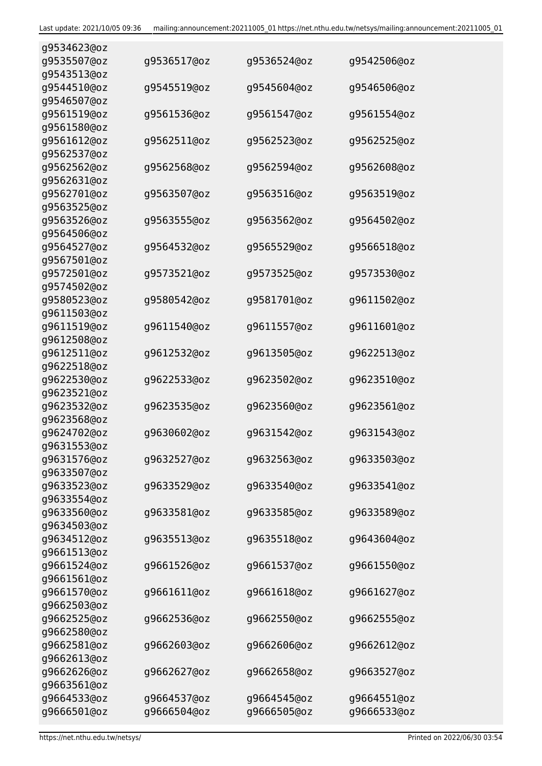| g9534623@oz                |             |             |             |
|----------------------------|-------------|-------------|-------------|
| g9535507@oz                | g9536517@oz | g9536524@oz | g9542506@oz |
| g9543513@oz                |             |             |             |
| g9544510@oz                | g9545519@oz | g9545604@oz | g9546506@oz |
| g9546507@oz                |             |             |             |
| g9561519@oz                | g9561536@oz | g9561547@oz | g9561554@oz |
| g9561580@oz                |             |             |             |
| g9561612@oz                | g9562511@oz | g9562523@oz | g9562525@oz |
| g9562537@oz                |             |             |             |
|                            |             |             |             |
| g9562562@oz                | g9562568@oz | g9562594@oz | g9562608@oz |
| g9562631@oz                |             |             |             |
| g9562701@oz                | g9563507@oz | g9563516@oz | g9563519@oz |
| g9563525@oz                |             |             |             |
| g9563526@oz                | g9563555@oz | g9563562@oz | g9564502@oz |
| g9564506@oz                |             |             |             |
| g9564527@oz                | g9564532@oz | g9565529@oz | g9566518@oz |
| g9567501@oz                |             |             |             |
| g9572501@oz                | g9573521@oz | g9573525@oz | g9573530@oz |
| g9574502@oz                |             |             |             |
| g9580523@oz                | g9580542@oz | g9581701@oz | g9611502@oz |
| g9611503@oz                |             |             |             |
| g9611519@oz                | g9611540@oz | g9611557@oz | g9611601@oz |
| g9612508@oz                |             |             |             |
| g9612511@oz                | g9612532@oz | g9613505@oz | g9622513@oz |
| g9622518@oz                |             |             |             |
| g9622530@oz                | g9622533@oz | g9623502@oz | g9623510@oz |
| g9623521@oz                |             |             |             |
| g9623532@oz                | g9623535@oz | g9623560@oz | g9623561@oz |
| g9623568@oz                |             |             |             |
| g9624702@oz                | g9630602@oz | g9631542@oz | g9631543@oz |
| g9631553@oz                |             |             |             |
| g9631576@oz                | g9632527@oz | g9632563@oz | g9633503@oz |
| g9633507@oz                |             |             |             |
| g9633523@oz                | g9633529@oz | g9633540@oz | g9633541@oz |
| g9633554@oz                |             |             |             |
|                            |             |             |             |
| g9633560@oz<br>g9634503@oz | g9633581@oz | g9633585@oz | g9633589@oz |
|                            |             |             |             |
| g9634512@oz                | g9635513@oz | g9635518@oz | g9643604@oz |
| g9661513@oz                |             |             |             |
| g9661524@oz                | g9661526@oz | g9661537@oz | g9661550@oz |
| g9661561@oz                |             |             |             |
| g9661570@oz                | g9661611@oz | g9661618@oz | g9661627@oz |
| g9662503@oz                |             |             |             |
| g9662525@oz                | g9662536@oz | g9662550@oz | g9662555@oz |
| g9662580@oz                |             |             |             |
| g9662581@oz                | g9662603@oz | g9662606@oz | g9662612@oz |
| g9662613@oz                |             |             |             |
| g9662626@oz                | g9662627@oz | g9662658@oz | g9663527@oz |
| g9663561@oz                |             |             |             |
| g9664533@oz                | g9664537@oz | g9664545@oz | g9664551@oz |
| g9666501@oz                | g9666504@oz | g9666505@oz | g9666533@oz |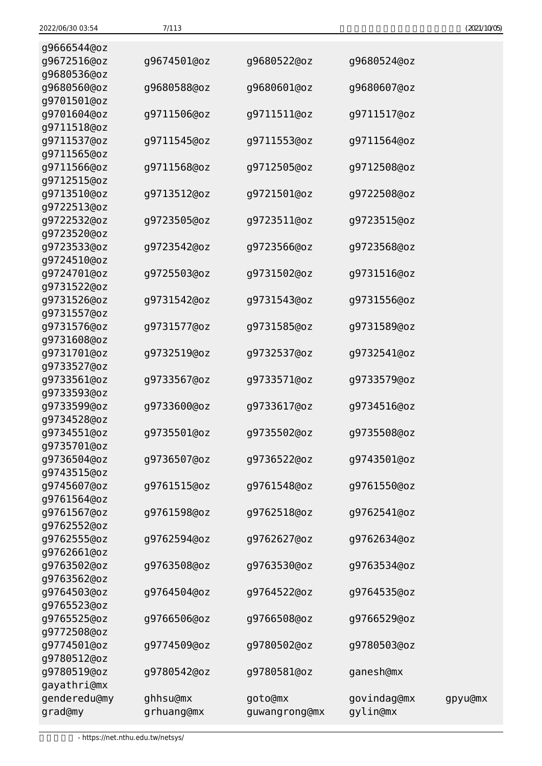| g9666544@oz<br>g9672516@oz | g9674501@oz            | g9680522@oz              | g9680524@oz             |         |
|----------------------------|------------------------|--------------------------|-------------------------|---------|
| g9680536@oz                |                        |                          |                         |         |
| g9680560@oz<br>g9701501@oz | g9680588@oz            | g9680601@oz              | g9680607@oz             |         |
| g9701604@oz<br>g9711518@oz | g9711506@oz            | g9711511@oz              | g9711517@oz             |         |
| g9711537@oz<br>g9711565@oz | g9711545@oz            | g9711553@oz              | g9711564@oz             |         |
| g9711566@oz<br>g9712515@oz | g9711568@oz            | g9712505@oz              | g9712508@oz             |         |
| g9713510@oz                | g9713512@oz            | g9721501@oz              | g9722508@oz             |         |
| g9722513@oz<br>g9722532@oz | g9723505@oz            | g9723511@oz              | g9723515@oz             |         |
| g9723520@oz<br>g9723533@oz | g9723542@oz            | g9723566@oz              | g9723568@oz             |         |
| g9724510@oz<br>g9724701@oz | g9725503@oz            | g9731502@oz              | g9731516@oz             |         |
| g9731522@oz<br>g9731526@oz | g9731542@oz            | g9731543@oz              | g9731556@oz             |         |
| g9731557@oz<br>g9731576@oz | g9731577@oz            | g9731585@oz              | g9731589@oz             |         |
| g9731608@oz<br>g9731701@oz | g9732519@oz            | g9732537@oz              | g9732541@oz             |         |
| g9733527@oz<br>g9733561@oz | g9733567@oz            | g9733571@oz              | g9733579@oz             |         |
| g9733593@oz<br>g9733599@oz | g9733600@oz            | g9733617@oz              | g9734516@oz             |         |
| g9734528@oz<br>g9734551@oz | g9735501@oz            | g9735502@oz              | g9735508@oz             |         |
| g9735701@oz<br>g9736504@oz | g9736507@oz            | g9736522@oz              | g9743501@oz             |         |
| g9743515@oz<br>g9745607@oz | g9761515@oz            | g9761548@oz              | g9761550@oz             |         |
| g9761564@oz<br>g9761567@oz | g9761598@oz            | g9762518@oz              | g9762541@oz             |         |
| g9762552@oz<br>g9762555@oz | g9762594@oz            | g9762627@oz              | g9762634@oz             |         |
| g9762661@oz<br>g9763502@oz | g9763508@oz            | g9763530@oz              | g9763534@oz             |         |
| g9763562@oz<br>g9764503@oz | g9764504@oz            | g9764522@oz              | g9764535@oz             |         |
| g9765523@oz<br>g9765525@oz | g9766506@oz            | g9766508@oz              | g9766529@oz             |         |
| g9772508@oz<br>g9774501@oz | g9774509@oz            | g9780502@oz              | g9780503@oz             |         |
| g9780512@oz                |                        |                          |                         |         |
| g9780519@oz<br>gayathri@mx | g9780542@oz            | g9780581@oz              | ganesh@mx               |         |
| genderedu@my<br>grad@my    | ghhsu@mx<br>grhuang@mx | goto@mx<br>guwangrong@mx | govindag@mx<br>gylin@mx | gpyu@mx |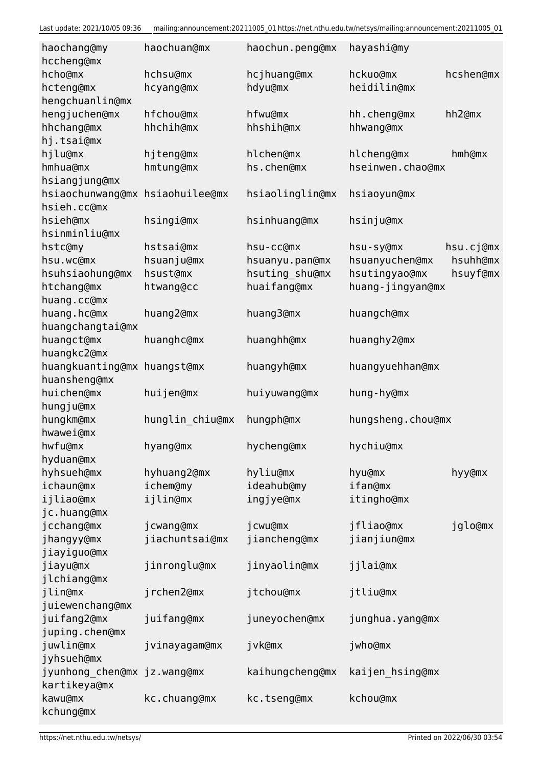| haochang@my<br>hccheng@mx   | haochuan@mx     | haochun.peng@mx | hayashi@my        |           |
|-----------------------------|-----------------|-----------------|-------------------|-----------|
| hcho@mx                     | hchsu@mx        | hcjhuang@mx     | hckuo@mx          | hcshen@mx |
| hcteng@mx                   | hcyang@mx       | hdyu@mx         | heidilin@mx       |           |
| hengchuanlin@mx             |                 |                 |                   |           |
| hengjuchen@mx               | hfchou@mx       | hfwu@mx         | hh.cheng@mx       | hh2@mx    |
| hhchang@mx                  | hhchih@mx       | hhshih@mx       | hhwang@mx         |           |
| hj.tsai@mx                  |                 |                 |                   |           |
| hjlu@mx                     | hjteng@mx       | hlchen@mx       | hlcheng@mx        | hmh@mx    |
| hmhua@mx                    | hmtung@mx       | hs.chen@mx      | hseinwen.chao@mx  |           |
| hsiangjung@mx               |                 |                 |                   |           |
| hsiaochunwang@mx            | hsiaohuilee@mx  | hsiaolinglin@mx | hsiaoyun@mx       |           |
| hsieh.cc@mx                 |                 |                 |                   |           |
| hsieh@mx                    | hsingi@mx       | hsinhuang@mx    | hsinju@mx         |           |
| hsinminliu@mx               |                 |                 |                   |           |
| hstc@my                     | hstsai@mx       | hsu-cc@mx       | hsu-sy@mx         | hsu.cj@mx |
| hsu.wc@mx                   | hsuanju@mx      | hsuanyu.pan@mx  | hsuanyuchen@mx    | hsuhh@mx  |
| hsuhsiaohung@mx             | hsust@mx        | hsuting_shu@mx  | hsutingyao@mx     | hsuyf@mx  |
| htchang@mx                  | htwang@cc       | huaifang@mx     | huang-jingyan@mx  |           |
| huang.cc@mx                 |                 |                 |                   |           |
| huang.hc@mx                 | huang2@mx       | huang3@mx       | huangch@mx        |           |
| huangchangtai@mx            |                 |                 |                   |           |
| huangct@mx                  | huanghc@mx      | huanghh@mx      | huanghy2@mx       |           |
| huangkc2@mx                 |                 |                 |                   |           |
| huangkuanting@mx            | huangst@mx      | huangyh@mx      | huangyuehhan@mx   |           |
| huansheng@mx<br>huichen@mx  | huijen@mx       | huiyuwang@mx    | hung-hy@mx        |           |
| hungju@mx                   |                 |                 |                   |           |
| hungkm@mx                   | hunglin_chiu@mx | hungph@mx       | hungsheng.chou@mx |           |
| hwawei@mx                   |                 |                 |                   |           |
| hwfu@mx                     | hyang@mx        | hycheng@mx      | hychiu@mx         |           |
| hyduan@mx                   |                 |                 |                   |           |
| hyhsueh@mx                  | hyhuang2@mx     | hyliu@mx        | hyu@mx            | hyy@mx    |
| ichaun@mx                   | ichem@my        | ideahub@my      | ifan@mx           |           |
| ijliao@mx                   | ijlin@mx        | ingjye@mx       | itingho@mx        |           |
| jc.huang@mx                 |                 |                 |                   |           |
| jcchang@mx                  | j cwang@mx      | j cwu@mx        | jfliao@mx         | jglo@mx   |
| jhangyy@mx                  | jiachuntsai@mx  | jiancheng@mx    | jianjiun@mx       |           |
| jiayiguo@mx                 |                 |                 |                   |           |
| jiayu@mx                    | jinronglu@mx    | jinyaolin@mx    | jjlai@mx          |           |
| jlchiang@mx                 |                 |                 |                   |           |
| jlin@mx                     | jrchen2@mx      | jtchou@mx       | jtliu@mx          |           |
| juiewenchang@mx             |                 |                 |                   |           |
| juifang2@mx                 | juifang@mx      | juneyochen@mx   | junghua.yang@mx   |           |
| juping.chen@mx              |                 |                 |                   |           |
| juwlin@mx                   | jvinayagam@mx   | jvk@mx          | jwho@mx           |           |
| jyhsueh@mx                  |                 |                 |                   |           |
| jyunhong chen@mx jz.wang@mx |                 | kaihungcheng@mx | kaijen_hsing@mx   |           |
| kartikeya@mx                |                 |                 |                   |           |
| kawu@mx                     | kc.chuang@mx    | kc.tseng@mx     | kchou@mx          |           |
| kchung@mx                   |                 |                 |                   |           |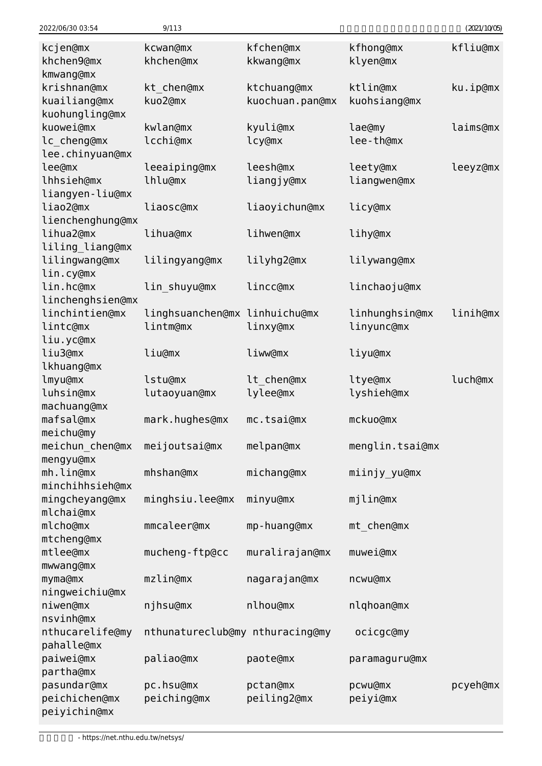| 2022/06/30 03:54               | 9/113                           |                        |                       | (2021/10/05) |
|--------------------------------|---------------------------------|------------------------|-----------------------|--------------|
| kcjen@mx<br>khchen9@mx         | kcwan@mx<br>khchen@mx           | kfchen@mx<br>kkwang@mx | kfhong@mx<br>klyen@mx | kfliu@mx     |
| kmwang@mx                      |                                 |                        |                       |              |
| krishnan@mx                    | kt chen@mx                      | ktchuang@mx            | ktlin@mx              | ku.ip@mx     |
| kuailiang@mx<br>kuohungling@mx | kuo2@mx                         | kuochuan.pan@mx        | kuohsiang@mx          |              |
| kuowei@mx                      | kwlan@mx                        | kyuli@mx               | lae@my                | laims@mx     |
| lc cheng@mx                    | lcchi@mx                        | lcy@mx                 | lee-th@mx             |              |
| lee.chinyuan@mx                |                                 |                        |                       |              |
| lee@mx                         | leeaiping@mx                    | leesh@mx               | leety@mx              | leeyz@mx     |
| lhhsieh@mx                     | lhlu@mx                         | liangjy@mx             | liangwen@mx           |              |
| liangyen-liu@mx                |                                 |                        |                       |              |
| liao2@mx                       | liaosc@mx                       | liaoyichun@mx          | licy@mx               |              |
| lienchenghung@mx               |                                 |                        |                       |              |
| lihua2@mx                      | lihua@mx                        | lihwen@mx              | lihy@mx               |              |
| liling_liang@mx                |                                 |                        |                       |              |
| lilingwang@mx                  | lilingyang@mx                   | lilyhg2@mx             | lilywang@mx           |              |
| lin.cy@mx                      |                                 |                        |                       |              |
| lin.hc@mx                      | lin shuyu@mx                    | lincc@mx               | linchaoju@mx          |              |
| linchenghsien@mx               |                                 |                        |                       |              |
| linchintien@mx                 | linghsuanchen@mx linhuichu@mx   |                        | linhunghsin@mx        | linih@mx     |
| lintc@mx                       | lintm@mx                        | linxy@mx               | linyunc@mx            |              |
| liu.yc@mx                      |                                 |                        |                       |              |
| liu3@mx                        | liu@mx                          | liww@mx                | liyu@mx               |              |
| lkhuang@mx                     |                                 |                        |                       |              |
| lmyu@mx                        | lstu@mx                         | lt chen@mx             | ltye@mx               | luch@mx      |
| luhsin@mx                      | lutaoyuan@mx                    | lylee@mx               | lyshieh@mx            |              |
| machuang@mx                    |                                 |                        |                       |              |
| mafsal@mx                      | mark.hughes@mx                  | mc.tsai@mx             | mckuo@mx              |              |
| meichu@my                      |                                 |                        |                       |              |
| meichun chen@mx                | meijoutsai@mx                   | melpan@mx              | menglin.tsai@mx       |              |
| mengyu@mx                      |                                 |                        |                       |              |
| mh.lin@mx                      | mhshan@mx                       | michang@mx             | miinjy_yu@mx          |              |
| minchihhsieh@mx                |                                 |                        |                       |              |
| mingcheyang@mx                 | minghsiu.lee@mx                 | minyu@mx               | mjlin@mx              |              |
| mlchai@mx                      |                                 |                        |                       |              |
| mlcho@mx                       | mmcaleer@mx                     | mp-huang@mx            | mt_chen@mx            |              |
| mtcheng@mx                     |                                 |                        |                       |              |
| mtlee@mx                       | mucheng-ftp@cc                  | muralirajan@mx         | muwei@mx              |              |
| mwwang@mx                      |                                 |                        |                       |              |
| myma@mx                        | mzlin@mx                        | nagarajan@mx           | ncwu@mx               |              |
| ningweichiu@mx                 |                                 |                        |                       |              |
| niwen@mx                       | njhsu@mx                        | nlhou@mx               | nlqhoan@mx            |              |
| nsvinh@mx                      |                                 |                        |                       |              |
| nthucarelife@my                | nthunatureclub@my nthuracing@my |                        | ocicgc@my             |              |
| pahalle@mx                     |                                 |                        |                       |              |
| paiwei@mx                      | paliao@mx                       | paote@mx               | paramaguru@mx         |              |
| partha@mx                      |                                 |                        |                       |              |
| pasundar@mx                    | pc.hsu@mx                       | pctan@mx               | pcwu@mx               | pcyeh@mx     |
| peichichen@mx                  | peiching@mx                     | peiling2@mx            | peiyi@mx              |              |
| peiyichin@mx                   |                                 |                        |                       |              |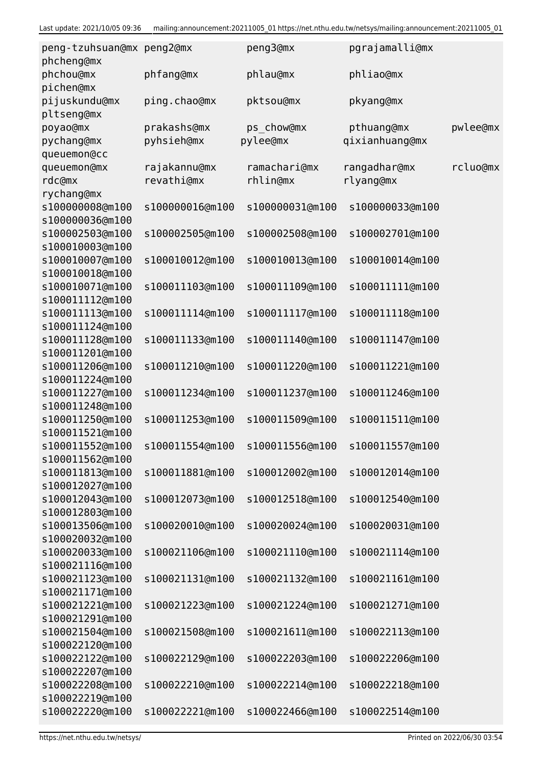| peng3@mx<br>pgrajamalli@mx<br>peng-tzuhsuan@mx peng2@mx<br>phcheng@mx    |          |
|--------------------------------------------------------------------------|----------|
| phchou@mx<br>phfang@mx<br>phlau@mx<br>phliao@mx<br>pichen@mx             |          |
| pijuskundu@mx<br>ping.chao@mx<br>pktsou@mx<br>pkyang@mx<br>pltseng@mx    |          |
| prakashs@mx<br>ps_chow@mx<br>pthuang@mx<br>poyao@mx                      | pwlee@mx |
| qixianhuang@mx<br>pychang@mx<br>pyhsieh@mx<br>pylee@mx                   |          |
| queuemon@cc                                                              |          |
| rajakannu@mx<br>ramachari@mx<br>rangadhar@mx<br>queuemon@mx              | rcluo@mx |
| revathi@mx<br>rhlin@mx<br>rlyang@mx<br>rdc@mx                            |          |
| rychang@mx                                                               |          |
| s100000008@m100<br>s100000016@m100<br>s100000031@m100<br>s100000033@m100 |          |
| s100000036@m100                                                          |          |
|                                                                          |          |
| s100002503@m100<br>s100002505@m100<br>s100002508@m100<br>s100002701@m100 |          |
| s100010003@m100                                                          |          |
| s100010007@m100<br>s100010012@m100<br>s100010013@m100<br>s100010014@m100 |          |
| s100010018@m100                                                          |          |
| s100010071@m100<br>s100011103@m100<br>s100011109@m100<br>s100011111@m100 |          |
| s100011112@m100                                                          |          |
| s100011113@m100<br>s100011114@m100<br>s100011117@m100<br>s100011118@m100 |          |
| s100011124@m100                                                          |          |
| s100011128@m100<br>s100011133@m100<br>s100011140@m100<br>s100011147@m100 |          |
| s100011201@m100                                                          |          |
| s100011206@m100<br>s100011210@m100<br>s100011220@m100<br>s100011221@m100 |          |
| s100011224@m100                                                          |          |
| s100011227@m100<br>s100011234@m100<br>s100011237@m100<br>s100011246@m100 |          |
| s100011248@m100                                                          |          |
| s100011250@m100<br>s100011509@m100<br>s100011511@m100<br>s100011253@m100 |          |
| s100011521@m100                                                          |          |
| s100011552@m100<br>s100011554@m100<br>s100011556@m100<br>s100011557@m100 |          |
| s100011562@m100                                                          |          |
| s100011813@m100<br>s100011881@m100<br>s100012002@m100<br>s100012014@m100 |          |
| s100012027@m100                                                          |          |
| s100012043@m100<br>s100012073@m100<br>s100012518@m100<br>s100012540@m100 |          |
| s100012803@m100                                                          |          |
| s100013506@m100<br>s100020010@m100<br>s100020024@m100<br>s100020031@m100 |          |
| s100020032@m100                                                          |          |
| s100020033@m100<br>s100021106@m100<br>s100021110@m100                    |          |
| s100021114@m100                                                          |          |
| s100021116@m100                                                          |          |
| s100021123@m100<br>s100021131@m100<br>s100021132@m100<br>s100021161@m100 |          |
| s100021171@m100                                                          |          |
| s100021221@m100<br>s100021223@m100<br>s100021224@m100<br>s100021271@m100 |          |
| s100021291@m100                                                          |          |
| s100021504@m100<br>s100021508@m100<br>s100021611@m100<br>s100022113@m100 |          |
| s100022120@m100                                                          |          |
| s100022122@m100<br>s100022129@m100<br>s100022203@m100<br>s100022206@m100 |          |
| s100022207@m100                                                          |          |
| s100022208@m100<br>s100022210@m100<br>s100022214@m100<br>s100022218@m100 |          |
| s100022219@m100                                                          |          |
| s100022220@m100<br>s100022221@m100<br>s100022466@m100<br>s100022514@m100 |          |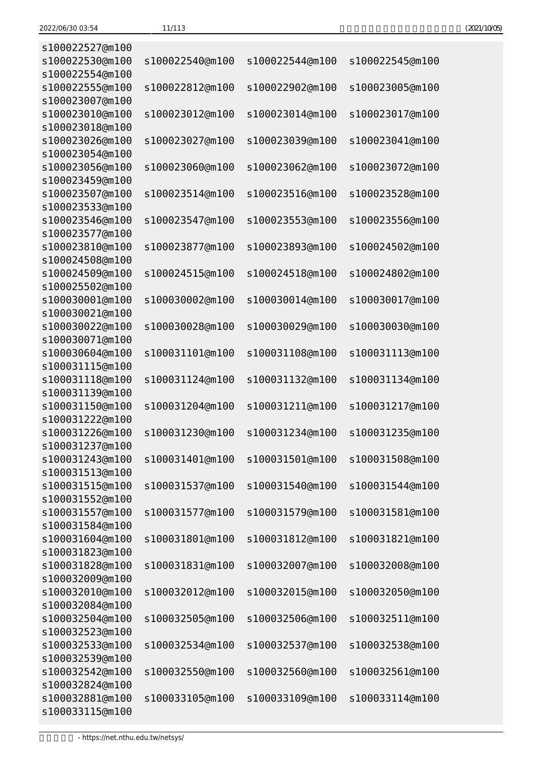| (2021/10/05) |
|--------------|
|--------------|

| s100022527@m100 |                 |                 |                 |
|-----------------|-----------------|-----------------|-----------------|
| s100022530@m100 | s100022540@m100 | s100022544@m100 | s100022545@m100 |
| s100022554@m100 |                 |                 |                 |
| s100022555@m100 | s100022812@m100 | s100022902@m100 | s100023005@m100 |
| s100023007@m100 |                 |                 |                 |
| s100023010@m100 | s100023012@m100 | s100023014@m100 | s100023017@m100 |
| s100023018@m100 |                 |                 |                 |
| s100023026@m100 | s100023027@m100 | s100023039@m100 | s100023041@m100 |
| s100023054@m100 |                 |                 |                 |
| s100023056@m100 | s100023060@m100 | s100023062@m100 | s100023072@m100 |
| s100023459@m100 |                 |                 |                 |
| s100023507@m100 | s100023514@m100 | s100023516@m100 | s100023528@m100 |
| s100023533@m100 |                 |                 |                 |
|                 |                 |                 |                 |
| s100023546@m100 | s100023547@m100 | s100023553@m100 | s100023556@m100 |
| s100023577@m100 |                 |                 |                 |
| s100023810@m100 | s100023877@m100 | s100023893@m100 | s100024502@m100 |
| s100024508@m100 |                 |                 |                 |
| s100024509@m100 | s100024515@m100 | s100024518@m100 | s100024802@m100 |
| s100025502@m100 |                 |                 |                 |
| s100030001@m100 | s100030002@m100 | s100030014@m100 | s100030017@m100 |
| s100030021@m100 |                 |                 |                 |
| s100030022@m100 | s100030028@m100 | s100030029@m100 | s100030030@m100 |
| s100030071@m100 |                 |                 |                 |
| s100030604@m100 | s100031101@m100 | s100031108@m100 | s100031113@m100 |
| s100031115@m100 |                 |                 |                 |
| s100031118@m100 | s100031124@m100 | s100031132@m100 | s100031134@m100 |
| s100031139@m100 |                 |                 |                 |
| s100031150@m100 | s100031204@m100 | s100031211@m100 | s100031217@m100 |
| s100031222@m100 |                 |                 |                 |
| s100031226@m100 | s100031230@m100 | s100031234@m100 | s100031235@m100 |
| s100031237@m100 |                 |                 |                 |
| s100031243@m100 | s100031401@m100 | s100031501@m100 | s100031508@m100 |
| s100031513@m100 |                 |                 |                 |
| s100031515@m100 | s100031537@m100 | s100031540@m100 | s100031544@m100 |
| s100031552@m100 |                 |                 |                 |
| s100031557@m100 | s100031577@m100 | s100031579@m100 | s100031581@m100 |
| s100031584@m100 |                 |                 |                 |
| s100031604@m100 | s100031801@m100 | s100031812@m100 | s100031821@m100 |
| s100031823@m100 |                 |                 |                 |
| s100031828@m100 | s100031831@m100 | s100032007@m100 | s100032008@m100 |
| s100032009@m100 |                 |                 |                 |
| s100032010@m100 | s100032012@m100 | s100032015@m100 | s100032050@m100 |
| s100032084@m100 |                 |                 |                 |
| s100032504@m100 | s100032505@m100 | s100032506@m100 | s100032511@m100 |
| s100032523@m100 |                 |                 |                 |
| s100032533@m100 | s100032534@m100 | s100032537@m100 | s100032538@m100 |
| s100032539@m100 |                 |                 |                 |
|                 |                 |                 |                 |
| s100032542@m100 | s100032550@m100 | s100032560@m100 | s100032561@m100 |
| s100032824@m100 |                 |                 |                 |
| s100032881@m100 | s100033105@m100 | s100033109@m100 | s100033114@m100 |
| s100033115@m100 |                 |                 |                 |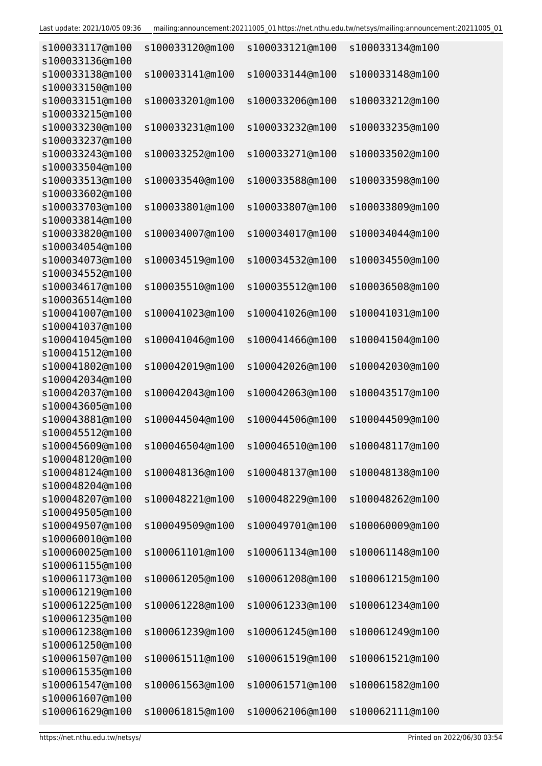| s100033117@m100<br>s100033136@m100 | s100033120@m100 | s100033121@m100 | s100033134@m100 |
|------------------------------------|-----------------|-----------------|-----------------|
| s100033138@m100<br>s100033150@m100 | s100033141@m100 | s100033144@m100 | s100033148@m100 |
| s100033151@m100<br>s100033215@m100 | s100033201@m100 | s100033206@m100 | s100033212@m100 |
| s100033230@m100<br>s100033237@m100 | s100033231@m100 | s100033232@m100 | s100033235@m100 |
| s100033243@m100<br>s100033504@m100 | s100033252@m100 | s100033271@m100 | s100033502@m100 |
| s100033513@m100<br>s100033602@m100 | s100033540@m100 | s100033588@m100 | s100033598@m100 |
| s100033703@m100<br>s100033814@m100 | s100033801@m100 | s100033807@m100 | s100033809@m100 |
| s100033820@m100<br>s100034054@m100 | s100034007@m100 | s100034017@m100 | s100034044@m100 |
| s100034073@m100<br>s100034552@m100 | s100034519@m100 | s100034532@m100 | s100034550@m100 |
| s100034617@m100<br>s100036514@m100 | s100035510@m100 | s100035512@m100 | s100036508@m100 |
| s100041007@m100<br>s100041037@m100 | s100041023@m100 | s100041026@m100 | s100041031@m100 |
| s100041045@m100<br>s100041512@m100 | s100041046@m100 | s100041466@m100 | s100041504@m100 |
| s100041802@m100<br>s100042034@m100 | s100042019@m100 | s100042026@m100 | s100042030@m100 |
| s100042037@m100<br>s100043605@m100 | s100042043@m100 | s100042063@m100 | s100043517@m100 |
| s100043881@m100<br>s100045512@m100 | s100044504@m100 | s100044506@m100 | s100044509@m100 |
| s100045609@m100<br>s100048120@m100 | s100046504@m100 | s100046510@m100 | s100048117@m100 |
| s100048124@m100<br>s100048204@m100 | s100048136@m100 | s100048137@m100 | s100048138@m100 |
| s100048207@m100<br>s100049505@m100 | s100048221@m100 | s100048229@m100 | s100048262@m100 |
| s100049507@m100<br>s100060010@m100 | s100049509@m100 | s100049701@m100 | s100060009@m100 |
| s100060025@m100<br>s100061155@m100 | s100061101@m100 | s100061134@m100 | s100061148@m100 |
| s100061173@m100<br>s100061219@m100 | s100061205@m100 | s100061208@m100 | s100061215@m100 |
| s100061225@m100<br>s100061235@m100 | s100061228@m100 | s100061233@m100 | s100061234@m100 |
| s100061238@m100<br>s100061250@m100 | s100061239@m100 | s100061245@m100 | s100061249@m100 |
| s100061507@m100<br>s100061535@m100 | s100061511@m100 | s100061519@m100 | s100061521@m100 |
| s100061547@m100<br>s100061607@m100 | s100061563@m100 | s100061571@m100 | s100061582@m100 |
| s100061629@m100                    | s100061815@m100 | s100062106@m100 | s100062111@m100 |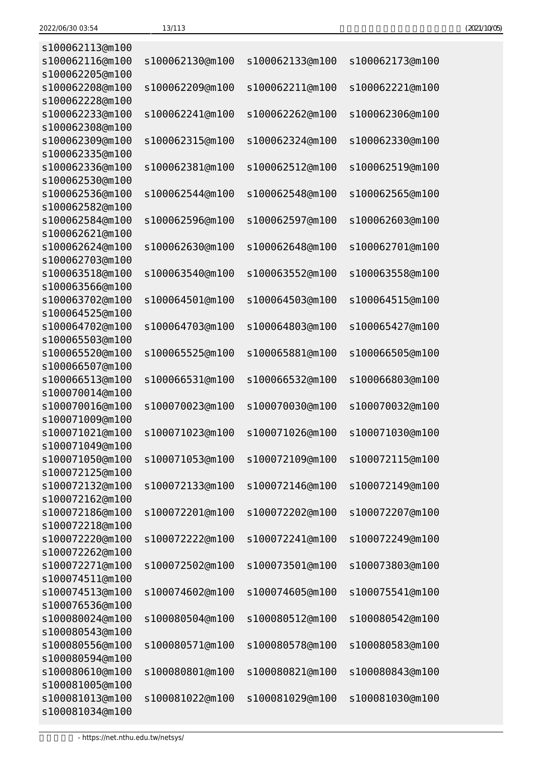| (2021/10/05) |
|--------------|
|--------------|

| s100062113@m100                    |                 |                 |                 |
|------------------------------------|-----------------|-----------------|-----------------|
| s100062116@m100                    | s100062130@m100 | s100062133@m100 | s100062173@m100 |
| s100062205@m100                    |                 |                 |                 |
| s100062208@m100                    | s100062209@m100 | s100062211@m100 | s100062221@m100 |
| s100062228@m100                    |                 |                 |                 |
| s100062233@m100                    | s100062241@m100 | s100062262@m100 | s100062306@m100 |
| s100062308@m100                    |                 |                 |                 |
| s100062309@m100                    | s100062315@m100 | s100062324@m100 | s100062330@m100 |
| s100062335@m100<br>s100062336@m100 |                 | s100062512@m100 | s100062519@m100 |
| s100062530@m100                    | s100062381@m100 |                 |                 |
| s100062536@m100                    | s100062544@m100 | s100062548@m100 | s100062565@m100 |
| s100062582@m100                    |                 |                 |                 |
| s100062584@m100                    | s100062596@m100 | s100062597@m100 | s100062603@m100 |
| s100062621@m100                    |                 |                 |                 |
| s100062624@m100                    | s100062630@m100 | s100062648@m100 | s100062701@m100 |
| s100062703@m100                    |                 |                 |                 |
| s100063518@m100                    | s100063540@m100 | s100063552@m100 | s100063558@m100 |
| s100063566@m100                    |                 |                 |                 |
| s100063702@m100                    | s100064501@m100 | s100064503@m100 | s100064515@m100 |
| s100064525@m100                    |                 |                 |                 |
| s100064702@m100                    | s100064703@m100 | s100064803@m100 | s100065427@m100 |
| s100065503@m100                    |                 |                 |                 |
| s100065520@m100                    | s100065525@m100 | s100065881@m100 | s100066505@m100 |
| s100066507@m100                    |                 |                 |                 |
| s100066513@m100                    | s100066531@m100 | s100066532@m100 | s100066803@m100 |
| s100070014@m100                    |                 |                 |                 |
| s100070016@m100<br>s100071009@m100 | s100070023@m100 | s100070030@m100 | s100070032@m100 |
| s100071021@m100                    | s100071023@m100 | s100071026@m100 | s100071030@m100 |
| s100071049@m100                    |                 |                 |                 |
| s100071050@m100                    | s100071053@m100 | s100072109@m100 | s100072115@m100 |
| s100072125@m100                    |                 |                 |                 |
| s100072132@m100                    | s100072133@m100 | s100072146@m100 | s100072149@m100 |
| s100072162@m100                    |                 |                 |                 |
| s100072186@m100                    | s100072201@m100 | s100072202@m100 | s100072207@m100 |
| s100072218@m100                    |                 |                 |                 |
| s100072220@m100                    | s100072222@m100 | s100072241@m100 | s100072249@m100 |
| s100072262@m100                    |                 |                 |                 |
| s100072271@m100                    | s100072502@m100 | s100073501@m100 | s100073803@m100 |
| s100074511@m100                    |                 |                 |                 |
| s100074513@m100                    | s100074602@m100 | s100074605@m100 | s100075541@m100 |
| s100076536@m100                    |                 |                 |                 |
| s100080024@m100                    | s100080504@m100 | s100080512@m100 | s100080542@m100 |
| s100080543@m100                    |                 |                 |                 |
| s100080556@m100<br>s100080594@m100 | s100080571@m100 | s100080578@m100 | s100080583@m100 |
| s100080610@m100                    | s100080801@m100 | s100080821@m100 | s100080843@m100 |
| s100081005@m100                    |                 |                 |                 |
| s100081013@m100                    | s100081022@m100 | s100081029@m100 | s100081030@m100 |
| s100081034@m100                    |                 |                 |                 |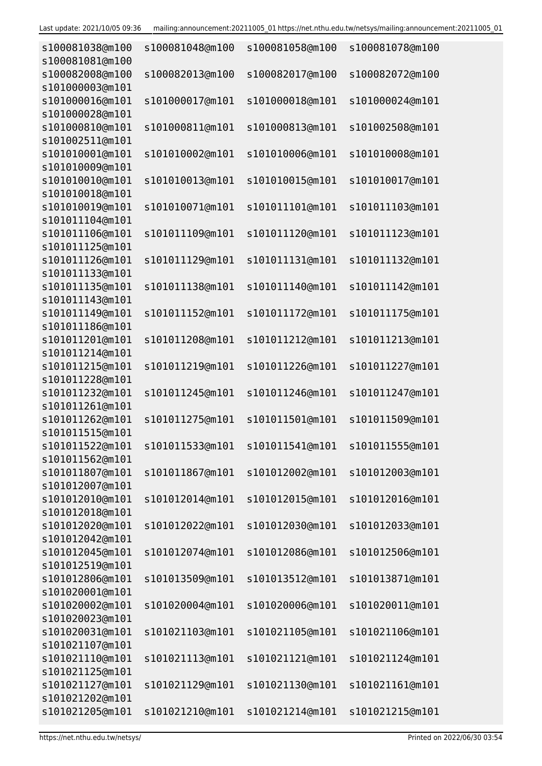| s100081038@m100<br>s100081081@m100 | s100081048@m100 | s100081058@m100                 | s100081078@m100 |
|------------------------------------|-----------------|---------------------------------|-----------------|
| s100082008@m100                    | s100082013@m100 | s100082017@m100                 | s100082072@m100 |
| s101000003@m101<br>s101000016@m101 | s101000017@m101 | s101000018@m101                 | s101000024@m101 |
| s101000028@m101                    |                 |                                 |                 |
| s101000810@m101                    | s101000811@m101 | s101000813@m101                 | s101002508@m101 |
| s101002511@m101                    |                 |                                 |                 |
| s101010001@m101                    | s101010002@m101 | s101010006@m101                 | s101010008@m101 |
| s101010009@m101                    |                 |                                 |                 |
| s101010010@m101                    | s101010013@m101 | s101010015@m101                 | s101010017@m101 |
| s101010018@m101                    |                 |                                 |                 |
| s101010019@m101<br>s101011104@m101 | s101010071@m101 | s101011101@m101                 | s101011103@m101 |
| s101011106@m101                    | s101011109@m101 | s101011120@m101                 | s101011123@m101 |
| s101011125@m101                    |                 |                                 |                 |
| s101011126@m101                    | s101011129@m101 | s101011131@m101                 | s101011132@m101 |
| s101011133@m101                    |                 |                                 |                 |
| s101011135@m101                    | s101011138@m101 | s101011140@m101                 | s101011142@m101 |
| s101011143@m101                    |                 |                                 |                 |
| s101011149@m101                    | s101011152@m101 | s101011172@m101                 | s101011175@m101 |
| s101011186@m101                    |                 |                                 |                 |
| s101011201@m101                    | s101011208@m101 | s101011212@m101                 | s101011213@m101 |
| s101011214@m101                    |                 |                                 |                 |
| s101011215@m101                    | s101011219@m101 | s101011226@m101                 | s101011227@m101 |
| s101011228@m101                    |                 |                                 |                 |
| s101011232@m101<br>s101011261@m101 | s101011245@m101 | s101011246@m101                 | s101011247@m101 |
| s101011262@m101                    | s101011275@m101 | s101011501@m101                 | s101011509@m101 |
| s101011515@m101                    |                 |                                 |                 |
| s101011522@m101                    | s101011533@m101 | s101011541@m101 s101011555@m101 |                 |
| s101011562@m101                    |                 |                                 |                 |
| s101011807@m101                    | s101011867@m101 | s101012002@m101                 | s101012003@m101 |
| s101012007@m101                    |                 |                                 |                 |
| s101012010@m101                    | s101012014@m101 | s101012015@m101                 | s101012016@m101 |
| s101012018@m101                    |                 |                                 |                 |
| s101012020@m101                    | s101012022@m101 | s101012030@m101                 | s101012033@m101 |
| s101012042@m101                    |                 |                                 |                 |
| s101012045@m101                    | s101012074@m101 | s101012086@m101                 | s101012506@m101 |
| s101012519@m101<br>s101012806@m101 | s101013509@m101 | s101013512@m101                 |                 |
| s101020001@m101                    |                 |                                 | s101013871@m101 |
| s101020002@m101                    | s101020004@m101 | s101020006@m101                 | s101020011@m101 |
| s101020023@m101                    |                 |                                 |                 |
| s101020031@m101                    | s101021103@m101 | s101021105@m101                 | s101021106@m101 |
| s101021107@m101                    |                 |                                 |                 |
| s101021110@m101                    | s101021113@m101 | s101021121@m101                 | s101021124@m101 |
| s101021125@m101                    |                 |                                 |                 |
| s101021127@m101                    | s101021129@m101 | s101021130@m101                 | s101021161@m101 |
| s101021202@m101                    |                 |                                 |                 |
| s101021205@m101                    | s101021210@m101 | s101021214@m101                 | s101021215@m101 |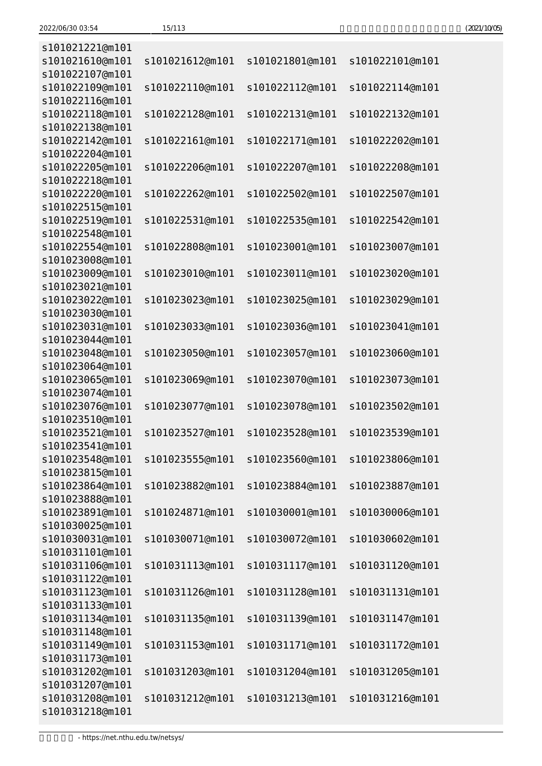| s101021221@m101                    |                 |                 |                 |
|------------------------------------|-----------------|-----------------|-----------------|
| s101021610@m101                    | s101021612@m101 | s101021801@m101 | s101022101@m101 |
| s101022107@m101                    |                 |                 |                 |
| s101022109@m101                    | s101022110@m101 | s101022112@m101 | s101022114@m101 |
| s101022116@m101                    |                 |                 |                 |
| s101022118@m101                    | s101022128@m101 | s101022131@m101 | s101022132@m101 |
| s101022138@m101                    |                 |                 |                 |
| s101022142@m101                    | s101022161@m101 | s101022171@m101 | s101022202@m101 |
| s101022204@m101                    |                 |                 |                 |
| s101022205@m101                    | s101022206@m101 | s101022207@m101 | s101022208@m101 |
| s101022218@m101                    |                 |                 |                 |
| s101022220@m101                    | s101022262@m101 | s101022502@m101 | s101022507@m101 |
| s101022515@m101                    |                 |                 |                 |
| s101022519@m101                    | s101022531@m101 | s101022535@m101 | s101022542@m101 |
| s101022548@m101                    |                 |                 |                 |
| s101022554@m101                    | s101022808@m101 | s101023001@m101 | s101023007@m101 |
| s101023008@m101<br>s101023009@m101 |                 |                 | s101023020@m101 |
| s101023021@m101                    | s101023010@m101 | s101023011@m101 |                 |
| s101023022@m101                    | s101023023@m101 | s101023025@m101 | s101023029@m101 |
| s101023030@m101                    |                 |                 |                 |
| s101023031@m101                    | s101023033@m101 | s101023036@m101 | s101023041@m101 |
| s101023044@m101                    |                 |                 |                 |
| s101023048@m101                    | s101023050@m101 | s101023057@m101 | s101023060@m101 |
| s101023064@m101                    |                 |                 |                 |
| s101023065@m101                    | s101023069@m101 | s101023070@m101 | s101023073@m101 |
| s101023074@m101                    |                 |                 |                 |
| s101023076@m101                    | s101023077@m101 | s101023078@m101 | s101023502@m101 |
| s101023510@m101                    |                 |                 |                 |
| s101023521@m101                    | s101023527@m101 | s101023528@m101 | s101023539@m101 |
| s101023541@m101                    |                 |                 |                 |
| s101023548@m101                    | s101023555@m101 | s101023560@m101 | s101023806@m101 |
| s101023815@m101                    |                 |                 |                 |
| s101023864@m101                    | s101023882@m101 | s101023884@m101 | s101023887@m101 |
| s101023888@m101                    |                 |                 |                 |
| s101023891@m101                    | s101024871@m101 | s101030001@m101 | s101030006@m101 |
| s101030025@m101                    |                 |                 |                 |
| s101030031@m101                    | s101030071@m101 | s101030072@m101 | s101030602@m101 |
| s101031101@m101<br>s101031106@m101 | s101031113@m101 | s101031117@m101 | s101031120@m101 |
| s101031122@m101                    |                 |                 |                 |
| s101031123@m101                    | s101031126@m101 | s101031128@m101 | s101031131@m101 |
| s101031133@m101                    |                 |                 |                 |
| s101031134@m101                    | s101031135@m101 | s101031139@m101 | s101031147@m101 |
| s101031148@m101                    |                 |                 |                 |
| s101031149@m101                    | s101031153@m101 | s101031171@m101 | s101031172@m101 |
| s101031173@m101                    |                 |                 |                 |
| s101031202@m101                    | s101031203@m101 | s101031204@m101 | s101031205@m101 |
| s101031207@m101                    |                 |                 |                 |
| s101031208@m101                    | s101031212@m101 | s101031213@m101 | s101031216@m101 |
| s101031218@m101                    |                 |                 |                 |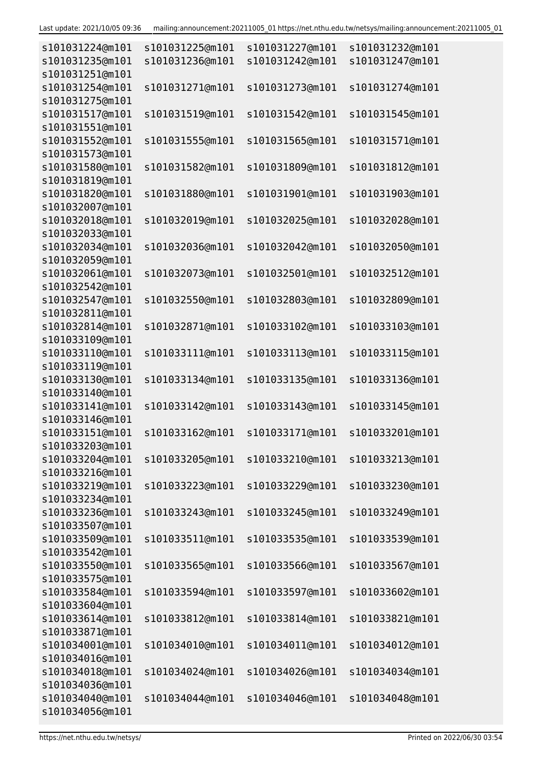| s101031224@m101                    | s101031225@m101 | s101031227@m101 | s101031232@m101 |
|------------------------------------|-----------------|-----------------|-----------------|
| s101031235@m101                    | s101031236@m101 | s101031242@m101 | s101031247@m101 |
| s101031251@m101                    |                 |                 |                 |
| s101031254@m101                    | s101031271@m101 | s101031273@m101 | s101031274@m101 |
| s101031275@m101                    |                 |                 |                 |
| s101031517@m101                    | s101031519@m101 | s101031542@m101 | s101031545@m101 |
| s101031551@m101                    |                 |                 |                 |
| s101031552@m101                    | s101031555@m101 | s101031565@m101 | s101031571@m101 |
| s101031573@m101                    |                 |                 |                 |
| s101031580@m101                    | s101031582@m101 | s101031809@m101 | s101031812@m101 |
| s101031819@m101                    |                 |                 |                 |
| s101031820@m101                    | s101031880@m101 | s101031901@m101 | s101031903@m101 |
| s101032007@m101                    |                 |                 |                 |
| s101032018@m101                    | s101032019@m101 | s101032025@m101 | s101032028@m101 |
| s101032033@m101                    |                 |                 |                 |
| s101032034@m101                    | s101032036@m101 | s101032042@m101 | s101032050@m101 |
| s101032059@m101                    |                 |                 |                 |
| s101032061@m101                    | s101032073@m101 | s101032501@m101 | s101032512@m101 |
| s101032542@m101<br>s101032547@m101 | s101032550@m101 | s101032803@m101 | s101032809@m101 |
| s101032811@m101                    |                 |                 |                 |
| s101032814@m101                    | s101032871@m101 | s101033102@m101 | s101033103@m101 |
| s101033109@m101                    |                 |                 |                 |
| s101033110@m101                    | s101033111@m101 | s101033113@m101 | s101033115@m101 |
| s101033119@m101                    |                 |                 |                 |
| s101033130@m101                    | s101033134@m101 | s101033135@m101 | s101033136@m101 |
| s101033140@m101                    |                 |                 |                 |
| s101033141@m101                    | s101033142@m101 | s101033143@m101 | s101033145@m101 |
| s101033146@m101                    |                 |                 |                 |
| s101033151@m101                    | s101033162@m101 | s101033171@m101 | s101033201@m101 |
| s101033203@m101                    |                 |                 |                 |
| s101033204@m101                    | s101033205@m101 | s101033210@m101 | s101033213@m101 |
| s101033216@m101                    |                 |                 |                 |
| s101033219@m101                    | s101033223@m101 | s101033229@m101 | s101033230@m101 |
| s101033234@m101                    |                 |                 |                 |
| s101033236@m101                    | s101033243@m101 | s101033245@m101 | s101033249@m101 |
| s101033507@m101                    |                 |                 |                 |
| s101033509@m101                    | s101033511@m101 | s101033535@m101 | s101033539@m101 |
| s101033542@m101                    |                 |                 |                 |
| s101033550@m101                    | s101033565@m101 | s101033566@m101 | s101033567@m101 |
| s101033575@m101                    |                 |                 |                 |
| s101033584@m101                    | s101033594@m101 | s101033597@m101 | s101033602@m101 |
| s101033604@m101                    |                 |                 |                 |
| s101033614@m101                    | s101033812@m101 | s101033814@m101 | s101033821@m101 |
| s101033871@m101                    |                 |                 |                 |
| s101034001@m101                    | s101034010@m101 | s101034011@m101 | s101034012@m101 |
| s101034016@m101                    |                 |                 |                 |
| s101034018@m101                    | s101034024@m101 | s101034026@m101 | s101034034@m101 |
| s101034036@m101                    |                 |                 |                 |
| s101034040@m101                    | s101034044@m101 | s101034046@m101 | s101034048@m101 |
| s101034056@m101                    |                 |                 |                 |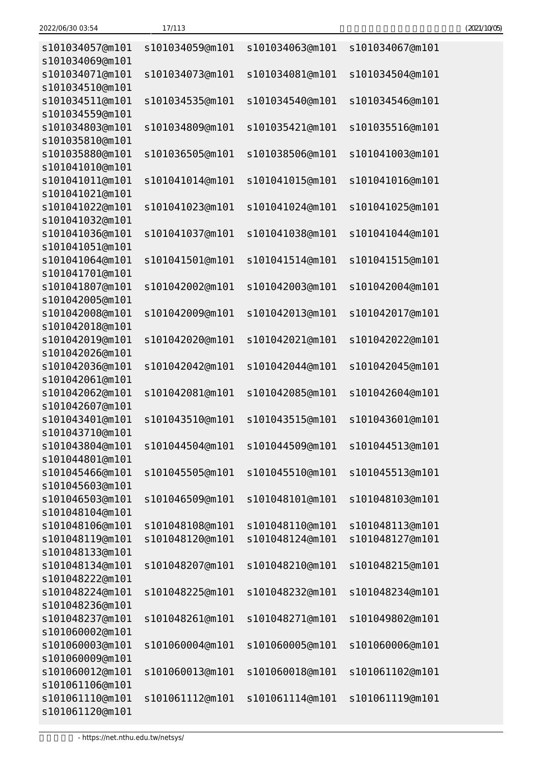| s101034057@m101<br>s101034069@m101 | s101034059@m101 | s101034063@m101 | s101034067@m101 |
|------------------------------------|-----------------|-----------------|-----------------|
| s101034071@m101                    | s101034073@m101 | s101034081@m101 | s101034504@m101 |
| s101034510@m101                    |                 |                 |                 |
| s101034511@m101                    | s101034535@m101 | s101034540@m101 | s101034546@m101 |
| s101034559@m101                    |                 |                 |                 |
| s101034803@m101<br>s101035810@m101 | s101034809@m101 | s101035421@m101 | s101035516@m101 |
| s101035880@m101                    | s101036505@m101 | s101038506@m101 | s101041003@m101 |
| s101041010@m101                    |                 |                 |                 |
| s101041011@m101                    | s101041014@m101 | s101041015@m101 | s101041016@m101 |
| s101041021@m101                    |                 |                 |                 |
| s101041022@m101                    | s101041023@m101 | s101041024@m101 | s101041025@m101 |
| s101041032@m101                    |                 |                 |                 |
| s101041036@m101                    | s101041037@m101 | s101041038@m101 | s101041044@m101 |
| s101041051@m101                    |                 |                 |                 |
| s101041064@m101                    | s101041501@m101 | s101041514@m101 | s101041515@m101 |
| s101041701@m101                    |                 |                 |                 |
| s101041807@m101                    | s101042002@m101 | s101042003@m101 | s101042004@m101 |
| s101042005@m101                    |                 |                 |                 |
| s101042008@m101                    | s101042009@m101 | s101042013@m101 | s101042017@m101 |
| s101042018@m101                    |                 |                 |                 |
| s101042019@m101                    | s101042020@m101 | s101042021@m101 | s101042022@m101 |
| s101042026@m101                    |                 |                 |                 |
| s101042036@m101                    | s101042042@m101 | s101042044@m101 | s101042045@m101 |
| s101042061@m101                    |                 |                 |                 |
| s101042062@m101                    | s101042081@m101 | s101042085@m101 | s101042604@m101 |
| s101042607@m101                    |                 |                 |                 |
| s101043401@m101                    | s101043510@m101 | s101043515@m101 | s101043601@m101 |
| s101043710@m101                    |                 |                 |                 |
| s101043804@m101                    | s101044504@m101 | s101044509@m101 | s101044513@m101 |
| s101044801@m101                    |                 |                 |                 |
| s101045466@m101                    | s101045505@m101 | s101045510@m101 | s101045513@m101 |
| s101045603@m101                    |                 |                 |                 |
| s101046503@m101                    | s101046509@m101 | s101048101@m101 | s101048103@m101 |
| s101048104@m101                    |                 |                 |                 |
| s101048106@m101                    | s101048108@m101 | s101048110@m101 | s101048113@m101 |
| s101048119@m101                    | s101048120@m101 | s101048124@m101 | s101048127@m101 |
| s101048133@m101                    |                 |                 |                 |
| s101048134@m101                    | s101048207@m101 | s101048210@m101 | s101048215@m101 |
| s101048222@m101                    |                 |                 |                 |
| s101048224@m101                    | s101048225@m101 | s101048232@m101 | s101048234@m101 |
| s101048236@m101                    |                 |                 |                 |
| s101048237@m101                    | s101048261@m101 | s101048271@m101 | s101049802@m101 |
| s101060002@m101                    |                 |                 |                 |
| s101060003@m101                    | s101060004@m101 | s101060005@m101 | s101060006@m101 |
| s101060009@m101                    |                 |                 |                 |
| s101060012@m101                    | s101060013@m101 | s101060018@m101 | s101061102@m101 |
| s101061106@m101                    |                 |                 |                 |
| s101061110@m101                    | s101061112@m101 | s101061114@m101 | s101061119@m101 |
| s101061120@m101                    |                 |                 |                 |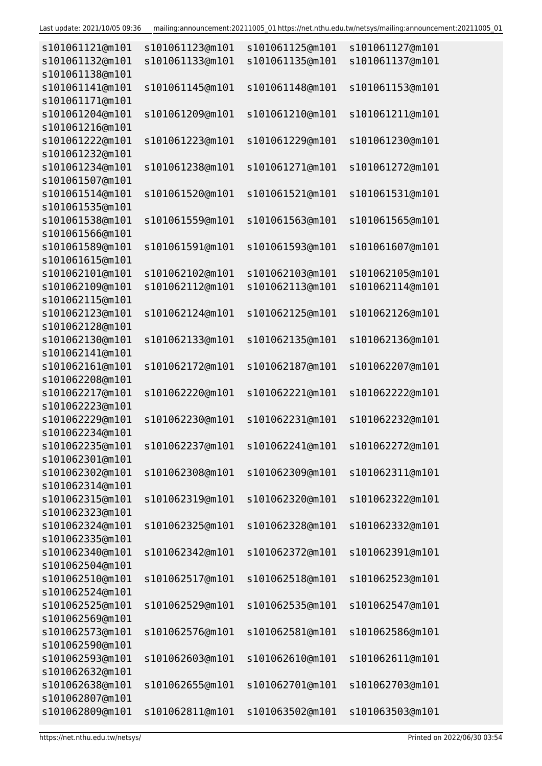| s101061121@m101                    | s101061123@m101 | s101061125@m101                 | s101061127@m101 |
|------------------------------------|-----------------|---------------------------------|-----------------|
| s101061132@m101<br>s101061138@m101 | s101061133@m101 | s101061135@m101                 | s101061137@m101 |
| s101061141@m101                    | s101061145@m101 | s101061148@m101                 | s101061153@m101 |
| s101061171@m101                    |                 |                                 |                 |
| s101061204@m101                    | s101061209@m101 | s101061210@m101                 | s101061211@m101 |
| s101061216@m101                    |                 |                                 |                 |
| s101061222@m101                    | s101061223@m101 | s101061229@m101                 | s101061230@m101 |
| s101061232@m101                    |                 |                                 |                 |
| s101061234@m101                    | s101061238@m101 | s101061271@m101                 | s101061272@m101 |
| s101061507@m101                    |                 |                                 |                 |
| s101061514@m101                    | s101061520@m101 | s101061521@m101                 | s101061531@m101 |
| s101061535@m101                    |                 |                                 |                 |
| s101061538@m101                    | s101061559@m101 | s101061563@m101                 | s101061565@m101 |
| s101061566@m101                    |                 |                                 |                 |
| s101061589@m101<br>s101061615@m101 | s101061591@m101 | s101061593@m101                 | s101061607@m101 |
| s101062101@m101                    | s101062102@m101 | s101062103@m101                 | s101062105@m101 |
| s101062109@m101                    | s101062112@m101 | s101062113@m101                 | s101062114@m101 |
| s101062115@m101                    |                 |                                 |                 |
| s101062123@m101                    | s101062124@m101 | s101062125@m101                 | s101062126@m101 |
| s101062128@m101                    |                 |                                 |                 |
| s101062130@m101                    | s101062133@m101 | s101062135@m101                 | s101062136@m101 |
| s101062141@m101                    |                 |                                 |                 |
| s101062161@m101                    | s101062172@m101 | s101062187@m101                 | s101062207@m101 |
| s101062208@m101                    |                 |                                 |                 |
| s101062217@m101                    | s101062220@m101 | s101062221@m101                 | s101062222@m101 |
| s101062223@m101                    |                 |                                 |                 |
| s101062229@m101<br>s101062234@m101 | s101062230@m101 | s101062231@m101                 | s101062232@m101 |
| s101062235@m101                    |                 | s101062237@m101 s101062241@m101 | s101062272@m101 |
| s101062301@m101                    |                 |                                 |                 |
| s101062302@m101                    | s101062308@m101 | s101062309@m101                 | s101062311@m101 |
| s101062314@m101                    |                 |                                 |                 |
| s101062315@m101                    | s101062319@m101 | s101062320@m101                 | s101062322@m101 |
| s101062323@m101                    |                 |                                 |                 |
| s101062324@m101                    | s101062325@m101 | s101062328@m101                 | s101062332@m101 |
| s101062335@m101                    |                 |                                 |                 |
| s101062340@m101                    | s101062342@m101 | s101062372@m101                 | s101062391@m101 |
| s101062504@m101                    |                 |                                 |                 |
| s101062510@m101                    | s101062517@m101 | s101062518@m101                 | s101062523@m101 |
| s101062524@m101                    |                 |                                 |                 |
| s101062525@m101                    | s101062529@m101 | s101062535@m101                 | s101062547@m101 |
| s101062569@m101<br>s101062573@m101 | s101062576@m101 | s101062581@m101                 | s101062586@m101 |
| s101062590@m101                    |                 |                                 |                 |
| s101062593@m101                    | s101062603@m101 | s101062610@m101                 | s101062611@m101 |
| s101062632@m101                    |                 |                                 |                 |
| s101062638@m101                    | s101062655@m101 | s101062701@m101                 | s101062703@m101 |
| s101062807@m101                    |                 |                                 |                 |
| s101062809@m101                    | s101062811@m101 | s101063502@m101                 | s101063503@m101 |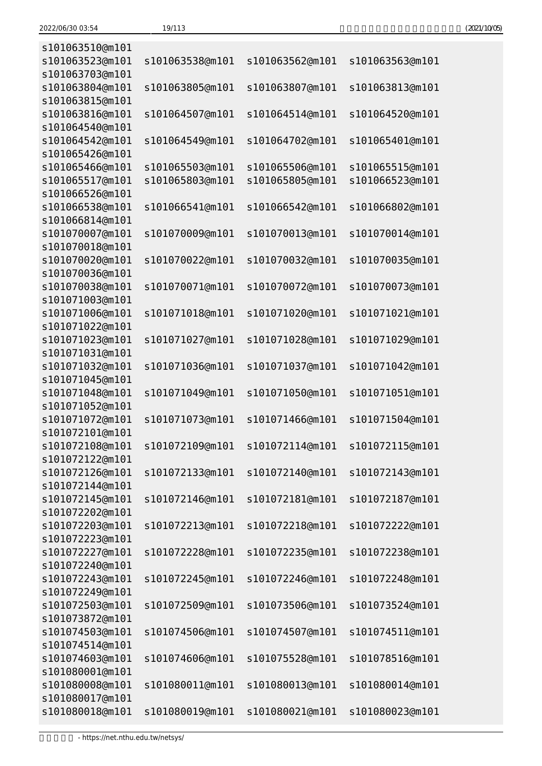| s101063510@m101                    |                 |                 |                 |
|------------------------------------|-----------------|-----------------|-----------------|
| s101063523@m101<br>s101063703@m101 | s101063538@m101 | s101063562@m101 | s101063563@m101 |
| s101063804@m101                    | s101063805@m101 | s101063807@m101 | s101063813@m101 |
| s101063815@m101                    |                 |                 |                 |
| s101063816@m101<br>s101064540@m101 | s101064507@m101 | s101064514@m101 | s101064520@m101 |
| s101064542@m101                    | s101064549@m101 | s101064702@m101 | s101065401@m101 |
| s101065426@m101                    |                 |                 |                 |
| s101065466@m101                    | s101065503@m101 | s101065506@m101 | s101065515@m101 |
| s101065517@m101                    | s101065803@m101 | s101065805@m101 | s101066523@m101 |
| s101066526@m101                    |                 |                 |                 |
| s101066538@m101                    | s101066541@m101 | s101066542@m101 | s101066802@m101 |
| s101066814@m101                    |                 |                 |                 |
| s101070007@m101                    | s101070009@m101 | s101070013@m101 | s101070014@m101 |
| s101070018@m101                    |                 |                 |                 |
| s101070020@m101                    | s101070022@m101 | s101070032@m101 | s101070035@m101 |
| s101070036@m101                    |                 |                 |                 |
| s101070038@m101<br>s101071003@m101 | s101070071@m101 | s101070072@m101 | s101070073@m101 |
| s101071006@m101                    | s101071018@m101 | s101071020@m101 | s101071021@m101 |
| s101071022@m101                    |                 |                 |                 |
| s101071023@m101                    | s101071027@m101 | s101071028@m101 | s101071029@m101 |
| s101071031@m101                    |                 |                 |                 |
| s101071032@m101                    | s101071036@m101 | s101071037@m101 | s101071042@m101 |
| s101071045@m101                    |                 |                 |                 |
| s101071048@m101                    | s101071049@m101 | s101071050@m101 | s101071051@m101 |
| s101071052@m101                    |                 |                 |                 |
| s101071072@m101                    | s101071073@m101 | s101071466@m101 | s101071504@m101 |
| s101072101@m101                    |                 |                 |                 |
| s101072108@m101                    | s101072109@m101 | s101072114@m101 | s101072115@m101 |
| s101072122@m101                    |                 |                 |                 |
| s101072126@m101<br>s101072144@m101 | s101072133@m101 | s101072140@m101 | s101072143@m101 |
| s101072145@m101                    | s101072146@m101 | s101072181@m101 | s101072187@m101 |
| s101072202@m101                    |                 |                 |                 |
| s101072203@m101                    | s101072213@m101 | s101072218@m101 | s101072222@m101 |
| s101072223@m101                    |                 |                 |                 |
| s101072227@m101                    | s101072228@m101 | s101072235@m101 | s101072238@m101 |
| s101072240@m101                    |                 |                 |                 |
| s101072243@m101                    | s101072245@m101 | s101072246@m101 | s101072248@m101 |
| s101072249@m101                    |                 |                 |                 |
| s101072503@m101                    | s101072509@m101 | s101073506@m101 | s101073524@m101 |
| s101073872@m101                    |                 |                 |                 |
| s101074503@m101                    | s101074506@m101 | s101074507@m101 | s101074511@m101 |
| s101074514@m101                    |                 |                 |                 |
| s101074603@m101                    | s101074606@m101 | s101075528@m101 | s101078516@m101 |
| s101080001@m101<br>s101080008@m101 | s101080011@m101 | s101080013@m101 | s101080014@m101 |
| s101080017@m101                    |                 |                 |                 |
| s101080018@m101                    | s101080019@m101 | s101080021@m101 | s101080023@m101 |
|                                    |                 |                 |                 |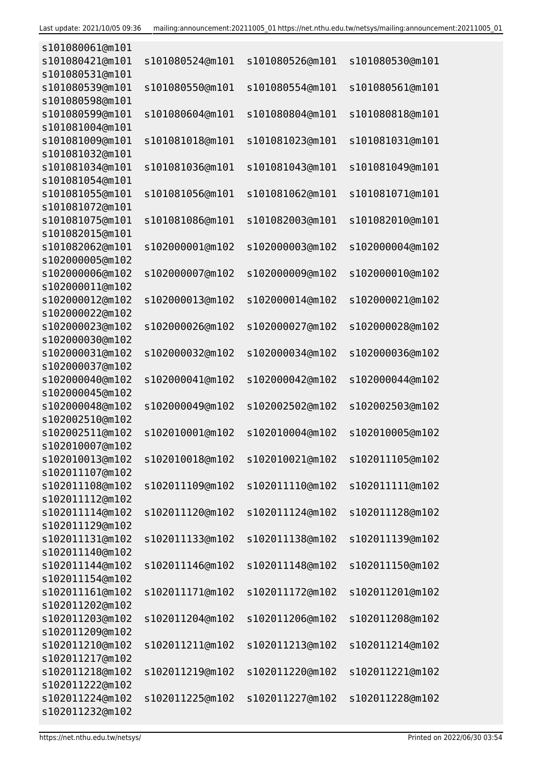| s101080061@m101 |                 |                 |                 |
|-----------------|-----------------|-----------------|-----------------|
| s101080421@m101 | s101080524@m101 | s101080526@m101 | s101080530@m101 |
| s101080531@m101 |                 |                 |                 |
| s101080539@m101 | s101080550@m101 | s101080554@m101 | s101080561@m101 |
| s101080598@m101 |                 |                 |                 |
| s101080599@m101 | s101080604@m101 | s101080804@m101 | s101080818@m101 |
| s101081004@m101 |                 |                 |                 |
| s101081009@m101 | s101081018@m101 | s101081023@m101 | s101081031@m101 |
| s101081032@m101 |                 |                 |                 |
|                 |                 |                 |                 |
| s101081034@m101 | s101081036@m101 | s101081043@m101 | s101081049@m101 |
| s101081054@m101 |                 |                 |                 |
| s101081055@m101 | s101081056@m101 | s101081062@m101 | s101081071@m101 |
| s101081072@m101 |                 |                 |                 |
| s101081075@m101 | s101081086@m101 | s101082003@m101 | s101082010@m101 |
| s101082015@m101 |                 |                 |                 |
| s101082062@m101 | s102000001@m102 | s102000003@m102 | s102000004@m102 |
| s102000005@m102 |                 |                 |                 |
| s102000006@m102 | s102000007@m102 | s102000009@m102 | s102000010@m102 |
| s102000011@m102 |                 |                 |                 |
| s102000012@m102 | s102000013@m102 | s102000014@m102 | s102000021@m102 |
| s102000022@m102 |                 |                 |                 |
| s102000023@m102 | s102000026@m102 | s102000027@m102 | s102000028@m102 |
| s102000030@m102 |                 |                 |                 |
| s102000031@m102 | s102000032@m102 | s102000034@m102 | s102000036@m102 |
| s102000037@m102 |                 |                 |                 |
| s102000040@m102 | s102000041@m102 | s102000042@m102 | s102000044@m102 |
| s102000045@m102 |                 |                 |                 |
| s102000048@m102 | s102000049@m102 | s102002502@m102 | s102002503@m102 |
| s102002510@m102 |                 |                 |                 |
| s102002511@m102 | s102010001@m102 | s102010004@m102 | s102010005@m102 |
| s102010007@m102 |                 |                 |                 |
| s102010013@m102 | s102010018@m102 | s102010021@m102 | s102011105@m102 |
| s102011107@m102 |                 |                 |                 |
| s102011108@m102 | s102011109@m102 | s102011110@m102 | s102011111@m102 |
| s102011112@m102 |                 |                 |                 |
| s102011114@m102 | s102011120@m102 | s102011124@m102 | s102011128@m102 |
| s102011129@m102 |                 |                 |                 |
| s102011131@m102 | s102011133@m102 |                 |                 |
|                 |                 | s102011138@m102 | s102011139@m102 |
| s102011140@m102 |                 |                 |                 |
| s102011144@m102 | s102011146@m102 | s102011148@m102 | s102011150@m102 |
| s102011154@m102 |                 |                 |                 |
| s102011161@m102 | s102011171@m102 | s102011172@m102 | s102011201@m102 |
| s102011202@m102 |                 |                 |                 |
| s102011203@m102 | s102011204@m102 | s102011206@m102 | s102011208@m102 |
| s102011209@m102 |                 |                 |                 |
| s102011210@m102 | s102011211@m102 | s102011213@m102 | s102011214@m102 |
| s102011217@m102 |                 |                 |                 |
| s102011218@m102 | s102011219@m102 | s102011220@m102 | s102011221@m102 |
| s102011222@m102 |                 |                 |                 |
| s102011224@m102 | s102011225@m102 | s102011227@m102 | s102011228@m102 |
| s102011232@m102 |                 |                 |                 |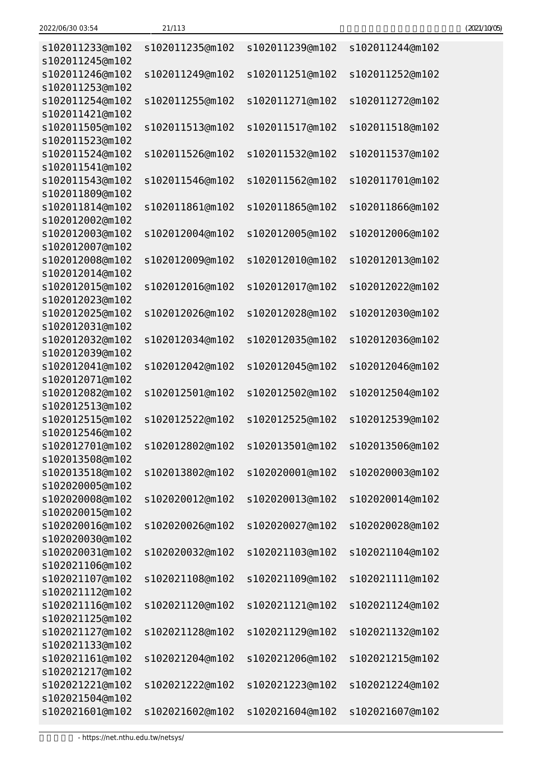| s102011233@m102<br>s102011245@m102                    | s102011235@m102 | s102011239@m102 | s102011244@m102 |
|-------------------------------------------------------|-----------------|-----------------|-----------------|
| s102011246@m102<br>s102011253@m102                    | s102011249@m102 | s102011251@m102 | s102011252@m102 |
| s102011254@m102<br>s102011421@m102                    | s102011255@m102 | s102011271@m102 | s102011272@m102 |
| s102011505@m102<br>s102011523@m102                    | s102011513@m102 | s102011517@m102 | s102011518@m102 |
| s102011524@m102                                       | s102011526@m102 | s102011532@m102 | s102011537@m102 |
| s102011541@m102<br>s102011543@m102                    | s102011546@m102 | s102011562@m102 | s102011701@m102 |
| s102011809@m102<br>s102011814@m102                    | s102011861@m102 | s102011865@m102 | s102011866@m102 |
| s102012002@m102<br>s102012003@m102                    | s102012004@m102 | s102012005@m102 | s102012006@m102 |
| s102012007@m102<br>s102012008@m102                    | s102012009@m102 | s102012010@m102 | s102012013@m102 |
| s102012014@m102<br>s102012015@m102                    | s102012016@m102 | s102012017@m102 | s102012022@m102 |
| s102012023@m102<br>s102012025@m102                    | s102012026@m102 | s102012028@m102 | s102012030@m102 |
| s102012031@m102<br>s102012032@m102                    | s102012034@m102 | s102012035@m102 | s102012036@m102 |
| s102012039@m102<br>s102012041@m102                    | s102012042@m102 | s102012045@m102 | s102012046@m102 |
| s102012071@m102<br>s102012082@m102                    | s102012501@m102 | s102012502@m102 | s102012504@m102 |
| s102012513@m102<br>s102012515@m102                    | s102012522@m102 | s102012525@m102 | s102012539@m102 |
| s102012546@m102<br>s102012701@m102                    | s102012802@m102 | s102013501@m102 | s102013506@m102 |
| s102013508@m102<br>s102013518@m102                    | s102013802@m102 | s102020001@m102 | s102020003@m102 |
| s102020005@m102<br>s102020008@m102                    | s102020012@m102 | s102020013@m102 | s102020014@m102 |
| s102020015@m102<br>s102020016@m102                    | s102020026@m102 | s102020027@m102 | s102020028@m102 |
| s102020030@m102<br>s102020031@m102                    | s102020032@m102 | s102021103@m102 | s102021104@m102 |
| s102021106@m102<br>s102021107@m102                    | s102021108@m102 | s102021109@m102 | s102021111@m102 |
| s102021112@m102<br>s102021116@m102                    | s102021120@m102 | s102021121@m102 | s102021124@m102 |
| s102021125@m102<br>s102021127@m102                    | s102021128@m102 | s102021129@m102 | s102021132@m102 |
| s102021133@m102<br>s102021161@m102                    | s102021204@m102 | s102021206@m102 | s102021215@m102 |
| s102021217@m102<br>s102021221@m102<br>s102021504@m102 | s102021222@m102 | s102021223@m102 | s102021224@m102 |
|                                                       |                 |                 |                 |

s102021601@m102 s102021602@m102 s102021604@m102 s102021607@m102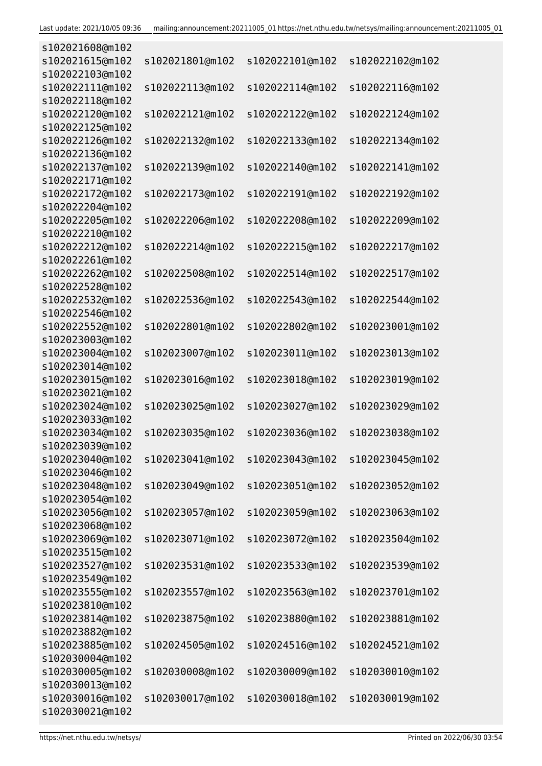| s102021608@m102                    |                 |                 |                 |
|------------------------------------|-----------------|-----------------|-----------------|
| s102021615@m102                    | s102021801@m102 | s102022101@m102 | s102022102@m102 |
| s102022103@m102                    |                 |                 |                 |
| s102022111@m102                    | s102022113@m102 | s102022114@m102 | s102022116@m102 |
| s102022118@m102                    |                 |                 |                 |
| s102022120@m102                    | s102022121@m102 | s102022122@m102 | s102022124@m102 |
| s102022125@m102                    |                 |                 |                 |
| s102022126@m102                    | s102022132@m102 | s102022133@m102 | s102022134@m102 |
| s102022136@m102<br>s102022137@m102 | s102022139@m102 | s102022140@m102 | s102022141@m102 |
| s102022171@m102                    |                 |                 |                 |
| s102022172@m102                    | s102022173@m102 | s102022191@m102 | s102022192@m102 |
| s102022204@m102                    |                 |                 |                 |
| s102022205@m102                    | s102022206@m102 | s102022208@m102 | s102022209@m102 |
| s102022210@m102                    |                 |                 |                 |
| s102022212@m102                    | s102022214@m102 | s102022215@m102 | s102022217@m102 |
| s102022261@m102                    |                 |                 |                 |
| s102022262@m102                    | s102022508@m102 | s102022514@m102 | s102022517@m102 |
| s102022528@m102                    |                 |                 |                 |
| s102022532@m102                    | s102022536@m102 | s102022543@m102 | s102022544@m102 |
| s102022546@m102                    |                 |                 |                 |
| s102022552@m102                    | s102022801@m102 | s102022802@m102 | s102023001@m102 |
| s102023003@m102                    |                 |                 |                 |
| s102023004@m102                    | s102023007@m102 | s102023011@m102 | s102023013@m102 |
| s102023014@m102                    |                 |                 |                 |
| s102023015@m102                    | s102023016@m102 | s102023018@m102 | s102023019@m102 |
| s102023021@m102<br>s102023024@m102 | s102023025@m102 | s102023027@m102 | s102023029@m102 |
| s102023033@m102                    |                 |                 |                 |
| s102023034@m102                    | s102023035@m102 | s102023036@m102 | s102023038@m102 |
| s102023039@m102                    |                 |                 |                 |
| s102023040@m102                    | s102023041@m102 | s102023043@m102 | s102023045@m102 |
| s102023046@m102                    |                 |                 |                 |
| s102023048@m102                    | s102023049@m102 | s102023051@m102 | s102023052@m102 |
| s102023054@m102                    |                 |                 |                 |
| s102023056@m102                    | s102023057@m102 | s102023059@m102 | s102023063@m102 |
| s102023068@m102                    |                 |                 |                 |
| s102023069@m102                    | s102023071@m102 | s102023072@m102 | s102023504@m102 |
| s102023515@m102                    |                 |                 |                 |
| s102023527@m102                    | s102023531@m102 | s102023533@m102 | s102023539@m102 |
| s102023549@m102                    |                 |                 |                 |
| s102023555@m102                    | s102023557@m102 | s102023563@m102 | s102023701@m102 |
| s102023810@m102                    |                 |                 |                 |
| s102023814@m102                    | s102023875@m102 | s102023880@m102 | s102023881@m102 |
| s102023882@m102<br>s102023885@m102 | s102024505@m102 | s102024516@m102 | s102024521@m102 |
| s102030004@m102                    |                 |                 |                 |
| s102030005@m102                    | s102030008@m102 | s102030009@m102 | s102030010@m102 |
| s102030013@m102                    |                 |                 |                 |
| s102030016@m102                    | s102030017@m102 | s102030018@m102 | s102030019@m102 |
| s102030021@m102                    |                 |                 |                 |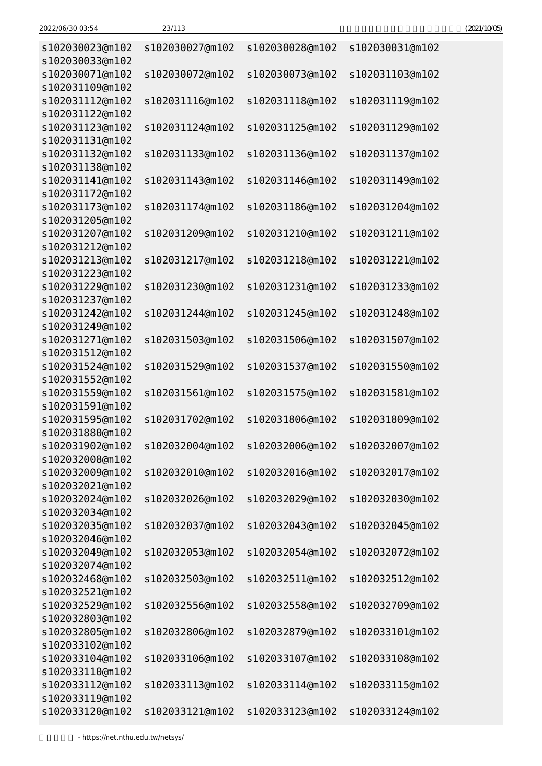| s102030027@m102 | s102030028@m102 | s102030031@m102 |
|-----------------|-----------------|-----------------|
|                 |                 |                 |
| s102030072@m102 | s102030073@m102 | s102031103@m102 |
|                 |                 |                 |
|                 |                 | s102031119@m102 |
|                 |                 |                 |
| s102031124@m102 | s102031125@m102 | s102031129@m102 |
|                 |                 |                 |
| s102031133@m102 | s102031136@m102 | s102031137@m102 |
|                 |                 |                 |
| s102031143@m102 | s102031146@m102 | s102031149@m102 |
|                 |                 |                 |
| s102031174@m102 | s102031186@m102 | s102031204@m102 |
|                 |                 |                 |
| s102031209@m102 | s102031210@m102 | s102031211@m102 |
|                 |                 |                 |
| s102031217@m102 | s102031218@m102 | s102031221@m102 |
|                 |                 |                 |
| s102031230@m102 | s102031231@m102 | s102031233@m102 |
|                 |                 |                 |
| s102031244@m102 | s102031245@m102 | s102031248@m102 |
|                 |                 |                 |
| s102031503@m102 | s102031506@m102 | s102031507@m102 |
|                 |                 |                 |
| s102031529@m102 | s102031537@m102 | s102031550@m102 |
|                 |                 |                 |
| s102031561@m102 | s102031575@m102 | s102031581@m102 |
|                 |                 |                 |
| s102031702@m102 | s102031806@m102 | s102031809@m102 |
|                 |                 |                 |
| s102032004@m102 | s102032006@m102 | s102032007@m102 |
|                 |                 |                 |
| s102032010@m102 | s102032016@m102 | s102032017@m102 |
|                 |                 |                 |
| s102032026@m102 | s102032029@m102 | s102032030@m102 |
|                 |                 |                 |
| s102032037@m102 | s102032043@m102 | s102032045@m102 |
|                 |                 |                 |
| s102032053@m102 | s102032054@m102 | s102032072@m102 |
|                 |                 |                 |
| s102032503@m102 | s102032511@m102 | s102032512@m102 |
|                 |                 |                 |
| s102032556@m102 | s102032558@m102 | s102032709@m102 |
|                 |                 |                 |
| s102032806@m102 | s102032879@m102 | s102033101@m102 |
|                 |                 |                 |
| s102033106@m102 | s102033107@m102 | s102033108@m102 |
|                 |                 |                 |
| s102033113@m102 | s102033114@m102 | s102033115@m102 |
|                 |                 |                 |
| s102033121@m102 | s102033123@m102 | s102033124@m102 |
|                 | s102031116@m102 | s102031118@m102 |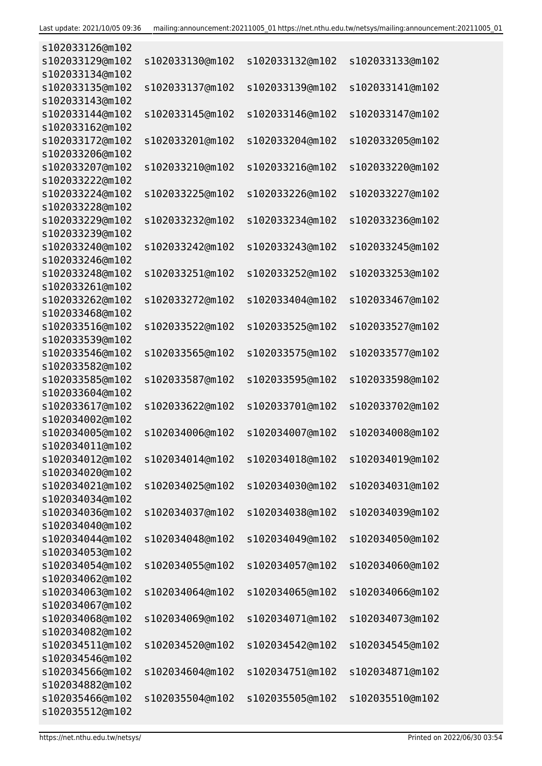| s102033126@m102                    |                 |                 |                 |
|------------------------------------|-----------------|-----------------|-----------------|
| s102033129@m102<br>s102033134@m102 | s102033130@m102 | s102033132@m102 | s102033133@m102 |
| s102033135@m102                    | s102033137@m102 | s102033139@m102 | s102033141@m102 |
| s102033143@m102                    |                 |                 |                 |
| s102033144@m102                    | s102033145@m102 | s102033146@m102 | s102033147@m102 |
| s102033162@m102                    |                 |                 |                 |
| s102033172@m102                    | s102033201@m102 | s102033204@m102 | s102033205@m102 |
| s102033206@m102                    |                 |                 |                 |
| s102033207@m102                    | s102033210@m102 | s102033216@m102 | s102033220@m102 |
| s102033222@m102                    |                 |                 |                 |
| s102033224@m102                    | s102033225@m102 | s102033226@m102 | s102033227@m102 |
| s102033228@m102                    |                 |                 |                 |
| s102033229@m102                    | s102033232@m102 | s102033234@m102 | s102033236@m102 |
| s102033239@m102                    |                 |                 |                 |
| s102033240@m102                    | s102033242@m102 | s102033243@m102 | s102033245@m102 |
| s102033246@m102                    |                 |                 |                 |
| s102033248@m102                    | s102033251@m102 | s102033252@m102 | s102033253@m102 |
| s102033261@m102<br>s102033262@m102 | s102033272@m102 | s102033404@m102 | s102033467@m102 |
| s102033468@m102                    |                 |                 |                 |
| s102033516@m102                    | s102033522@m102 | s102033525@m102 | s102033527@m102 |
| s102033539@m102                    |                 |                 |                 |
| s102033546@m102                    | s102033565@m102 | s102033575@m102 | s102033577@m102 |
| s102033582@m102                    |                 |                 |                 |
| s102033585@m102                    | s102033587@m102 | s102033595@m102 | s102033598@m102 |
| s102033604@m102                    |                 |                 |                 |
| s102033617@m102                    | s102033622@m102 | s102033701@m102 | s102033702@m102 |
| s102034002@m102                    |                 |                 |                 |
| s102034005@m102                    | s102034006@m102 | s102034007@m102 | s102034008@m102 |
| s102034011@m102                    |                 |                 |                 |
| s102034012@m102                    | s102034014@m102 | s102034018@m102 | s102034019@m102 |
| s102034020@m102                    |                 |                 |                 |
| s102034021@m102<br>s102034034@m102 | s102034025@m102 | s102034030@m102 | s102034031@m102 |
| s102034036@m102                    | s102034037@m102 | s102034038@m102 | s102034039@m102 |
| s102034040@m102                    |                 |                 |                 |
| s102034044@m102                    | s102034048@m102 | s102034049@m102 | s102034050@m102 |
| s102034053@m102                    |                 |                 |                 |
| s102034054@m102                    | s102034055@m102 | s102034057@m102 | s102034060@m102 |
| s102034062@m102                    |                 |                 |                 |
| s102034063@m102                    | s102034064@m102 | s102034065@m102 | s102034066@m102 |
| s102034067@m102                    |                 |                 |                 |
| s102034068@m102                    | s102034069@m102 | s102034071@m102 | s102034073@m102 |
| s102034082@m102                    |                 |                 |                 |
| s102034511@m102                    | s102034520@m102 | s102034542@m102 | s102034545@m102 |
| s102034546@m102                    |                 |                 |                 |
| s102034566@m102                    | s102034604@m102 | s102034751@m102 | s102034871@m102 |
| s102034882@m102<br>s102035466@m102 | s102035504@m102 | s102035505@m102 | s102035510@m102 |
| s102035512@m102                    |                 |                 |                 |
|                                    |                 |                 |                 |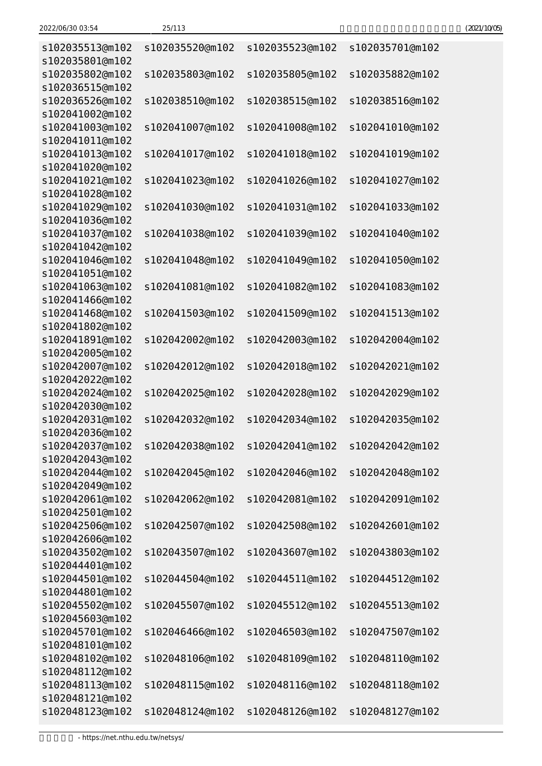| 2022/06/30 03:54 | 25/113 | (2021/10/05) |
|------------------|--------|--------------|
|------------------|--------|--------------|

| s102035513@m102<br>s102035801@m102 | s102035520@m102 | s102035523@m102                 | s102035701@m102 |
|------------------------------------|-----------------|---------------------------------|-----------------|
| s102035802@m102                    | s102035803@m102 | s102035805@m102                 | s102035882@m102 |
| s102036515@m102<br>s102036526@m102 | s102038510@m102 | s102038515@m102                 | s102038516@m102 |
| s102041002@m102                    |                 |                                 |                 |
| s102041003@m102                    | s102041007@m102 | s102041008@m102                 | s102041010@m102 |
| s102041011@m102                    |                 |                                 |                 |
| s102041013@m102                    | s102041017@m102 | s102041018@m102                 | s102041019@m102 |
| s102041020@m102                    |                 |                                 |                 |
| s102041021@m102                    | s102041023@m102 | s102041026@m102                 | s102041027@m102 |
| s102041028@m102                    |                 |                                 |                 |
| s102041029@m102                    | s102041030@m102 | s102041031@m102                 | s102041033@m102 |
| s102041036@m102                    |                 |                                 |                 |
| s102041037@m102                    | s102041038@m102 | s102041039@m102                 | s102041040@m102 |
| s102041042@m102<br>s102041046@m102 | s102041048@m102 | s102041049@m102                 | s102041050@m102 |
| s102041051@m102                    |                 |                                 |                 |
| s102041063@m102                    | s102041081@m102 | s102041082@m102                 | s102041083@m102 |
| s102041466@m102                    |                 |                                 |                 |
| s102041468@m102                    | s102041503@m102 | s102041509@m102                 | s102041513@m102 |
| s102041802@m102                    |                 |                                 |                 |
| s102041891@m102                    | s102042002@m102 | s102042003@m102                 | s102042004@m102 |
| s102042005@m102                    |                 |                                 |                 |
| s102042007@m102                    | s102042012@m102 | s102042018@m102                 | s102042021@m102 |
| s102042022@m102                    |                 |                                 |                 |
| s102042024@m102                    | s102042025@m102 | s102042028@m102                 | s102042029@m102 |
| s102042030@m102                    |                 |                                 |                 |
| s102042031@m102                    | s102042032@m102 | s102042034@m102                 | s102042035@m102 |
| s102042036@m102                    |                 |                                 |                 |
| s102042037@m102                    |                 | s102042038@m102 s102042041@m102 | s102042042@m102 |
| s102042043@m102                    |                 |                                 |                 |
| s102042044@m102                    | s102042045@m102 | s102042046@m102                 | s102042048@m102 |
| s102042049@m102                    |                 |                                 |                 |
| s102042061@m102<br>s102042501@m102 | s102042062@m102 | s102042081@m102                 | s102042091@m102 |
| s102042506@m102                    | s102042507@m102 | s102042508@m102                 | s102042601@m102 |
| s102042606@m102                    |                 |                                 |                 |
| s102043502@m102                    | s102043507@m102 | s102043607@m102                 | s102043803@m102 |
| s102044401@m102                    |                 |                                 |                 |
| s102044501@m102                    | s102044504@m102 | s102044511@m102                 | s102044512@m102 |
| s102044801@m102                    |                 |                                 |                 |
| s102045502@m102                    | s102045507@m102 | s102045512@m102                 | s102045513@m102 |
| s102045603@m102                    |                 |                                 |                 |
| s102045701@m102                    | s102046466@m102 | s102046503@m102                 | s102047507@m102 |
| s102048101@m102                    |                 |                                 |                 |
| s102048102@m102                    | s102048106@m102 | s102048109@m102                 | s102048110@m102 |
| s102048112@m102                    |                 |                                 |                 |
| s102048113@m102                    | s102048115@m102 | s102048116@m102                 | s102048118@m102 |
| s102048121@m102                    |                 |                                 |                 |
| s102048123@m102                    | s102048124@m102 | s102048126@m102                 | s102048127@m102 |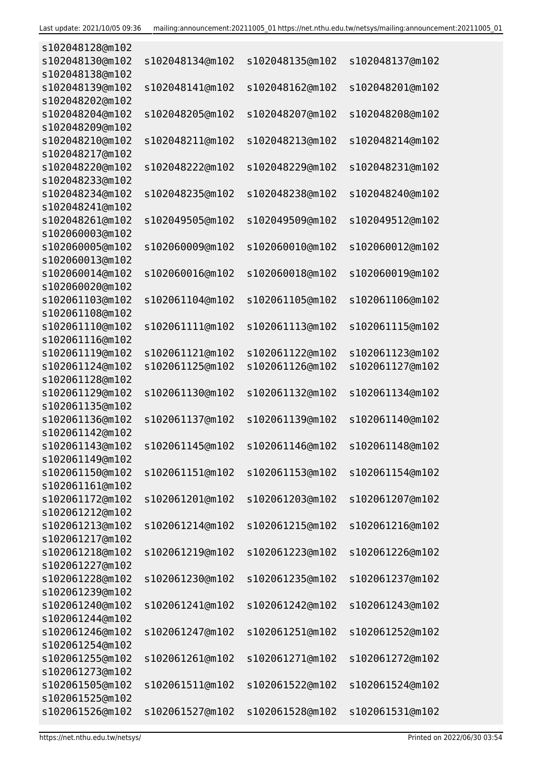| s102048128@m102 |                 |                 |                 |
|-----------------|-----------------|-----------------|-----------------|
| s102048130@m102 | s102048134@m102 | s102048135@m102 | s102048137@m102 |
| s102048138@m102 |                 |                 |                 |
| s102048139@m102 | s102048141@m102 | s102048162@m102 | s102048201@m102 |
| s102048202@m102 |                 |                 |                 |
| s102048204@m102 | s102048205@m102 | s102048207@m102 | s102048208@m102 |
| s102048209@m102 |                 |                 |                 |
| s102048210@m102 | s102048211@m102 | s102048213@m102 | s102048214@m102 |
| s102048217@m102 |                 |                 |                 |
| s102048220@m102 | s102048222@m102 | s102048229@m102 | s102048231@m102 |
| s102048233@m102 |                 |                 |                 |
| s102048234@m102 | s102048235@m102 | s102048238@m102 | s102048240@m102 |
| s102048241@m102 |                 |                 |                 |
| s102048261@m102 | s102049505@m102 | s102049509@m102 | s102049512@m102 |
| s102060003@m102 |                 |                 |                 |
| s102060005@m102 | s102060009@m102 | s102060010@m102 | s102060012@m102 |
| s102060013@m102 |                 |                 |                 |
| s102060014@m102 | s102060016@m102 | s102060018@m102 | s102060019@m102 |
| s102060020@m102 |                 |                 |                 |
| s102061103@m102 | s102061104@m102 | s102061105@m102 | s102061106@m102 |
| s102061108@m102 |                 |                 |                 |
| s102061110@m102 | s102061111@m102 | s102061113@m102 | s102061115@m102 |
| s102061116@m102 |                 |                 |                 |
| s102061119@m102 | s102061121@m102 | s102061122@m102 | s102061123@m102 |
| s102061124@m102 | s102061125@m102 | s102061126@m102 | s102061127@m102 |
| s102061128@m102 |                 |                 |                 |
| s102061129@m102 | s102061130@m102 | s102061132@m102 | s102061134@m102 |
| s102061135@m102 |                 |                 |                 |
| s102061136@m102 | s102061137@m102 | s102061139@m102 | s102061140@m102 |
| s102061142@m102 |                 |                 |                 |
| s102061143@m102 | s102061145@m102 | s102061146@m102 | s102061148@m102 |
| s102061149@m102 |                 |                 |                 |
| s102061150@m102 | s102061151@m102 | s102061153@m102 | s102061154@m102 |
| s102061161@m102 |                 |                 |                 |
| s102061172@m102 | s102061201@m102 | s102061203@m102 | s102061207@m102 |
| s102061212@m102 |                 |                 |                 |
| s102061213@m102 | s102061214@m102 | s102061215@m102 | s102061216@m102 |
| s102061217@m102 |                 |                 |                 |
| s102061218@m102 | s102061219@m102 | s102061223@m102 | s102061226@m102 |
| s102061227@m102 |                 |                 |                 |
| s102061228@m102 | s102061230@m102 | s102061235@m102 | s102061237@m102 |
| s102061239@m102 |                 |                 |                 |
| s102061240@m102 | s102061241@m102 | s102061242@m102 | s102061243@m102 |
| s102061244@m102 |                 |                 |                 |
| s102061246@m102 | s102061247@m102 | s102061251@m102 | s102061252@m102 |
| s102061254@m102 |                 |                 |                 |
| s102061255@m102 | s102061261@m102 | s102061271@m102 | s102061272@m102 |
| s102061273@m102 |                 |                 |                 |
| s102061505@m102 | s102061511@m102 | s102061522@m102 | s102061524@m102 |
| s102061525@m102 |                 |                 |                 |
| s102061526@m102 | s102061527@m102 | s102061528@m102 | s102061531@m102 |
|                 |                 |                 |                 |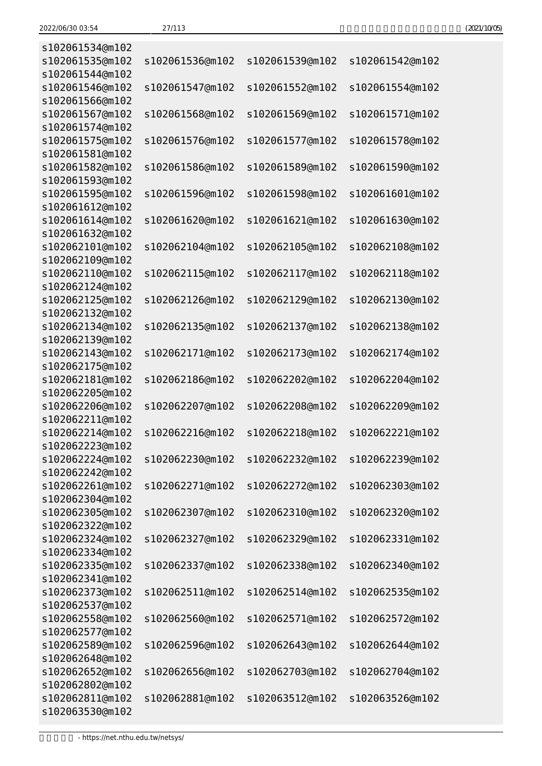| (2021/10/05) |
|--------------|
|--------------|

| s102061534@m102 |                 |                 |                 |
|-----------------|-----------------|-----------------|-----------------|
| s102061535@m102 | s102061536@m102 | s102061539@m102 | s102061542@m102 |
| s102061544@m102 |                 |                 |                 |
| s102061546@m102 | s102061547@m102 | s102061552@m102 | s102061554@m102 |
| s102061566@m102 |                 |                 |                 |
| s102061567@m102 | s102061568@m102 | s102061569@m102 | s102061571@m102 |
| s102061574@m102 |                 |                 |                 |
| s102061575@m102 | s102061576@m102 | s102061577@m102 | s102061578@m102 |
| s102061581@m102 |                 |                 |                 |
| s102061582@m102 | s102061586@m102 | s102061589@m102 | s102061590@m102 |
| s102061593@m102 |                 |                 |                 |
| s102061595@m102 | s102061596@m102 | s102061598@m102 | s102061601@m102 |
| s102061612@m102 |                 |                 |                 |
| s102061614@m102 | s102061620@m102 | s102061621@m102 | s102061630@m102 |
| s102061632@m102 |                 |                 |                 |
| s102062101@m102 | s102062104@m102 | s102062105@m102 | s102062108@m102 |
| s102062109@m102 |                 |                 |                 |
| s102062110@m102 | s102062115@m102 | s102062117@m102 | s102062118@m102 |
| s102062124@m102 |                 |                 |                 |
| s102062125@m102 | s102062126@m102 | s102062129@m102 | s102062130@m102 |
| s102062132@m102 |                 |                 |                 |
| s102062134@m102 | s102062135@m102 | s102062137@m102 | s102062138@m102 |
| s102062139@m102 |                 |                 |                 |
| s102062143@m102 | s102062171@m102 | s102062173@m102 | s102062174@m102 |
| s102062175@m102 |                 |                 |                 |
| s102062181@m102 | s102062186@m102 | s102062202@m102 | s102062204@m102 |
| s102062205@m102 |                 |                 |                 |
| s102062206@m102 | s102062207@m102 | s102062208@m102 | s102062209@m102 |
| s102062211@m102 |                 |                 |                 |
| s102062214@m102 | s102062216@m102 | s102062218@m102 | s102062221@m102 |
| s102062223@m102 |                 |                 |                 |
| s102062224@m102 | s102062230@m102 | s102062232@m102 | s102062239@m102 |
| s102062242@m102 |                 |                 |                 |
| s102062261@m102 | s102062271@m102 | s102062272@m102 | s102062303@m102 |
| s102062304@m102 |                 |                 |                 |
| s102062305@m102 | s102062307@m102 | s102062310@m102 | s102062320@m102 |
| s102062322@m102 |                 |                 |                 |
| s102062324@m102 | s102062327@m102 | s102062329@m102 | s102062331@m102 |
| s102062334@m102 |                 |                 |                 |
| s102062335@m102 | s102062337@m102 | s102062338@m102 | s102062340@m102 |
| s102062341@m102 |                 |                 |                 |
| s102062373@m102 | s102062511@m102 | s102062514@m102 | s102062535@m102 |
| s102062537@m102 |                 |                 |                 |
| s102062558@m102 | s102062560@m102 | s102062571@m102 | s102062572@m102 |
| s102062577@m102 |                 |                 |                 |
| s102062589@m102 | s102062596@m102 | s102062643@m102 | s102062644@m102 |
| s102062648@m102 |                 |                 |                 |
| s102062652@m102 | s102062656@m102 | s102062703@m102 | s102062704@m102 |
| s102062802@m102 |                 |                 |                 |
| s102062811@m102 | s102062881@m102 | s102063512@m102 | s102063526@m102 |
| s102063530@m102 |                 |                 |                 |
|                 |                 |                 |                 |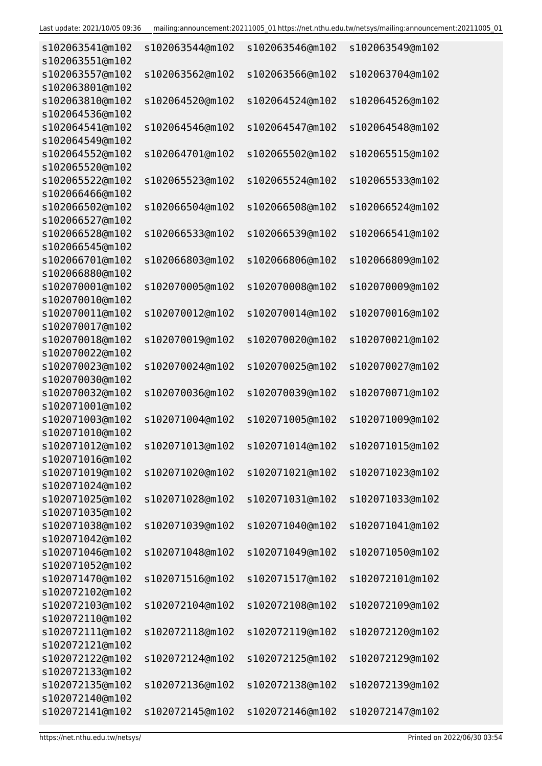| s102063541@m102                    | s102063544@m102 | s102063546@m102 | s102063549@m102 |
|------------------------------------|-----------------|-----------------|-----------------|
| s102063551@m102<br>s102063557@m102 | s102063562@m102 | s102063566@m102 | s102063704@m102 |
| s102063801@m102                    |                 |                 |                 |
| s102063810@m102                    | s102064520@m102 | s102064524@m102 | s102064526@m102 |
| s102064536@m102                    |                 |                 |                 |
| s102064541@m102                    | s102064546@m102 | s102064547@m102 | s102064548@m102 |
| s102064549@m102                    |                 |                 |                 |
| s102064552@m102                    | s102064701@m102 | s102065502@m102 | s102065515@m102 |
| s102065520@m102                    |                 |                 |                 |
| s102065522@m102                    | s102065523@m102 | s102065524@m102 | s102065533@m102 |
| s102066466@m102                    |                 |                 |                 |
| s102066502@m102                    | s102066504@m102 | s102066508@m102 | s102066524@m102 |
| s102066527@m102<br>s102066528@m102 | s102066533@m102 | s102066539@m102 | s102066541@m102 |
| s102066545@m102                    |                 |                 |                 |
| s102066701@m102                    | s102066803@m102 | s102066806@m102 | s102066809@m102 |
| s102066880@m102                    |                 |                 |                 |
| s102070001@m102                    | s102070005@m102 | s102070008@m102 | s102070009@m102 |
| s102070010@m102                    |                 |                 |                 |
| s102070011@m102                    | s102070012@m102 | s102070014@m102 | s102070016@m102 |
| s102070017@m102                    |                 |                 |                 |
| s102070018@m102                    | s102070019@m102 | s102070020@m102 | s102070021@m102 |
| s102070022@m102                    |                 |                 |                 |
| s102070023@m102                    | s102070024@m102 | s102070025@m102 | s102070027@m102 |
| s102070030@m102<br>s102070032@m102 | s102070036@m102 | s102070039@m102 | s102070071@m102 |
| s102071001@m102                    |                 |                 |                 |
| s102071003@m102                    | s102071004@m102 | s102071005@m102 | s102071009@m102 |
| s102071010@m102                    |                 |                 |                 |
| s102071012@m102                    | s102071013@m102 | s102071014@m102 | s102071015@m102 |
| s102071016@m102                    |                 |                 |                 |
| s102071019@m102                    | s102071020@m102 | s102071021@m102 | s102071023@m102 |
| s102071024@m102                    |                 |                 |                 |
| s102071025@m102                    | s102071028@m102 | s102071031@m102 | s102071033@m102 |
| s102071035@m102                    |                 |                 |                 |
| s102071038@m102                    | s102071039@m102 | s102071040@m102 | s102071041@m102 |
| s102071042@m102<br>s102071046@m102 | s102071048@m102 |                 | s102071050@m102 |
| s102071052@m102                    |                 | s102071049@m102 |                 |
| s102071470@m102                    | s102071516@m102 | s102071517@m102 | s102072101@m102 |
| s102072102@m102                    |                 |                 |                 |
| s102072103@m102                    | s102072104@m102 | s102072108@m102 | s102072109@m102 |
| s102072110@m102                    |                 |                 |                 |
| s102072111@m102                    | s102072118@m102 | s102072119@m102 | s102072120@m102 |
| s102072121@m102                    |                 |                 |                 |
| s102072122@m102                    | s102072124@m102 | s102072125@m102 | s102072129@m102 |
| s102072133@m102                    |                 |                 |                 |
| s102072135@m102                    | s102072136@m102 | s102072138@m102 | s102072139@m102 |
| s102072140@m102                    |                 |                 |                 |
| s102072141@m102                    | s102072145@m102 | s102072146@m102 | s102072147@m102 |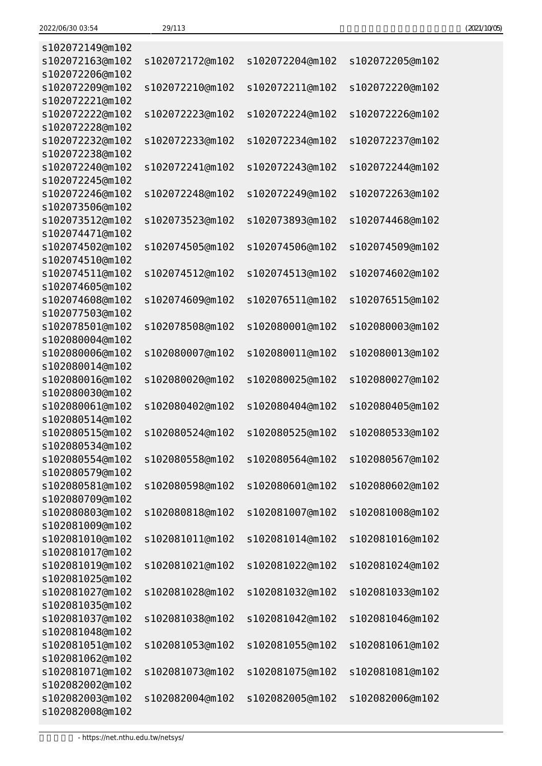| (2021/10/05) |
|--------------|
|--------------|

| s102072149@m102 |                 |                 |                 |
|-----------------|-----------------|-----------------|-----------------|
| s102072163@m102 | s102072172@m102 | s102072204@m102 | s102072205@m102 |
| s102072206@m102 |                 |                 |                 |
| s102072209@m102 | s102072210@m102 | s102072211@m102 | s102072220@m102 |
| s102072221@m102 |                 |                 |                 |
| s102072222@m102 | s102072223@m102 | s102072224@m102 | s102072226@m102 |
| s102072228@m102 |                 |                 |                 |
| s102072232@m102 | s102072233@m102 | s102072234@m102 | s102072237@m102 |
| s102072238@m102 |                 |                 |                 |
| s102072240@m102 | s102072241@m102 | s102072243@m102 | s102072244@m102 |
| s102072245@m102 |                 |                 |                 |
| s102072246@m102 | s102072248@m102 | s102072249@m102 | s102072263@m102 |
| s102073506@m102 |                 |                 |                 |
| s102073512@m102 | s102073523@m102 | s102073893@m102 | s102074468@m102 |
| s102074471@m102 |                 |                 |                 |
| s102074502@m102 | s102074505@m102 | s102074506@m102 | s102074509@m102 |
| s102074510@m102 |                 |                 |                 |
| s102074511@m102 | s102074512@m102 | s102074513@m102 | s102074602@m102 |
| s102074605@m102 |                 |                 |                 |
| s102074608@m102 | s102074609@m102 | s102076511@m102 | s102076515@m102 |
| s102077503@m102 |                 |                 |                 |
| s102078501@m102 | s102078508@m102 | s102080001@m102 | s102080003@m102 |
| s102080004@m102 |                 |                 |                 |
| s102080006@m102 | s102080007@m102 | s102080011@m102 | s102080013@m102 |
| s102080014@m102 |                 |                 |                 |
| s102080016@m102 | s102080020@m102 | s102080025@m102 | s102080027@m102 |
| s102080030@m102 |                 |                 |                 |
| s102080061@m102 | s102080402@m102 | s102080404@m102 | s102080405@m102 |
| s102080514@m102 |                 |                 |                 |
| s102080515@m102 | s102080524@m102 | s102080525@m102 | s102080533@m102 |
| s102080534@m102 |                 |                 |                 |
| s102080554@m102 | s102080558@m102 | s102080564@m102 | s102080567@m102 |
| s102080579@m102 |                 |                 |                 |
| s102080581@m102 | s102080598@m102 | s102080601@m102 | s102080602@m102 |
| s102080709@m102 |                 |                 |                 |
| s102080803@m102 | s102080818@m102 | s102081007@m102 | s102081008@m102 |
| s102081009@m102 |                 |                 |                 |
| s102081010@m102 | s102081011@m102 | s102081014@m102 | s102081016@m102 |
| s102081017@m102 |                 |                 |                 |
| s102081019@m102 | s102081021@m102 | s102081022@m102 | s102081024@m102 |
| s102081025@m102 |                 |                 |                 |
| s102081027@m102 | s102081028@m102 | s102081032@m102 | s102081033@m102 |
| s102081035@m102 |                 |                 |                 |
| s102081037@m102 | s102081038@m102 | s102081042@m102 | s102081046@m102 |
| s102081048@m102 |                 |                 |                 |
| s102081051@m102 | s102081053@m102 | s102081055@m102 | s102081061@m102 |
| s102081062@m102 |                 |                 |                 |
| s102081071@m102 | s102081073@m102 | s102081075@m102 | s102081081@m102 |
| s102082002@m102 |                 |                 |                 |
| s102082003@m102 | s102082004@m102 | s102082005@m102 | s102082006@m102 |
| s102082008@m102 |                 |                 |                 |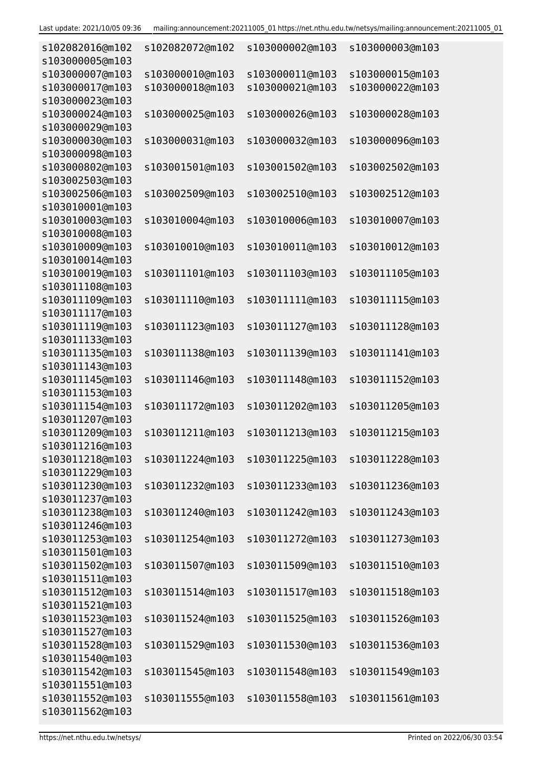| s102082016@m102<br>s103000005@m103 | s102082072@m102 | s103000002@m103 | s103000003@m103 |
|------------------------------------|-----------------|-----------------|-----------------|
| s103000007@m103                    | s103000010@m103 | s103000011@m103 | s103000015@m103 |
| s103000017@m103                    | s103000018@m103 | s103000021@m103 | s103000022@m103 |
| s103000023@m103                    |                 |                 |                 |
| s103000024@m103                    | s103000025@m103 | s103000026@m103 | s103000028@m103 |
| s103000029@m103                    |                 |                 |                 |
| s103000030@m103                    | s103000031@m103 | s103000032@m103 | s103000096@m103 |
| s103000098@m103                    |                 |                 |                 |
| s103000802@m103                    | s103001501@m103 | s103001502@m103 | s103002502@m103 |
| s103002503@m103                    |                 |                 |                 |
| s103002506@m103                    | s103002509@m103 | s103002510@m103 | s103002512@m103 |
| s103010001@m103                    |                 |                 |                 |
| s103010003@m103                    | s103010004@m103 | s103010006@m103 | s103010007@m103 |
| s103010008@m103                    |                 |                 |                 |
| s103010009@m103                    | s103010010@m103 | s103010011@m103 | s103010012@m103 |
| s103010014@m103                    |                 |                 |                 |
| s103010019@m103                    | s103011101@m103 | s103011103@m103 | s103011105@m103 |
| s103011108@m103                    |                 |                 |                 |
| s103011109@m103                    | s103011110@m103 | s103011111@m103 | s103011115@m103 |
| s103011117@m103                    |                 |                 |                 |
| s103011119@m103                    | s103011123@m103 | s103011127@m103 | s103011128@m103 |
| s103011133@m103                    |                 |                 |                 |
| s103011135@m103                    | s103011138@m103 | s103011139@m103 | s103011141@m103 |
| s103011143@m103                    |                 |                 |                 |
| s103011145@m103                    | s103011146@m103 | s103011148@m103 | s103011152@m103 |
| s103011153@m103                    |                 |                 |                 |
| s103011154@m103                    | s103011172@m103 | s103011202@m103 | s103011205@m103 |
| s103011207@m103                    |                 |                 |                 |
| s103011209@m103                    | s103011211@m103 | s103011213@m103 | s103011215@m103 |
| s103011216@m103                    |                 |                 |                 |
| s103011218@m103                    | s103011224@m103 | s103011225@m103 | s103011228@m103 |
| s103011229@m103                    |                 |                 |                 |
| s103011230@m103                    | s103011232@m103 | s103011233@m103 | s103011236@m103 |
| s103011237@m103<br>s103011238@m103 | s103011240@m103 | s103011242@m103 | s103011243@m103 |
| s103011246@m103                    |                 |                 |                 |
| s103011253@m103                    | s103011254@m103 | s103011272@m103 | s103011273@m103 |
| s103011501@m103                    |                 |                 |                 |
| s103011502@m103                    | s103011507@m103 | s103011509@m103 | s103011510@m103 |
| s103011511@m103                    |                 |                 |                 |
| s103011512@m103                    | s103011514@m103 | s103011517@m103 | s103011518@m103 |
| s103011521@m103                    |                 |                 |                 |
| s103011523@m103                    | s103011524@m103 | s103011525@m103 | s103011526@m103 |
| s103011527@m103                    |                 |                 |                 |
| s103011528@m103                    | s103011529@m103 | s103011530@m103 | s103011536@m103 |
| s103011540@m103                    |                 |                 |                 |
| s103011542@m103                    | s103011545@m103 | s103011548@m103 | s103011549@m103 |
| s103011551@m103                    |                 |                 |                 |
| s103011552@m103                    | s103011555@m103 | s103011558@m103 | s103011561@m103 |
| s103011562@m103                    |                 |                 |                 |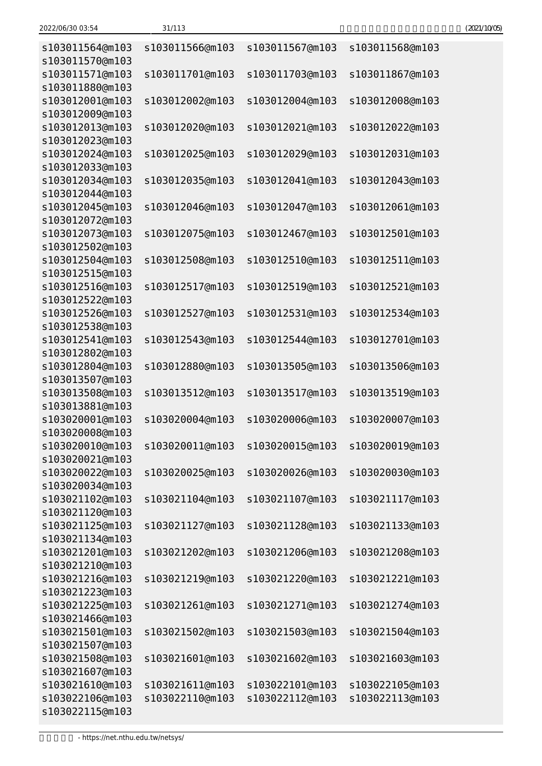| s103011564@m103                    | s103011566@m103 | s103011567@m103                    | s103011568@m103 |
|------------------------------------|-----------------|------------------------------------|-----------------|
| s103011570@m103<br>s103011571@m103 | s103011701@m103 | s103011703@m103                    | s103011867@m103 |
| s103011880@m103                    |                 |                                    |                 |
| s103012001@m103<br>s103012009@m103 | s103012002@m103 | s103012004@m103                    | s103012008@m103 |
| s103012013@m103                    | s103012020@m103 | s103012021@m103                    | s103012022@m103 |
| s103012023@m103                    |                 |                                    |                 |
| s103012024@m103                    | s103012025@m103 | s103012029@m103                    | s103012031@m103 |
| s103012033@m103                    |                 |                                    |                 |
| s103012034@m103                    | s103012035@m103 | s103012041@m103                    | s103012043@m103 |
| s103012044@m103                    |                 |                                    |                 |
| s103012045@m103                    | s103012046@m103 | s103012047@m103                    | s103012061@m103 |
| s103012072@m103                    |                 |                                    |                 |
| s103012073@m103                    | s103012075@m103 | s103012467@m103                    | s103012501@m103 |
| s103012502@m103                    |                 |                                    |                 |
| s103012504@m103                    | s103012508@m103 | s103012510@m103                    | s103012511@m103 |
| s103012515@m103<br>s103012516@m103 | s103012517@m103 | s103012519@m103                    | s103012521@m103 |
| s103012522@m103                    |                 |                                    |                 |
| s103012526@m103                    | s103012527@m103 | s103012531@m103                    | s103012534@m103 |
| s103012538@m103                    |                 |                                    |                 |
| s103012541@m103                    | s103012543@m103 | s103012544@m103                    | s103012701@m103 |
| s103012802@m103                    |                 |                                    |                 |
| s103012804@m103                    | s103012880@m103 | s103013505@m103                    | s103013506@m103 |
| s103013507@m103                    |                 |                                    |                 |
| s103013508@m103                    | s103013512@m103 | s103013517@m103                    | s103013519@m103 |
| s103013881@m103                    |                 |                                    |                 |
| s103020001@m103                    | s103020004@m103 | s103020006@m103                    | s103020007@m103 |
| s103020008@m103                    |                 |                                    |                 |
| s103020010@m103                    | s103020011@m103 | s103020015@m103                    | s103020019@m103 |
| s103020021@m103                    |                 |                                    |                 |
| s103020022@m103<br>s103020034@m103 | s103020025@m103 | s103020026@m103                    | s103020030@m103 |
| s103021102@m103                    | s103021104@m103 | s103021107@m103                    | s103021117@m103 |
| s103021120@m103                    |                 |                                    |                 |
| s103021125@m103                    | s103021127@m103 | s103021128@m103                    | s103021133@m103 |
| s103021134@m103                    |                 |                                    |                 |
| s103021201@m103                    | s103021202@m103 | s103021206@m103                    | s103021208@m103 |
| s103021210@m103                    |                 |                                    |                 |
| s103021216@m103                    | s103021219@m103 | s103021220@m103                    | s103021221@m103 |
| s103021223@m103                    |                 |                                    |                 |
| s103021225@m103                    | s103021261@m103 | s103021271@m103                    | s103021274@m103 |
| s103021466@m103                    |                 |                                    |                 |
| s103021501@m103                    | s103021502@m103 | s103021503@m103                    | s103021504@m103 |
| s103021507@m103                    |                 |                                    |                 |
| s103021508@m103                    | s103021601@m103 | s103021602@m103                    | s103021603@m103 |
| s103021607@m103                    |                 |                                    |                 |
| s103021610@m103                    | s103021611@m103 | s103022101@m103<br>s103022112@m103 | s103022105@m103 |
| s103022106@m103<br>s103022115@m103 | s103022110@m103 |                                    | s103022113@m103 |
|                                    |                 |                                    |                 |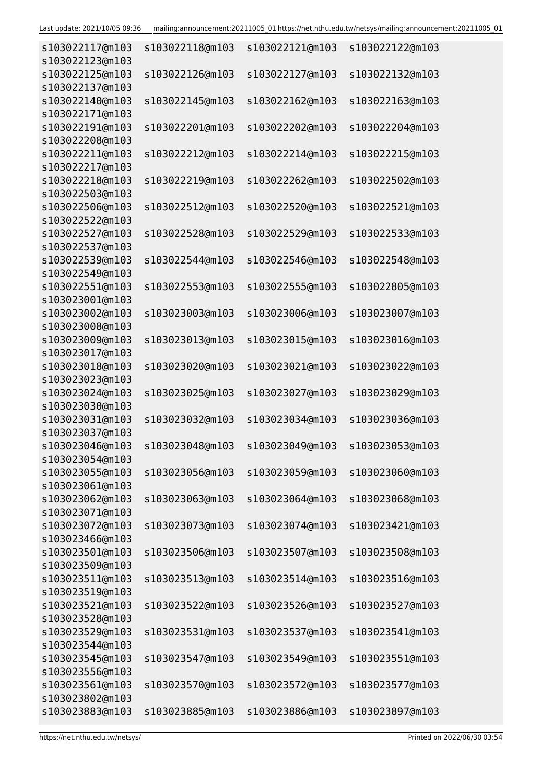| s103022117@m103                    | s103022118@m103 | s103022121@m103                 | s103022122@m103 |
|------------------------------------|-----------------|---------------------------------|-----------------|
| s103022123@m103<br>s103022125@m103 | s103022126@m103 | s103022127@m103                 | s103022132@m103 |
| s103022137@m103                    |                 |                                 |                 |
| s103022140@m103                    | s103022145@m103 | s103022162@m103                 | s103022163@m103 |
| s103022171@m103                    |                 |                                 |                 |
| s103022191@m103                    | s103022201@m103 | s103022202@m103                 | s103022204@m103 |
| s103022208@m103                    |                 |                                 |                 |
| s103022211@m103<br>s103022217@m103 | s103022212@m103 | s103022214@m103                 | s103022215@m103 |
| s103022218@m103                    | s103022219@m103 | s103022262@m103                 | s103022502@m103 |
| s103022503@m103                    |                 |                                 |                 |
| s103022506@m103                    | s103022512@m103 | s103022520@m103                 | s103022521@m103 |
| s103022522@m103                    |                 |                                 |                 |
| s103022527@m103                    | s103022528@m103 | s103022529@m103                 | s103022533@m103 |
| s103022537@m103                    |                 |                                 |                 |
| s103022539@m103                    | s103022544@m103 | s103022546@m103                 | s103022548@m103 |
| s103022549@m103                    |                 |                                 |                 |
| s103022551@m103<br>s103023001@m103 | s103022553@m103 | s103022555@m103                 | s103022805@m103 |
| s103023002@m103                    | s103023003@m103 | s103023006@m103                 | s103023007@m103 |
| s103023008@m103                    |                 |                                 |                 |
| s103023009@m103                    | s103023013@m103 | s103023015@m103                 | s103023016@m103 |
| s103023017@m103                    |                 |                                 |                 |
| s103023018@m103                    | s103023020@m103 | s103023021@m103                 | s103023022@m103 |
| s103023023@m103                    |                 |                                 |                 |
| s103023024@m103                    | s103023025@m103 | s103023027@m103                 | s103023029@m103 |
| s103023030@m103                    |                 |                                 |                 |
| s103023031@m103<br>s103023037@m103 | s103023032@m103 | s103023034@m103                 | s103023036@m103 |
| s103023046@m103                    |                 | s103023048@m103 s103023049@m103 | s103023053@m103 |
| s103023054@m103                    |                 |                                 |                 |
| s103023055@m103                    | s103023056@m103 | s103023059@m103                 | s103023060@m103 |
| s103023061@m103                    |                 |                                 |                 |
| s103023062@m103                    | s103023063@m103 | s103023064@m103                 | s103023068@m103 |
| s103023071@m103                    |                 |                                 |                 |
| s103023072@m103                    | s103023073@m103 | s103023074@m103                 | s103023421@m103 |
| s103023466@m103                    | s103023506@m103 |                                 |                 |
| s103023501@m103<br>s103023509@m103 |                 | s103023507@m103                 | s103023508@m103 |
| s103023511@m103                    | s103023513@m103 | s103023514@m103                 | s103023516@m103 |
| s103023519@m103                    |                 |                                 |                 |
| s103023521@m103                    | s103023522@m103 | s103023526@m103                 | s103023527@m103 |
| s103023528@m103                    |                 |                                 |                 |
| s103023529@m103                    | s103023531@m103 | s103023537@m103                 | s103023541@m103 |
| s103023544@m103                    |                 |                                 |                 |
| s103023545@m103                    | s103023547@m103 | s103023549@m103                 | s103023551@m103 |
| s103023556@m103                    |                 |                                 |                 |
| s103023561@m103<br>s103023802@m103 | s103023570@m103 | s103023572@m103                 | s103023577@m103 |
| s103023883@m103                    | s103023885@m103 | s103023886@m103                 | s103023897@m103 |
|                                    |                 |                                 |                 |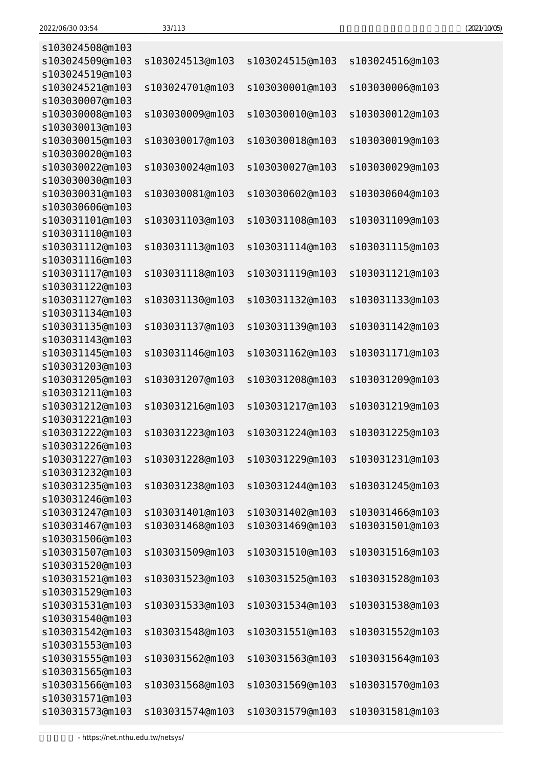| s103024508@m103                    |                 |                 |                 |
|------------------------------------|-----------------|-----------------|-----------------|
| s103024509@m103                    | s103024513@m103 | s103024515@m103 | s103024516@m103 |
| s103024519@m103                    |                 |                 |                 |
| s103024521@m103                    | s103024701@m103 | s103030001@m103 | s103030006@m103 |
| s103030007@m103                    |                 |                 |                 |
| s103030008@m103                    | s103030009@m103 | s103030010@m103 | s103030012@m103 |
| s103030013@m103                    |                 |                 |                 |
| s103030015@m103                    | s103030017@m103 | s103030018@m103 | s103030019@m103 |
| s103030020@m103                    |                 |                 |                 |
| s103030022@m103                    | s103030024@m103 | s103030027@m103 | s103030029@m103 |
| s103030030@m103                    |                 |                 |                 |
| s103030031@m103                    | s103030081@m103 | s103030602@m103 | s103030604@m103 |
| s103030606@m103                    |                 |                 |                 |
| s103031101@m103                    | s103031103@m103 | s103031108@m103 | s103031109@m103 |
| s103031110@m103                    |                 |                 |                 |
| s103031112@m103                    | s103031113@m103 | s103031114@m103 | s103031115@m103 |
| s103031116@m103                    |                 |                 |                 |
| s103031117@m103                    | s103031118@m103 | s103031119@m103 | s103031121@m103 |
| s103031122@m103                    |                 |                 |                 |
| s103031127@m103                    | s103031130@m103 | s103031132@m103 | s103031133@m103 |
| s103031134@m103                    |                 |                 |                 |
| s103031135@m103                    | s103031137@m103 | s103031139@m103 | s103031142@m103 |
| s103031143@m103                    |                 |                 |                 |
| s103031145@m103                    | s103031146@m103 | s103031162@m103 | s103031171@m103 |
| s103031203@m103                    |                 |                 |                 |
| s103031205@m103                    | s103031207@m103 | s103031208@m103 | s103031209@m103 |
| s103031211@m103                    |                 |                 |                 |
| s103031212@m103                    | s103031216@m103 | s103031217@m103 | s103031219@m103 |
| s103031221@m103                    |                 |                 |                 |
| s103031222@m103                    | s103031223@m103 | s103031224@m103 | s103031225@m103 |
| s103031226@m103                    |                 |                 |                 |
| s103031227@m103                    | s103031228@m103 | s103031229@m103 | s103031231@m103 |
| s103031232@m103                    |                 |                 |                 |
| s103031235@m103                    | s103031238@m103 | s103031244@m103 | s103031245@m103 |
| s103031246@m103                    | s103031401@m103 | s103031402@m103 | s103031466@m103 |
| s103031247@m103<br>s103031467@m103 | s103031468@m103 | s103031469@m103 | s103031501@m103 |
| s103031506@m103                    |                 |                 |                 |
| s103031507@m103                    | s103031509@m103 | s103031510@m103 | s103031516@m103 |
| s103031520@m103                    |                 |                 |                 |
| s103031521@m103                    | s103031523@m103 | s103031525@m103 | s103031528@m103 |
| s103031529@m103                    |                 |                 |                 |
| s103031531@m103                    | s103031533@m103 | s103031534@m103 | s103031538@m103 |
| s103031540@m103                    |                 |                 |                 |
| s103031542@m103                    | s103031548@m103 | s103031551@m103 | s103031552@m103 |
| s103031553@m103                    |                 |                 |                 |
| s103031555@m103                    | s103031562@m103 | s103031563@m103 | s103031564@m103 |
| s103031565@m103                    |                 |                 |                 |
| s103031566@m103                    | s103031568@m103 | s103031569@m103 | s103031570@m103 |
| s103031571@m103                    |                 |                 |                 |
| s103031573@m103                    | s103031574@m103 | s103031579@m103 | s103031581@m103 |
|                                    |                 |                 |                 |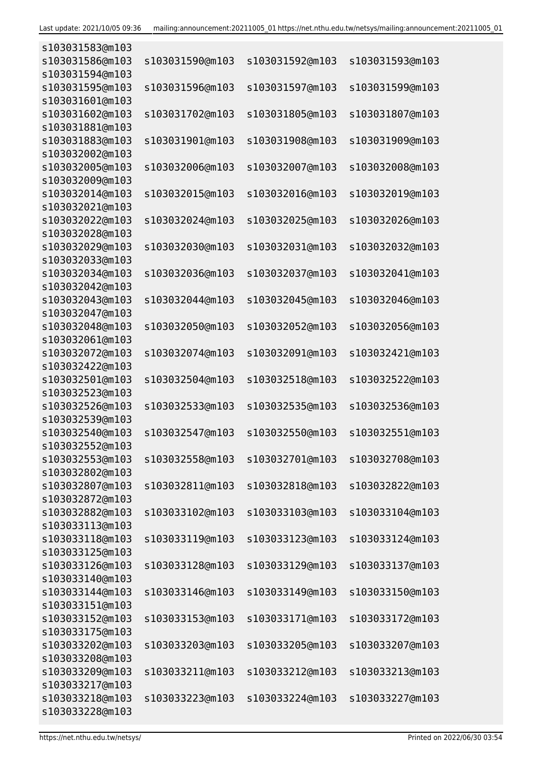| s103031583@m103 |                 |                 |                 |
|-----------------|-----------------|-----------------|-----------------|
| s103031586@m103 | s103031590@m103 | s103031592@m103 | s103031593@m103 |
| s103031594@m103 |                 |                 |                 |
| s103031595@m103 | s103031596@m103 | s103031597@m103 | s103031599@m103 |
| s103031601@m103 |                 |                 |                 |
| s103031602@m103 | s103031702@m103 | s103031805@m103 | s103031807@m103 |
| s103031881@m103 |                 |                 |                 |
| s103031883@m103 | s103031901@m103 | s103031908@m103 | s103031909@m103 |
| s103032002@m103 |                 |                 |                 |
| s103032005@m103 | s103032006@m103 | s103032007@m103 | s103032008@m103 |
| s103032009@m103 |                 |                 |                 |
| s103032014@m103 | s103032015@m103 | s103032016@m103 | s103032019@m103 |
| s103032021@m103 |                 |                 |                 |
| s103032022@m103 | s103032024@m103 | s103032025@m103 | s103032026@m103 |
| s103032028@m103 |                 |                 |                 |
| s103032029@m103 | s103032030@m103 | s103032031@m103 | s103032032@m103 |
| s103032033@m103 |                 |                 |                 |
| s103032034@m103 | s103032036@m103 | s103032037@m103 | s103032041@m103 |
| s103032042@m103 |                 |                 |                 |
| s103032043@m103 | s103032044@m103 | s103032045@m103 | s103032046@m103 |
| s103032047@m103 |                 |                 |                 |
| s103032048@m103 | s103032050@m103 | s103032052@m103 | s103032056@m103 |
| s103032061@m103 |                 |                 |                 |
| s103032072@m103 | s103032074@m103 | s103032091@m103 | s103032421@m103 |
| s103032422@m103 |                 |                 |                 |
| s103032501@m103 | s103032504@m103 | s103032518@m103 | s103032522@m103 |
| s103032523@m103 |                 |                 |                 |
| s103032526@m103 | s103032533@m103 | s103032535@m103 | s103032536@m103 |
| s103032539@m103 |                 |                 |                 |
| s103032540@m103 | s103032547@m103 | s103032550@m103 | s103032551@m103 |
| s103032552@m103 |                 |                 |                 |
| s103032553@m103 | s103032558@m103 | s103032701@m103 | s103032708@m103 |
| s103032802@m103 |                 |                 |                 |
| s103032807@m103 | s103032811@m103 | s103032818@m103 | s103032822@m103 |
| s103032872@m103 |                 |                 |                 |
| s103032882@m103 | s103033102@m103 | s103033103@m103 | s103033104@m103 |
| s103033113@m103 |                 |                 |                 |
| s103033118@m103 | s103033119@m103 | s103033123@m103 | s103033124@m103 |
| s103033125@m103 |                 |                 |                 |
| s103033126@m103 | s103033128@m103 | s103033129@m103 | s103033137@m103 |
| s103033140@m103 |                 |                 |                 |
| s103033144@m103 | s103033146@m103 | s103033149@m103 | s103033150@m103 |
| s103033151@m103 |                 |                 |                 |
| s103033152@m103 | s103033153@m103 | s103033171@m103 | s103033172@m103 |
| s103033175@m103 |                 |                 |                 |
| s103033202@m103 | s103033203@m103 | s103033205@m103 | s103033207@m103 |
| s103033208@m103 |                 |                 |                 |
| s103033209@m103 | s103033211@m103 | s103033212@m103 | s103033213@m103 |
| s103033217@m103 |                 |                 |                 |
| s103033218@m103 | s103033223@m103 | s103033224@m103 | s103033227@m103 |
| s103033228@m103 |                 |                 |                 |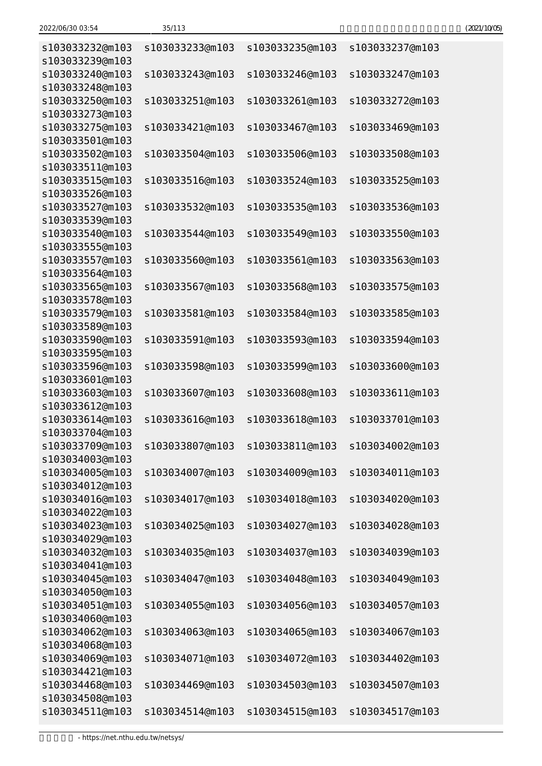| s103033232@m103                                       | s103033233@m103 | s103033235@m103                 | s103033237@m103 |
|-------------------------------------------------------|-----------------|---------------------------------|-----------------|
| s103033239@m103<br>s103033240@m103                    | s103033243@m103 | s103033246@m103                 | s103033247@m103 |
| s103033248@m103<br>s103033250@m103                    | s103033251@m103 | s103033261@m103                 | s103033272@m103 |
| s103033273@m103<br>s103033275@m103<br>s103033501@m103 | s103033421@m103 | s103033467@m103                 | s103033469@m103 |
| s103033502@m103<br>s103033511@m103                    | s103033504@m103 | s103033506@m103                 | s103033508@m103 |
| s103033515@m103<br>s103033526@m103                    | s103033516@m103 | s103033524@m103                 | s103033525@m103 |
| s103033527@m103<br>s103033539@m103                    | s103033532@m103 | s103033535@m103                 | s103033536@m103 |
| s103033540@m103<br>s103033555@m103                    | s103033544@m103 | s103033549@m103                 | s103033550@m103 |
| s103033557@m103<br>s103033564@m103                    | s103033560@m103 | s103033561@m103                 | s103033563@m103 |
| s103033565@m103<br>s103033578@m103                    | s103033567@m103 | s103033568@m103                 | s103033575@m103 |
| s103033579@m103<br>s103033589@m103                    | s103033581@m103 | s103033584@m103                 | s103033585@m103 |
| s103033590@m103<br>s103033595@m103                    | s103033591@m103 | s103033593@m103                 | s103033594@m103 |
| s103033596@m103<br>s103033601@m103                    | s103033598@m103 | s103033599@m103                 | s103033600@m103 |
| s103033603@m103<br>s103033612@m103                    | s103033607@m103 | s103033608@m103                 | s103033611@m103 |
| s103033614@m103<br>s103033704@m103                    | s103033616@m103 | s103033618@m103                 | s103033701@m103 |
| s103033709@m103<br>s103034003@m103                    |                 | s103033807@m103 s103033811@m103 | s103034002@m103 |
| s103034005@m103<br>s103034012@m103                    | s103034007@m103 | s103034009@m103                 | s103034011@m103 |
| s103034016@m103<br>s103034022@m103                    | s103034017@m103 | s103034018@m103                 | s103034020@m103 |
| s103034023@m103<br>s103034029@m103                    | s103034025@m103 | s103034027@m103                 | s103034028@m103 |
| s103034032@m103<br>s103034041@m103                    | s103034035@m103 | s103034037@m103                 | s103034039@m103 |
| s103034045@m103<br>s103034050@m103                    | s103034047@m103 | s103034048@m103                 | s103034049@m103 |
| s103034051@m103<br>s103034060@m103                    | s103034055@m103 | s103034056@m103                 | s103034057@m103 |
| s103034062@m103<br>s103034068@m103                    | s103034063@m103 | s103034065@m103                 | s103034067@m103 |
| s103034069@m103<br>s103034421@m103                    | s103034071@m103 | s103034072@m103                 | s103034402@m103 |
| s103034468@m103<br>s103034508@m103                    | s103034469@m103 | s103034503@m103                 | s103034507@m103 |
| s103034511@m103                                       | s103034514@m103 | s103034515@m103                 | s103034517@m103 |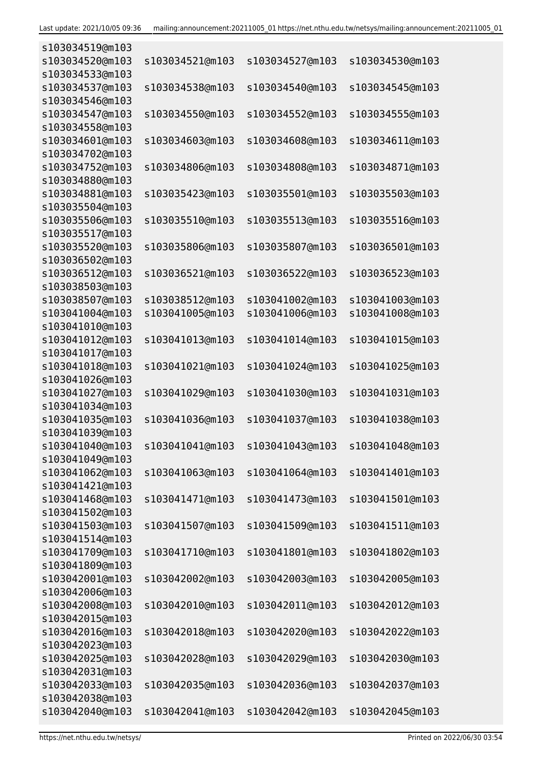| s103034519@m103                    |                 |                 |                 |
|------------------------------------|-----------------|-----------------|-----------------|
| s103034520@m103                    | s103034521@m103 | s103034527@m103 | s103034530@m103 |
| s103034533@m103                    |                 |                 |                 |
| s103034537@m103                    | s103034538@m103 | s103034540@m103 | s103034545@m103 |
| s103034546@m103                    |                 |                 |                 |
| s103034547@m103                    | s103034550@m103 | s103034552@m103 | s103034555@m103 |
| s103034558@m103                    |                 |                 |                 |
| s103034601@m103                    | s103034603@m103 | s103034608@m103 | s103034611@m103 |
| s103034702@m103                    |                 |                 |                 |
| s103034752@m103                    | s103034806@m103 | s103034808@m103 | s103034871@m103 |
| s103034880@m103                    |                 |                 |                 |
| s103034881@m103                    | s103035423@m103 | s103035501@m103 | s103035503@m103 |
| s103035504@m103                    |                 |                 |                 |
| s103035506@m103                    | s103035510@m103 | s103035513@m103 | s103035516@m103 |
| s103035517@m103                    |                 |                 |                 |
| s103035520@m103                    | s103035806@m103 | s103035807@m103 | s103036501@m103 |
| s103036502@m103                    |                 |                 |                 |
| s103036512@m103                    | s103036521@m103 | s103036522@m103 | s103036523@m103 |
| s103038503@m103                    |                 |                 |                 |
| s103038507@m103                    | s103038512@m103 | s103041002@m103 | s103041003@m103 |
| s103041004@m103                    | s103041005@m103 | s103041006@m103 | s103041008@m103 |
| s103041010@m103                    |                 |                 |                 |
| s103041012@m103                    | s103041013@m103 | s103041014@m103 | s103041015@m103 |
| s103041017@m103                    |                 |                 |                 |
| s103041018@m103                    | s103041021@m103 | s103041024@m103 | s103041025@m103 |
| s103041026@m103                    |                 |                 |                 |
| s103041027@m103                    | s103041029@m103 | s103041030@m103 | s103041031@m103 |
| s103041034@m103                    |                 |                 |                 |
| s103041035@m103                    | s103041036@m103 | s103041037@m103 | s103041038@m103 |
| s103041039@m103                    |                 |                 |                 |
| s103041040@m103                    |                 | s103041043@m103 |                 |
|                                    | s103041041@m103 |                 | s103041048@m103 |
| s103041049@m103<br>s103041062@m103 | s103041063@m103 | s103041064@m103 | s103041401@m103 |
| s103041421@m103                    |                 |                 |                 |
|                                    | s103041471@m103 |                 |                 |
| s103041468@m103                    |                 | s103041473@m103 | s103041501@m103 |
| s103041502@m103                    |                 | s103041509@m103 |                 |
| s103041503@m103<br>s103041514@m103 | s103041507@m103 |                 | s103041511@m103 |
|                                    |                 |                 |                 |
| s103041709@m103                    | s103041710@m103 | s103041801@m103 | s103041802@m103 |
| s103041809@m103                    |                 |                 |                 |
| s103042001@m103                    | s103042002@m103 | s103042003@m103 | s103042005@m103 |
| s103042006@m103                    |                 |                 |                 |
| s103042008@m103                    | s103042010@m103 | s103042011@m103 | s103042012@m103 |
| s103042015@m103                    |                 |                 |                 |
| s103042016@m103                    | s103042018@m103 | s103042020@m103 | s103042022@m103 |
| s103042023@m103                    |                 |                 |                 |
| s103042025@m103                    | s103042028@m103 | s103042029@m103 | s103042030@m103 |
| s103042031@m103                    |                 |                 |                 |
| s103042033@m103                    | s103042035@m103 | s103042036@m103 | s103042037@m103 |
| s103042038@m103                    |                 |                 |                 |
| s103042040@m103                    | s103042041@m103 | s103042042@m103 | s103042045@m103 |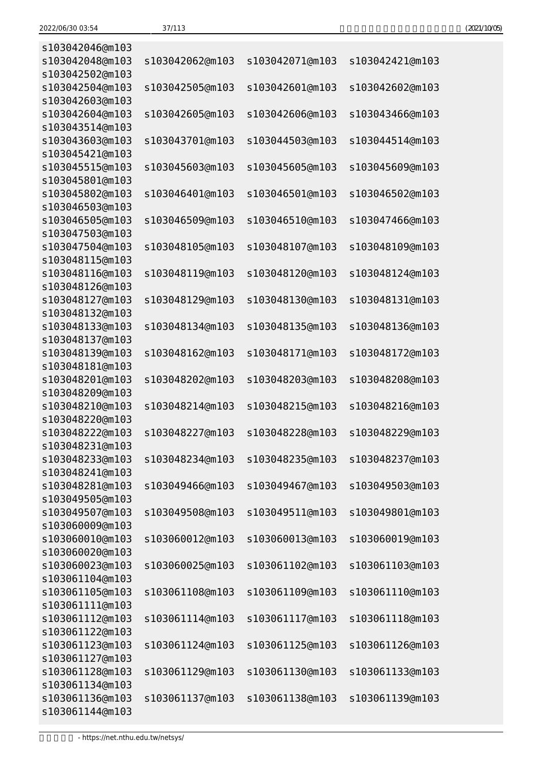| (2021/10/05) |
|--------------|
|--------------|

| s103042046@m103                    |                 |                 |                 |
|------------------------------------|-----------------|-----------------|-----------------|
| s103042048@m103                    | s103042062@m103 | s103042071@m103 | s103042421@m103 |
| s103042502@m103                    |                 |                 |                 |
| s103042504@m103                    | s103042505@m103 | s103042601@m103 | s103042602@m103 |
| s103042603@m103                    |                 |                 |                 |
| s103042604@m103                    | s103042605@m103 | s103042606@m103 | s103043466@m103 |
| s103043514@m103                    |                 |                 |                 |
| s103043603@m103                    | s103043701@m103 | s103044503@m103 | s103044514@m103 |
| s103045421@m103                    |                 |                 |                 |
| s103045515@m103                    | s103045603@m103 | s103045605@m103 | s103045609@m103 |
| s103045801@m103                    |                 |                 |                 |
| s103045802@m103                    | s103046401@m103 | s103046501@m103 | s103046502@m103 |
| s103046503@m103                    |                 |                 |                 |
| s103046505@m103                    | s103046509@m103 | s103046510@m103 | s103047466@m103 |
| s103047503@m103                    |                 |                 |                 |
| s103047504@m103                    | s103048105@m103 | s103048107@m103 | s103048109@m103 |
| s103048115@m103                    |                 |                 |                 |
| s103048116@m103                    | s103048119@m103 | s103048120@m103 | s103048124@m103 |
| s103048126@m103                    |                 |                 |                 |
| s103048127@m103                    | s103048129@m103 | s103048130@m103 | s103048131@m103 |
| s103048132@m103                    |                 |                 |                 |
| s103048133@m103                    | s103048134@m103 | s103048135@m103 | s103048136@m103 |
| s103048137@m103                    |                 |                 |                 |
| s103048139@m103                    | s103048162@m103 | s103048171@m103 | s103048172@m103 |
| s103048181@m103                    |                 |                 |                 |
| s103048201@m103                    | s103048202@m103 | s103048203@m103 | s103048208@m103 |
| s103048209@m103                    |                 |                 |                 |
| s103048210@m103                    | s103048214@m103 | s103048215@m103 | s103048216@m103 |
| s103048220@m103                    |                 |                 |                 |
| s103048222@m103                    | s103048227@m103 | s103048228@m103 | s103048229@m103 |
| s103048231@m103                    |                 |                 |                 |
| s103048233@m103                    | s103048234@m103 | s103048235@m103 | s103048237@m103 |
| s103048241@m103                    |                 |                 |                 |
| s103048281@m103                    | s103049466@m103 | s103049467@m103 | s103049503@m103 |
| s103049505@m103                    |                 |                 |                 |
| s103049507@m103                    | s103049508@m103 | s103049511@m103 | s103049801@m103 |
| s103060009@m103                    |                 |                 |                 |
| s103060010@m103                    | s103060012@m103 | s103060013@m103 | s103060019@m103 |
| s103060020@m103                    |                 |                 |                 |
| s103060023@m103                    | s103060025@m103 | s103061102@m103 | s103061103@m103 |
| s103061104@m103                    |                 |                 |                 |
| s103061105@m103                    | s103061108@m103 | s103061109@m103 | s103061110@m103 |
| s103061111@m103                    |                 |                 |                 |
| s103061112@m103                    | s103061114@m103 | s103061117@m103 | s103061118@m103 |
| s103061122@m103<br>s103061123@m103 |                 |                 |                 |
|                                    | s103061124@m103 | s103061125@m103 | s103061126@m103 |
| s103061127@m103<br>s103061128@m103 | s103061129@m103 | s103061130@m103 | s103061133@m103 |
| s103061134@m103                    |                 |                 |                 |
| s103061136@m103                    | s103061137@m103 | s103061138@m103 | s103061139@m103 |
| s103061144@m103                    |                 |                 |                 |
|                                    |                 |                 |                 |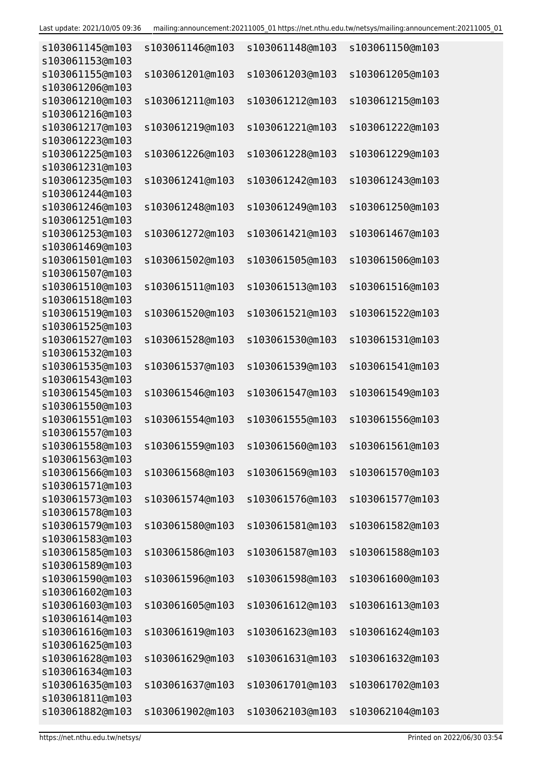| s103061145@m103<br>s103061153@m103 | s103061146@m103 | s103061148@m103 | s103061150@m103 |
|------------------------------------|-----------------|-----------------|-----------------|
| s103061155@m103<br>s103061206@m103 | s103061201@m103 | s103061203@m103 | s103061205@m103 |
| s103061210@m103                    | s103061211@m103 | s103061212@m103 | s103061215@m103 |
| s103061216@m103<br>s103061217@m103 | s103061219@m103 | s103061221@m103 | s103061222@m103 |
| s103061223@m103<br>s103061225@m103 | s103061226@m103 | s103061228@m103 | s103061229@m103 |
| s103061231@m103<br>s103061235@m103 | s103061241@m103 | s103061242@m103 | s103061243@m103 |
| s103061244@m103<br>s103061246@m103 | s103061248@m103 | s103061249@m103 | s103061250@m103 |
| s103061251@m103<br>s103061253@m103 | s103061272@m103 | s103061421@m103 | s103061467@m103 |
| s103061469@m103<br>s103061501@m103 | s103061502@m103 | s103061505@m103 | s103061506@m103 |
| s103061507@m103<br>s103061510@m103 | s103061511@m103 | s103061513@m103 | s103061516@m103 |
| s103061518@m103<br>s103061519@m103 | s103061520@m103 | s103061521@m103 | s103061522@m103 |
| s103061525@m103<br>s103061527@m103 | s103061528@m103 | s103061530@m103 | s103061531@m103 |
| s103061532@m103<br>s103061535@m103 | s103061537@m103 | s103061539@m103 | s103061541@m103 |
| s103061543@m103                    |                 |                 |                 |
| s103061545@m103<br>s103061550@m103 | s103061546@m103 | s103061547@m103 | s103061549@m103 |
| s103061551@m103<br>s103061557@m103 | s103061554@m103 | s103061555@m103 | s103061556@m103 |
| s103061558@m103<br>s103061563@m103 | s103061559@m103 | s103061560@m103 | s103061561@m103 |
| s103061566@m103<br>s103061571@m103 | s103061568@m103 | s103061569@m103 | s103061570@m103 |
| s103061573@m103<br>s103061578@m103 | s103061574@m103 | s103061576@m103 | s103061577@m103 |
| s103061579@m103<br>s103061583@m103 | s103061580@m103 | s103061581@m103 | s103061582@m103 |
| s103061585@m103<br>s103061589@m103 | s103061586@m103 | s103061587@m103 | s103061588@m103 |
| s103061590@m103<br>s103061602@m103 | s103061596@m103 | s103061598@m103 | s103061600@m103 |
| s103061603@m103<br>s103061614@m103 | s103061605@m103 | s103061612@m103 | s103061613@m103 |
| s103061616@m103                    | s103061619@m103 | s103061623@m103 | s103061624@m103 |
| s103061625@m103<br>s103061628@m103 | s103061629@m103 | s103061631@m103 | s103061632@m103 |
| s103061634@m103<br>s103061635@m103 | s103061637@m103 | s103061701@m103 | s103061702@m103 |
| s103061811@m103<br>s103061882@m103 | s103061902@m103 | s103062103@m103 | s103062104@m103 |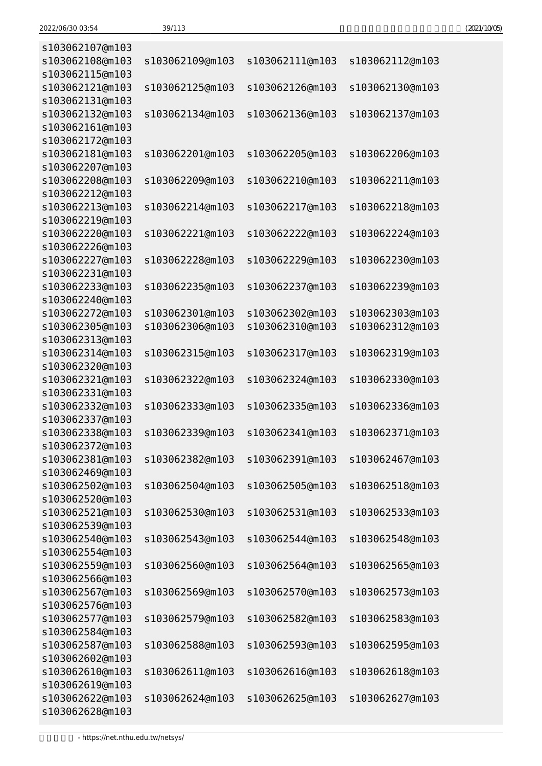| s103062107@m103                    |                 |                 |                 |
|------------------------------------|-----------------|-----------------|-----------------|
| s103062108@m103                    | s103062109@m103 | s103062111@m103 | s103062112@m103 |
| s103062115@m103                    |                 |                 |                 |
| s103062121@m103                    | s103062125@m103 | s103062126@m103 | s103062130@m103 |
| s103062131@m103                    |                 |                 |                 |
| s103062132@m103                    | s103062134@m103 | s103062136@m103 | s103062137@m103 |
| s103062161@m103                    |                 |                 |                 |
| s103062172@m103                    |                 |                 |                 |
| s103062181@m103                    | s103062201@m103 | s103062205@m103 | s103062206@m103 |
| s103062207@m103                    |                 |                 |                 |
| s103062208@m103                    | s103062209@m103 | s103062210@m103 | s103062211@m103 |
| s103062212@m103<br>s103062213@m103 | s103062214@m103 | s103062217@m103 | s103062218@m103 |
| s103062219@m103                    |                 |                 |                 |
| s103062220@m103                    | s103062221@m103 | s103062222@m103 | s103062224@m103 |
| s103062226@m103                    |                 |                 |                 |
| s103062227@m103                    | s103062228@m103 | s103062229@m103 | s103062230@m103 |
| s103062231@m103                    |                 |                 |                 |
| s103062233@m103                    | s103062235@m103 | s103062237@m103 | s103062239@m103 |
| s103062240@m103                    |                 |                 |                 |
| s103062272@m103                    | s103062301@m103 | s103062302@m103 | s103062303@m103 |
| s103062305@m103                    | s103062306@m103 | s103062310@m103 | s103062312@m103 |
| s103062313@m103                    |                 |                 |                 |
| s103062314@m103                    | s103062315@m103 | s103062317@m103 | s103062319@m103 |
| s103062320@m103                    |                 |                 |                 |
| s103062321@m103                    | s103062322@m103 | s103062324@m103 | s103062330@m103 |
| s103062331@m103                    |                 |                 |                 |
| s103062332@m103                    | s103062333@m103 | s103062335@m103 | s103062336@m103 |
| s103062337@m103                    |                 |                 |                 |
| s103062338@m103                    | s103062339@m103 | s103062341@m103 | s103062371@m103 |
| s103062372@m103                    |                 |                 |                 |
| s103062381@m103                    | s103062382@m103 | s103062391@m103 | s103062467@m103 |
| s103062469@m103                    |                 |                 |                 |
| s103062502@m103                    | s103062504@m103 | s103062505@m103 | s103062518@m103 |
| s103062520@m103                    |                 |                 |                 |
| s103062521@m103                    | s103062530@m103 | s103062531@m103 | s103062533@m103 |
| s103062539@m103                    |                 |                 |                 |
| s103062540@m103                    | s103062543@m103 | s103062544@m103 | s103062548@m103 |
| s103062554@m103                    |                 |                 |                 |
| s103062559@m103                    | s103062560@m103 | s103062564@m103 | s103062565@m103 |
| s103062566@m103                    |                 |                 |                 |
| s103062567@m103                    | s103062569@m103 | s103062570@m103 | s103062573@m103 |
| s103062576@m103                    |                 |                 |                 |
| s103062577@m103                    | s103062579@m103 | s103062582@m103 | s103062583@m103 |
| s103062584@m103                    |                 |                 |                 |
| s103062587@m103                    | s103062588@m103 | s103062593@m103 | s103062595@m103 |
| s103062602@m103                    |                 |                 |                 |
| s103062610@m103                    | s103062611@m103 | s103062616@m103 | s103062618@m103 |
| s103062619@m103                    |                 |                 |                 |
| s103062622@m103                    | s103062624@m103 | s103062625@m103 | s103062627@m103 |
| s103062628@m103                    |                 |                 |                 |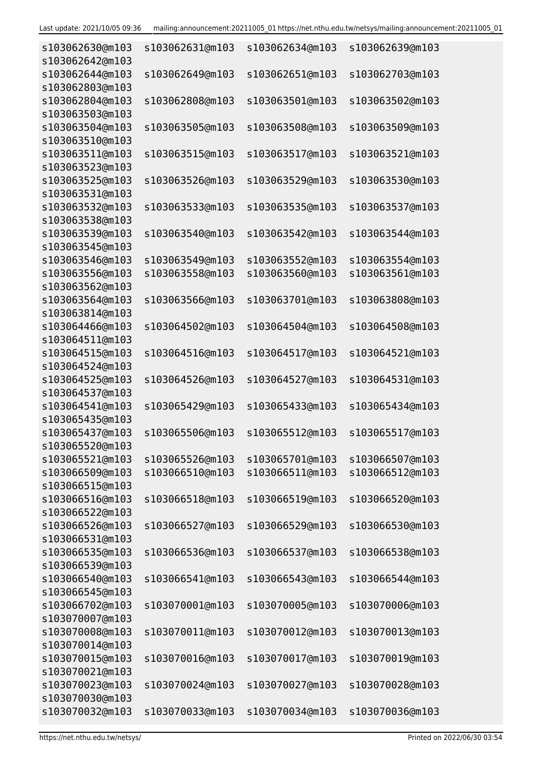| s103062630@m103<br>s103062642@m103 | s103062631@m103                    | s103062634@m103                    | s103062639@m103                    |
|------------------------------------|------------------------------------|------------------------------------|------------------------------------|
| s103062644@m103                    | s103062649@m103                    | s103062651@m103                    | s103062703@m103                    |
| s103062803@m103                    |                                    |                                    |                                    |
| s103062804@m103<br>s103063503@m103 | s103062808@m103                    | s103063501@m103                    | s103063502@m103                    |
| s103063504@m103<br>s103063510@m103 | s103063505@m103                    | s103063508@m103                    | s103063509@m103                    |
| s103063511@m103<br>s103063523@m103 | s103063515@m103                    | s103063517@m103                    | s103063521@m103                    |
| s103063525@m103                    | s103063526@m103                    | s103063529@m103                    | s103063530@m103                    |
| s103063531@m103                    |                                    |                                    |                                    |
| s103063532@m103                    | s103063533@m103                    | s103063535@m103                    | s103063537@m103                    |
| s103063538@m103                    |                                    |                                    |                                    |
| s103063539@m103                    | s103063540@m103                    | s103063542@m103                    | s103063544@m103                    |
| s103063545@m103                    |                                    |                                    |                                    |
| s103063546@m103                    | s103063549@m103                    | s103063552@m103                    | s103063554@m103                    |
| s103063556@m103                    | s103063558@m103                    | s103063560@m103                    | s103063561@m103                    |
| s103063562@m103                    |                                    |                                    |                                    |
| s103063564@m103                    | s103063566@m103                    | s103063701@m103                    | s103063808@m103                    |
| s103063814@m103                    |                                    |                                    |                                    |
| s103064466@m103                    | s103064502@m103                    | s103064504@m103                    | s103064508@m103                    |
| s103064511@m103                    |                                    |                                    |                                    |
| s103064515@m103                    | s103064516@m103                    | s103064517@m103                    | s103064521@m103                    |
| s103064524@m103                    |                                    |                                    |                                    |
| s103064525@m103                    | s103064526@m103                    | s103064527@m103                    | s103064531@m103                    |
| s103064537@m103                    |                                    |                                    |                                    |
| s103064541@m103                    | s103065429@m103                    | s103065433@m103                    | s103065434@m103                    |
| s103065435@m103                    |                                    |                                    |                                    |
| s103065437@m103                    | s103065506@m103                    | s103065512@m103                    | s103065517@m103                    |
| s103065520@m103<br>s103065521@m103 |                                    |                                    |                                    |
| s103066509@m103                    | s103065526@m103<br>s103066510@m103 | s103065701@m103<br>s103066511@m103 | s103066507@m103<br>s103066512@m103 |
| s103066515@m103                    |                                    |                                    |                                    |
| s103066516@m103                    | s103066518@m103                    | s103066519@m103                    | s103066520@m103                    |
| s103066522@m103                    |                                    |                                    |                                    |
| s103066526@m103                    | s103066527@m103                    | s103066529@m103                    | s103066530@m103                    |
| s103066531@m103                    |                                    |                                    |                                    |
| s103066535@m103                    | s103066536@m103                    | s103066537@m103                    | s103066538@m103                    |
| s103066539@m103                    |                                    |                                    |                                    |
| s103066540@m103                    | s103066541@m103                    | s103066543@m103                    | s103066544@m103                    |
| s103066545@m103                    |                                    |                                    |                                    |
| s103066702@m103                    | s103070001@m103                    | s103070005@m103                    | s103070006@m103                    |
| s103070007@m103                    |                                    |                                    |                                    |
| s103070008@m103                    | s103070011@m103                    | s103070012@m103                    | s103070013@m103                    |
| s103070014@m103                    |                                    |                                    |                                    |
| s103070015@m103                    | s103070016@m103                    | s103070017@m103                    | s103070019@m103                    |
| s103070021@m103                    |                                    |                                    |                                    |
| s103070023@m103                    | s103070024@m103                    | s103070027@m103                    | s103070028@m103                    |
| s103070030@m103                    |                                    |                                    |                                    |
| s103070032@m103                    | s103070033@m103                    | s103070034@m103                    | s103070036@m103                    |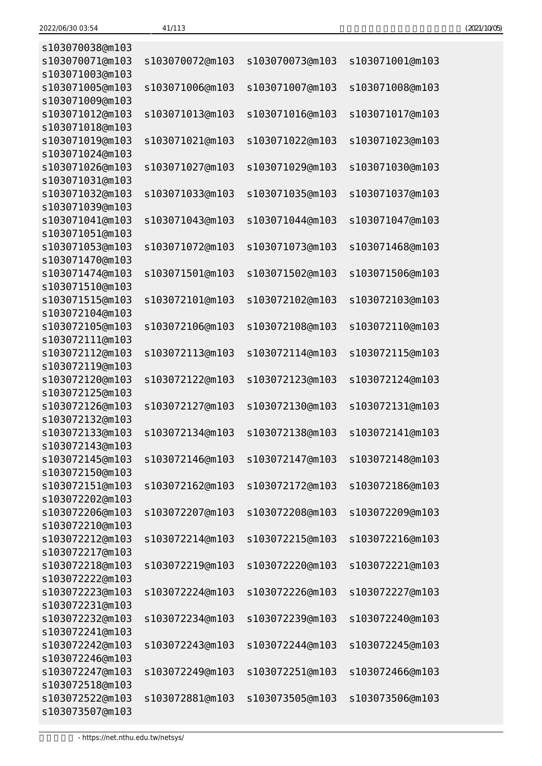| (2021/10/05) |
|--------------|
|--------------|

| s103070038@m103 |                 |                 |                 |
|-----------------|-----------------|-----------------|-----------------|
| s103070071@m103 | s103070072@m103 | s103070073@m103 | s103071001@m103 |
| s103071003@m103 |                 |                 |                 |
| s103071005@m103 | s103071006@m103 | s103071007@m103 | s103071008@m103 |
| s103071009@m103 |                 |                 |                 |
| s103071012@m103 | s103071013@m103 | s103071016@m103 | s103071017@m103 |
| s103071018@m103 |                 |                 |                 |
| s103071019@m103 | s103071021@m103 | s103071022@m103 | s103071023@m103 |
| s103071024@m103 |                 |                 |                 |
| s103071026@m103 | s103071027@m103 | s103071029@m103 | s103071030@m103 |
| s103071031@m103 |                 |                 |                 |
| s103071032@m103 | s103071033@m103 | s103071035@m103 | s103071037@m103 |
| s103071039@m103 |                 |                 |                 |
| s103071041@m103 | s103071043@m103 | s103071044@m103 | s103071047@m103 |
| s103071051@m103 |                 |                 |                 |
| s103071053@m103 | s103071072@m103 | s103071073@m103 | s103071468@m103 |
| s103071470@m103 |                 |                 |                 |
| s103071474@m103 | s103071501@m103 | s103071502@m103 | s103071506@m103 |
| s103071510@m103 |                 |                 |                 |
| s103071515@m103 | s103072101@m103 | s103072102@m103 | s103072103@m103 |
| s103072104@m103 |                 |                 |                 |
| s103072105@m103 | s103072106@m103 | s103072108@m103 | s103072110@m103 |
| s103072111@m103 |                 |                 |                 |
| s103072112@m103 | s103072113@m103 | s103072114@m103 | s103072115@m103 |
| s103072119@m103 |                 |                 |                 |
| s103072120@m103 | s103072122@m103 | s103072123@m103 | s103072124@m103 |
| s103072125@m103 |                 |                 |                 |
| s103072126@m103 | s103072127@m103 | s103072130@m103 | s103072131@m103 |
| s103072132@m103 |                 |                 |                 |
| s103072133@m103 | s103072134@m103 | s103072138@m103 | s103072141@m103 |
| s103072143@m103 |                 |                 |                 |
| s103072145@m103 | s103072146@m103 | s103072147@m103 | s103072148@m103 |
| s103072150@m103 |                 |                 |                 |
| s103072151@m103 | s103072162@m103 | s103072172@m103 | s103072186@m103 |
| s103072202@m103 |                 |                 |                 |
| s103072206@m103 | s103072207@m103 | s103072208@m103 | s103072209@m103 |
| s103072210@m103 |                 |                 |                 |
| s103072212@m103 | s103072214@m103 | s103072215@m103 | s103072216@m103 |
| s103072217@m103 |                 |                 |                 |
| s103072218@m103 | s103072219@m103 | s103072220@m103 | s103072221@m103 |
| s103072222@m103 |                 |                 |                 |
| s103072223@m103 | s103072224@m103 | s103072226@m103 | s103072227@m103 |
| s103072231@m103 |                 |                 |                 |
| s103072232@m103 | s103072234@m103 | s103072239@m103 | s103072240@m103 |
| s103072241@m103 |                 |                 |                 |
| s103072242@m103 | s103072243@m103 | s103072244@m103 | s103072245@m103 |
| s103072246@m103 |                 |                 |                 |
| s103072247@m103 | s103072249@m103 | s103072251@m103 | s103072466@m103 |
| s103072518@m103 |                 |                 |                 |
| s103072522@m103 | s103072881@m103 | s103073505@m103 | s103073506@m103 |
| s103073507@m103 |                 |                 |                 |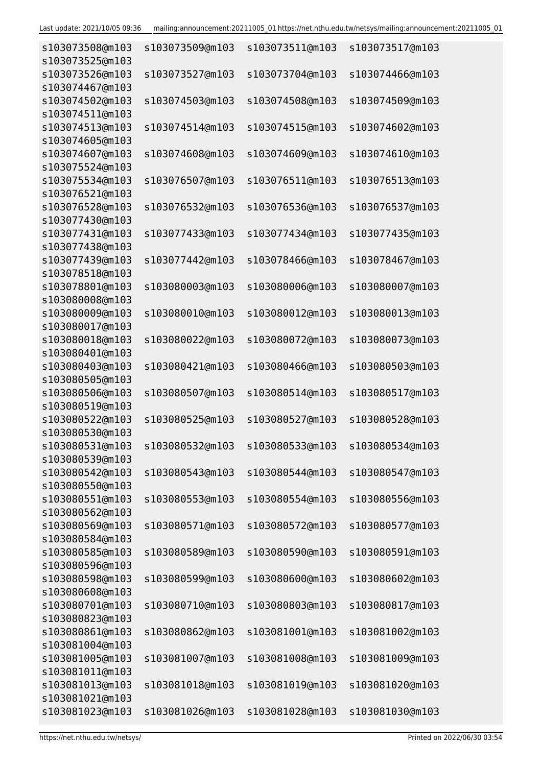| s103073508@m103                    | s103073509@m103 | s103073511@m103 | s103073517@m103 |
|------------------------------------|-----------------|-----------------|-----------------|
| s103073525@m103<br>s103073526@m103 | s103073527@m103 | s103073704@m103 | s103074466@m103 |
| s103074467@m103                    |                 |                 |                 |
| s103074502@m103                    | s103074503@m103 | s103074508@m103 | s103074509@m103 |
| s103074511@m103                    |                 |                 |                 |
| s103074513@m103                    | s103074514@m103 | s103074515@m103 | s103074602@m103 |
| s103074605@m103                    |                 |                 |                 |
| s103074607@m103                    | s103074608@m103 | s103074609@m103 | s103074610@m103 |
| s103075524@m103                    |                 |                 |                 |
| s103075534@m103                    | s103076507@m103 | s103076511@m103 | s103076513@m103 |
| s103076521@m103<br>s103076528@m103 | s103076532@m103 | s103076536@m103 | s103076537@m103 |
| s103077430@m103                    |                 |                 |                 |
| s103077431@m103                    | s103077433@m103 | s103077434@m103 | s103077435@m103 |
| s103077438@m103                    |                 |                 |                 |
| s103077439@m103                    | s103077442@m103 | s103078466@m103 | s103078467@m103 |
| s103078518@m103                    |                 |                 |                 |
| s103078801@m103                    | s103080003@m103 | s103080006@m103 | s103080007@m103 |
| s103080008@m103                    |                 |                 |                 |
| s103080009@m103                    | s103080010@m103 | s103080012@m103 | s103080013@m103 |
| s103080017@m103                    |                 |                 |                 |
| s103080018@m103                    | s103080022@m103 | s103080072@m103 | s103080073@m103 |
| s103080401@m103                    |                 |                 |                 |
| s103080403@m103<br>s103080505@m103 | s103080421@m103 | s103080466@m103 | s103080503@m103 |
| s103080506@m103                    | s103080507@m103 | s103080514@m103 | s103080517@m103 |
| s103080519@m103                    |                 |                 |                 |
| s103080522@m103                    | s103080525@m103 | s103080527@m103 | s103080528@m103 |
| s103080530@m103                    |                 |                 |                 |
| s103080531@m103                    | s103080532@m103 | s103080533@m103 | s103080534@m103 |
| s103080539@m103                    |                 |                 |                 |
| s103080542@m103                    | s103080543@m103 | s103080544@m103 | s103080547@m103 |
| s103080550@m103                    |                 |                 |                 |
| s103080551@m103                    | s103080553@m103 | s103080554@m103 | s103080556@m103 |
| s103080562@m103                    |                 |                 |                 |
| s103080569@m103<br>s103080584@m103 | s103080571@m103 | s103080572@m103 | s103080577@m103 |
| s103080585@m103                    | s103080589@m103 | s103080590@m103 | s103080591@m103 |
| s103080596@m103                    |                 |                 |                 |
| s103080598@m103                    | s103080599@m103 | s103080600@m103 | s103080602@m103 |
| s103080608@m103                    |                 |                 |                 |
| s103080701@m103                    | s103080710@m103 | s103080803@m103 | s103080817@m103 |
| s103080823@m103                    |                 |                 |                 |
| s103080861@m103                    | s103080862@m103 | s103081001@m103 | s103081002@m103 |
| s103081004@m103                    |                 |                 |                 |
| s103081005@m103                    | s103081007@m103 | s103081008@m103 | s103081009@m103 |
| s103081011@m103                    |                 |                 |                 |
| s103081013@m103<br>s103081021@m103 | s103081018@m103 | s103081019@m103 | s103081020@m103 |
| s103081023@m103                    | s103081026@m103 | s103081028@m103 | s103081030@m103 |
|                                    |                 |                 |                 |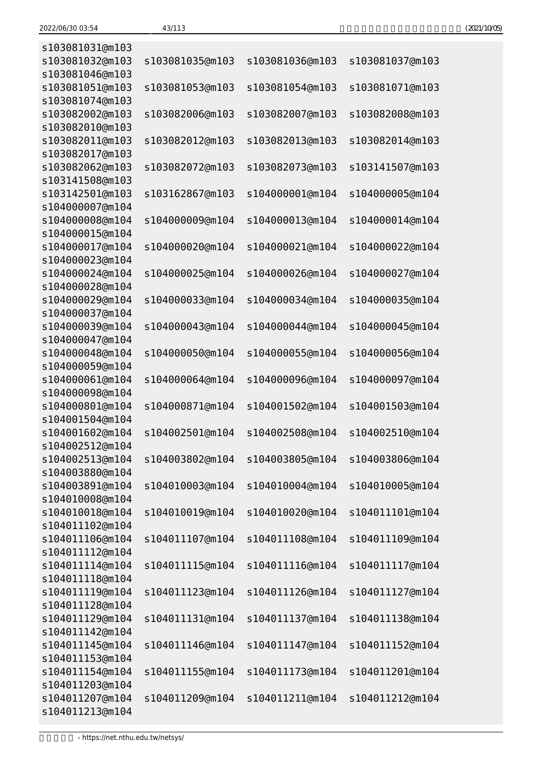| (2021/10/05) |
|--------------|
|--------------|

| s103081031@m103                    |                 |                 |                 |
|------------------------------------|-----------------|-----------------|-----------------|
| s103081032@m103<br>s103081046@m103 | s103081035@m103 | s103081036@m103 | s103081037@m103 |
| s103081051@m103                    | s103081053@m103 | s103081054@m103 | s103081071@m103 |
| s103081074@m103                    |                 |                 |                 |
| s103082002@m103                    | s103082006@m103 | s103082007@m103 | s103082008@m103 |
| s103082010@m103                    |                 |                 |                 |
| s103082011@m103                    | s103082012@m103 | s103082013@m103 | s103082014@m103 |
| s103082017@m103                    |                 |                 |                 |
| s103082062@m103                    | s103082072@m103 | s103082073@m103 | s103141507@m103 |
| s103141508@m103                    |                 |                 |                 |
| s103142501@m103                    | s103162867@m103 | s104000001@m104 | s104000005@m104 |
| s104000007@m104                    |                 |                 |                 |
| s104000008@m104                    | s104000009@m104 | s104000013@m104 | s104000014@m104 |
| s104000015@m104                    |                 |                 |                 |
| s104000017@m104                    | s104000020@m104 | s104000021@m104 | s104000022@m104 |
| s104000023@m104                    |                 |                 |                 |
| s104000024@m104                    | s104000025@m104 | s104000026@m104 | s104000027@m104 |
| s104000028@m104                    |                 |                 |                 |
| s104000029@m104                    | s104000033@m104 | s104000034@m104 | s104000035@m104 |
| s104000037@m104<br>s104000039@m104 | s104000043@m104 | s104000044@m104 | s104000045@m104 |
| s104000047@m104                    |                 |                 |                 |
| s104000048@m104                    | s104000050@m104 | s104000055@m104 | s104000056@m104 |
| s104000059@m104                    |                 |                 |                 |
| s104000061@m104                    | s104000064@m104 | s104000096@m104 | s104000097@m104 |
| s104000098@m104                    |                 |                 |                 |
| s104000801@m104                    | s104000871@m104 | s104001502@m104 | s104001503@m104 |
| s104001504@m104                    |                 |                 |                 |
| s104001602@m104                    | s104002501@m104 | s104002508@m104 | s104002510@m104 |
| s104002512@m104                    |                 |                 |                 |
| s104002513@m104                    | s104003802@m104 | s104003805@m104 | s104003806@m104 |
| s104003880@m104                    |                 |                 |                 |
| s104003891@m104                    | s104010003@m104 | s104010004@m104 | s104010005@m104 |
| s104010008@m104                    |                 |                 |                 |
| s104010018@m104                    | s104010019@m104 | s104010020@m104 | s104011101@m104 |
| s104011102@m104                    |                 |                 |                 |
| s104011106@m104<br>s104011112@m104 | s104011107@m104 | s104011108@m104 | s104011109@m104 |
| s104011114@m104                    | s104011115@m104 | s104011116@m104 | s104011117@m104 |
| s104011118@m104                    |                 |                 |                 |
| s104011119@m104                    | s104011123@m104 | s104011126@m104 | s104011127@m104 |
| s104011128@m104                    |                 |                 |                 |
| s104011129@m104                    | s104011131@m104 | s104011137@m104 | s104011138@m104 |
| s104011142@m104                    |                 |                 |                 |
| s104011145@m104                    | s104011146@m104 | s104011147@m104 | s104011152@m104 |
| s104011153@m104                    |                 |                 |                 |
| s104011154@m104                    | s104011155@m104 | s104011173@m104 | s104011201@m104 |
| s104011203@m104                    |                 |                 |                 |
| s104011207@m104                    | s104011209@m104 | s104011211@m104 | s104011212@m104 |
| s104011213@m104                    |                 |                 |                 |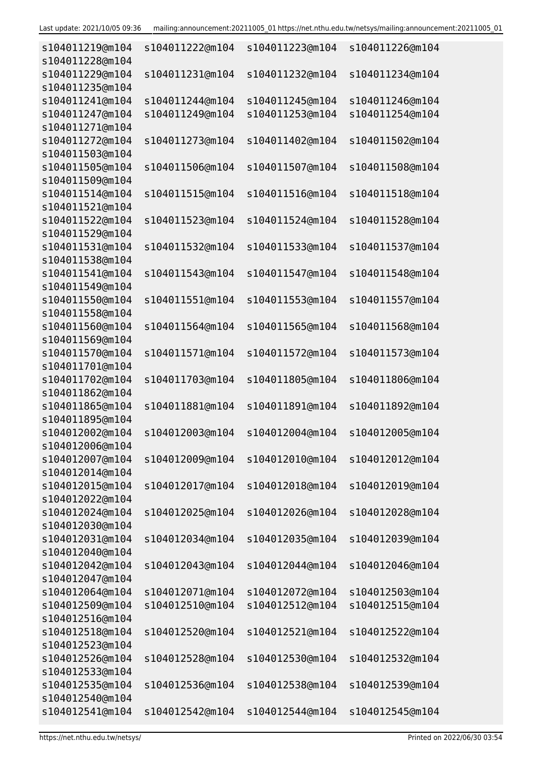| s104011219@m104<br>s104011228@m104 | s104011222@m104                    | s104011223@m104                    | s104011226@m104                    |
|------------------------------------|------------------------------------|------------------------------------|------------------------------------|
| s104011229@m104                    | s104011231@m104                    | s104011232@m104                    | s104011234@m104                    |
| s104011235@m104                    |                                    |                                    |                                    |
| s104011241@m104<br>s104011247@m104 | s104011244@m104<br>s104011249@m104 | s104011245@m104<br>s104011253@m104 | s104011246@m104<br>s104011254@m104 |
| s104011271@m104                    |                                    |                                    |                                    |
| s104011272@m104                    |                                    | s104011402@m104                    |                                    |
| s104011503@m104                    | s104011273@m104                    |                                    | s104011502@m104                    |
| s104011505@m104                    | s104011506@m104                    | s104011507@m104                    | s104011508@m104                    |
| s104011509@m104                    |                                    |                                    |                                    |
| s104011514@m104                    | s104011515@m104                    | s104011516@m104                    | s104011518@m104                    |
| s104011521@m104                    |                                    |                                    |                                    |
| s104011522@m104                    | s104011523@m104                    | s104011524@m104                    | s104011528@m104                    |
| s104011529@m104                    |                                    |                                    |                                    |
| s104011531@m104                    | s104011532@m104                    | s104011533@m104                    | s104011537@m104                    |
| s104011538@m104                    |                                    |                                    |                                    |
| s104011541@m104                    | s104011543@m104                    | s104011547@m104                    | s104011548@m104                    |
| s104011549@m104                    |                                    |                                    |                                    |
| s104011550@m104                    | s104011551@m104                    | s104011553@m104                    | s104011557@m104                    |
| s104011558@m104                    |                                    |                                    |                                    |
| s104011560@m104                    | s104011564@m104                    | s104011565@m104                    | s104011568@m104                    |
| s104011569@m104                    |                                    |                                    |                                    |
| s104011570@m104                    | s104011571@m104                    | s104011572@m104                    | s104011573@m104                    |
| s104011701@m104                    |                                    |                                    |                                    |
| s104011702@m104                    | s104011703@m104                    | s104011805@m104                    | s104011806@m104                    |
| s104011862@m104                    |                                    |                                    |                                    |
| s104011865@m104                    | s104011881@m104                    | s104011891@m104                    | s104011892@m104                    |
| s104011895@m104                    |                                    |                                    |                                    |
| s104012002@m104<br>s104012006@m104 | s104012003@m104                    | s104012004@m104                    | s104012005@m104                    |
| s104012007@m104                    | s104012009@m104                    | s104012010@m104                    | s104012012@m104                    |
| s104012014@m104                    |                                    |                                    |                                    |
| s104012015@m104                    | s104012017@m104                    | s104012018@m104                    | s104012019@m104                    |
| s104012022@m104                    |                                    |                                    |                                    |
| s104012024@m104                    | s104012025@m104                    | s104012026@m104                    | s104012028@m104                    |
| s104012030@m104                    |                                    |                                    |                                    |
| s104012031@m104                    | s104012034@m104                    | s104012035@m104                    | s104012039@m104                    |
| s104012040@m104                    |                                    |                                    |                                    |
| s104012042@m104                    | s104012043@m104                    | s104012044@m104                    | s104012046@m104                    |
| s104012047@m104                    |                                    |                                    |                                    |
| s104012064@m104                    | s104012071@m104                    | s104012072@m104                    | s104012503@m104                    |
| s104012509@m104                    | s104012510@m104                    | s104012512@m104                    | s104012515@m104                    |
| s104012516@m104                    |                                    |                                    |                                    |
| s104012518@m104                    | s104012520@m104                    | s104012521@m104                    | s104012522@m104                    |
| s104012523@m104                    |                                    |                                    |                                    |
| s104012526@m104                    | s104012528@m104                    | s104012530@m104                    | s104012532@m104                    |
| s104012533@m104                    |                                    |                                    |                                    |
| s104012535@m104                    | s104012536@m104                    | s104012538@m104                    | s104012539@m104                    |
| s104012540@m104                    |                                    |                                    |                                    |
| s104012541@m104                    | s104012542@m104                    | s104012544@m104                    | s104012545@m104                    |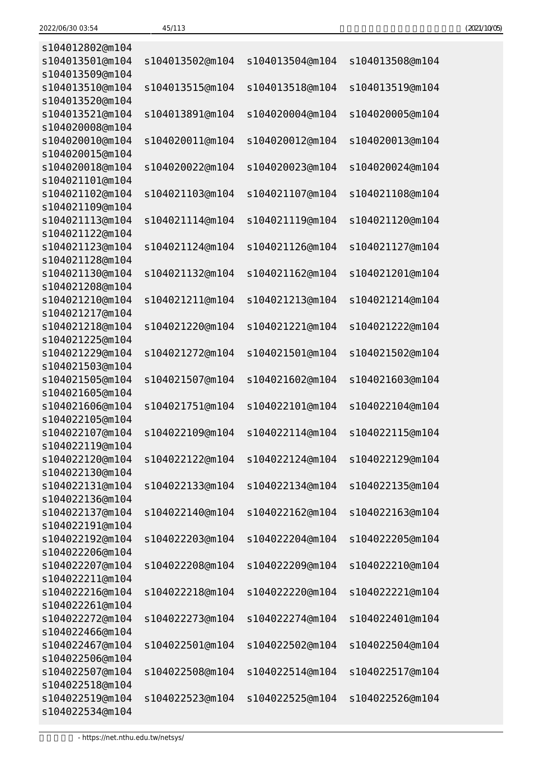| (2021/10/05) |  |
|--------------|--|
|--------------|--|

| s104012802@m104                    |                 |                 |                 |
|------------------------------------|-----------------|-----------------|-----------------|
| s104013501@m104                    | s104013502@m104 | s104013504@m104 | s104013508@m104 |
| s104013509@m104                    |                 |                 |                 |
| s104013510@m104                    | s104013515@m104 | s104013518@m104 | s104013519@m104 |
| s104013520@m104                    |                 |                 |                 |
| s104013521@m104                    | s104013891@m104 | s104020004@m104 | s104020005@m104 |
| s104020008@m104                    |                 |                 |                 |
| s104020010@m104                    | s104020011@m104 | s104020012@m104 | s104020013@m104 |
| s104020015@m104                    |                 |                 |                 |
| s104020018@m104                    | s104020022@m104 | s104020023@m104 | s104020024@m104 |
| s104021101@m104<br>s104021102@m104 | s104021103@m104 | s104021107@m104 | s104021108@m104 |
| s104021109@m104                    |                 |                 |                 |
| s104021113@m104                    | s104021114@m104 | s104021119@m104 | s104021120@m104 |
| s104021122@m104                    |                 |                 |                 |
| s104021123@m104                    | s104021124@m104 | s104021126@m104 | s104021127@m104 |
| s104021128@m104                    |                 |                 |                 |
| s104021130@m104                    | s104021132@m104 | s104021162@m104 | s104021201@m104 |
| s104021208@m104                    |                 |                 |                 |
| s104021210@m104                    | s104021211@m104 | s104021213@m104 | s104021214@m104 |
| s104021217@m104                    |                 |                 |                 |
| s104021218@m104                    | s104021220@m104 | s104021221@m104 | s104021222@m104 |
| s104021225@m104                    |                 |                 |                 |
| s104021229@m104                    | s104021272@m104 | s104021501@m104 | s104021502@m104 |
| s104021503@m104                    |                 |                 |                 |
| s104021505@m104                    | s104021507@m104 | s104021602@m104 | s104021603@m104 |
| s104021605@m104                    |                 |                 |                 |
| s104021606@m104                    | s104021751@m104 | s104022101@m104 | s104022104@m104 |
| s104022105@m104                    |                 |                 |                 |
| s104022107@m104                    | s104022109@m104 | s104022114@m104 | s104022115@m104 |
| s104022119@m104                    |                 |                 |                 |
| s104022120@m104                    | s104022122@m104 | s104022124@m104 | s104022129@m104 |
| s104022130@m104<br>s104022131@m104 | s104022133@m104 | s104022134@m104 | s104022135@m104 |
| s104022136@m104                    |                 |                 |                 |
| s104022137@m104                    | s104022140@m104 | s104022162@m104 | s104022163@m104 |
| s104022191@m104                    |                 |                 |                 |
| s104022192@m104                    | s104022203@m104 | s104022204@m104 | s104022205@m104 |
| s104022206@m104                    |                 |                 |                 |
| s104022207@m104                    | s104022208@m104 | s104022209@m104 | s104022210@m104 |
| s104022211@m104                    |                 |                 |                 |
| s104022216@m104                    | s104022218@m104 | s104022220@m104 | s104022221@m104 |
| s104022261@m104                    |                 |                 |                 |
| s104022272@m104                    | s104022273@m104 | s104022274@m104 | s104022401@m104 |
| s104022466@m104                    |                 |                 |                 |
| s104022467@m104                    | s104022501@m104 | s104022502@m104 | s104022504@m104 |
| s104022506@m104                    |                 |                 |                 |
| s104022507@m104                    | s104022508@m104 | s104022514@m104 | s104022517@m104 |
| s104022518@m104                    |                 |                 |                 |
| s104022519@m104                    | s104022523@m104 | s104022525@m104 | s104022526@m104 |
| s104022534@m104                    |                 |                 |                 |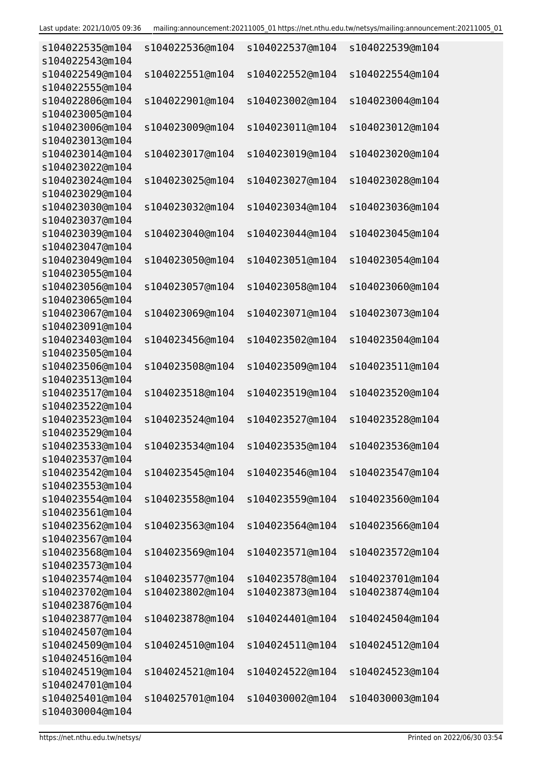| s104022535@m104<br>s104022543@m104 | s104022536@m104                    | s104022537@m104                    | s104022539@m104                    |
|------------------------------------|------------------------------------|------------------------------------|------------------------------------|
| s104022549@m104                    | s104022551@m104                    | s104022552@m104                    | s104022554@m104                    |
| s104022555@m104                    |                                    |                                    |                                    |
| s104022806@m104                    | s104022901@m104                    | s104023002@m104                    | s104023004@m104                    |
| s104023005@m104                    |                                    |                                    |                                    |
| s104023006@m104                    | s104023009@m104                    | s104023011@m104                    | s104023012@m104                    |
| s104023013@m104                    |                                    |                                    |                                    |
| s104023014@m104                    | s104023017@m104                    | s104023019@m104                    | s104023020@m104                    |
| s104023022@m104                    |                                    |                                    |                                    |
| s104023024@m104<br>s104023029@m104 | s104023025@m104                    | s104023027@m104                    | s104023028@m104                    |
| s104023030@m104                    | s104023032@m104                    | s104023034@m104                    | s104023036@m104                    |
| s104023037@m104                    |                                    |                                    |                                    |
| s104023039@m104                    | s104023040@m104                    | s104023044@m104                    | s104023045@m104                    |
| s104023047@m104                    |                                    |                                    |                                    |
| s104023049@m104                    | s104023050@m104                    | s104023051@m104                    | s104023054@m104                    |
| s104023055@m104                    |                                    |                                    |                                    |
| s104023056@m104                    | s104023057@m104                    | s104023058@m104                    | s104023060@m104                    |
| s104023065@m104                    |                                    |                                    |                                    |
| s104023067@m104                    | s104023069@m104                    | s104023071@m104                    | s104023073@m104                    |
| s104023091@m104                    |                                    |                                    |                                    |
| s104023403@m104                    | s104023456@m104                    | s104023502@m104                    | s104023504@m104                    |
| s104023505@m104                    |                                    |                                    |                                    |
| s104023506@m104                    | s104023508@m104                    | s104023509@m104                    | s104023511@m104                    |
| s104023513@m104<br>s104023517@m104 | s104023518@m104                    | s104023519@m104                    | s104023520@m104                    |
| s104023522@m104                    |                                    |                                    |                                    |
| s104023523@m104                    | s104023524@m104                    | s104023527@m104                    | s104023528@m104                    |
| s104023529@m104                    |                                    |                                    |                                    |
| s104023533@m104                    | s104023534@m104                    | s104023535@m104                    | s104023536@m104                    |
| s104023537@m104                    |                                    |                                    |                                    |
| s104023542@m104                    | s104023545@m104                    | s104023546@m104                    | s104023547@m104                    |
| s104023553@m104                    |                                    |                                    |                                    |
| s104023554@m104                    | s104023558@m104                    | s104023559@m104                    | s104023560@m104                    |
| s104023561@m104                    |                                    |                                    |                                    |
| s104023562@m104                    | s104023563@m104                    | s104023564@m104                    | s104023566@m104                    |
| s104023567@m104                    |                                    |                                    |                                    |
| s104023568@m104                    | s104023569@m104                    | s104023571@m104                    | s104023572@m104                    |
| s104023573@m104                    |                                    |                                    |                                    |
| s104023574@m104                    | s104023577@m104<br>s104023802@m104 | s104023578@m104<br>s104023873@m104 | s104023701@m104<br>s104023874@m104 |
| s104023702@m104<br>s104023876@m104 |                                    |                                    |                                    |
| s104023877@m104                    | s104023878@m104                    | s104024401@m104                    | s104024504@m104                    |
| s104024507@m104                    |                                    |                                    |                                    |
| s104024509@m104                    | s104024510@m104                    | s104024511@m104                    | s104024512@m104                    |
| s104024516@m104                    |                                    |                                    |                                    |
| s104024519@m104                    | s104024521@m104                    | s104024522@m104                    | s104024523@m104                    |
| s104024701@m104                    |                                    |                                    |                                    |
| s104025401@m104                    | s104025701@m104                    | s104030002@m104                    | s104030003@m104                    |
| s104030004@m104                    |                                    |                                    |                                    |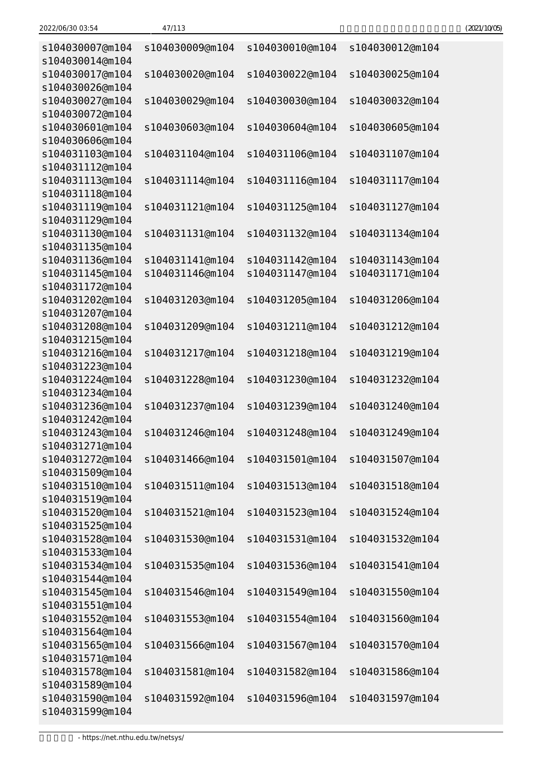| 2022/06/30 03:54 | 47/113<br>____ | (2021/10/05) |
|------------------|----------------|--------------|
|------------------|----------------|--------------|

| s104030007@m104<br>s104030014@m104 | s104030009@m104 | s104030010@m104 | s104030012@m104 |
|------------------------------------|-----------------|-----------------|-----------------|
| s104030017@m104<br>s104030026@m104 | s104030020@m104 | s104030022@m104 | s104030025@m104 |
| s104030027@m104                    | s104030029@m104 | s104030030@m104 | s104030032@m104 |
| s104030072@m104                    |                 |                 |                 |
| s104030601@m104<br>s104030606@m104 | s104030603@m104 | s104030604@m104 | s104030605@m104 |
| s104031103@m104<br>s104031112@m104 | s104031104@m104 | s104031106@m104 | s104031107@m104 |
| s104031113@m104<br>s104031118@m104 | s104031114@m104 | s104031116@m104 | s104031117@m104 |
| s104031119@m104                    | s104031121@m104 | s104031125@m104 | s104031127@m104 |
| s104031129@m104                    |                 |                 |                 |
| s104031130@m104                    | s104031131@m104 | s104031132@m104 | s104031134@m104 |
| s104031135@m104                    |                 |                 |                 |
| s104031136@m104                    | s104031141@m104 | s104031142@m104 | s104031143@m104 |
| s104031145@m104                    | s104031146@m104 | s104031147@m104 | s104031171@m104 |
| s104031172@m104                    |                 |                 |                 |
| s104031202@m104                    | s104031203@m104 | s104031205@m104 | s104031206@m104 |
| s104031207@m104                    |                 |                 |                 |
| s104031208@m104                    | s104031209@m104 | s104031211@m104 | s104031212@m104 |
| s104031215@m104                    |                 |                 |                 |
| s104031216@m104                    | s104031217@m104 | s104031218@m104 | s104031219@m104 |
| s104031223@m104<br>s104031224@m104 | s104031228@m104 | s104031230@m104 | s104031232@m104 |
| s104031234@m104                    |                 |                 |                 |
| s104031236@m104                    | s104031237@m104 | s104031239@m104 | s104031240@m104 |
| s104031242@m104                    |                 |                 |                 |
| s104031243@m104                    | s104031246@m104 | s104031248@m104 | s104031249@m104 |
| s104031271@m104                    |                 |                 |                 |
| s104031272@m104                    | s104031466@m104 | s104031501@m104 | s104031507@m104 |
| s104031509@m104                    |                 |                 |                 |
| s104031510@m104                    | s104031511@m104 | s104031513@m104 | s104031518@m104 |
| s104031519@m104                    |                 |                 |                 |
| s104031520@m104                    | s104031521@m104 | s104031523@m104 | s104031524@m104 |
| s104031525@m104                    |                 |                 |                 |
| s104031528@m104                    | s104031530@m104 | s104031531@m104 | s104031532@m104 |
| s104031533@m104                    |                 |                 |                 |
| s104031534@m104                    | s104031535@m104 | s104031536@m104 | s104031541@m104 |
| s104031544@m104                    |                 |                 |                 |
| s104031545@m104                    | s104031546@m104 | s104031549@m104 | s104031550@m104 |
| s104031551@m104                    |                 |                 |                 |
| s104031552@m104                    | s104031553@m104 | s104031554@m104 | s104031560@m104 |
| s104031564@m104<br>s104031565@m104 | s104031566@m104 | s104031567@m104 |                 |
| s104031571@m104                    |                 |                 | s104031570@m104 |
| s104031578@m104                    | s104031581@m104 | s104031582@m104 | s104031586@m104 |
| s104031589@m104                    |                 |                 |                 |
| s104031590@m104                    | s104031592@m104 | s104031596@m104 | s104031597@m104 |
| s104031599@m104                    |                 |                 |                 |
|                                    |                 |                 |                 |

- https://net.nthu.edu.tw/netsys/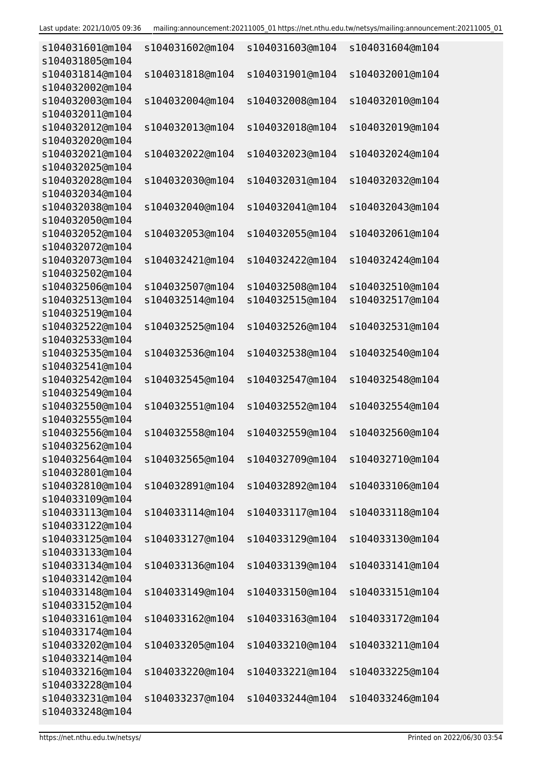| s104031601@m104<br>s104031805@m104 | s104031602@m104 | s104031603@m104 | s104031604@m104 |
|------------------------------------|-----------------|-----------------|-----------------|
| s104031814@m104                    | s104031818@m104 | s104031901@m104 | s104032001@m104 |
| s104032002@m104                    |                 |                 |                 |
| s104032003@m104<br>s104032011@m104 | s104032004@m104 | s104032008@m104 | s104032010@m104 |
| s104032012@m104<br>s104032020@m104 | s104032013@m104 | s104032018@m104 | s104032019@m104 |
| s104032021@m104                    | s104032022@m104 | s104032023@m104 | s104032024@m104 |
| s104032025@m104                    |                 |                 |                 |
| s104032028@m104                    | s104032030@m104 | s104032031@m104 | s104032032@m104 |
| s104032034@m104                    |                 |                 |                 |
| s104032038@m104                    | s104032040@m104 | s104032041@m104 | s104032043@m104 |
| s104032050@m104                    |                 |                 |                 |
| s104032052@m104                    | s104032053@m104 | s104032055@m104 | s104032061@m104 |
| s104032072@m104                    |                 |                 |                 |
| s104032073@m104                    | s104032421@m104 | s104032422@m104 | s104032424@m104 |
| s104032502@m104                    |                 |                 |                 |
| s104032506@m104                    | s104032507@m104 | s104032508@m104 | s104032510@m104 |
| s104032513@m104                    | s104032514@m104 | s104032515@m104 | s104032517@m104 |
| s104032519@m104                    |                 |                 |                 |
| s104032522@m104                    | s104032525@m104 | s104032526@m104 | s104032531@m104 |
| s104032533@m104                    |                 |                 |                 |
| s104032535@m104                    | s104032536@m104 | s104032538@m104 | s104032540@m104 |
| s104032541@m104                    |                 |                 |                 |
| s104032542@m104                    | s104032545@m104 | s104032547@m104 | s104032548@m104 |
| s104032549@m104                    |                 |                 |                 |
| s104032550@m104                    | s104032551@m104 | s104032552@m104 | s104032554@m104 |
| s104032555@m104                    |                 |                 |                 |
| s104032556@m104                    | s104032558@m104 | s104032559@m104 | s104032560@m104 |
| s104032562@m104                    |                 |                 |                 |
| s104032564@m104                    | s104032565@m104 | s104032709@m104 | s104032710@m104 |
| s104032801@m104                    |                 |                 |                 |
| s104032810@m104                    | s104032891@m104 | s104032892@m104 | s104033106@m104 |
| s104033109@m104                    |                 |                 |                 |
| s104033113@m104<br>s104033122@m104 | s104033114@m104 | s104033117@m104 | s104033118@m104 |
| s104033125@m104                    | s104033127@m104 | s104033129@m104 | s104033130@m104 |
| s104033133@m104                    |                 |                 |                 |
| s104033134@m104                    | s104033136@m104 | s104033139@m104 | s104033141@m104 |
| s104033142@m104                    |                 |                 |                 |
| s104033148@m104                    | s104033149@m104 | s104033150@m104 | s104033151@m104 |
| s104033152@m104                    |                 |                 |                 |
| s104033161@m104                    | s104033162@m104 | s104033163@m104 | s104033172@m104 |
| s104033174@m104                    |                 |                 |                 |
| s104033202@m104                    | s104033205@m104 | s104033210@m104 | s104033211@m104 |
| s104033214@m104                    |                 |                 |                 |
| s104033216@m104                    | s104033220@m104 | s104033221@m104 | s104033225@m104 |
| s104033228@m104                    |                 |                 |                 |
| s104033231@m104                    | s104033237@m104 | s104033244@m104 | s104033246@m104 |
| s104033248@m104                    |                 |                 |                 |
|                                    |                 |                 |                 |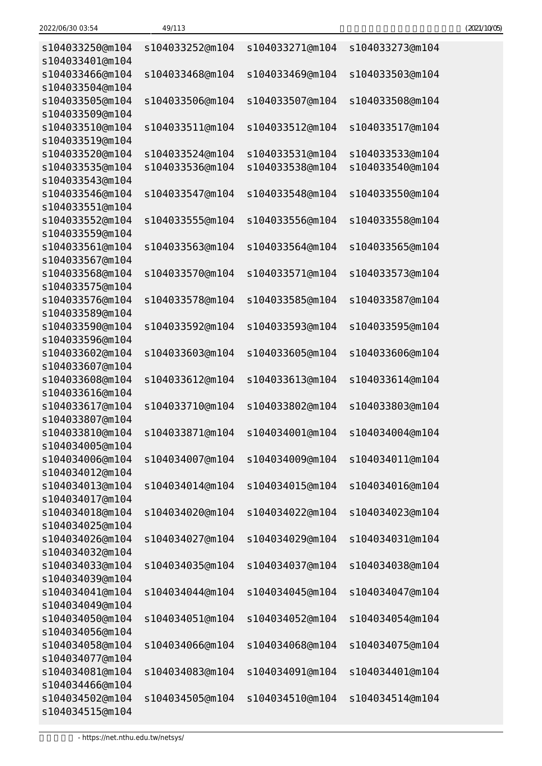| 2022/06/30 03:54 | 49/113 | (2021/10/05) |
|------------------|--------|--------------|
|                  |        |              |

| s104033250@m104<br>s104033401@m104 | s104033252@m104 | s104033271@m104 | s104033273@m104 |
|------------------------------------|-----------------|-----------------|-----------------|
| s104033466@m104                    | s104033468@m104 | s104033469@m104 | s104033503@m104 |
| s104033504@m104<br>s104033505@m104 | s104033506@m104 | s104033507@m104 | s104033508@m104 |
| s104033509@m104                    |                 |                 |                 |
| s104033510@m104<br>s104033519@m104 | s104033511@m104 | s104033512@m104 | s104033517@m104 |
| s104033520@m104                    | s104033524@m104 | s104033531@m104 | s104033533@m104 |
| s104033535@m104                    | s104033536@m104 | s104033538@m104 | s104033540@m104 |
| s104033543@m104                    |                 |                 |                 |
| s104033546@m104                    | s104033547@m104 | s104033548@m104 | s104033550@m104 |
| s104033551@m104                    |                 |                 |                 |
| s104033552@m104                    | s104033555@m104 | s104033556@m104 | s104033558@m104 |
| s104033559@m104                    |                 |                 |                 |
| s104033561@m104                    | s104033563@m104 | s104033564@m104 | s104033565@m104 |
| s104033567@m104                    |                 |                 |                 |
| s104033568@m104                    | s104033570@m104 | s104033571@m104 | s104033573@m104 |
| s104033575@m104                    |                 |                 |                 |
| s104033576@m104                    | s104033578@m104 | s104033585@m104 | s104033587@m104 |
| s104033589@m104                    |                 |                 |                 |
| s104033590@m104<br>s104033596@m104 | s104033592@m104 | s104033593@m104 | s104033595@m104 |
| s104033602@m104                    | s104033603@m104 | s104033605@m104 | s104033606@m104 |
| s104033607@m104                    |                 |                 |                 |
| s104033608@m104                    | s104033612@m104 | s104033613@m104 | s104033614@m104 |
| s104033616@m104                    |                 |                 |                 |
| s104033617@m104                    | s104033710@m104 | s104033802@m104 | s104033803@m104 |
| s104033807@m104                    |                 |                 |                 |
| s104033810@m104                    | s104033871@m104 | s104034001@m104 | s104034004@m104 |
| s104034005@m104                    |                 |                 |                 |
| s104034006@m104                    | s104034007@m104 | s104034009@m104 | s104034011@m104 |
| s104034012@m104                    |                 |                 |                 |
| s104034013@m104                    | s104034014@m104 | s104034015@m104 | s104034016@m104 |
| s104034017@m104                    |                 |                 |                 |
| s104034018@m104                    | s104034020@m104 | s104034022@m104 | s104034023@m104 |
| s104034025@m104                    |                 |                 |                 |
| s104034026@m104                    | s104034027@m104 | s104034029@m104 | s104034031@m104 |
| s104034032@m104                    |                 |                 |                 |
| s104034033@m104                    | s104034035@m104 | s104034037@m104 | s104034038@m104 |
| s104034039@m104                    |                 |                 |                 |
| s104034041@m104                    | s104034044@m104 | s104034045@m104 | s104034047@m104 |
| s104034049@m104                    |                 |                 |                 |
| s104034050@m104                    | s104034051@m104 | s104034052@m104 | s104034054@m104 |
| s104034056@m104                    |                 |                 |                 |
| s104034058@m104                    | s104034066@m104 | s104034068@m104 | s104034075@m104 |
| s104034077@m104                    |                 | s104034091@m104 | s104034401@m104 |
| s104034081@m104                    | s104034083@m104 |                 |                 |

s104034502@m104 s104034505@m104 s104034510@m104 s104034514@m104

s104034466@m104

s104034515@m104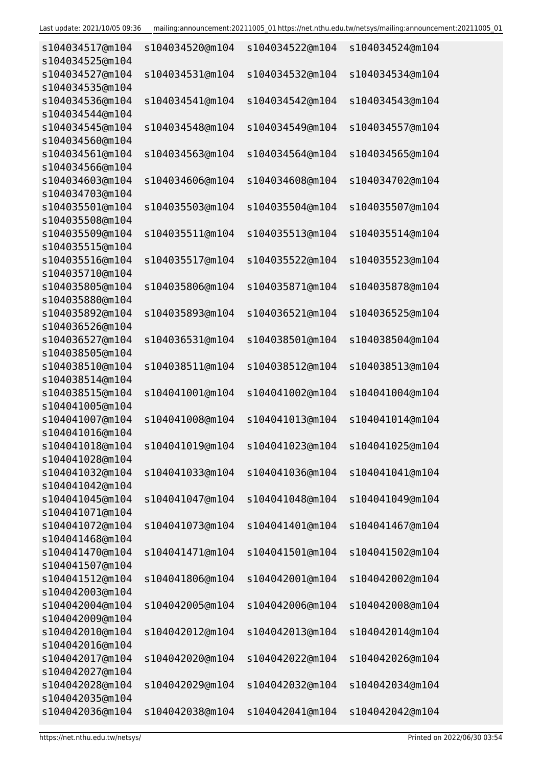| s104034517@m104<br>s104034525@m104 | s104034520@m104 | s104034522@m104 | s104034524@m104 |
|------------------------------------|-----------------|-----------------|-----------------|
| s104034527@m104                    | s104034531@m104 | s104034532@m104 | s104034534@m104 |
| s104034535@m104<br>s104034536@m104 |                 |                 |                 |
| s104034544@m104                    | s104034541@m104 | s104034542@m104 | s104034543@m104 |
| s104034545@m104                    | s104034548@m104 | s104034549@m104 | s104034557@m104 |
| s104034560@m104                    |                 |                 |                 |
| s104034561@m104                    | s104034563@m104 | s104034564@m104 | s104034565@m104 |
| s104034566@m104                    |                 |                 |                 |
| s104034603@m104<br>s104034703@m104 | s104034606@m104 | s104034608@m104 | s104034702@m104 |
| s104035501@m104                    | s104035503@m104 | s104035504@m104 | s104035507@m104 |
| s104035508@m104                    |                 |                 |                 |
| s104035509@m104                    | s104035511@m104 | s104035513@m104 | s104035514@m104 |
| s104035515@m104                    |                 |                 |                 |
| s104035516@m104                    | s104035517@m104 | s104035522@m104 | s104035523@m104 |
| s104035710@m104                    |                 |                 |                 |
| s104035805@m104                    | s104035806@m104 | s104035871@m104 | s104035878@m104 |
| s104035880@m104                    |                 |                 |                 |
| s104035892@m104                    | s104035893@m104 | s104036521@m104 | s104036525@m104 |
| s104036526@m104                    |                 |                 |                 |
| s104036527@m104                    | s104036531@m104 | s104038501@m104 | s104038504@m104 |
| s104038505@m104                    |                 |                 |                 |
| s104038510@m104                    | s104038511@m104 | s104038512@m104 | s104038513@m104 |
| s104038514@m104                    |                 |                 |                 |
| s104038515@m104                    | s104041001@m104 | s104041002@m104 | s104041004@m104 |
| s104041005@m104                    |                 |                 |                 |
| s104041007@m104<br>s104041016@m104 | s104041008@m104 | s104041013@m104 | s104041014@m104 |
| s104041018@m104                    | s104041019@m104 | s104041023@m104 | s104041025@m104 |
| s104041028@m104                    |                 |                 |                 |
| s104041032@m104                    | s104041033@m104 | s104041036@m104 | s104041041@m104 |
| s104041042@m104                    |                 |                 |                 |
| s104041045@m104                    | s104041047@m104 | s104041048@m104 | s104041049@m104 |
| s104041071@m104                    |                 |                 |                 |
| s104041072@m104                    | s104041073@m104 | s104041401@m104 | s104041467@m104 |
| s104041468@m104                    |                 |                 |                 |
| s104041470@m104                    | s104041471@m104 | s104041501@m104 | s104041502@m104 |
| s104041507@m104                    |                 |                 |                 |
| s104041512@m104                    | s104041806@m104 | s104042001@m104 | s104042002@m104 |
| s104042003@m104                    |                 |                 |                 |
| s104042004@m104                    | s104042005@m104 | s104042006@m104 | s104042008@m104 |
| s104042009@m104                    |                 |                 |                 |
| s104042010@m104                    | s104042012@m104 | s104042013@m104 | s104042014@m104 |
| s104042016@m104                    |                 |                 |                 |
| s104042017@m104<br>s104042027@m104 | s104042020@m104 | s104042022@m104 | s104042026@m104 |
| s104042028@m104                    | s104042029@m104 | s104042032@m104 | s104042034@m104 |
| s104042035@m104                    |                 |                 |                 |
| s104042036@m104                    | s104042038@m104 | s104042041@m104 | s104042042@m104 |
|                                    |                 |                 |                 |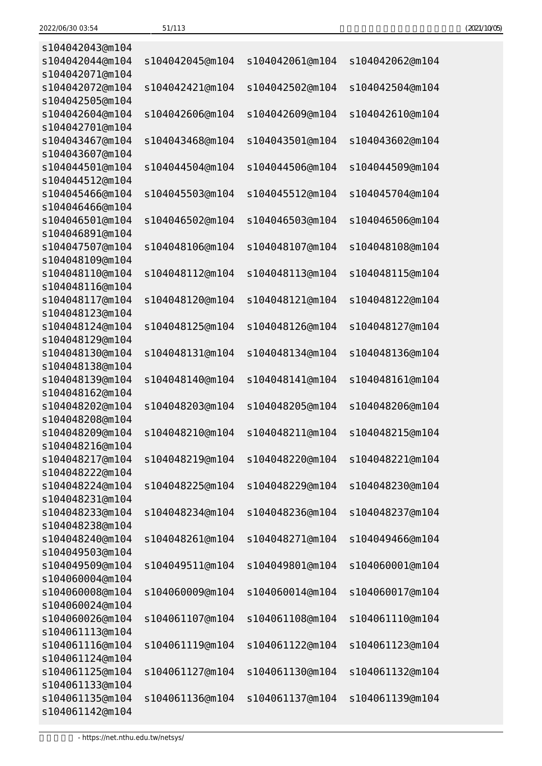| (2021/10/05) |
|--------------|
|--------------|

| s104042043@m104                    |                 |                 |                 |
|------------------------------------|-----------------|-----------------|-----------------|
| s104042044@m104                    | s104042045@m104 | s104042061@m104 | s104042062@m104 |
| s104042071@m104                    |                 |                 |                 |
| s104042072@m104                    | s104042421@m104 | s104042502@m104 | s104042504@m104 |
| s104042505@m104                    |                 |                 |                 |
| s104042604@m104                    | s104042606@m104 | s104042609@m104 | s104042610@m104 |
| s104042701@m104                    |                 |                 |                 |
| s104043467@m104                    | s104043468@m104 | s104043501@m104 | s104043602@m104 |
| s104043607@m104                    |                 |                 |                 |
| s104044501@m104                    | s104044504@m104 | s104044506@m104 | s104044509@m104 |
| s104044512@m104                    |                 |                 |                 |
| s104045466@m104                    | s104045503@m104 | s104045512@m104 | s104045704@m104 |
| s104046466@m104                    |                 |                 |                 |
| s104046501@m104                    | s104046502@m104 | s104046503@m104 | s104046506@m104 |
| s104046891@m104                    |                 |                 |                 |
| s104047507@m104                    | s104048106@m104 | s104048107@m104 | s104048108@m104 |
| s104048109@m104                    |                 |                 |                 |
| s104048110@m104                    | s104048112@m104 | s104048113@m104 | s104048115@m104 |
| s104048116@m104                    |                 |                 |                 |
| s104048117@m104                    | s104048120@m104 | s104048121@m104 | s104048122@m104 |
| s104048123@m104                    |                 |                 |                 |
| s104048124@m104                    | s104048125@m104 | s104048126@m104 | s104048127@m104 |
| s104048129@m104                    |                 |                 |                 |
| s104048130@m104                    | s104048131@m104 | s104048134@m104 | s104048136@m104 |
| s104048138@m104                    |                 |                 |                 |
| s104048139@m104                    | s104048140@m104 | s104048141@m104 | s104048161@m104 |
| s104048162@m104                    |                 |                 |                 |
| s104048202@m104                    | s104048203@m104 | s104048205@m104 | s104048206@m104 |
| s104048208@m104                    |                 |                 |                 |
| s104048209@m104                    | s104048210@m104 | s104048211@m104 | s104048215@m104 |
| s104048216@m104                    |                 |                 |                 |
| s104048217@m104                    | s104048219@m104 | s104048220@m104 | s104048221@m104 |
| s104048222@m104                    |                 |                 |                 |
| s104048224@m104                    | s104048225@m104 | s104048229@m104 | s104048230@m104 |
| s104048231@m104                    |                 |                 |                 |
| s104048233@m104                    | s104048234@m104 | s104048236@m104 | s104048237@m104 |
| s104048238@m104                    |                 |                 |                 |
| s104048240@m104                    | s104048261@m104 | s104048271@m104 | s104049466@m104 |
| s104049503@m104<br>s104049509@m104 |                 |                 |                 |
| s104060004@m104                    | s104049511@m104 | s104049801@m104 | s104060001@m104 |
| s104060008@m104                    | s104060009@m104 | s104060014@m104 | s104060017@m104 |
| s104060024@m104                    |                 |                 |                 |
| s104060026@m104                    | s104061107@m104 | s104061108@m104 | s104061110@m104 |
| s104061113@m104                    |                 |                 |                 |
| s104061116@m104                    | s104061119@m104 | s104061122@m104 | s104061123@m104 |
| s104061124@m104                    |                 |                 |                 |
| s104061125@m104                    | s104061127@m104 | s104061130@m104 | s104061132@m104 |
| s104061133@m104                    |                 |                 |                 |
| s104061135@m104                    | s104061136@m104 | s104061137@m104 | s104061139@m104 |
| s104061142@m104                    |                 |                 |                 |
|                                    |                 |                 |                 |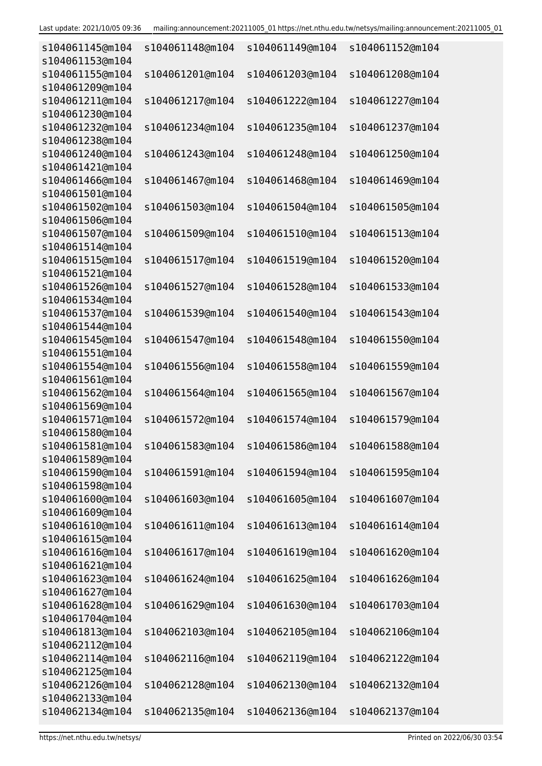| s104061145@m104<br>s104061153@m104 | s104061148@m104 | s104061149@m104 | s104061152@m104 |
|------------------------------------|-----------------|-----------------|-----------------|
| s104061155@m104<br>s104061209@m104 | s104061201@m104 | s104061203@m104 | s104061208@m104 |
| s104061211@m104<br>s104061230@m104 | s104061217@m104 | s104061222@m104 | s104061227@m104 |
| s104061232@m104                    | s104061234@m104 | s104061235@m104 | s104061237@m104 |
| s104061238@m104<br>s104061240@m104 | s104061243@m104 | s104061248@m104 | s104061250@m104 |
| s104061421@m104<br>s104061466@m104 | s104061467@m104 | s104061468@m104 | s104061469@m104 |
| s104061501@m104<br>s104061502@m104 | s104061503@m104 | s104061504@m104 | s104061505@m104 |
| s104061506@m104<br>s104061507@m104 | s104061509@m104 | s104061510@m104 | s104061513@m104 |
| s104061514@m104<br>s104061515@m104 | s104061517@m104 | s104061519@m104 | s104061520@m104 |
| s104061521@m104<br>s104061526@m104 | s104061527@m104 | s104061528@m104 | s104061533@m104 |
| s104061534@m104<br>s104061537@m104 | s104061539@m104 | s104061540@m104 | s104061543@m104 |
| s104061544@m104<br>s104061545@m104 | s104061547@m104 | s104061548@m104 | s104061550@m104 |
| s104061551@m104<br>s104061554@m104 | s104061556@m104 | s104061558@m104 | s104061559@m104 |
| s104061561@m104<br>s104061562@m104 | s104061564@m104 | s104061565@m104 | s104061567@m104 |
| s104061569@m104<br>s104061571@m104 | s104061572@m104 | s104061574@m104 | s104061579@m104 |
| s104061580@m104<br>s104061581@m104 |                 |                 |                 |
| s104061589@m104<br>s104061590@m104 | s104061591@m104 | s104061594@m104 | s104061595@m104 |
| s104061598@m104<br>s104061600@m104 | s104061603@m104 | s104061605@m104 | s104061607@m104 |
| s104061609@m104                    |                 |                 |                 |
| s104061610@m104<br>s104061615@m104 | s104061611@m104 | s104061613@m104 | s104061614@m104 |
| s104061616@m104<br>s104061621@m104 | s104061617@m104 | s104061619@m104 | s104061620@m104 |
| s104061623@m104<br>s104061627@m104 | s104061624@m104 | s104061625@m104 | s104061626@m104 |
| s104061628@m104<br>s104061704@m104 | s104061629@m104 | s104061630@m104 | s104061703@m104 |
| s104061813@m104<br>s104062112@m104 | s104062103@m104 | s104062105@m104 | s104062106@m104 |
| s104062114@m104<br>s104062125@m104 | s104062116@m104 | s104062119@m104 | s104062122@m104 |
| s104062126@m104<br>s104062133@m104 | s104062128@m104 | s104062130@m104 | s104062132@m104 |
| s104062134@m104                    | s104062135@m104 | s104062136@m104 | s104062137@m104 |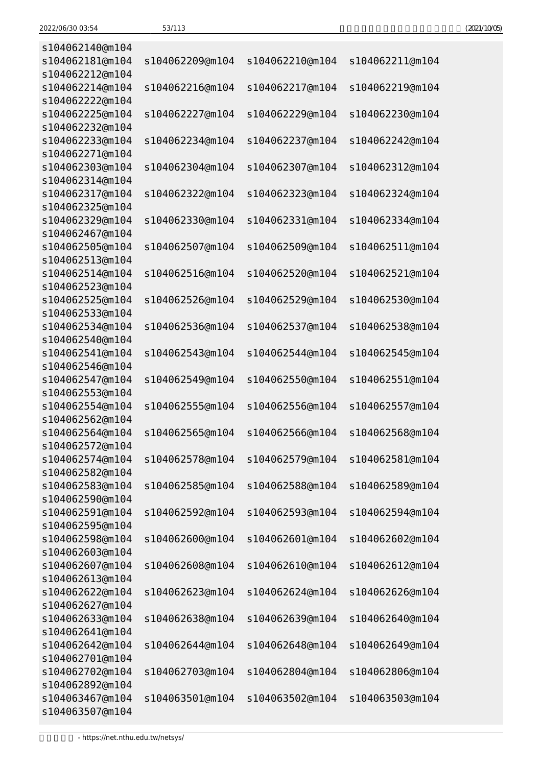| (2021/10/05) |
|--------------|
|--------------|

| s104062140@m104 |                 |                 |                 |
|-----------------|-----------------|-----------------|-----------------|
| s104062181@m104 | s104062209@m104 | s104062210@m104 | s104062211@m104 |
| s104062212@m104 |                 |                 |                 |
| s104062214@m104 | s104062216@m104 | s104062217@m104 | s104062219@m104 |
| s104062222@m104 |                 |                 |                 |
| s104062225@m104 | s104062227@m104 | s104062229@m104 | s104062230@m104 |
| s104062232@m104 |                 |                 |                 |
| s104062233@m104 | s104062234@m104 | s104062237@m104 | s104062242@m104 |
| s104062271@m104 |                 |                 |                 |
| s104062303@m104 | s104062304@m104 | s104062307@m104 | s104062312@m104 |
| s104062314@m104 |                 |                 |                 |
| s104062317@m104 | s104062322@m104 | s104062323@m104 | s104062324@m104 |
| s104062325@m104 |                 |                 |                 |
| s104062329@m104 | s104062330@m104 | s104062331@m104 | s104062334@m104 |
| s104062467@m104 |                 |                 |                 |
| s104062505@m104 | s104062507@m104 | s104062509@m104 | s104062511@m104 |
| s104062513@m104 |                 |                 |                 |
| s104062514@m104 | s104062516@m104 | s104062520@m104 | s104062521@m104 |
| s104062523@m104 |                 |                 |                 |
| s104062525@m104 | s104062526@m104 | s104062529@m104 | s104062530@m104 |
|                 |                 |                 |                 |
| s104062533@m104 |                 |                 |                 |
| s104062534@m104 | s104062536@m104 | s104062537@m104 | s104062538@m104 |
| s104062540@m104 |                 |                 |                 |
| s104062541@m104 | s104062543@m104 | s104062544@m104 | s104062545@m104 |
| s104062546@m104 |                 |                 |                 |
| s104062547@m104 | s104062549@m104 | s104062550@m104 | s104062551@m104 |
| s104062553@m104 |                 |                 |                 |
| s104062554@m104 | s104062555@m104 | s104062556@m104 | s104062557@m104 |
| s104062562@m104 |                 |                 |                 |
| s104062564@m104 | s104062565@m104 | s104062566@m104 | s104062568@m104 |
| s104062572@m104 |                 |                 |                 |
| s104062574@m104 | s104062578@m104 | s104062579@m104 | s104062581@m104 |
| s104062582@m104 |                 |                 |                 |
| s104062583@m104 | s104062585@m104 | s104062588@m104 | s104062589@m104 |
| s104062590@m104 |                 |                 |                 |
| s104062591@m104 | s104062592@m104 | s104062593@m104 | s104062594@m104 |
| s104062595@m104 |                 |                 |                 |
| s104062598@m104 | s104062600@m104 | s104062601@m104 | s104062602@m104 |
| s104062603@m104 |                 |                 |                 |
| s104062607@m104 | s104062608@m104 | s104062610@m104 | s104062612@m104 |
| s104062613@m104 |                 |                 |                 |
| s104062622@m104 | s104062623@m104 | s104062624@m104 | s104062626@m104 |
| s104062627@m104 |                 |                 |                 |
| s104062633@m104 | s104062638@m104 | s104062639@m104 | s104062640@m104 |
| s104062641@m104 |                 |                 |                 |
| s104062642@m104 | s104062644@m104 | s104062648@m104 | s104062649@m104 |
| s104062701@m104 |                 |                 |                 |
| s104062702@m104 | s104062703@m104 | s104062804@m104 | s104062806@m104 |
| s104062892@m104 |                 |                 |                 |
| s104063467@m104 | s104063501@m104 | s104063502@m104 | s104063503@m104 |
| s104063507@m104 |                 |                 |                 |

- https://net.nthu.edu.tw/netsys/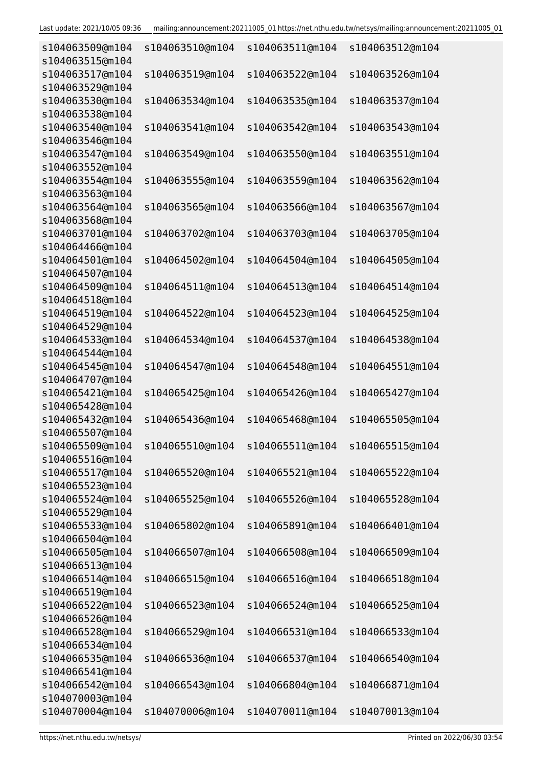| s104063509@m104<br>s104063515@m104 | s104063510@m104 | s104063511@m104 | s104063512@m104 |
|------------------------------------|-----------------|-----------------|-----------------|
| s104063517@m104                    | s104063519@m104 | s104063522@m104 | s104063526@m104 |
| s104063529@m104                    |                 |                 |                 |
| s104063530@m104<br>s104063538@m104 | s104063534@m104 | s104063535@m104 | s104063537@m104 |
| s104063540@m104                    | s104063541@m104 | s104063542@m104 | s104063543@m104 |
| s104063546@m104                    |                 |                 |                 |
| s104063547@m104                    | s104063549@m104 | s104063550@m104 | s104063551@m104 |
| s104063552@m104<br>s104063554@m104 | s104063555@m104 | s104063559@m104 |                 |
| s104063563@m104                    |                 |                 | s104063562@m104 |
| s104063564@m104                    | s104063565@m104 | s104063566@m104 | s104063567@m104 |
| s104063568@m104                    |                 |                 |                 |
| s104063701@m104                    | s104063702@m104 | s104063703@m104 | s104063705@m104 |
| s104064466@m104                    |                 |                 |                 |
| s104064501@m104                    | s104064502@m104 | s104064504@m104 | s104064505@m104 |
| s104064507@m104                    |                 |                 |                 |
| s104064509@m104                    | s104064511@m104 | s104064513@m104 | s104064514@m104 |
| s104064518@m104                    |                 |                 |                 |
| s104064519@m104                    | s104064522@m104 | s104064523@m104 | s104064525@m104 |
| s104064529@m104                    |                 |                 |                 |
| s104064533@m104                    | s104064534@m104 | s104064537@m104 | s104064538@m104 |
| s104064544@m104                    |                 |                 |                 |
| s104064545@m104                    | s104064547@m104 | s104064548@m104 | s104064551@m104 |
| s104064707@m104                    |                 |                 |                 |
| s104065421@m104                    | s104065425@m104 | s104065426@m104 | s104065427@m104 |
| s104065428@m104                    |                 |                 |                 |
| s104065432@m104                    | s104065436@m104 | s104065468@m104 | s104065505@m104 |
| s104065507@m104                    |                 |                 |                 |
| s104065509@m104                    | s104065510@m104 | s104065511@m104 | s104065515@m104 |
| s104065516@m104                    |                 |                 |                 |
| s104065517@m104                    | s104065520@m104 | s104065521@m104 | s104065522@m104 |
| s104065523@m104                    |                 |                 |                 |
| s104065524@m104                    | s104065525@m104 | s104065526@m104 | s104065528@m104 |
| s104065529@m104                    |                 |                 |                 |
| s104065533@m104<br>s104066504@m104 | s104065802@m104 | s104065891@m104 | s104066401@m104 |
| s104066505@m104                    | s104066507@m104 | s104066508@m104 | s104066509@m104 |
| s104066513@m104                    |                 |                 |                 |
| s104066514@m104                    | s104066515@m104 | s104066516@m104 | s104066518@m104 |
| s104066519@m104                    |                 |                 |                 |
| s104066522@m104                    | s104066523@m104 | s104066524@m104 | s104066525@m104 |
| s104066526@m104                    |                 |                 |                 |
| s104066528@m104                    | s104066529@m104 | s104066531@m104 | s104066533@m104 |
| s104066534@m104                    |                 |                 |                 |
| s104066535@m104                    | s104066536@m104 | s104066537@m104 | s104066540@m104 |
| s104066541@m104                    |                 |                 |                 |
| s104066542@m104                    | s104066543@m104 | s104066804@m104 | s104066871@m104 |
| s104070003@m104                    |                 |                 |                 |
| s104070004@m104                    | s104070006@m104 | s104070011@m104 | s104070013@m104 |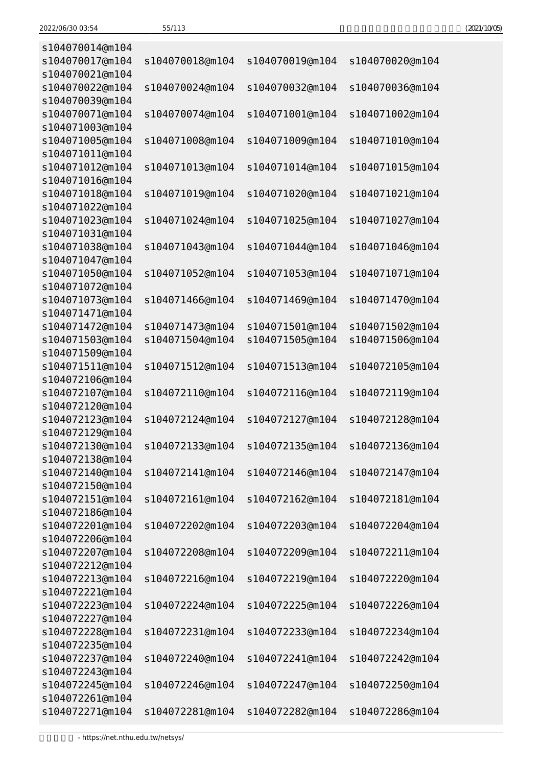| (2021/10/05) |
|--------------|
|--------------|

| s104070014@m104<br>s104070017@m104 | s104070018@m104 | s104070019@m104 | s104070020@m104 |
|------------------------------------|-----------------|-----------------|-----------------|
| s104070021@m104                    |                 |                 |                 |
| s104070022@m104<br>s104070039@m104 | s104070024@m104 | s104070032@m104 | s104070036@m104 |
| s104070071@m104                    | s104070074@m104 | s104071001@m104 | s104071002@m104 |
| s104071003@m104<br>s104071005@m104 | s104071008@m104 | s104071009@m104 | s104071010@m104 |
| s104071011@m104                    |                 |                 |                 |
| s104071012@m104<br>s104071016@m104 | s104071013@m104 | s104071014@m104 | s104071015@m104 |
| s104071018@m104                    | s104071019@m104 | s104071020@m104 | s104071021@m104 |
| s104071022@m104                    |                 |                 |                 |
| s104071023@m104<br>s104071031@m104 | s104071024@m104 | s104071025@m104 | s104071027@m104 |
| s104071038@m104                    | s104071043@m104 | s104071044@m104 | s104071046@m104 |
| s104071047@m104                    |                 |                 |                 |
| s104071050@m104                    | s104071052@m104 | s104071053@m104 | s104071071@m104 |
| s104071072@m104<br>s104071073@m104 | s104071466@m104 | s104071469@m104 | s104071470@m104 |
| s104071471@m104                    |                 |                 |                 |
| s104071472@m104                    | s104071473@m104 | s104071501@m104 | s104071502@m104 |
| s104071503@m104                    | s104071504@m104 | s104071505@m104 | s104071506@m104 |
| s104071509@m104                    |                 |                 |                 |
| s104071511@m104<br>s104072106@m104 | s104071512@m104 | s104071513@m104 | s104072105@m104 |
| s104072107@m104                    | s104072110@m104 | s104072116@m104 | s104072119@m104 |
| s104072120@m104                    |                 |                 |                 |
| s104072123@m104                    | s104072124@m104 | s104072127@m104 | s104072128@m104 |
| s104072129@m104<br>s104072130@m104 | s104072133@m104 | s104072135@m104 | s104072136@m104 |
| s104072138@m104                    |                 |                 |                 |
| s104072140@m104                    | s104072141@m104 | s104072146@m104 | s104072147@m104 |
| s104072150@m104                    |                 |                 |                 |
| s104072151@m104                    | s104072161@m104 | s104072162@m104 | s104072181@m104 |
| s104072186@m104                    |                 |                 |                 |
| s104072201@m104<br>s104072206@m104 | s104072202@m104 | s104072203@m104 | s104072204@m104 |
| s104072207@m104                    | s104072208@m104 | s104072209@m104 | s104072211@m104 |
| s104072212@m104                    |                 |                 |                 |
| s104072213@m104                    | s104072216@m104 | s104072219@m104 | s104072220@m104 |
| s104072221@m104                    |                 |                 |                 |
| s104072223@m104                    | s104072224@m104 | s104072225@m104 | s104072226@m104 |
| s104072227@m104<br>s104072228@m104 | s104072231@m104 | s104072233@m104 | s104072234@m104 |
| s104072235@m104                    |                 |                 |                 |
| s104072237@m104                    | s104072240@m104 | s104072241@m104 | s104072242@m104 |
| s104072243@m104                    |                 |                 |                 |
| s104072245@m104                    | s104072246@m104 | s104072247@m104 | s104072250@m104 |
| s104072261@m104                    |                 |                 |                 |
| s104072271@m104                    | s104072281@m104 | s104072282@m104 | s104072286@m104 |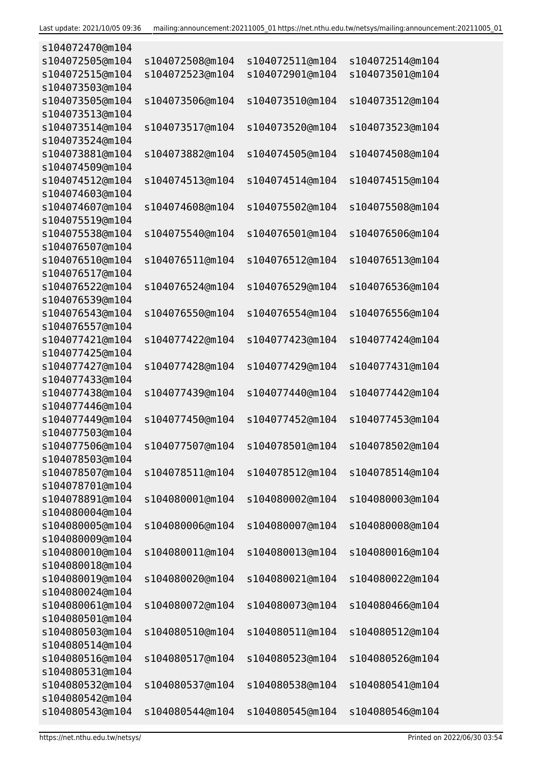| s104072470@m104                    |                 |                 |                 |
|------------------------------------|-----------------|-----------------|-----------------|
| s104072505@m104                    | s104072508@m104 | s104072511@m104 | s104072514@m104 |
| s104072515@m104                    | s104072523@m104 | s104072901@m104 | s104073501@m104 |
| s104073503@m104                    |                 |                 |                 |
| s104073505@m104                    | s104073506@m104 | s104073510@m104 | s104073512@m104 |
| s104073513@m104                    |                 |                 |                 |
| s104073514@m104                    | s104073517@m104 | s104073520@m104 | s104073523@m104 |
| s104073524@m104                    |                 |                 |                 |
| s104073881@m104                    | s104073882@m104 | s104074505@m104 | s104074508@m104 |
| s104074509@m104                    |                 |                 |                 |
| s104074512@m104                    | s104074513@m104 | s104074514@m104 | s104074515@m104 |
| s104074603@m104                    |                 |                 |                 |
| s104074607@m104                    | s104074608@m104 | s104075502@m104 | s104075508@m104 |
| s104075519@m104                    |                 |                 |                 |
| s104075538@m104                    | s104075540@m104 | s104076501@m104 | s104076506@m104 |
| s104076507@m104                    |                 |                 |                 |
| s104076510@m104                    | s104076511@m104 | s104076512@m104 | s104076513@m104 |
| s104076517@m104                    |                 |                 |                 |
| s104076522@m104                    | s104076524@m104 | s104076529@m104 | s104076536@m104 |
| s104076539@m104                    |                 |                 |                 |
| s104076543@m104                    | s104076550@m104 | s104076554@m104 | s104076556@m104 |
| s104076557@m104                    |                 |                 |                 |
| s104077421@m104                    | s104077422@m104 | s104077423@m104 | s104077424@m104 |
| s104077425@m104                    |                 |                 |                 |
| s104077427@m104                    | s104077428@m104 | s104077429@m104 | s104077431@m104 |
| s104077433@m104                    |                 |                 |                 |
| s104077438@m104                    | s104077439@m104 | s104077440@m104 | s104077442@m104 |
| s104077446@m104                    |                 |                 |                 |
| s104077449@m104                    | s104077450@m104 | s104077452@m104 | s104077453@m104 |
| s104077503@m104                    |                 |                 |                 |
| s104077506@m104                    | s104077507@m104 | s104078501@m104 | s104078502@m104 |
| s104078503@m104                    | s104078511@m104 |                 |                 |
| s104078507@m104<br>s104078701@m104 |                 | s104078512@m104 | s104078514@m104 |
| s104078891@m104                    | s104080001@m104 | s104080002@m104 | s104080003@m104 |
| s104080004@m104                    |                 |                 |                 |
| s104080005@m104                    | s104080006@m104 | s104080007@m104 | s104080008@m104 |
| s104080009@m104                    |                 |                 |                 |
| s104080010@m104                    | s104080011@m104 | s104080013@m104 | s104080016@m104 |
| s104080018@m104                    |                 |                 |                 |
| s104080019@m104                    | s104080020@m104 | s104080021@m104 | s104080022@m104 |
| s104080024@m104                    |                 |                 |                 |
| s104080061@m104                    | s104080072@m104 | s104080073@m104 | s104080466@m104 |
| s104080501@m104                    |                 |                 |                 |
| s104080503@m104                    | s104080510@m104 | s104080511@m104 | s104080512@m104 |
| s104080514@m104                    |                 |                 |                 |
| s104080516@m104                    | s104080517@m104 | s104080523@m104 | s104080526@m104 |
| s104080531@m104                    |                 |                 |                 |
| s104080532@m104                    | s104080537@m104 | s104080538@m104 | s104080541@m104 |
| s104080542@m104                    |                 |                 |                 |
| s104080543@m104                    | s104080544@m104 | s104080545@m104 | s104080546@m104 |
|                                    |                 |                 |                 |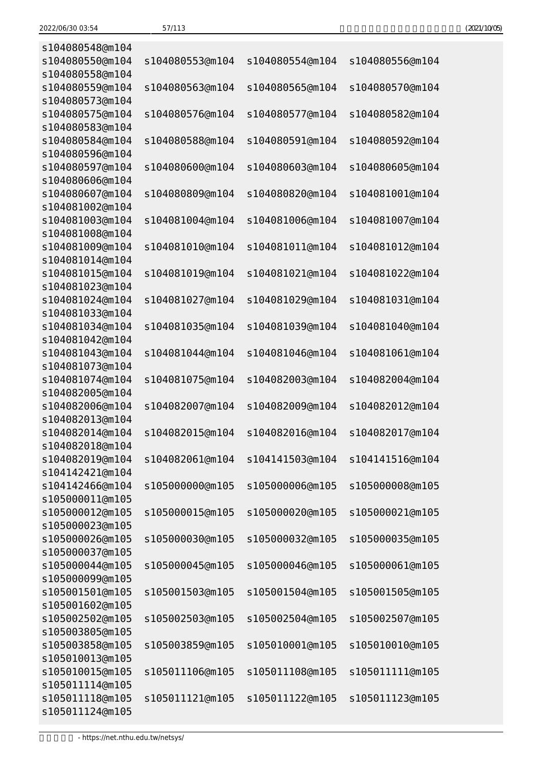|  | (2021/10/05) |
|--|--------------|
|--|--------------|

| s104080548@m104 |                 |                 |                 |
|-----------------|-----------------|-----------------|-----------------|
| s104080550@m104 | s104080553@m104 | s104080554@m104 | s104080556@m104 |
| s104080558@m104 |                 |                 |                 |
| s104080559@m104 | s104080563@m104 | s104080565@m104 | s104080570@m104 |
| s104080573@m104 |                 |                 |                 |
| s104080575@m104 | s104080576@m104 | s104080577@m104 | s104080582@m104 |
| s104080583@m104 |                 |                 |                 |
| s104080584@m104 | s104080588@m104 | s104080591@m104 | s104080592@m104 |
| s104080596@m104 |                 |                 |                 |
|                 |                 |                 |                 |
| s104080597@m104 | s104080600@m104 | s104080603@m104 | s104080605@m104 |
| s104080606@m104 |                 |                 |                 |
| s104080607@m104 | s104080809@m104 | s104080820@m104 | s104081001@m104 |
| s104081002@m104 |                 |                 |                 |
| s104081003@m104 | s104081004@m104 | s104081006@m104 | s104081007@m104 |
| s104081008@m104 |                 |                 |                 |
| s104081009@m104 | s104081010@m104 | s104081011@m104 | s104081012@m104 |
| s104081014@m104 |                 |                 |                 |
| s104081015@m104 | s104081019@m104 | s104081021@m104 | s104081022@m104 |
| s104081023@m104 |                 |                 |                 |
| s104081024@m104 | s104081027@m104 | s104081029@m104 | s104081031@m104 |
| s104081033@m104 |                 |                 |                 |
| s104081034@m104 | s104081035@m104 | s104081039@m104 | s104081040@m104 |
| s104081042@m104 |                 |                 |                 |
| s104081043@m104 | s104081044@m104 | s104081046@m104 | s104081061@m104 |
| s104081073@m104 |                 |                 |                 |
| s104081074@m104 | s104081075@m104 | s104082003@m104 | s104082004@m104 |
| s104082005@m104 |                 |                 |                 |
| s104082006@m104 | s104082007@m104 | s104082009@m104 | s104082012@m104 |
| s104082013@m104 |                 |                 |                 |
| s104082014@m104 | s104082015@m104 | s104082016@m104 | s104082017@m104 |
| s104082018@m104 |                 |                 |                 |
| s104082019@m104 | s104082061@m104 | s104141503@m104 | s104141516@m104 |
| s104142421@m104 |                 |                 |                 |
| s104142466@m104 | s105000000@m105 | s105000006@m105 | s105000008@m105 |
| s105000011@m105 |                 |                 |                 |
| s105000012@m105 | s105000015@m105 | s105000020@m105 | s105000021@m105 |
| s105000023@m105 |                 |                 |                 |
| s105000026@m105 | s105000030@m105 | s105000032@m105 | s105000035@m105 |
| s105000037@m105 |                 |                 |                 |
| s105000044@m105 | s105000045@m105 | s105000046@m105 | s105000061@m105 |
| s105000099@m105 |                 |                 |                 |
| s105001501@m105 | s105001503@m105 | s105001504@m105 | s105001505@m105 |
| s105001602@m105 |                 |                 |                 |
|                 |                 |                 |                 |
| s105002502@m105 | s105002503@m105 | s105002504@m105 | s105002507@m105 |
| s105003805@m105 |                 |                 |                 |
| s105003858@m105 | s105003859@m105 | s105010001@m105 | s105010010@m105 |
| s105010013@m105 |                 |                 |                 |
| s105010015@m105 | s105011106@m105 | s105011108@m105 | s105011111@m105 |
| s105011114@m105 |                 |                 |                 |
| s105011118@m105 | s105011121@m105 | s105011122@m105 | s105011123@m105 |
| s105011124@m105 |                 |                 |                 |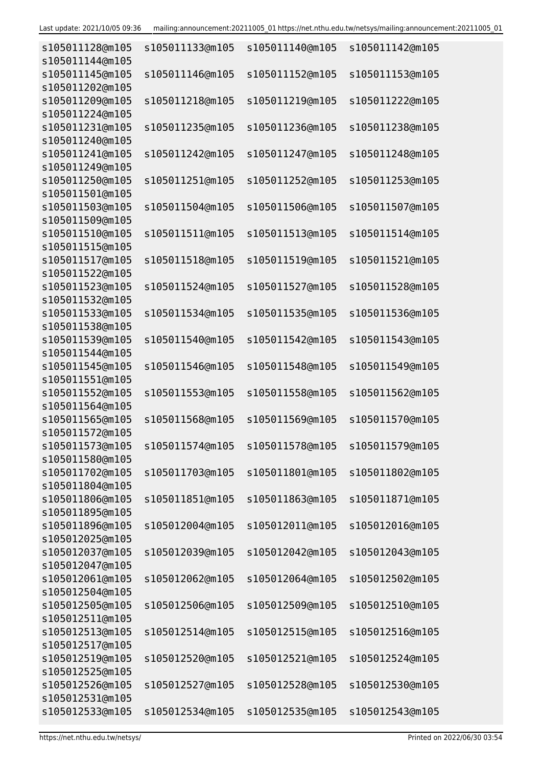| s105011128@m105<br>s105011144@m105 | s105011133@m105 | s105011140@m105                                 | s105011142@m105 |
|------------------------------------|-----------------|-------------------------------------------------|-----------------|
| s105011145@m105<br>s105011202@m105 | s105011146@m105 | s105011152@m105                                 | s105011153@m105 |
| s105011209@m105                    | s105011218@m105 | s105011219@m105                                 | s105011222@m105 |
| s105011224@m105<br>s105011231@m105 | s105011235@m105 | s105011236@m105                                 | s105011238@m105 |
| s105011240@m105<br>s105011241@m105 | s105011242@m105 | s105011247@m105                                 | s105011248@m105 |
| s105011249@m105<br>s105011250@m105 | s105011251@m105 | s105011252@m105                                 | s105011253@m105 |
| s105011501@m105                    |                 |                                                 |                 |
| s105011503@m105<br>s105011509@m105 | s105011504@m105 | s105011506@m105                                 | s105011507@m105 |
| s105011510@m105<br>s105011515@m105 | s105011511@m105 | s105011513@m105                                 | s105011514@m105 |
| s105011517@m105<br>s105011522@m105 | s105011518@m105 | s105011519@m105                                 | s105011521@m105 |
| s105011523@m105                    | s105011524@m105 | s105011527@m105                                 | s105011528@m105 |
| s105011532@m105<br>s105011533@m105 | s105011534@m105 | s105011535@m105                                 | s105011536@m105 |
| s105011538@m105<br>s105011539@m105 | s105011540@m105 | s105011542@m105                                 | s105011543@m105 |
| s105011544@m105<br>s105011545@m105 | s105011546@m105 | s105011548@m105                                 | s105011549@m105 |
| s105011551@m105<br>s105011552@m105 | s105011553@m105 | s105011558@m105                                 | s105011562@m105 |
| s105011564@m105                    |                 |                                                 |                 |
| s105011565@m105<br>s105011572@m105 | s105011568@m105 | s105011569@m105                                 | s105011570@m105 |
| s105011573@m105<br>s105011580@m105 |                 | s105011574@m105 s105011578@m105 s105011579@m105 |                 |
| s105011702@m105<br>s105011804@m105 | s105011703@m105 | s105011801@m105                                 | s105011802@m105 |
| s105011806@m105<br>s105011895@m105 | s105011851@m105 | s105011863@m105                                 | s105011871@m105 |
| s105011896@m105                    | s105012004@m105 | s105012011@m105                                 | s105012016@m105 |
| s105012025@m105<br>s105012037@m105 | s105012039@m105 | s105012042@m105                                 | s105012043@m105 |
| s105012047@m105<br>s105012061@m105 | s105012062@m105 | s105012064@m105                                 | s105012502@m105 |
| s105012504@m105<br>s105012505@m105 | s105012506@m105 | s105012509@m105                                 | s105012510@m105 |
| s105012511@m105<br>s105012513@m105 | s105012514@m105 | s105012515@m105                                 | s105012516@m105 |
| s105012517@m105                    |                 |                                                 |                 |
| s105012519@m105<br>s105012525@m105 | s105012520@m105 | s105012521@m105                                 | s105012524@m105 |
| s105012526@m105<br>s105012531@m105 | s105012527@m105 | s105012528@m105                                 | s105012530@m105 |
| s105012533@m105                    | s105012534@m105 | s105012535@m105                                 | s105012543@m105 |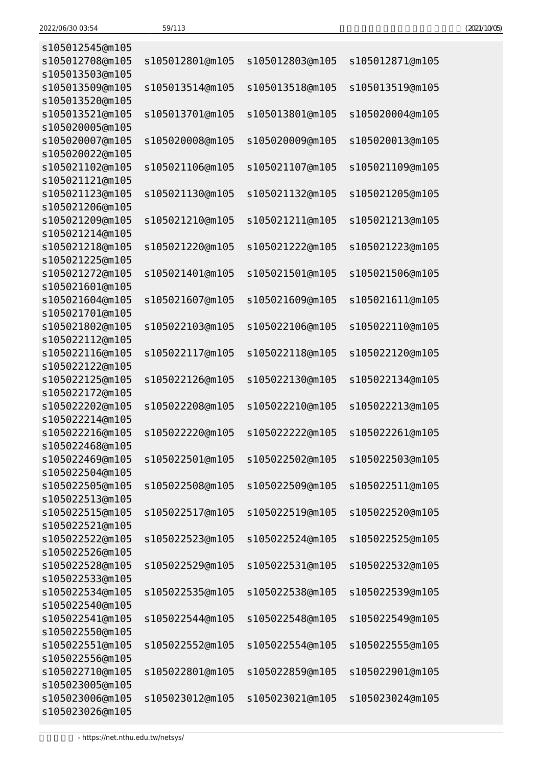| s105012545@m105                    |                 |                 |                 |
|------------------------------------|-----------------|-----------------|-----------------|
| s105012708@m105                    | s105012801@m105 | s105012803@m105 | s105012871@m105 |
| s105013503@m105<br>s105013509@m105 | s105013514@m105 | s105013518@m105 | s105013519@m105 |
| s105013520@m105                    |                 |                 |                 |
| s105013521@m105                    | s105013701@m105 | s105013801@m105 | s105020004@m105 |
| s105020005@m105                    |                 |                 |                 |
| s105020007@m105                    | s105020008@m105 | s105020009@m105 | s105020013@m105 |
| s105020022@m105                    |                 |                 |                 |
| s105021102@m105                    | s105021106@m105 | s105021107@m105 | s105021109@m105 |
| s105021121@m105                    |                 |                 |                 |
| s105021123@m105                    | s105021130@m105 | s105021132@m105 | s105021205@m105 |
| s105021206@m105<br>s105021209@m105 | s105021210@m105 | s105021211@m105 | s105021213@m105 |
| s105021214@m105                    |                 |                 |                 |
| s105021218@m105                    | s105021220@m105 | s105021222@m105 | s105021223@m105 |
| s105021225@m105                    |                 |                 |                 |
| s105021272@m105                    | s105021401@m105 | s105021501@m105 | s105021506@m105 |
| s105021601@m105                    |                 |                 |                 |
| s105021604@m105                    | s105021607@m105 | s105021609@m105 | s105021611@m105 |
| s105021701@m105                    |                 |                 |                 |
| s105021802@m105                    | s105022103@m105 | s105022106@m105 | s105022110@m105 |
| s105022112@m105                    |                 |                 |                 |
| s105022116@m105                    | s105022117@m105 | s105022118@m105 | s105022120@m105 |
| s105022122@m105                    |                 |                 |                 |
| s105022125@m105                    | s105022126@m105 | s105022130@m105 | s105022134@m105 |
| s105022172@m105<br>s105022202@m105 | s105022208@m105 | s105022210@m105 | s105022213@m105 |
| s105022214@m105                    |                 |                 |                 |
| s105022216@m105                    | s105022220@m105 | s105022222@m105 | s105022261@m105 |
| s105022468@m105                    |                 |                 |                 |
| s105022469@m105                    | s105022501@m105 | s105022502@m105 | s105022503@m105 |
| s105022504@m105                    |                 |                 |                 |
| s105022505@m105                    | s105022508@m105 | s105022509@m105 | s105022511@m105 |
| s105022513@m105                    |                 |                 |                 |
| s105022515@m105                    | s105022517@m105 | s105022519@m105 | s105022520@m105 |
| s105022521@m105                    |                 |                 |                 |
| s105022522@m105                    | s105022523@m105 | s105022524@m105 | s105022525@m105 |
| s105022526@m105<br>s105022528@m105 | s105022529@m105 | s105022531@m105 | s105022532@m105 |
| s105022533@m105                    |                 |                 |                 |
| s105022534@m105                    | s105022535@m105 | s105022538@m105 | s105022539@m105 |
| s105022540@m105                    |                 |                 |                 |
| s105022541@m105                    | s105022544@m105 | s105022548@m105 | s105022549@m105 |
| s105022550@m105                    |                 |                 |                 |
| s105022551@m105                    | s105022552@m105 | s105022554@m105 | s105022555@m105 |
| s105022556@m105                    |                 |                 |                 |
| s105022710@m105                    | s105022801@m105 | s105022859@m105 | s105022901@m105 |
| s105023005@m105                    |                 |                 |                 |
| s105023006@m105                    | s105023012@m105 | s105023021@m105 | s105023024@m105 |
| s105023026@m105                    |                 |                 |                 |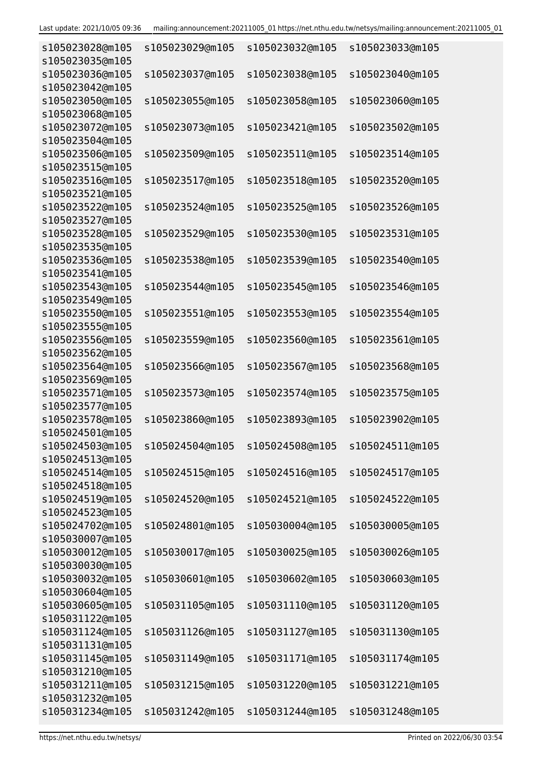| s105023028@m105<br>s105023035@m105 | s105023029@m105 | s105023032@m105 | s105023033@m105 |
|------------------------------------|-----------------|-----------------|-----------------|
| s105023036@m105<br>s105023042@m105 | s105023037@m105 | s105023038@m105 | s105023040@m105 |
| s105023050@m105<br>s105023068@m105 | s105023055@m105 | s105023058@m105 | s105023060@m105 |
| s105023072@m105<br>s105023504@m105 | s105023073@m105 | s105023421@m105 | s105023502@m105 |
| s105023506@m105<br>s105023515@m105 | s105023509@m105 | s105023511@m105 | s105023514@m105 |
| s105023516@m105<br>s105023521@m105 | s105023517@m105 | s105023518@m105 | s105023520@m105 |
| s105023522@m105<br>s105023527@m105 | s105023524@m105 | s105023525@m105 | s105023526@m105 |
| s105023528@m105<br>s105023535@m105 | s105023529@m105 | s105023530@m105 | s105023531@m105 |
| s105023536@m105<br>s105023541@m105 | s105023538@m105 | s105023539@m105 | s105023540@m105 |
| s105023543@m105<br>s105023549@m105 | s105023544@m105 | s105023545@m105 | s105023546@m105 |
| s105023550@m105<br>s105023555@m105 | s105023551@m105 | s105023553@m105 | s105023554@m105 |
| s105023556@m105<br>s105023562@m105 | s105023559@m105 | s105023560@m105 | s105023561@m105 |
| s105023564@m105<br>s105023569@m105 | s105023566@m105 | s105023567@m105 | s105023568@m105 |
| s105023571@m105<br>s105023577@m105 | s105023573@m105 | s105023574@m105 | s105023575@m105 |
| s105023578@m105<br>s105024501@m105 | s105023860@m105 | s105023893@m105 | s105023902@m105 |
| s105024503@m105<br>s105024513@m105 | s105024504@m105 | s105024508@m105 | s105024511@m105 |
| s105024514@m105<br>s105024518@m105 | s105024515@m105 | s105024516@m105 | s105024517@m105 |
| s105024519@m105<br>s105024523@m105 | s105024520@m105 | s105024521@m105 | s105024522@m105 |
| s105024702@m105<br>s105030007@m105 | s105024801@m105 | s105030004@m105 | s105030005@m105 |
| s105030012@m105<br>s105030030@m105 | s105030017@m105 | s105030025@m105 | s105030026@m105 |
| s105030032@m105<br>s105030604@m105 | s105030601@m105 | s105030602@m105 | s105030603@m105 |
| s105030605@m105<br>s105031122@m105 | s105031105@m105 | s105031110@m105 | s105031120@m105 |
| s105031124@m105<br>s105031131@m105 | s105031126@m105 | s105031127@m105 | s105031130@m105 |
| s105031145@m105<br>s105031210@m105 | s105031149@m105 | s105031171@m105 | s105031174@m105 |
| s105031211@m105<br>s105031232@m105 | s105031215@m105 | s105031220@m105 | s105031221@m105 |
| s105031234@m105                    | s105031242@m105 | s105031244@m105 | s105031248@m105 |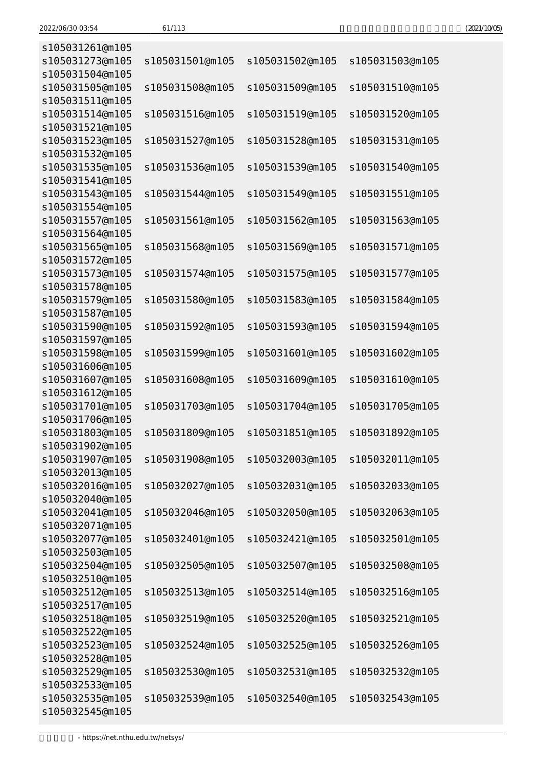| (2021/10/05) |
|--------------|
|--------------|

| s105031261@m105                    |                 |                 |                 |
|------------------------------------|-----------------|-----------------|-----------------|
| s105031273@m105                    | s105031501@m105 | s105031502@m105 | s105031503@m105 |
| s105031504@m105<br>s105031505@m105 | s105031508@m105 | s105031509@m105 | s105031510@m105 |
| s105031511@m105                    |                 |                 |                 |
| s105031514@m105                    | s105031516@m105 | s105031519@m105 | s105031520@m105 |
| s105031521@m105                    |                 |                 |                 |
| s105031523@m105                    | s105031527@m105 | s105031528@m105 | s105031531@m105 |
| s105031532@m105                    |                 |                 |                 |
| s105031535@m105<br>s105031541@m105 | s105031536@m105 | s105031539@m105 | s105031540@m105 |
| s105031543@m105                    | s105031544@m105 | s105031549@m105 | s105031551@m105 |
| s105031554@m105                    |                 |                 |                 |
| s105031557@m105                    | s105031561@m105 | s105031562@m105 | s105031563@m105 |
| s105031564@m105                    |                 |                 |                 |
| s105031565@m105                    | s105031568@m105 | s105031569@m105 | s105031571@m105 |
| s105031572@m105                    |                 |                 |                 |
| s105031573@m105                    | s105031574@m105 | s105031575@m105 | s105031577@m105 |
| s105031578@m105                    |                 |                 |                 |
| s105031579@m105                    | s105031580@m105 | s105031583@m105 | s105031584@m105 |
| s105031587@m105                    |                 |                 |                 |
| s105031590@m105                    | s105031592@m105 | s105031593@m105 | s105031594@m105 |
| s105031597@m105<br>s105031598@m105 | s105031599@m105 | s105031601@m105 | s105031602@m105 |
| s105031606@m105                    |                 |                 |                 |
| s105031607@m105                    | s105031608@m105 | s105031609@m105 | s105031610@m105 |
| s105031612@m105                    |                 |                 |                 |
| s105031701@m105                    | s105031703@m105 | s105031704@m105 | s105031705@m105 |
| s105031706@m105                    |                 |                 |                 |
| s105031803@m105                    | s105031809@m105 | s105031851@m105 | s105031892@m105 |
| s105031902@m105                    |                 |                 |                 |
| s105031907@m105                    | s105031908@m105 | s105032003@m105 | s105032011@m105 |
| s105032013@m105                    |                 |                 |                 |
| s105032016@m105                    | s105032027@m105 | s105032031@m105 | s105032033@m105 |
| s105032040@m105<br>s105032041@m105 | s105032046@m105 | s105032050@m105 | s105032063@m105 |
| s105032071@m105                    |                 |                 |                 |
| s105032077@m105                    | s105032401@m105 | s105032421@m105 | s105032501@m105 |
| s105032503@m105                    |                 |                 |                 |
| s105032504@m105                    | s105032505@m105 | s105032507@m105 | s105032508@m105 |
| s105032510@m105                    |                 |                 |                 |
| s105032512@m105                    | s105032513@m105 | s105032514@m105 | s105032516@m105 |
| s105032517@m105                    |                 |                 |                 |
| s105032518@m105                    | s105032519@m105 | s105032520@m105 | s105032521@m105 |
| s105032522@m105                    |                 |                 |                 |
| s105032523@m105<br>s105032528@m105 | s105032524@m105 | s105032525@m105 | s105032526@m105 |
| s105032529@m105                    | s105032530@m105 | s105032531@m105 | s105032532@m105 |
| s105032533@m105                    |                 |                 |                 |
| s105032535@m105                    | s105032539@m105 | s105032540@m105 | s105032543@m105 |
| s105032545@m105                    |                 |                 |                 |
|                                    |                 |                 |                 |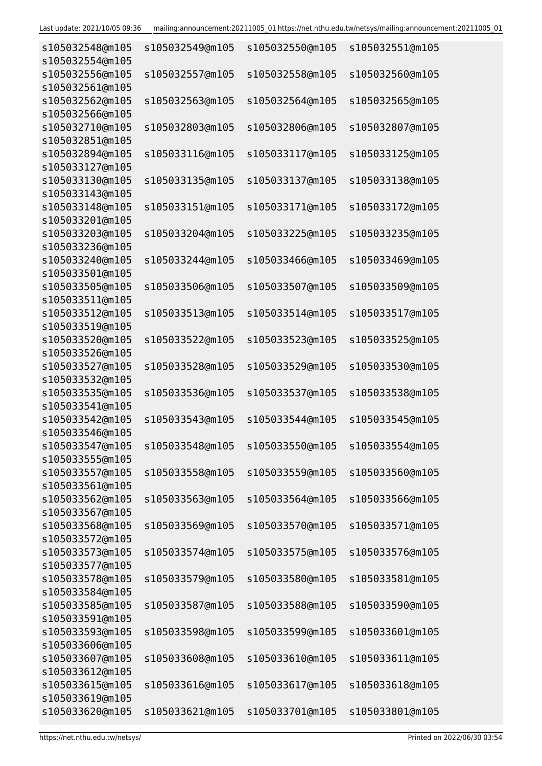| s105032548@m105<br>s105032554@m105 | s105032549@m105 | s105032550@m105                 | s105032551@m105 |
|------------------------------------|-----------------|---------------------------------|-----------------|
| s105032556@m105                    | s105032557@m105 | s105032558@m105                 | s105032560@m105 |
| s105032561@m105                    |                 |                                 |                 |
| s105032562@m105<br>s105032566@m105 | s105032563@m105 | s105032564@m105                 | s105032565@m105 |
| s105032710@m105                    | s105032803@m105 | s105032806@m105                 | s105032807@m105 |
| s105032851@m105                    |                 |                                 |                 |
| s105032894@m105<br>s105033127@m105 | s105033116@m105 | s105033117@m105                 | s105033125@m105 |
| s105033130@m105                    | s105033135@m105 | s105033137@m105                 | s105033138@m105 |
| s105033143@m105                    |                 |                                 |                 |
| s105033148@m105                    | s105033151@m105 | s105033171@m105                 | s105033172@m105 |
| s105033201@m105                    |                 |                                 |                 |
| s105033203@m105                    | s105033204@m105 | s105033225@m105                 | s105033235@m105 |
| s105033236@m105                    |                 |                                 |                 |
| s105033240@m105                    | s105033244@m105 | s105033466@m105                 | s105033469@m105 |
| s105033501@m105                    |                 |                                 |                 |
| s105033505@m105                    | s105033506@m105 | s105033507@m105                 | s105033509@m105 |
| s105033511@m105                    |                 |                                 |                 |
| s105033512@m105                    | s105033513@m105 | s105033514@m105                 | s105033517@m105 |
| s105033519@m105                    |                 |                                 |                 |
| s105033520@m105                    | s105033522@m105 | s105033523@m105                 | s105033525@m105 |
| s105033526@m105                    |                 |                                 |                 |
| s105033527@m105                    | s105033528@m105 | s105033529@m105                 | s105033530@m105 |
| s105033532@m105                    |                 |                                 |                 |
| s105033535@m105                    | s105033536@m105 | s105033537@m105                 | s105033538@m105 |
| s105033541@m105                    |                 |                                 |                 |
| s105033542@m105                    | s105033543@m105 | s105033544@m105                 | s105033545@m105 |
| s105033546@m105                    |                 |                                 |                 |
| s105033547@m105                    | s105033548@m105 | s105033550@m105 s105033554@m105 |                 |
| s105033555@m105                    |                 |                                 |                 |
| s105033557@m105                    | s105033558@m105 | s105033559@m105                 | s105033560@m105 |
| s105033561@m105                    |                 |                                 |                 |
| s105033562@m105<br>s105033567@m105 | s105033563@m105 | s105033564@m105                 | s105033566@m105 |
| s105033568@m105                    | s105033569@m105 | s105033570@m105                 | s105033571@m105 |
| s105033572@m105                    |                 |                                 |                 |
| s105033573@m105                    | s105033574@m105 | s105033575@m105                 | s105033576@m105 |
| s105033577@m105                    |                 |                                 |                 |
| s105033578@m105                    | s105033579@m105 | s105033580@m105                 | s105033581@m105 |
| s105033584@m105                    |                 |                                 |                 |
| s105033585@m105                    | s105033587@m105 | s105033588@m105                 | s105033590@m105 |
| s105033591@m105                    |                 |                                 |                 |
| s105033593@m105                    | s105033598@m105 | s105033599@m105                 | s105033601@m105 |
| s105033606@m105                    |                 |                                 |                 |
| s105033607@m105                    | s105033608@m105 | s105033610@m105                 | s105033611@m105 |
| s105033612@m105                    |                 |                                 |                 |
| s105033615@m105                    | s105033616@m105 | s105033617@m105                 | s105033618@m105 |
| s105033619@m105                    |                 |                                 |                 |
| s105033620@m105                    | s105033621@m105 | s105033701@m105                 | s105033801@m105 |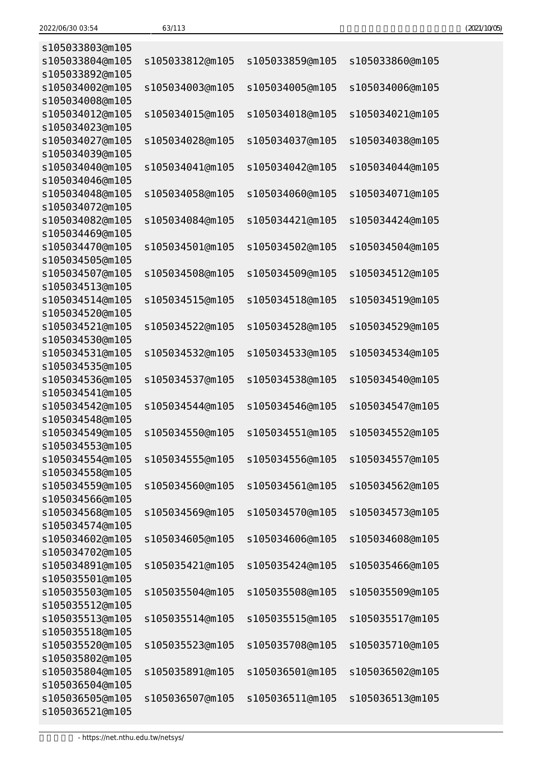| (2021/10/05) |
|--------------|
|--------------|

| s105033803@m105 |                 |                 |                 |
|-----------------|-----------------|-----------------|-----------------|
| s105033804@m105 | s105033812@m105 | s105033859@m105 | s105033860@m105 |
| s105033892@m105 |                 |                 |                 |
| s105034002@m105 | s105034003@m105 | s105034005@m105 | s105034006@m105 |
| s105034008@m105 |                 |                 |                 |
| s105034012@m105 | s105034015@m105 | s105034018@m105 | s105034021@m105 |
| s105034023@m105 |                 |                 |                 |
| s105034027@m105 | s105034028@m105 | s105034037@m105 | s105034038@m105 |
| s105034039@m105 |                 |                 |                 |
| s105034040@m105 | s105034041@m105 | s105034042@m105 | s105034044@m105 |
| s105034046@m105 |                 |                 |                 |
| s105034048@m105 | s105034058@m105 | s105034060@m105 | s105034071@m105 |
| s105034072@m105 |                 |                 |                 |
| s105034082@m105 | s105034084@m105 | s105034421@m105 | s105034424@m105 |
| s105034469@m105 |                 |                 |                 |
| s105034470@m105 | s105034501@m105 |                 |                 |
|                 |                 | s105034502@m105 | s105034504@m105 |
| s105034505@m105 |                 |                 |                 |
| s105034507@m105 | s105034508@m105 | s105034509@m105 | s105034512@m105 |
| s105034513@m105 |                 |                 |                 |
| s105034514@m105 | s105034515@m105 | s105034518@m105 | s105034519@m105 |
| s105034520@m105 |                 |                 |                 |
| s105034521@m105 | s105034522@m105 | s105034528@m105 | s105034529@m105 |
| s105034530@m105 |                 |                 |                 |
| s105034531@m105 | s105034532@m105 | s105034533@m105 | s105034534@m105 |
| s105034535@m105 |                 |                 |                 |
| s105034536@m105 | s105034537@m105 | s105034538@m105 | s105034540@m105 |
| s105034541@m105 |                 |                 |                 |
| s105034542@m105 | s105034544@m105 | s105034546@m105 | s105034547@m105 |
| s105034548@m105 |                 |                 |                 |
| s105034549@m105 | s105034550@m105 | s105034551@m105 | s105034552@m105 |
| s105034553@m105 |                 |                 |                 |
| s105034554@m105 | s105034555@m105 | s105034556@m105 | s105034557@m105 |
| s105034558@m105 |                 |                 |                 |
| s105034559@m105 | s105034560@m105 | s105034561@m105 | s105034562@m105 |
| s105034566@m105 |                 |                 |                 |
| s105034568@m105 | s105034569@m105 | s105034570@m105 | s105034573@m105 |
| s105034574@m105 |                 |                 |                 |
| s105034602@m105 | s105034605@m105 | s105034606@m105 | s105034608@m105 |
| s105034702@m105 |                 |                 |                 |
| s105034891@m105 | s105035421@m105 | s105035424@m105 | s105035466@m105 |
| s105035501@m105 |                 |                 |                 |
| s105035503@m105 | s105035504@m105 | s105035508@m105 | s105035509@m105 |
| s105035512@m105 |                 |                 |                 |
| s105035513@m105 | s105035514@m105 | s105035515@m105 | s105035517@m105 |
| s105035518@m105 |                 |                 |                 |
| s105035520@m105 | s105035523@m105 | s105035708@m105 | s105035710@m105 |
| s105035802@m105 |                 |                 |                 |
| s105035804@m105 | s105035891@m105 | s105036501@m105 | s105036502@m105 |
| s105036504@m105 |                 |                 |                 |
| s105036505@m105 | s105036507@m105 | s105036511@m105 | s105036513@m105 |
| s105036521@m105 |                 |                 |                 |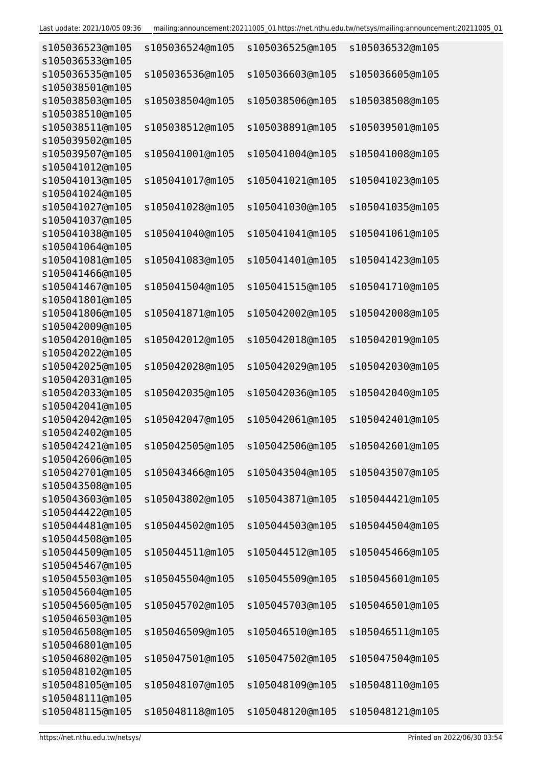| s105036523@m105<br>s105036533@m105 | s105036524@m105 | s105036525@m105 | s105036532@m105 |
|------------------------------------|-----------------|-----------------|-----------------|
| s105036535@m105<br>s105038501@m105 | s105036536@m105 | s105036603@m105 | s105036605@m105 |
| s105038503@m105<br>s105038510@m105 | s105038504@m105 | s105038506@m105 | s105038508@m105 |
| s105038511@m105<br>s105039502@m105 | s105038512@m105 | s105038891@m105 | s105039501@m105 |
| s105039507@m105<br>s105041012@m105 | s105041001@m105 | s105041004@m105 | s105041008@m105 |
| s105041013@m105<br>s105041024@m105 | s105041017@m105 | s105041021@m105 | s105041023@m105 |
| s105041027@m105<br>s105041037@m105 | s105041028@m105 | s105041030@m105 | s105041035@m105 |
| s105041038@m105<br>s105041064@m105 | s105041040@m105 | s105041041@m105 | s105041061@m105 |
| s105041081@m105<br>s105041466@m105 | s105041083@m105 | s105041401@m105 | s105041423@m105 |
| s105041467@m105<br>s105041801@m105 | s105041504@m105 | s105041515@m105 | s105041710@m105 |
| s105041806@m105<br>s105042009@m105 | s105041871@m105 | s105042002@m105 | s105042008@m105 |
| s105042010@m105<br>s105042022@m105 | s105042012@m105 | s105042018@m105 | s105042019@m105 |
| s105042025@m105<br>s105042031@m105 | s105042028@m105 | s105042029@m105 | s105042030@m105 |
| s105042033@m105<br>s105042041@m105 | s105042035@m105 | s105042036@m105 | s105042040@m105 |
| s105042042@m105<br>s105042402@m105 | s105042047@m105 | s105042061@m105 | s105042401@m105 |
| s105042421@m105<br>s105042606@m105 | s105042505@m105 | s105042506@m105 | s105042601@m105 |
| s105042701@m105<br>s105043508@m105 | s105043466@m105 | s105043504@m105 | s105043507@m105 |
| s105043603@m105<br>s105044422@m105 | s105043802@m105 | s105043871@m105 | s105044421@m105 |
| s105044481@m105<br>s105044508@m105 | s105044502@m105 | s105044503@m105 | s105044504@m105 |
| s105044509@m105<br>s105045467@m105 | s105044511@m105 | s105044512@m105 | s105045466@m105 |
| s105045503@m105<br>s105045604@m105 | s105045504@m105 | s105045509@m105 | s105045601@m105 |
| s105045605@m105<br>s105046503@m105 | s105045702@m105 | s105045703@m105 | s105046501@m105 |
| s105046508@m105<br>s105046801@m105 | s105046509@m105 | s105046510@m105 | s105046511@m105 |
| s105046802@m105<br>s105048102@m105 | s105047501@m105 | s105047502@m105 | s105047504@m105 |
| s105048105@m105<br>s105048111@m105 | s105048107@m105 | s105048109@m105 | s105048110@m105 |
| s105048115@m105                    | s105048118@m105 | s105048120@m105 | s105048121@m105 |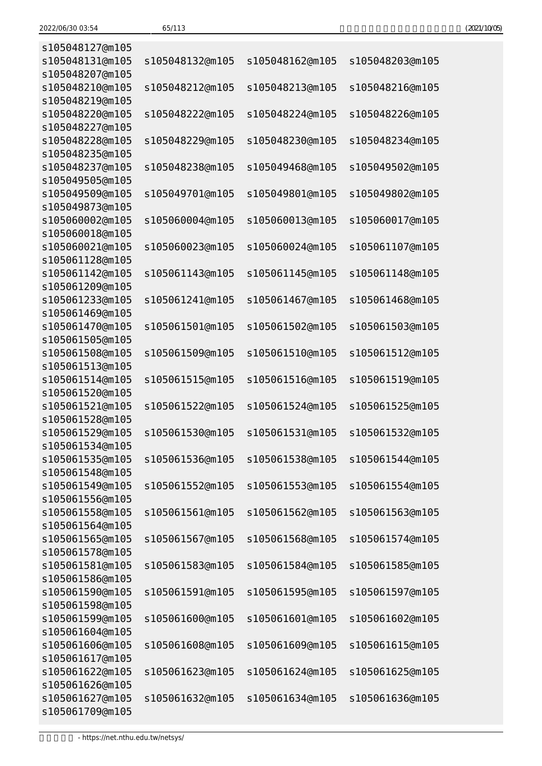| (2021/10/05) |  |
|--------------|--|
|--------------|--|

| s105048127@m105                    |                 |                 |                 |
|------------------------------------|-----------------|-----------------|-----------------|
| s105048131@m105                    | s105048132@m105 | s105048162@m105 | s105048203@m105 |
| s105048207@m105                    |                 |                 |                 |
| s105048210@m105                    | s105048212@m105 | s105048213@m105 | s105048216@m105 |
| s105048219@m105                    |                 |                 |                 |
| s105048220@m105                    | s105048222@m105 | s105048224@m105 | s105048226@m105 |
| s105048227@m105                    |                 |                 |                 |
| s105048228@m105                    | s105048229@m105 | s105048230@m105 | s105048234@m105 |
| s105048235@m105                    |                 |                 |                 |
| s105048237@m105                    | s105048238@m105 | s105049468@m105 | s105049502@m105 |
| s105049505@m105                    |                 |                 |                 |
| s105049509@m105                    | s105049701@m105 | s105049801@m105 | s105049802@m105 |
| s105049873@m105                    |                 |                 |                 |
| s105060002@m105                    | s105060004@m105 | s105060013@m105 | s105060017@m105 |
| s105060018@m105                    |                 |                 |                 |
| s105060021@m105                    | s105060023@m105 | s105060024@m105 | s105061107@m105 |
| s105061128@m105                    |                 |                 |                 |
| s105061142@m105                    | s105061143@m105 | s105061145@m105 | s105061148@m105 |
| s105061209@m105                    |                 |                 |                 |
| s105061233@m105                    | s105061241@m105 | s105061467@m105 | s105061468@m105 |
| s105061469@m105<br>s105061470@m105 | s105061501@m105 | s105061502@m105 | s105061503@m105 |
| s105061505@m105                    |                 |                 |                 |
| s105061508@m105                    | s105061509@m105 | s105061510@m105 | s105061512@m105 |
| s105061513@m105                    |                 |                 |                 |
| s105061514@m105                    | s105061515@m105 | s105061516@m105 | s105061519@m105 |
| s105061520@m105                    |                 |                 |                 |
| s105061521@m105                    | s105061522@m105 | s105061524@m105 | s105061525@m105 |
| s105061528@m105                    |                 |                 |                 |
| s105061529@m105                    | s105061530@m105 | s105061531@m105 | s105061532@m105 |
| s105061534@m105                    |                 |                 |                 |
| s105061535@m105                    | s105061536@m105 | s105061538@m105 | s105061544@m105 |
| s105061548@m105                    |                 |                 |                 |
| s105061549@m105                    | s105061552@m105 | s105061553@m105 | s105061554@m105 |
| s105061556@m105                    |                 |                 |                 |
| s105061558@m105                    | s105061561@m105 | s105061562@m105 | s105061563@m105 |
| s105061564@m105                    |                 |                 |                 |
| s105061565@m105                    | s105061567@m105 | s105061568@m105 | s105061574@m105 |
| s105061578@m105                    |                 |                 |                 |
| s105061581@m105                    | s105061583@m105 | s105061584@m105 | s105061585@m105 |
| s105061586@m105                    |                 |                 |                 |
| s105061590@m105                    | s105061591@m105 | s105061595@m105 | s105061597@m105 |
| s105061598@m105                    |                 |                 |                 |
| s105061599@m105                    | s105061600@m105 | s105061601@m105 | s105061602@m105 |
| s105061604@m105                    |                 |                 |                 |
| s105061606@m105                    | s105061608@m105 | s105061609@m105 | s105061615@m105 |
| s105061617@m105                    |                 |                 |                 |
| s105061622@m105                    | s105061623@m105 | s105061624@m105 | s105061625@m105 |
| s105061626@m105<br>s105061627@m105 | s105061632@m105 | s105061634@m105 |                 |
| s105061709@m105                    |                 |                 | s105061636@m105 |
|                                    |                 |                 |                 |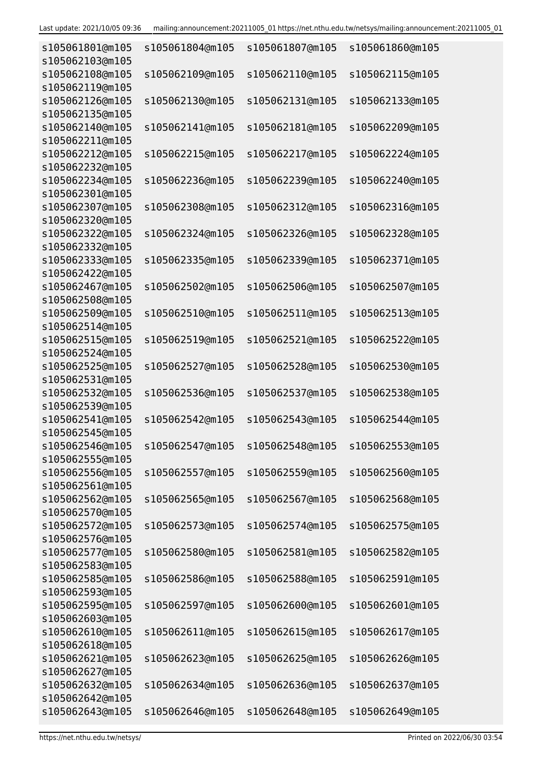| s105061801@m105<br>s105062103@m105 | s105061804@m105 | s105061807@m105                 | s105061860@m105 |
|------------------------------------|-----------------|---------------------------------|-----------------|
| s105062108@m105<br>s105062119@m105 | s105062109@m105 | s105062110@m105                 | s105062115@m105 |
| s105062126@m105<br>s105062135@m105 | s105062130@m105 | s105062131@m105                 | s105062133@m105 |
| s105062140@m105                    | s105062141@m105 | s105062181@m105                 | s105062209@m105 |
| s105062211@m105<br>s105062212@m105 | s105062215@m105 | s105062217@m105                 | s105062224@m105 |
| s105062232@m105<br>s105062234@m105 | s105062236@m105 | s105062239@m105                 | s105062240@m105 |
| s105062301@m105<br>s105062307@m105 | s105062308@m105 | s105062312@m105                 | s105062316@m105 |
| s105062320@m105<br>s105062322@m105 | s105062324@m105 | s105062326@m105                 | s105062328@m105 |
| s105062332@m105<br>s105062333@m105 | s105062335@m105 | s105062339@m105                 | s105062371@m105 |
| s105062422@m105<br>s105062467@m105 | s105062502@m105 | s105062506@m105                 | s105062507@m105 |
| s105062508@m105<br>s105062509@m105 | s105062510@m105 | s105062511@m105                 | s105062513@m105 |
| s105062514@m105<br>s105062515@m105 | s105062519@m105 | s105062521@m105                 | s105062522@m105 |
| s105062524@m105<br>s105062525@m105 | s105062527@m105 | s105062528@m105                 | s105062530@m105 |
| s105062531@m105<br>s105062532@m105 | s105062536@m105 | s105062537@m105                 | s105062538@m105 |
| s105062539@m105<br>s105062541@m105 | s105062542@m105 | s105062543@m105                 | s105062544@m105 |
| s105062545@m105<br>s105062546@m105 |                 | s105062547@m105 s105062548@m105 | s105062553@m105 |
| s105062555@m105<br>s105062556@m105 | s105062557@m105 | s105062559@m105                 | s105062560@m105 |
| s105062561@m105<br>s105062562@m105 | s105062565@m105 | s105062567@m105                 | s105062568@m105 |
| s105062570@m105<br>s105062572@m105 | s105062573@m105 | s105062574@m105                 | s105062575@m105 |
| s105062576@m105<br>s105062577@m105 | s105062580@m105 | s105062581@m105                 | s105062582@m105 |
| s105062583@m105<br>s105062585@m105 | s105062586@m105 | s105062588@m105                 | s105062591@m105 |
| s105062593@m105<br>s105062595@m105 | s105062597@m105 | s105062600@m105                 | s105062601@m105 |
| s105062603@m105<br>s105062610@m105 | s105062611@m105 | s105062615@m105                 | s105062617@m105 |
| s105062618@m105<br>s105062621@m105 | s105062623@m105 | s105062625@m105                 | s105062626@m105 |
| s105062627@m105<br>s105062632@m105 | s105062634@m105 | s105062636@m105                 | s105062637@m105 |
| s105062642@m105<br>s105062643@m105 | s105062646@m105 | s105062648@m105                 | s105062649@m105 |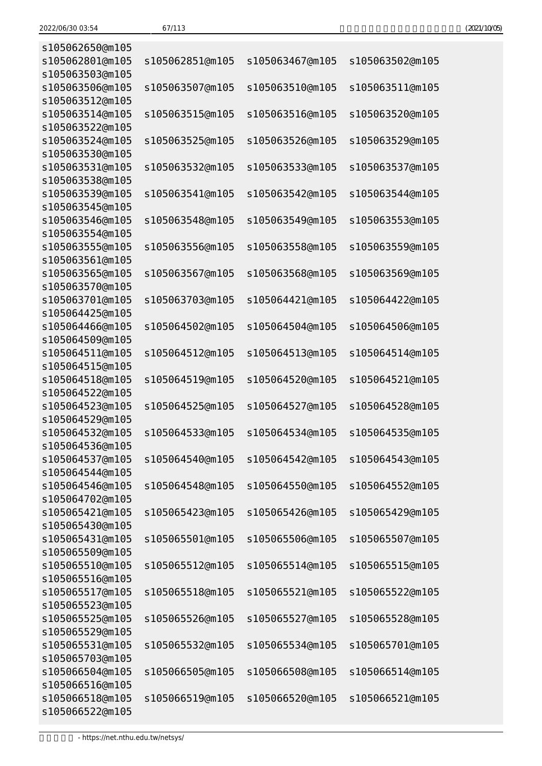| (2021/10/05) |
|--------------|
|--------------|

| s105062650@m105                    |                 |                 |                 |
|------------------------------------|-----------------|-----------------|-----------------|
| s105062801@m105<br>s105063503@m105 | s105062851@m105 | s105063467@m105 | s105063502@m105 |
| s105063506@m105                    | s105063507@m105 | s105063510@m105 | s105063511@m105 |
| s105063512@m105                    |                 |                 |                 |
| s105063514@m105                    | s105063515@m105 | s105063516@m105 | s105063520@m105 |
| s105063522@m105                    |                 |                 |                 |
| s105063524@m105                    | s105063525@m105 | s105063526@m105 | s105063529@m105 |
| s105063530@m105                    |                 |                 |                 |
| s105063531@m105                    | s105063532@m105 | s105063533@m105 | s105063537@m105 |
| s105063538@m105                    |                 |                 |                 |
| s105063539@m105                    | s105063541@m105 | s105063542@m105 | s105063544@m105 |
| s105063545@m105                    |                 |                 |                 |
| s105063546@m105                    | s105063548@m105 | s105063549@m105 | s105063553@m105 |
| s105063554@m105                    |                 |                 |                 |
| s105063555@m105                    | s105063556@m105 | s105063558@m105 | s105063559@m105 |
| s105063561@m105<br>s105063565@m105 |                 | s105063568@m105 | s105063569@m105 |
| s105063570@m105                    | s105063567@m105 |                 |                 |
| s105063701@m105                    | s105063703@m105 | s105064421@m105 | s105064422@m105 |
| s105064425@m105                    |                 |                 |                 |
| s105064466@m105                    | s105064502@m105 | s105064504@m105 | s105064506@m105 |
| s105064509@m105                    |                 |                 |                 |
| s105064511@m105                    | s105064512@m105 | s105064513@m105 | s105064514@m105 |
| s105064515@m105                    |                 |                 |                 |
| s105064518@m105                    | s105064519@m105 | s105064520@m105 | s105064521@m105 |
| s105064522@m105                    |                 |                 |                 |
| s105064523@m105                    | s105064525@m105 | s105064527@m105 | s105064528@m105 |
| s105064529@m105                    |                 |                 |                 |
| s105064532@m105                    | s105064533@m105 | s105064534@m105 | s105064535@m105 |
| s105064536@m105                    |                 |                 |                 |
| s105064537@m105                    | s105064540@m105 | s105064542@m105 | s105064543@m105 |
| s105064544@m105                    | s105064548@m105 |                 |                 |
| s105064546@m105<br>s105064702@m105 |                 | s105064550@m105 | s105064552@m105 |
| s105065421@m105                    | s105065423@m105 | s105065426@m105 | s105065429@m105 |
| s105065430@m105                    |                 |                 |                 |
| s105065431@m105                    | s105065501@m105 | s105065506@m105 | s105065507@m105 |
| s105065509@m105                    |                 |                 |                 |
| s105065510@m105                    | s105065512@m105 | s105065514@m105 | s105065515@m105 |
| s105065516@m105                    |                 |                 |                 |
| s105065517@m105                    | s105065518@m105 | s105065521@m105 | s105065522@m105 |
| s105065523@m105                    |                 |                 |                 |
| s105065525@m105                    | s105065526@m105 | s105065527@m105 | s105065528@m105 |
| s105065529@m105                    |                 |                 |                 |
| s105065531@m105                    | s105065532@m105 | s105065534@m105 | s105065701@m105 |
| s105065703@m105                    |                 |                 |                 |
| s105066504@m105                    | s105066505@m105 | s105066508@m105 | s105066514@m105 |
| s105066516@m105<br>s105066518@m105 | s105066519@m105 | s105066520@m105 | s105066521@m105 |
| s105066522@m105                    |                 |                 |                 |
|                                    |                 |                 |                 |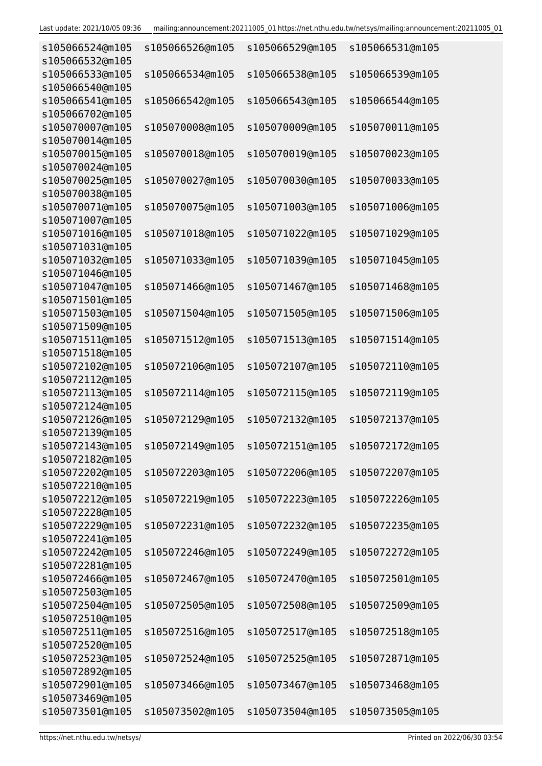| s105066524@m105<br>s105066532@m105 | s105066526@m105 | s105066529@m105                 | s105066531@m105 |
|------------------------------------|-----------------|---------------------------------|-----------------|
| s105066533@m105<br>s105066540@m105 | s105066534@m105 | s105066538@m105                 | s105066539@m105 |
| s105066541@m105                    | s105066542@m105 | s105066543@m105                 | s105066544@m105 |
| s105066702@m105<br>s105070007@m105 | s105070008@m105 | s105070009@m105                 | s105070011@m105 |
| s105070014@m105<br>s105070015@m105 | s105070018@m105 | s105070019@m105                 | s105070023@m105 |
| s105070024@m105<br>s105070025@m105 | s105070027@m105 | s105070030@m105                 | s105070033@m105 |
| s105070038@m105<br>s105070071@m105 | s105070075@m105 | s105071003@m105                 | s105071006@m105 |
| s105071007@m105<br>s105071016@m105 | s105071018@m105 | s105071022@m105                 | s105071029@m105 |
| s105071031@m105<br>s105071032@m105 | s105071033@m105 | s105071039@m105                 | s105071045@m105 |
| s105071046@m105<br>s105071047@m105 | s105071466@m105 | s105071467@m105                 | s105071468@m105 |
| s105071501@m105<br>s105071503@m105 | s105071504@m105 | s105071505@m105                 | s105071506@m105 |
| s105071509@m105<br>s105071511@m105 | s105071512@m105 | s105071513@m105                 | s105071514@m105 |
| s105071518@m105<br>s105072102@m105 | s105072106@m105 | s105072107@m105                 | s105072110@m105 |
| s105072112@m105<br>s105072113@m105 | s105072114@m105 | s105072115@m105                 | s105072119@m105 |
| s105072124@m105<br>s105072126@m105 | s105072129@m105 | s105072132@m105                 | s105072137@m105 |
| s105072139@m105<br>s105072143@m105 | s105072149@m105 | s105072151@m105 s105072172@m105 |                 |
| s105072182@m105<br>s105072202@m105 | s105072203@m105 | s105072206@m105                 | s105072207@m105 |
| s105072210@m105                    |                 |                                 |                 |
| s105072212@m105<br>s105072228@m105 | s105072219@m105 | s105072223@m105                 | s105072226@m105 |
| s105072229@m105<br>s105072241@m105 | s105072231@m105 | s105072232@m105                 | s105072235@m105 |
| s105072242@m105<br>s105072281@m105 | s105072246@m105 | s105072249@m105                 | s105072272@m105 |
| s105072466@m105<br>s105072503@m105 | s105072467@m105 | s105072470@m105                 | s105072501@m105 |
| s105072504@m105<br>s105072510@m105 | s105072505@m105 | s105072508@m105                 | s105072509@m105 |
| s105072511@m105<br>s105072520@m105 | s105072516@m105 | s105072517@m105                 | s105072518@m105 |
| s105072523@m105<br>s105072892@m105 | s105072524@m105 | s105072525@m105                 | s105072871@m105 |
| s105072901@m105<br>s105073469@m105 | s105073466@m105 | s105073467@m105                 | s105073468@m105 |
| s105073501@m105                    | s105073502@m105 | s105073504@m105                 | s105073505@m105 |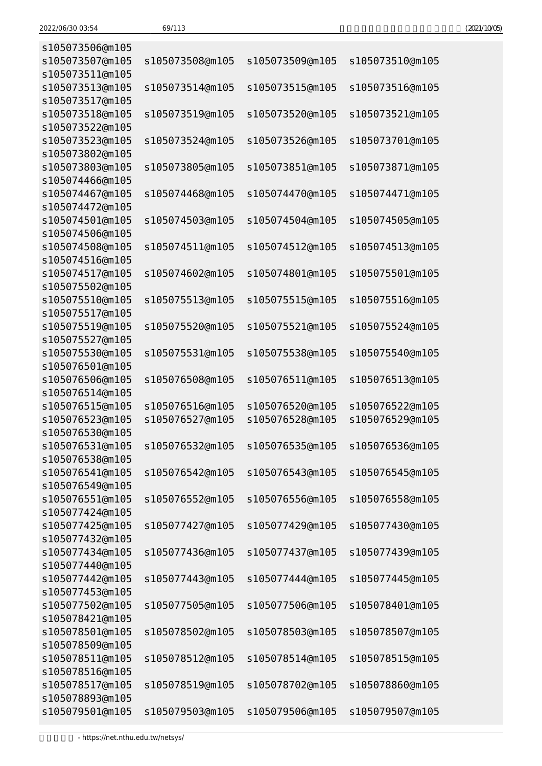| (2021/10/05) |
|--------------|
|--------------|

| s105073506@m105                    |                 |                 |                 |
|------------------------------------|-----------------|-----------------|-----------------|
| s105073507@m105                    | s105073508@m105 | s105073509@m105 | s105073510@m105 |
| s105073511@m105<br>s105073513@m105 | s105073514@m105 | s105073515@m105 | s105073516@m105 |
| s105073517@m105                    |                 |                 |                 |
| s105073518@m105                    | s105073519@m105 | s105073520@m105 | s105073521@m105 |
| s105073522@m105                    |                 |                 |                 |
| s105073523@m105                    | s105073524@m105 | s105073526@m105 | s105073701@m105 |
| s105073802@m105                    |                 |                 |                 |
| s105073803@m105                    | s105073805@m105 | s105073851@m105 | s105073871@m105 |
| s105074466@m105                    |                 |                 |                 |
| s105074467@m105                    | s105074468@m105 | s105074470@m105 | s105074471@m105 |
| s105074472@m105                    |                 |                 |                 |
| s105074501@m105                    | s105074503@m105 | s105074504@m105 | s105074505@m105 |
| s105074506@m105                    |                 |                 |                 |
| s105074508@m105                    | s105074511@m105 | s105074512@m105 | s105074513@m105 |
| s105074516@m105                    |                 |                 |                 |
| s105074517@m105                    | s105074602@m105 | s105074801@m105 | s105075501@m105 |
| s105075502@m105                    |                 |                 |                 |
| s105075510@m105                    | s105075513@m105 | s105075515@m105 | s105075516@m105 |
| s105075517@m105                    |                 |                 |                 |
| s105075519@m105                    | s105075520@m105 | s105075521@m105 | s105075524@m105 |
| s105075527@m105                    |                 |                 |                 |
| s105075530@m105                    | s105075531@m105 | s105075538@m105 | s105075540@m105 |
| s105076501@m105                    |                 |                 |                 |
| s105076506@m105                    | s105076508@m105 | s105076511@m105 | s105076513@m105 |
| s105076514@m105                    |                 |                 |                 |
| s105076515@m105                    | s105076516@m105 | s105076520@m105 | s105076522@m105 |
| s105076523@m105<br>s105076530@m105 | s105076527@m105 | s105076528@m105 | s105076529@m105 |
| s105076531@m105                    | s105076532@m105 | s105076535@m105 | s105076536@m105 |
| s105076538@m105                    |                 |                 |                 |
| s105076541@m105                    | s105076542@m105 | s105076543@m105 | s105076545@m105 |
| s105076549@m105                    |                 |                 |                 |
| s105076551@m105                    | s105076552@m105 | s105076556@m105 | s105076558@m105 |
| s105077424@m105                    |                 |                 |                 |
| s105077425@m105                    | s105077427@m105 | s105077429@m105 | s105077430@m105 |
| s105077432@m105                    |                 |                 |                 |
| s105077434@m105                    | s105077436@m105 | s105077437@m105 | s105077439@m105 |
| s105077440@m105                    |                 |                 |                 |
| s105077442@m105                    | s105077443@m105 | s105077444@m105 | s105077445@m105 |
| s105077453@m105                    |                 |                 |                 |
| s105077502@m105                    | s105077505@m105 | s105077506@m105 | s105078401@m105 |
| s105078421@m105                    |                 |                 |                 |
| s105078501@m105                    | s105078502@m105 | s105078503@m105 | s105078507@m105 |
| s105078509@m105                    |                 |                 |                 |
| s105078511@m105                    | s105078512@m105 | s105078514@m105 | s105078515@m105 |
| s105078516@m105                    |                 |                 |                 |
| s105078517@m105                    | s105078519@m105 | s105078702@m105 | s105078860@m105 |
| s105078893@m105                    |                 |                 |                 |
| s105079501@m105                    | s105079503@m105 | s105079506@m105 | s105079507@m105 |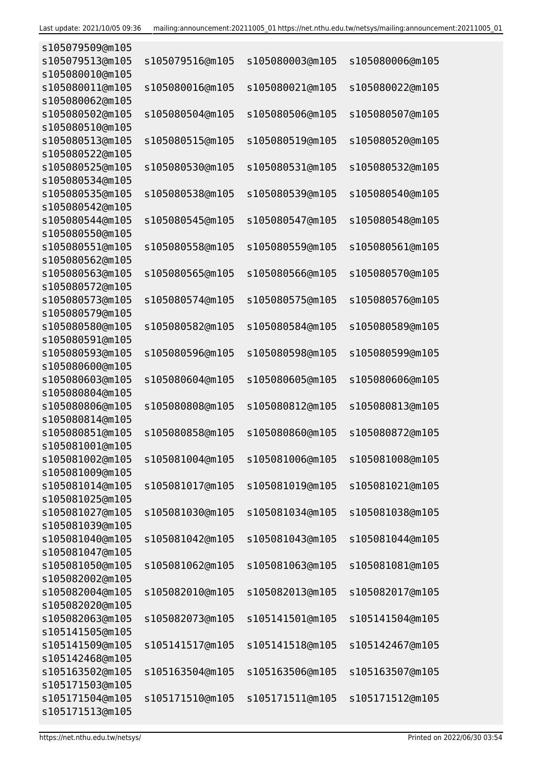| s105079509@m105 |                 |                 |                 |
|-----------------|-----------------|-----------------|-----------------|
| s105079513@m105 | s105079516@m105 | s105080003@m105 | s105080006@m105 |
| s105080010@m105 |                 |                 |                 |
| s105080011@m105 | s105080016@m105 | s105080021@m105 | s105080022@m105 |
| s105080062@m105 |                 |                 |                 |
| s105080502@m105 | s105080504@m105 | s105080506@m105 | s105080507@m105 |
| s105080510@m105 |                 |                 |                 |
| s105080513@m105 | s105080515@m105 | s105080519@m105 | s105080520@m105 |
| s105080522@m105 |                 |                 |                 |
| s105080525@m105 | s105080530@m105 |                 |                 |
|                 |                 | s105080531@m105 | s105080532@m105 |
| s105080534@m105 |                 |                 |                 |
| s105080535@m105 | s105080538@m105 | s105080539@m105 | s105080540@m105 |
| s105080542@m105 |                 |                 |                 |
| s105080544@m105 | s105080545@m105 | s105080547@m105 | s105080548@m105 |
| s105080550@m105 |                 |                 |                 |
| s105080551@m105 | s105080558@m105 | s105080559@m105 | s105080561@m105 |
| s105080562@m105 |                 |                 |                 |
| s105080563@m105 | s105080565@m105 | s105080566@m105 | s105080570@m105 |
| s105080572@m105 |                 |                 |                 |
| s105080573@m105 | s105080574@m105 | s105080575@m105 | s105080576@m105 |
| s105080579@m105 |                 |                 |                 |
| s105080580@m105 | s105080582@m105 | s105080584@m105 | s105080589@m105 |
| s105080591@m105 |                 |                 |                 |
| s105080593@m105 | s105080596@m105 | s105080598@m105 | s105080599@m105 |
| s105080600@m105 |                 |                 |                 |
| s105080603@m105 | s105080604@m105 | s105080605@m105 | s105080606@m105 |
| s105080804@m105 |                 |                 |                 |
| s105080806@m105 | s105080808@m105 | s105080812@m105 | s105080813@m105 |
| s105080814@m105 |                 |                 |                 |
| s105080851@m105 | s105080858@m105 | s105080860@m105 | s105080872@m105 |
| s105081001@m105 |                 |                 |                 |
| s105081002@m105 | s105081004@m105 | s105081006@m105 | s105081008@m105 |
| s105081009@m105 |                 |                 |                 |
| s105081014@m105 | s105081017@m105 | s105081019@m105 | s105081021@m105 |
| s105081025@m105 |                 |                 |                 |
| s105081027@m105 | s105081030@m105 | s105081034@m105 | s105081038@m105 |
| s105081039@m105 |                 |                 |                 |
| s105081040@m105 | s105081042@m105 | s105081043@m105 | s105081044@m105 |
| s105081047@m105 |                 |                 |                 |
|                 | s105081062@m105 |                 |                 |
| s105081050@m105 |                 | s105081063@m105 | s105081081@m105 |
| s105082002@m105 |                 |                 |                 |
| s105082004@m105 | s105082010@m105 | s105082013@m105 | s105082017@m105 |
| s105082020@m105 |                 |                 |                 |
| s105082063@m105 | s105082073@m105 | s105141501@m105 | s105141504@m105 |
| s105141505@m105 |                 |                 |                 |
| s105141509@m105 | s105141517@m105 | s105141518@m105 | s105142467@m105 |
| s105142468@m105 |                 |                 |                 |
| s105163502@m105 | s105163504@m105 | s105163506@m105 | s105163507@m105 |
| s105171503@m105 |                 |                 |                 |
| s105171504@m105 | s105171510@m105 | s105171511@m105 | s105171512@m105 |
| s105171513@m105 |                 |                 |                 |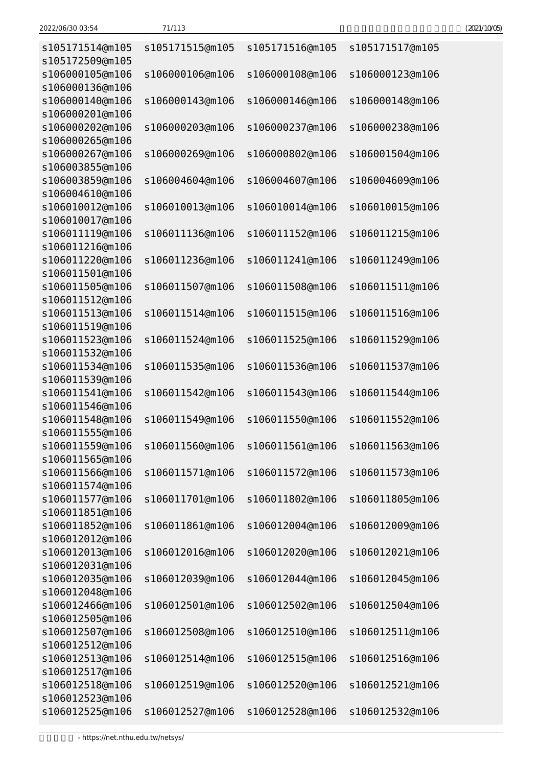| 2022/06/30 03:54 | 71/113 | (2021/10/05) |
|------------------|--------|--------------|
|------------------|--------|--------------|

| s105171514@m105                    | s105171515@m105 | s105171516@m105 | s105171517@m105 |
|------------------------------------|-----------------|-----------------|-----------------|
| s105172509@m105<br>s106000105@m106 | s106000106@m106 | s106000108@m106 | s106000123@m106 |
| s106000136@m106                    |                 |                 |                 |
| s106000140@m106<br>s106000201@m106 | s106000143@m106 | s106000146@m106 | s106000148@m106 |
| s106000202@m106                    | s106000203@m106 | s106000237@m106 | s106000238@m106 |
| s106000265@m106                    |                 |                 |                 |
| s106000267@m106                    | s106000269@m106 | s106000802@m106 | s106001504@m106 |
| s106003855@m106                    |                 |                 |                 |
| s106003859@m106                    | s106004604@m106 | s106004607@m106 | s106004609@m106 |
| s106004610@m106                    |                 |                 |                 |
| s106010012@m106<br>s106010017@m106 | s106010013@m106 | s106010014@m106 | s106010015@m106 |
| s106011119@m106                    | s106011136@m106 | s106011152@m106 | s106011215@m106 |
| s106011216@m106                    |                 |                 |                 |
| s106011220@m106                    | s106011236@m106 | s106011241@m106 | s106011249@m106 |
| s106011501@m106                    |                 |                 |                 |
| s106011505@m106                    | s106011507@m106 | s106011508@m106 | s106011511@m106 |
| s106011512@m106                    |                 |                 |                 |
| s106011513@m106                    | s106011514@m106 | s106011515@m106 | s106011516@m106 |
| s106011519@m106<br>s106011523@m106 | s106011524@m106 | s106011525@m106 | s106011529@m106 |
| s106011532@m106                    |                 |                 |                 |
| s106011534@m106                    | s106011535@m106 | s106011536@m106 | s106011537@m106 |
| s106011539@m106                    |                 |                 |                 |
| s106011541@m106                    | s106011542@m106 | s106011543@m106 | s106011544@m106 |
| s106011546@m106                    |                 |                 |                 |
| s106011548@m106                    | s106011549@m106 | s106011550@m106 | s106011552@m106 |
| s106011555@m106                    |                 |                 |                 |
| s106011559@m106                    | s106011560@m106 | s106011561@m106 | s106011563@m106 |
| s106011565@m106<br>s106011566@m106 | s106011571@m106 | s106011572@m106 | s106011573@m106 |
| s106011574@m106                    |                 |                 |                 |
| s106011577@m106                    | s106011701@m106 | s106011802@m106 | s106011805@m106 |
| s106011851@m106                    |                 |                 |                 |
| s106011852@m106                    | s106011861@m106 | s106012004@m106 | s106012009@m106 |
| s106012012@m106                    |                 |                 |                 |
| s106012013@m106                    | s106012016@m106 | s106012020@m106 | s106012021@m106 |
| s106012031@m106                    |                 |                 |                 |
| s106012035@m106<br>s106012048@m106 | s106012039@m106 | s106012044@m106 | s106012045@m106 |
| s106012466@m106                    | s106012501@m106 | s106012502@m106 | s106012504@m106 |
| s106012505@m106                    |                 |                 |                 |
| s106012507@m106                    | s106012508@m106 | s106012510@m106 | s106012511@m106 |
| s106012512@m106                    |                 |                 |                 |
| s106012513@m106                    | s106012514@m106 | s106012515@m106 | s106012516@m106 |
| s106012517@m106                    |                 |                 |                 |
| s106012518@m106                    | s106012519@m106 | s106012520@m106 | s106012521@m106 |
| s106012523@m106                    |                 |                 |                 |
| s106012525@m106                    | s106012527@m106 | s106012528@m106 | s106012532@m106 |

- https://net.nthu.edu.tw/netsys/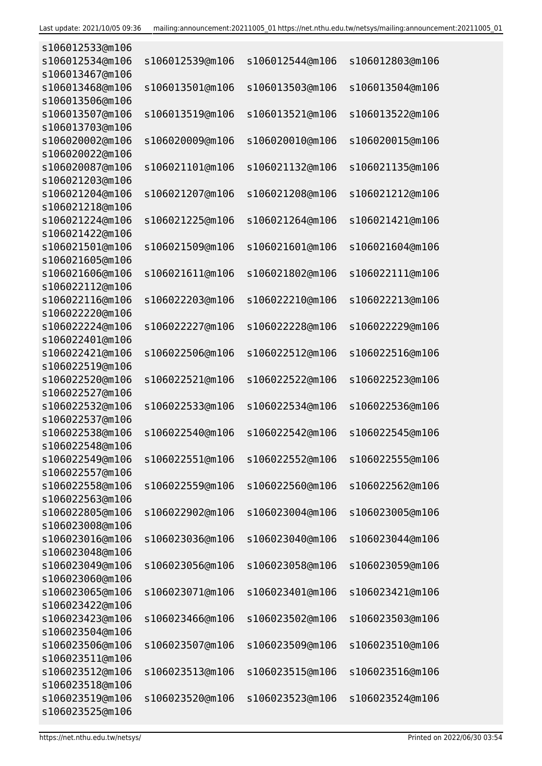| s106012533@m106                    |                 |                 |                 |
|------------------------------------|-----------------|-----------------|-----------------|
| s106012534@m106                    | s106012539@m106 | s106012544@m106 | s106012803@m106 |
| s106013467@m106                    |                 |                 |                 |
| s106013468@m106                    | s106013501@m106 | s106013503@m106 | s106013504@m106 |
| s106013506@m106                    |                 |                 |                 |
| s106013507@m106                    | s106013519@m106 | s106013521@m106 | s106013522@m106 |
| s106013703@m106                    |                 |                 |                 |
| s106020002@m106                    | s106020009@m106 | s106020010@m106 | s106020015@m106 |
| s106020022@m106                    |                 |                 |                 |
| s106020087@m106                    | s106021101@m106 | s106021132@m106 | s106021135@m106 |
| s106021203@m106                    |                 |                 |                 |
| s106021204@m106                    | s106021207@m106 | s106021208@m106 | s106021212@m106 |
| s106021218@m106                    |                 |                 |                 |
| s106021224@m106                    | s106021225@m106 | s106021264@m106 | s106021421@m106 |
| s106021422@m106                    |                 |                 |                 |
| s106021501@m106                    | s106021509@m106 | s106021601@m106 | s106021604@m106 |
| s106021605@m106                    |                 |                 |                 |
| s106021606@m106                    | s106021611@m106 | s106021802@m106 | s106022111@m106 |
| s106022112@m106                    |                 |                 |                 |
| s106022116@m106                    | s106022203@m106 | s106022210@m106 | s106022213@m106 |
| s106022220@m106                    |                 |                 |                 |
| s106022224@m106                    | s106022227@m106 | s106022228@m106 | s106022229@m106 |
| s106022401@m106                    |                 |                 |                 |
| s106022421@m106                    | s106022506@m106 | s106022512@m106 | s106022516@m106 |
| s106022519@m106                    |                 |                 |                 |
| s106022520@m106                    | s106022521@m106 | s106022522@m106 | s106022523@m106 |
| s106022527@m106                    |                 |                 |                 |
| s106022532@m106                    | s106022533@m106 | s106022534@m106 | s106022536@m106 |
| s106022537@m106                    |                 |                 |                 |
| s106022538@m106<br>s106022548@m106 | s106022540@m106 | s106022542@m106 | s106022545@m106 |
| s106022549@m106                    | s106022551@m106 | s106022552@m106 | s106022555@m106 |
| s106022557@m106                    |                 |                 |                 |
| s106022558@m106                    | s106022559@m106 | s106022560@m106 | s106022562@m106 |
| s106022563@m106                    |                 |                 |                 |
| s106022805@m106                    | s106022902@m106 | s106023004@m106 | s106023005@m106 |
| s106023008@m106                    |                 |                 |                 |
| s106023016@m106                    | s106023036@m106 | s106023040@m106 | s106023044@m106 |
| s106023048@m106                    |                 |                 |                 |
| s106023049@m106                    | s106023056@m106 | s106023058@m106 | s106023059@m106 |
| s106023060@m106                    |                 |                 |                 |
| s106023065@m106                    | s106023071@m106 | s106023401@m106 | s106023421@m106 |
| s106023422@m106                    |                 |                 |                 |
| s106023423@m106                    | s106023466@m106 | s106023502@m106 | s106023503@m106 |
| s106023504@m106                    |                 |                 |                 |
| s106023506@m106                    | s106023507@m106 | s106023509@m106 | s106023510@m106 |
| s106023511@m106                    |                 |                 |                 |
| s106023512@m106                    | s106023513@m106 | s106023515@m106 | s106023516@m106 |
| s106023518@m106                    |                 |                 |                 |
| s106023519@m106                    | s106023520@m106 | s106023523@m106 | s106023524@m106 |
| s106023525@m106                    |                 |                 |                 |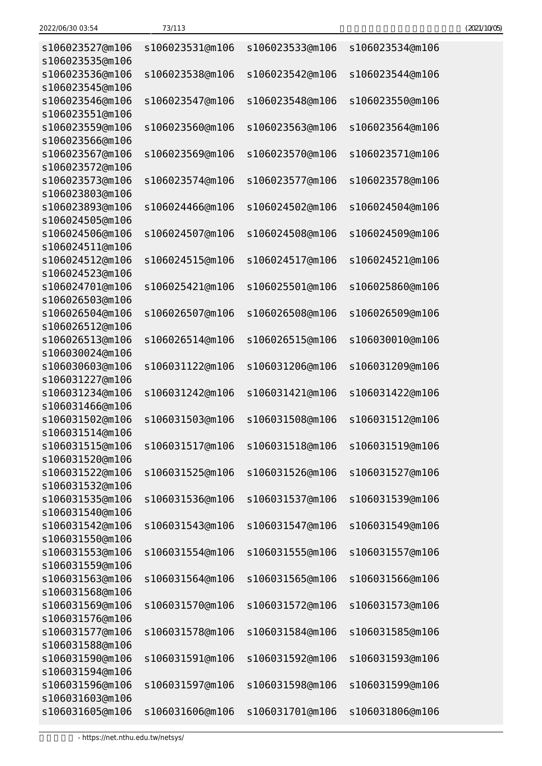| 2022/06/30 03:54                   | 73/113          |                 |                 | (2021/10/05) |
|------------------------------------|-----------------|-----------------|-----------------|--------------|
| s106023527@m106                    | s106023531@m106 | s106023533@m106 | s106023534@m106 |              |
| s106023535@m106                    |                 |                 |                 |              |
| s106023536@m106                    | s106023538@m106 | s106023542@m106 | s106023544@m106 |              |
| s106023545@m106                    |                 |                 |                 |              |
| s106023546@m106                    | s106023547@m106 | s106023548@m106 | s106023550@m106 |              |
| s106023551@m106                    |                 |                 |                 |              |
| s106023559@m106                    | s106023560@m106 | s106023563@m106 | s106023564@m106 |              |
| s106023566@m106                    |                 |                 |                 |              |
| s106023567@m106                    | s106023569@m106 | s106023570@m106 | s106023571@m106 |              |
| s106023572@m106                    |                 |                 |                 |              |
| s106023573@m106                    | s106023574@m106 | s106023577@m106 | s106023578@m106 |              |
| s106023803@m106                    |                 |                 |                 |              |
| s106023893@m106                    | s106024466@m106 | s106024502@m106 | s106024504@m106 |              |
| s106024505@m106                    |                 |                 |                 |              |
| s106024506@m106                    | s106024507@m106 | s106024508@m106 | s106024509@m106 |              |
| s106024511@m106                    |                 |                 |                 |              |
| s106024512@m106                    | s106024515@m106 | s106024517@m106 | s106024521@m106 |              |
| s106024523@m106                    |                 |                 |                 |              |
| s106024701@m106                    | s106025421@m106 | s106025501@m106 | s106025860@m106 |              |
| s106026503@m106                    |                 |                 |                 |              |
| s106026504@m106                    | s106026507@m106 | s106026508@m106 | s106026509@m106 |              |
| s106026512@m106<br>s106026513@m106 |                 |                 |                 |              |
| s106030024@m106                    | s106026514@m106 | s106026515@m106 | s106030010@m106 |              |
| s106030603@m106                    | s106031122@m106 | s106031206@m106 | s106031209@m106 |              |
| s106031227@m106                    |                 |                 |                 |              |
| s106031234@m106                    | s106031242@m106 | s106031421@m106 | s106031422@m106 |              |
| s106031466@m106                    |                 |                 |                 |              |
| s106031502@m106                    | s106031503@m106 | s106031508@m106 | s106031512@m106 |              |
| s106031514@m106                    |                 |                 |                 |              |
| s106031515@m106                    | s106031517@m106 | s106031518@m106 | s106031519@m106 |              |
| s106031520@m106                    |                 |                 |                 |              |
| s106031522@m106                    | s106031525@m106 | s106031526@m106 | s106031527@m106 |              |
| s106031532@m106                    |                 |                 |                 |              |
| s106031535@m106                    | s106031536@m106 | s106031537@m106 | s106031539@m106 |              |
| s106031540@m106                    |                 |                 |                 |              |
|                                    |                 |                 |                 |              |

| s106023527@m106<br>s106023535@m106 | s106023531@m106 | s106023533@m106 | s106023534@m106 |
|------------------------------------|-----------------|-----------------|-----------------|
| s106023536@m106                    | s106023538@m106 | s106023542@m106 | s106023544@m106 |
| s106023545@m106                    |                 |                 |                 |
| s106023546@m106                    | s106023547@m106 | s106023548@m106 | s106023550@m106 |
| s106023551@m106                    |                 |                 |                 |
| s106023559@m106                    | s106023560@m106 | s106023563@m106 | s106023564@m106 |
| s106023566@m106                    |                 |                 |                 |
| s106023567@m106                    | s106023569@m106 | s106023570@m106 | s106023571@m106 |
| s106023572@m106                    |                 |                 |                 |
| s106023573@m106                    | s106023574@m106 | s106023577@m106 | s106023578@m106 |
| s106023803@m106                    |                 |                 |                 |
| s106023893@m106                    | s106024466@m106 | s106024502@m106 | s106024504@m106 |
| s106024505@m106                    |                 |                 |                 |
| s106024506@m106                    | s106024507@m106 | s106024508@m106 | s106024509@m106 |
| s106024511@m106                    |                 |                 |                 |
| s106024512@m106                    | s106024515@m106 | s106024517@m106 | s106024521@m106 |
| s106024523@m106                    |                 |                 |                 |
| s106024701@m106                    | s106025421@m106 | s106025501@m106 | s106025860@m106 |
| s106026503@m106                    |                 |                 |                 |
| s106026504@m106                    | s106026507@m106 | s106026508@m106 | s106026509@m106 |
| s106026512@m106                    |                 |                 |                 |
| s106026513@m106                    | s106026514@m106 | s106026515@m106 | s106030010@m106 |
| s106030024@m106                    |                 |                 |                 |
| s106030603@m106                    | s106031122@m106 | s106031206@m106 | s106031209@m106 |
| s106031227@m106                    |                 |                 |                 |
| s106031234@m106                    | s106031242@m106 | s106031421@m106 | s106031422@m106 |
| s106031466@m106                    |                 |                 |                 |
| s106031502@m106                    | s106031503@m106 | s106031508@m106 | s106031512@m106 |
| s106031514@m106                    |                 |                 |                 |
| s106031515@m106                    | s106031517@m106 | s106031518@m106 | s106031519@m106 |
| s106031520@m106                    |                 |                 |                 |
| s106031522@m106                    | s106031525@m106 | s106031526@m106 | s106031527@m106 |
| s106031532@m106                    |                 |                 |                 |
| s106031535@m106                    | s106031536@m106 | s106031537@m106 | s106031539@m106 |
| s106031540@m106                    |                 |                 |                 |
| s106031542@m106                    | s106031543@m106 | s106031547@m106 | s106031549@m106 |
| s106031550@m106                    |                 |                 |                 |
| s106031553@m106                    | s106031554@m106 | s106031555@m106 | s106031557@m106 |
| s106031559@m106                    |                 |                 |                 |
| s106031563@m106                    | s106031564@m106 | s106031565@m106 | s106031566@m106 |
| s106031568@m106                    |                 |                 |                 |
| s106031569@m106                    | s106031570@m106 | s106031572@m106 | s106031573@m106 |
| s106031576@m106                    |                 |                 |                 |
| s106031577@m106                    | s106031578@m106 | s106031584@m106 | s106031585@m106 |
| s106031588@m106                    |                 |                 |                 |
| s106031590@m106                    | s106031591@m106 | s106031592@m106 | s106031593@m106 |
| s106031594@m106                    |                 |                 |                 |
| s106031596@m106                    | s106031597@m106 | s106031598@m106 | s106031599@m106 |
| s106031603@m106                    |                 |                 |                 |
| s106031605@m106                    | s106031606@m106 | s106031701@m106 | s106031806@m106 |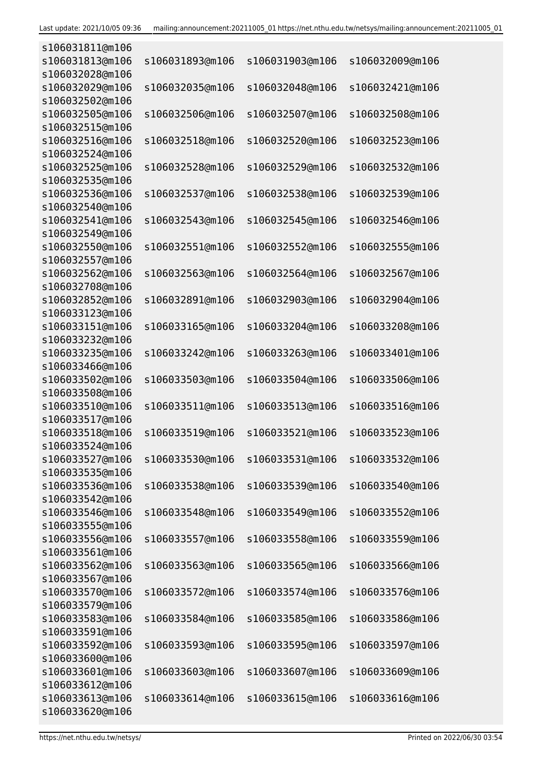| s106031811@m106                    |                 |                 |                 |
|------------------------------------|-----------------|-----------------|-----------------|
| s106031813@m106<br>s106032028@m106 | s106031893@m106 | s106031903@m106 | s106032009@m106 |
| s106032029@m106                    | s106032035@m106 | s106032048@m106 | s106032421@m106 |
| s106032502@m106                    |                 |                 |                 |
| s106032505@m106                    | s106032506@m106 | s106032507@m106 | s106032508@m106 |
| s106032515@m106                    |                 |                 |                 |
| s106032516@m106                    | s106032518@m106 | s106032520@m106 | s106032523@m106 |
| s106032524@m106                    |                 |                 |                 |
| s106032525@m106                    | s106032528@m106 | s106032529@m106 | s106032532@m106 |
| s106032535@m106<br>s106032536@m106 | s106032537@m106 | s106032538@m106 | s106032539@m106 |
| s106032540@m106                    |                 |                 |                 |
| s106032541@m106                    | s106032543@m106 | s106032545@m106 | s106032546@m106 |
| s106032549@m106                    |                 |                 |                 |
| s106032550@m106                    | s106032551@m106 | s106032552@m106 | s106032555@m106 |
| s106032557@m106                    |                 |                 |                 |
| s106032562@m106                    | s106032563@m106 | s106032564@m106 | s106032567@m106 |
| s106032708@m106                    |                 |                 |                 |
| s106032852@m106                    | s106032891@m106 | s106032903@m106 | s106032904@m106 |
| s106033123@m106                    |                 |                 |                 |
| s106033151@m106                    | s106033165@m106 | s106033204@m106 | s106033208@m106 |
| s106033232@m106<br>s106033235@m106 | s106033242@m106 | s106033263@m106 | s106033401@m106 |
| s106033466@m106                    |                 |                 |                 |
| s106033502@m106                    | s106033503@m106 | s106033504@m106 | s106033506@m106 |
| s106033508@m106                    |                 |                 |                 |
| s106033510@m106                    | s106033511@m106 | s106033513@m106 | s106033516@m106 |
| s106033517@m106                    |                 |                 |                 |
| s106033518@m106                    | s106033519@m106 | s106033521@m106 | s106033523@m106 |
| s106033524@m106                    |                 |                 |                 |
| s106033527@m106                    | s106033530@m106 | s106033531@m106 | s106033532@m106 |
| s106033535@m106                    |                 |                 |                 |
| s106033536@m106<br>s106033542@m106 | s106033538@m106 | s106033539@m106 | s106033540@m106 |
| s106033546@m106                    | s106033548@m106 | s106033549@m106 | s106033552@m106 |
| s106033555@m106                    |                 |                 |                 |
| s106033556@m106                    | s106033557@m106 | s106033558@m106 | s106033559@m106 |
| s106033561@m106                    |                 |                 |                 |
| s106033562@m106                    | s106033563@m106 | s106033565@m106 | s106033566@m106 |
| s106033567@m106                    |                 |                 |                 |
| s106033570@m106                    | s106033572@m106 | s106033574@m106 | s106033576@m106 |
| s106033579@m106                    |                 |                 |                 |
| s106033583@m106                    | s106033584@m106 | s106033585@m106 | s106033586@m106 |
| s106033591@m106<br>s106033592@m106 | s106033593@m106 | s106033595@m106 | s106033597@m106 |
| s106033600@m106                    |                 |                 |                 |
| s106033601@m106                    | s106033603@m106 | s106033607@m106 | s106033609@m106 |
| s106033612@m106                    |                 |                 |                 |
| s106033613@m106                    | s106033614@m106 | s106033615@m106 | s106033616@m106 |
| s106033620@m106                    |                 |                 |                 |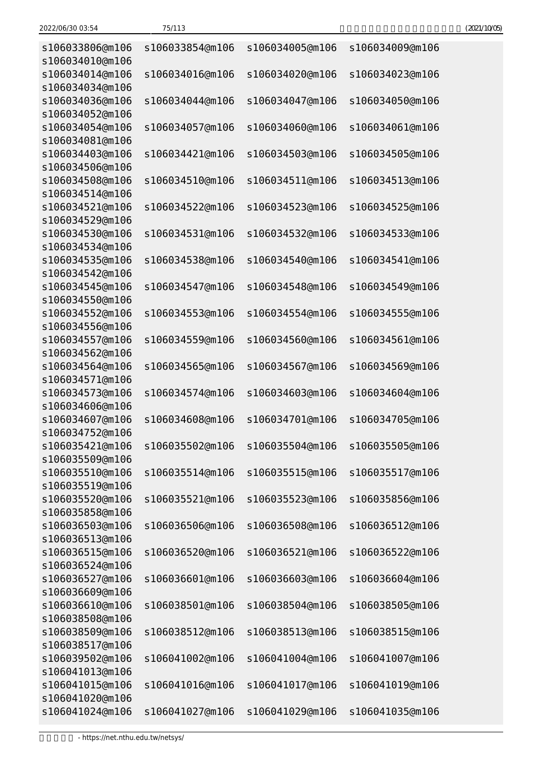| 2022/06/30 03:54 | 75/113 | (2021/10/05) |
|------------------|--------|--------------|
|------------------|--------|--------------|

| s106033806@m106<br>s106034010@m106 | s106033854@m106 | s106034005@m106 | s106034009@m106 |
|------------------------------------|-----------------|-----------------|-----------------|
| s106034014@m106<br>s106034034@m106 | s106034016@m106 | s106034020@m106 | s106034023@m106 |
| s106034036@m106<br>s106034052@m106 | s106034044@m106 | s106034047@m106 | s106034050@m106 |
| s106034054@m106<br>s106034081@m106 | s106034057@m106 | s106034060@m106 | s106034061@m106 |
| s106034403@m106<br>s106034506@m106 | s106034421@m106 | s106034503@m106 | s106034505@m106 |
| s106034508@m106<br>s106034514@m106 | s106034510@m106 | s106034511@m106 | s106034513@m106 |
| s106034521@m106<br>s106034529@m106 | s106034522@m106 | s106034523@m106 | s106034525@m106 |
| s106034530@m106<br>s106034534@m106 | s106034531@m106 | s106034532@m106 | s106034533@m106 |
| s106034535@m106<br>s106034542@m106 | s106034538@m106 | s106034540@m106 | s106034541@m106 |
| s106034545@m106<br>s106034550@m106 | s106034547@m106 | s106034548@m106 | s106034549@m106 |
| s106034552@m106<br>s106034556@m106 | s106034553@m106 | s106034554@m106 | s106034555@m106 |
| s106034557@m106<br>s106034562@m106 | s106034559@m106 | s106034560@m106 | s106034561@m106 |
| s106034564@m106<br>s106034571@m106 | s106034565@m106 | s106034567@m106 | s106034569@m106 |
| s106034573@m106<br>s106034606@m106 | s106034574@m106 | s106034603@m106 | s106034604@m106 |
| s106034607@m106<br>s106034752@m106 | s106034608@m106 | s106034701@m106 | s106034705@m106 |
| s106035421@m106<br>s106035509@m106 | s106035502@m106 | s106035504@m106 | s106035505@m106 |
| s106035510@m106<br>s106035519@m106 | s106035514@m106 | s106035515@m106 | s106035517@m106 |
| s106035520@m106<br>s106035858@m106 | s106035521@m106 | s106035523@m106 | s106035856@m106 |
| s106036503@m106<br>s106036513@m106 | s106036506@m106 | s106036508@m106 | s106036512@m106 |
| s106036515@m106<br>s106036524@m106 | s106036520@m106 | s106036521@m106 | s106036522@m106 |
| s106036527@m106<br>s106036609@m106 | s106036601@m106 | s106036603@m106 | s106036604@m106 |
| s106036610@m106<br>s106038508@m106 | s106038501@m106 | s106038504@m106 | s106038505@m106 |
| s106038509@m106<br>s106038517@m106 | s106038512@m106 | s106038513@m106 | s106038515@m106 |
| s106039502@m106<br>s106041013@m106 | s106041002@m106 | s106041004@m106 | s106041007@m106 |
| s106041015@m106<br>s106041020@m106 | s106041016@m106 | s106041017@m106 | s106041019@m106 |
| s106041024@m106                    | s106041027@m106 | s106041029@m106 | s106041035@m106 |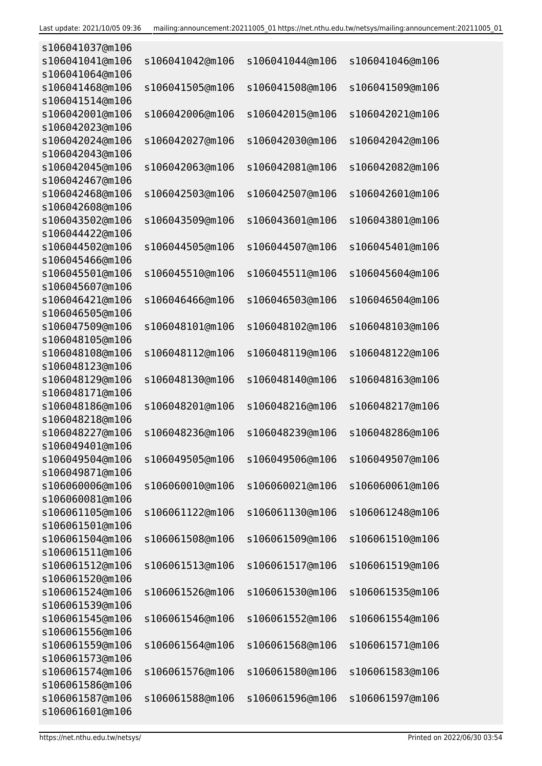| s106041037@m106 |                 |                 |                 |
|-----------------|-----------------|-----------------|-----------------|
| s106041041@m106 | s106041042@m106 | s106041044@m106 | s106041046@m106 |
| s106041064@m106 |                 |                 |                 |
| s106041468@m106 | s106041505@m106 | s106041508@m106 | s106041509@m106 |
| s106041514@m106 |                 |                 |                 |
| s106042001@m106 | s106042006@m106 | s106042015@m106 | s106042021@m106 |
| s106042023@m106 |                 |                 |                 |
| s106042024@m106 | s106042027@m106 | s106042030@m106 | s106042042@m106 |
| s106042043@m106 |                 |                 |                 |
| s106042045@m106 | s106042063@m106 | s106042081@m106 | s106042082@m106 |
| s106042467@m106 |                 |                 |                 |
| s106042468@m106 | s106042503@m106 | s106042507@m106 | s106042601@m106 |
| s106042608@m106 |                 |                 |                 |
| s106043502@m106 | s106043509@m106 | s106043601@m106 | s106043801@m106 |
| s106044422@m106 |                 |                 |                 |
| s106044502@m106 | s106044505@m106 | s106044507@m106 | s106045401@m106 |
| s106045466@m106 |                 |                 |                 |
| s106045501@m106 | s106045510@m106 | s106045511@m106 | s106045604@m106 |
| s106045607@m106 |                 |                 |                 |
| s106046421@m106 | s106046466@m106 | s106046503@m106 | s106046504@m106 |
| s106046505@m106 |                 |                 |                 |
| s106047509@m106 | s106048101@m106 | s106048102@m106 | s106048103@m106 |
| s106048105@m106 |                 |                 |                 |
| s106048108@m106 | s106048112@m106 | s106048119@m106 | s106048122@m106 |
| s106048123@m106 |                 |                 |                 |
|                 |                 |                 |                 |
| s106048129@m106 | s106048130@m106 | s106048140@m106 | s106048163@m106 |
| s106048171@m106 |                 |                 |                 |
| s106048186@m106 | s106048201@m106 | s106048216@m106 | s106048217@m106 |
| s106048218@m106 |                 |                 |                 |
| s106048227@m106 | s106048236@m106 | s106048239@m106 | s106048286@m106 |
| s106049401@m106 |                 |                 |                 |
| s106049504@m106 | s106049505@m106 | s106049506@m106 | s106049507@m106 |
| s106049871@m106 |                 |                 |                 |
| s106060006@m106 | s106060010@m106 | s106060021@m106 | s106060061@m106 |
| s106060081@m106 |                 |                 |                 |
| s106061105@m106 | s106061122@m106 | s106061130@m106 | s106061248@m106 |
| s106061501@m106 |                 |                 |                 |
| s106061504@m106 | s106061508@m106 | s106061509@m106 | s106061510@m106 |
| s106061511@m106 |                 |                 |                 |
| s106061512@m106 | s106061513@m106 | s106061517@m106 | s106061519@m106 |
| s106061520@m106 |                 |                 |                 |
| s106061524@m106 | s106061526@m106 | s106061530@m106 | s106061535@m106 |
| s106061539@m106 |                 |                 |                 |
| s106061545@m106 | s106061546@m106 | s106061552@m106 | s106061554@m106 |
| s106061556@m106 |                 |                 |                 |
| s106061559@m106 | s106061564@m106 | s106061568@m106 | s106061571@m106 |
| s106061573@m106 |                 |                 |                 |
| s106061574@m106 | s106061576@m106 | s106061580@m106 | s106061583@m106 |
| s106061586@m106 |                 |                 |                 |
| s106061587@m106 | s106061588@m106 | s106061596@m106 | s106061597@m106 |
| s106061601@m106 |                 |                 |                 |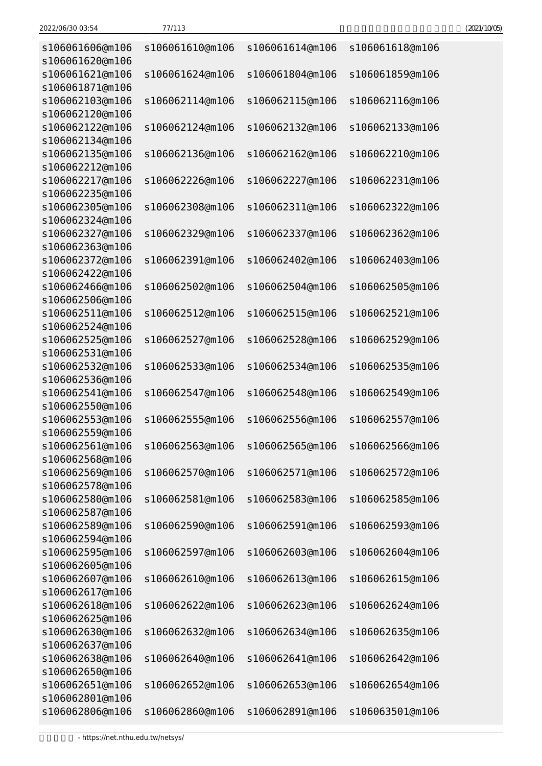| s106061606@m106<br>s106061620@m106 | s106061610@m106 | s106061614@m106 | s106061618@m106 |
|------------------------------------|-----------------|-----------------|-----------------|
| s106061621@m106<br>s106061871@m106 | s106061624@m106 | s106061804@m106 | s106061859@m106 |
| s106062103@m106<br>s106062120@m106 | s106062114@m106 | s106062115@m106 | s106062116@m106 |
| s106062122@m106<br>s106062134@m106 | s106062124@m106 | s106062132@m106 | s106062133@m106 |
| s106062135@m106<br>s106062212@m106 | s106062136@m106 | s106062162@m106 | s106062210@m106 |
| s106062217@m106<br>s106062235@m106 | s106062226@m106 | s106062227@m106 | s106062231@m106 |
| s106062305@m106<br>s106062324@m106 | s106062308@m106 | s106062311@m106 | s106062322@m106 |
| s106062327@m106<br>s106062363@m106 | s106062329@m106 | s106062337@m106 | s106062362@m106 |
| s106062372@m106<br>s106062422@m106 | s106062391@m106 | s106062402@m106 | s106062403@m106 |
| s106062466@m106<br>s106062506@m106 | s106062502@m106 | s106062504@m106 | s106062505@m106 |
| s106062511@m106<br>s106062524@m106 | s106062512@m106 | s106062515@m106 | s106062521@m106 |
| s106062525@m106<br>s106062531@m106 | s106062527@m106 | s106062528@m106 | s106062529@m106 |
| s106062532@m106<br>s106062536@m106 | s106062533@m106 | s106062534@m106 | s106062535@m106 |
| s106062541@m106<br>s106062550@m106 | s106062547@m106 | s106062548@m106 | s106062549@m106 |
| s106062553@m106<br>s106062559@m106 | s106062555@m106 | s106062556@m106 | s106062557@m106 |
| s106062561@m106<br>s106062568@m106 | s106062563@m106 | s106062565@m106 | s106062566@m106 |
| s106062569@m106<br>s106062578@m106 | s106062570@m106 | s106062571@m106 | s106062572@m106 |
| s106062580@m106<br>s106062587@m106 | s106062581@m106 | s106062583@m106 | s106062585@m106 |
| s106062589@m106<br>s106062594@m106 | s106062590@m106 | s106062591@m106 | s106062593@m106 |
| s106062595@m106<br>s106062605@m106 | s106062597@m106 | s106062603@m106 | s106062604@m106 |
| s106062607@m106<br>s106062617@m106 | s106062610@m106 | s106062613@m106 | s106062615@m106 |
| s106062618@m106<br>s106062625@m106 | s106062622@m106 | s106062623@m106 | s106062624@m106 |
| s106062630@m106<br>s106062637@m106 | s106062632@m106 | s106062634@m106 | s106062635@m106 |
| s106062638@m106<br>s106062650@m106 | s106062640@m106 | s106062641@m106 | s106062642@m106 |
| s106062651@m106<br>s106062801@m106 | s106062652@m106 | s106062653@m106 | s106062654@m106 |
|                                    |                 |                 |                 |

s106062806@m106 s106062860@m106 s106062891@m106 s106063501@m106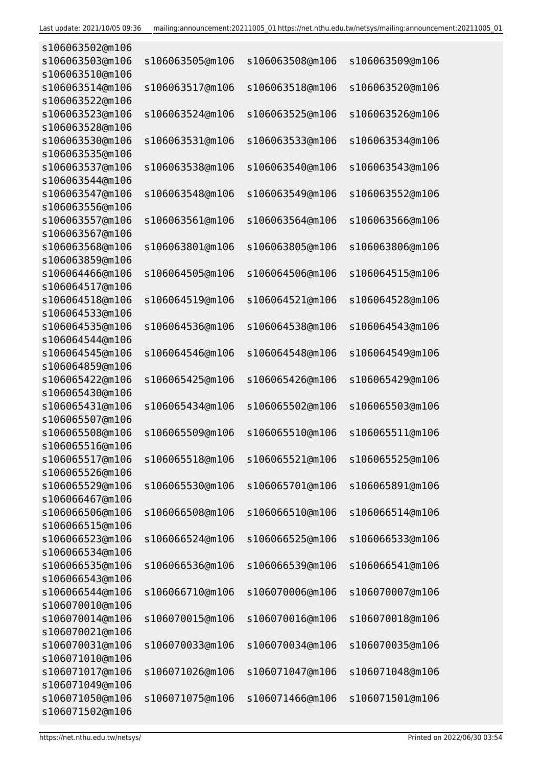| s106063502@m106 |                 |                 |                 |
|-----------------|-----------------|-----------------|-----------------|
| s106063503@m106 | s106063505@m106 | s106063508@m106 | s106063509@m106 |
| s106063510@m106 |                 |                 |                 |
| s106063514@m106 | s106063517@m106 | s106063518@m106 | s106063520@m106 |
| s106063522@m106 |                 |                 |                 |
| s106063523@m106 | s106063524@m106 | s106063525@m106 | s106063526@m106 |
| s106063528@m106 |                 |                 |                 |
| s106063530@m106 | s106063531@m106 | s106063533@m106 | s106063534@m106 |
| s106063535@m106 |                 |                 |                 |
| s106063537@m106 | s106063538@m106 | s106063540@m106 | s106063543@m106 |
| s106063544@m106 |                 |                 |                 |
| s106063547@m106 | s106063548@m106 | s106063549@m106 | s106063552@m106 |
| s106063556@m106 |                 |                 |                 |
| s106063557@m106 | s106063561@m106 | s106063564@m106 | s106063566@m106 |
| s106063567@m106 |                 |                 |                 |
| s106063568@m106 | s106063801@m106 | s106063805@m106 | s106063806@m106 |
| s106063859@m106 |                 |                 |                 |
| s106064466@m106 | s106064505@m106 | s106064506@m106 | s106064515@m106 |
| s106064517@m106 |                 |                 |                 |
| s106064518@m106 | s106064519@m106 | s106064521@m106 | s106064528@m106 |
| s106064533@m106 |                 |                 |                 |
| s106064535@m106 | s106064536@m106 | s106064538@m106 | s106064543@m106 |
| s106064544@m106 |                 |                 |                 |
| s106064545@m106 | s106064546@m106 | s106064548@m106 | s106064549@m106 |
| s106064859@m106 |                 |                 |                 |
| s106065422@m106 | s106065425@m106 | s106065426@m106 | s106065429@m106 |
| s106065430@m106 |                 |                 |                 |
| s106065431@m106 | s106065434@m106 | s106065502@m106 | s106065503@m106 |
| s106065507@m106 |                 |                 |                 |
|                 |                 |                 |                 |
| s106065508@m106 | s106065509@m106 | s106065510@m106 | s106065511@m106 |
| s106065516@m106 |                 |                 |                 |
| s106065517@m106 | s106065518@m106 | s106065521@m106 | s106065525@m106 |
| s106065526@m106 |                 |                 |                 |
| s106065529@m106 | s106065530@m106 | s106065701@m106 | s106065891@m106 |
| s106066467@m106 |                 |                 |                 |
| s106066506@m106 | s106066508@m106 | s106066510@m106 | s106066514@m106 |
| s106066515@m106 |                 |                 |                 |
| s106066523@m106 | s106066524@m106 | s106066525@m106 | s106066533@m106 |
| s106066534@m106 |                 |                 |                 |
| s106066535@m106 | s106066536@m106 | s106066539@m106 | s106066541@m106 |
| s106066543@m106 |                 |                 |                 |
| s106066544@m106 | s106066710@m106 | s106070006@m106 | s106070007@m106 |
| s106070010@m106 |                 |                 |                 |
| s106070014@m106 | s106070015@m106 | s106070016@m106 | s106070018@m106 |
| s106070021@m106 |                 |                 |                 |
| s106070031@m106 | s106070033@m106 | s106070034@m106 | s106070035@m106 |
| s106071010@m106 |                 |                 |                 |
| s106071017@m106 | s106071026@m106 | s106071047@m106 | s106071048@m106 |
| s106071049@m106 |                 |                 |                 |
| s106071050@m106 | s106071075@m106 | s106071466@m106 | s106071501@m106 |
| s106071502@m106 |                 |                 |                 |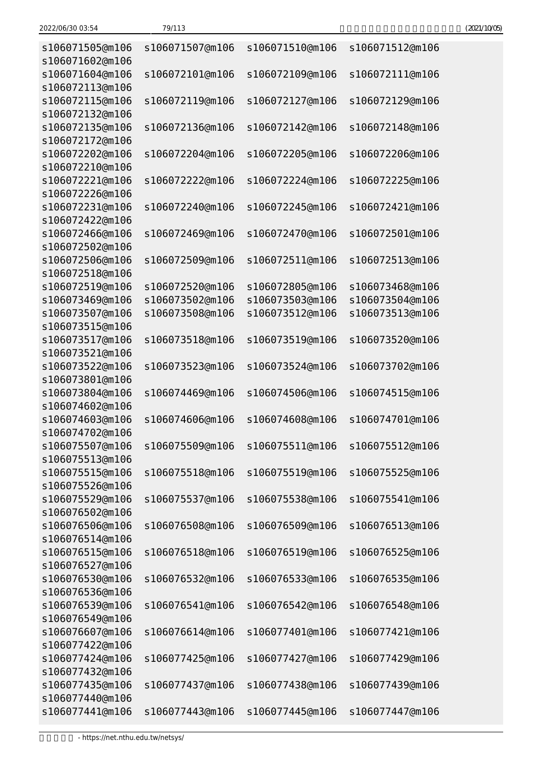|  |  | 9/ |  |
|--|--|----|--|
|  |  |    |  |
|  |  |    |  |

| s106071505@m106                    | s106071507@m106 | s106071510@m106                                 | s106071512@m106 |
|------------------------------------|-----------------|-------------------------------------------------|-----------------|
| s106071602@m106<br>s106071604@m106 | s106072101@m106 | s106072109@m106                                 | s106072111@m106 |
| s106072113@m106                    |                 |                                                 |                 |
| s106072115@m106                    | s106072119@m106 | s106072127@m106                                 | s106072129@m106 |
| s106072132@m106                    |                 |                                                 |                 |
| s106072135@m106                    | s106072136@m106 | s106072142@m106                                 | s106072148@m106 |
| s106072172@m106                    |                 |                                                 |                 |
| s106072202@m106                    | s106072204@m106 | s106072205@m106                                 | s106072206@m106 |
| s106072210@m106                    |                 |                                                 |                 |
| s106072221@m106                    | s106072222@m106 | s106072224@m106                                 | s106072225@m106 |
| s106072226@m106                    |                 |                                                 |                 |
| s106072231@m106                    | s106072240@m106 | s106072245@m106                                 | s106072421@m106 |
| s106072422@m106                    |                 |                                                 |                 |
| s106072466@m106                    | s106072469@m106 | s106072470@m106                                 | s106072501@m106 |
| s106072502@m106                    |                 |                                                 |                 |
| s106072506@m106                    | s106072509@m106 | s106072511@m106                                 | s106072513@m106 |
| s106072518@m106                    |                 |                                                 |                 |
| s106072519@m106                    | s106072520@m106 | s106072805@m106                                 | s106073468@m106 |
| s106073469@m106                    | s106073502@m106 | s106073503@m106                                 | s106073504@m106 |
| s106073507@m106                    | s106073508@m106 | s106073512@m106                                 | s106073513@m106 |
| s106073515@m106                    |                 |                                                 |                 |
| s106073517@m106                    | s106073518@m106 | s106073519@m106                                 | s106073520@m106 |
| s106073521@m106                    |                 |                                                 |                 |
| s106073522@m106                    | s106073523@m106 | s106073524@m106                                 | s106073702@m106 |
| s106073801@m106                    |                 |                                                 |                 |
| s106073804@m106                    | s106074469@m106 | s106074506@m106                                 | s106074515@m106 |
| s106074602@m106                    |                 |                                                 |                 |
| s106074603@m106                    | s106074606@m106 | s106074608@m106                                 | s106074701@m106 |
| s106074702@m106                    |                 |                                                 |                 |
| s106075507@m106                    |                 | s106075509@m106 s106075511@m106 s106075512@m106 |                 |
| s106075513@m106                    |                 |                                                 |                 |
| s106075515@m106<br>s106075526@m106 | s106075518@m106 | s106075519@m106                                 | s106075525@m106 |
| s106075529@m106                    | s106075537@m106 | s106075538@m106                                 | s106075541@m106 |
| s106076502@m106                    |                 |                                                 |                 |
| s106076506@m106                    | s106076508@m106 | s106076509@m106                                 | s106076513@m106 |
| s106076514@m106                    |                 |                                                 |                 |
| s106076515@m106                    | s106076518@m106 | s106076519@m106                                 | s106076525@m106 |
| s106076527@m106                    |                 |                                                 |                 |
| s106076530@m106                    | s106076532@m106 | s106076533@m106                                 | s106076535@m106 |
| s106076536@m106                    |                 |                                                 |                 |
| s106076539@m106                    | s106076541@m106 | s106076542@m106                                 | s106076548@m106 |
| s106076549@m106                    |                 |                                                 |                 |
| s106076607@m106                    | s106076614@m106 | s106077401@m106                                 | s106077421@m106 |
| s106077422@m106                    |                 |                                                 |                 |
| s106077424@m106                    | s106077425@m106 | s106077427@m106                                 | s106077429@m106 |
| s106077432@m106                    |                 |                                                 |                 |
| s106077435@m106                    | s106077437@m106 | s106077438@m106                                 | s106077439@m106 |
| s106077440@m106                    |                 |                                                 |                 |
| s106077441@m106                    | s106077443@m106 | s106077445@m106                                 | s106077447@m106 |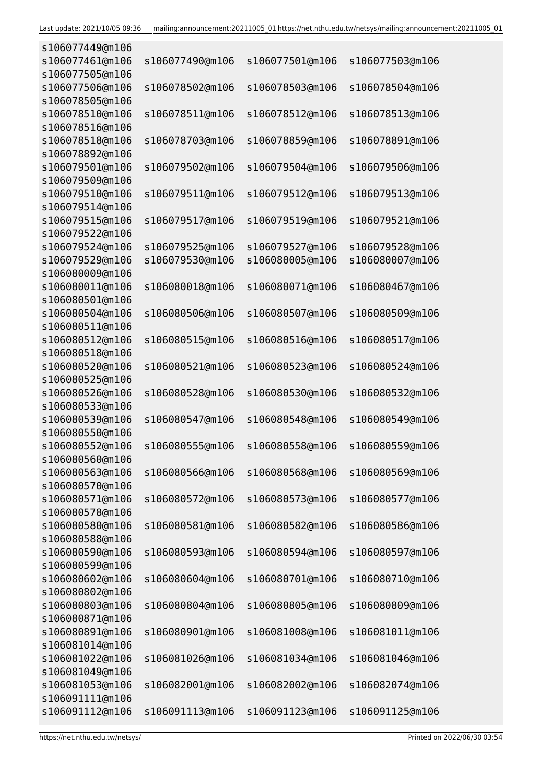| s106077449@m106 |                 |                 |                 |
|-----------------|-----------------|-----------------|-----------------|
| s106077461@m106 | s106077490@m106 | s106077501@m106 | s106077503@m106 |
| s106077505@m106 |                 |                 |                 |
| s106077506@m106 | s106078502@m106 | s106078503@m106 | s106078504@m106 |
| s106078505@m106 |                 |                 |                 |
| s106078510@m106 | s106078511@m106 | s106078512@m106 | s106078513@m106 |
| s106078516@m106 |                 |                 |                 |
| s106078518@m106 | s106078703@m106 | s106078859@m106 | s106078891@m106 |
| s106078892@m106 |                 |                 |                 |
| s106079501@m106 | s106079502@m106 | s106079504@m106 | s106079506@m106 |
| s106079509@m106 |                 |                 |                 |
| s106079510@m106 | s106079511@m106 | s106079512@m106 | s106079513@m106 |
| s106079514@m106 |                 |                 |                 |
| s106079515@m106 | s106079517@m106 | s106079519@m106 | s106079521@m106 |
| s106079522@m106 |                 |                 |                 |
| s106079524@m106 | s106079525@m106 | s106079527@m106 | s106079528@m106 |
| s106079529@m106 | s106079530@m106 | s106080005@m106 | s106080007@m106 |
| s106080009@m106 |                 |                 |                 |
| s106080011@m106 | s106080018@m106 | s106080071@m106 | s106080467@m106 |
| s106080501@m106 |                 |                 |                 |
| s106080504@m106 | s106080506@m106 | s106080507@m106 | s106080509@m106 |
| s106080511@m106 |                 |                 |                 |
| s106080512@m106 | s106080515@m106 | s106080516@m106 | s106080517@m106 |
| s106080518@m106 |                 |                 |                 |
| s106080520@m106 | s106080521@m106 | s106080523@m106 | s106080524@m106 |
| s106080525@m106 |                 |                 |                 |
| s106080526@m106 | s106080528@m106 | s106080530@m106 | s106080532@m106 |
| s106080533@m106 |                 |                 |                 |
| s106080539@m106 | s106080547@m106 | s106080548@m106 | s106080549@m106 |
| s106080550@m106 |                 |                 |                 |
| s106080552@m106 | s106080555@m106 | s106080558@m106 | s106080559@m106 |
| s106080560@m106 |                 |                 |                 |
| s106080563@m106 | s106080566@m106 | s106080568@m106 | s106080569@m106 |
| s106080570@m106 |                 |                 |                 |
| s106080571@m106 | s106080572@m106 | s106080573@m106 | s106080577@m106 |
| s106080578@m106 |                 |                 |                 |
| s106080580@m106 | s106080581@m106 | s106080582@m106 | s106080586@m106 |
| s106080588@m106 |                 |                 |                 |
| s106080590@m106 | s106080593@m106 | s106080594@m106 | s106080597@m106 |
| s106080599@m106 |                 |                 |                 |
| s106080602@m106 | s106080604@m106 | s106080701@m106 | s106080710@m106 |
| s106080802@m106 |                 |                 |                 |
| s106080803@m106 | s106080804@m106 | s106080805@m106 | s106080809@m106 |
| s106080871@m106 |                 |                 |                 |
| s106080891@m106 | s106080901@m106 | s106081008@m106 | s106081011@m106 |
| s106081014@m106 |                 |                 |                 |
| s106081022@m106 | s106081026@m106 | s106081034@m106 | s106081046@m106 |
| s106081049@m106 |                 |                 |                 |
| s106081053@m106 | s106082001@m106 | s106082002@m106 | s106082074@m106 |
| s106091111@m106 |                 |                 |                 |
| s106091112@m106 | s106091113@m106 | s106091123@m106 | s106091125@m106 |
|                 |                 |                 |                 |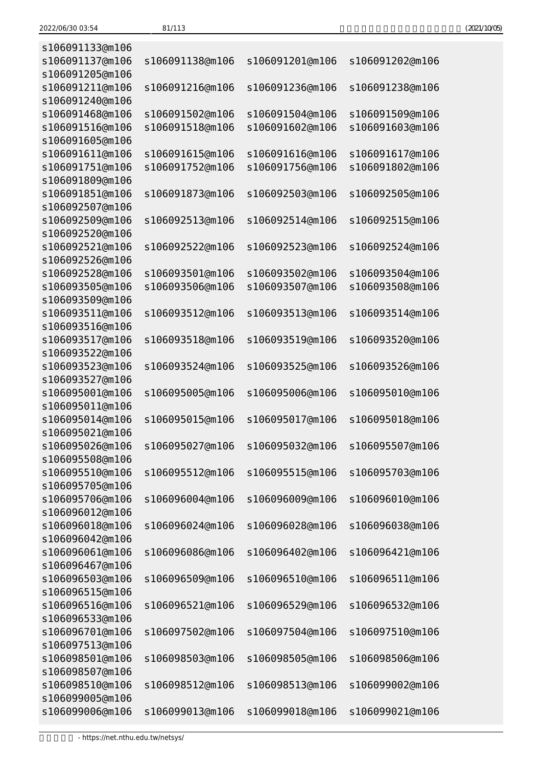| (2021/10/05) |
|--------------|
|--------------|

| s106091133@m106 |                 |                 |                 |
|-----------------|-----------------|-----------------|-----------------|
| s106091137@m106 | s106091138@m106 | s106091201@m106 | s106091202@m106 |
| s106091205@m106 |                 |                 |                 |
| s106091211@m106 | s106091216@m106 | s106091236@m106 | s106091238@m106 |
| s106091240@m106 |                 |                 |                 |
| s106091468@m106 | s106091502@m106 | s106091504@m106 | s106091509@m106 |
| s106091516@m106 | s106091518@m106 | s106091602@m106 | s106091603@m106 |
| s106091605@m106 |                 |                 |                 |
| s106091611@m106 | s106091615@m106 | s106091616@m106 | s106091617@m106 |
|                 | s106091752@m106 | s106091756@m106 |                 |
| s106091751@m106 |                 |                 | s106091802@m106 |
| s106091809@m106 |                 |                 |                 |
| s106091851@m106 | s106091873@m106 | s106092503@m106 | s106092505@m106 |
| s106092507@m106 |                 |                 |                 |
| s106092509@m106 | s106092513@m106 | s106092514@m106 | s106092515@m106 |
| s106092520@m106 |                 |                 |                 |
| s106092521@m106 | s106092522@m106 | s106092523@m106 | s106092524@m106 |
| s106092526@m106 |                 |                 |                 |
| s106092528@m106 | s106093501@m106 | s106093502@m106 | s106093504@m106 |
| s106093505@m106 | s106093506@m106 | s106093507@m106 | s106093508@m106 |
| s106093509@m106 |                 |                 |                 |
| s106093511@m106 | s106093512@m106 | s106093513@m106 | s106093514@m106 |
| s106093516@m106 |                 |                 |                 |
| s106093517@m106 | s106093518@m106 | s106093519@m106 | s106093520@m106 |
| s106093522@m106 |                 |                 |                 |
| s106093523@m106 | s106093524@m106 | s106093525@m106 | s106093526@m106 |
| s106093527@m106 |                 |                 |                 |
| s106095001@m106 | s106095005@m106 | s106095006@m106 | s106095010@m106 |
| s106095011@m106 |                 |                 |                 |
| s106095014@m106 | s106095015@m106 | s106095017@m106 | s106095018@m106 |
| s106095021@m106 |                 |                 |                 |
| s106095026@m106 | s106095027@m106 | s106095032@m106 | s106095507@m106 |
| s106095508@m106 |                 |                 |                 |
| s106095510@m106 | s106095512@m106 | s106095515@m106 | s106095703@m106 |
| s106095705@m106 |                 |                 |                 |
| s106095706@m106 | s106096004@m106 | s106096009@m106 | s106096010@m106 |
| s106096012@m106 |                 |                 |                 |
| s106096018@m106 | s106096024@m106 |                 |                 |
|                 |                 | s106096028@m106 | s106096038@m106 |
| s106096042@m106 |                 |                 |                 |
| s106096061@m106 | s106096086@m106 | s106096402@m106 | s106096421@m106 |
| s106096467@m106 |                 |                 |                 |
| s106096503@m106 | s106096509@m106 | s106096510@m106 | s106096511@m106 |
| s106096515@m106 |                 |                 |                 |
| s106096516@m106 | s106096521@m106 | s106096529@m106 | s106096532@m106 |
| s106096533@m106 |                 |                 |                 |
| s106096701@m106 | s106097502@m106 | s106097504@m106 | s106097510@m106 |
| s106097513@m106 |                 |                 |                 |
| s106098501@m106 | s106098503@m106 | s106098505@m106 | s106098506@m106 |
| s106098507@m106 |                 |                 |                 |
| s106098510@m106 | s106098512@m106 | s106098513@m106 | s106099002@m106 |
| s106099005@m106 |                 |                 |                 |
| s106099006@m106 | s106099013@m106 | s106099018@m106 | s106099021@m106 |
|                 |                 |                 |                 |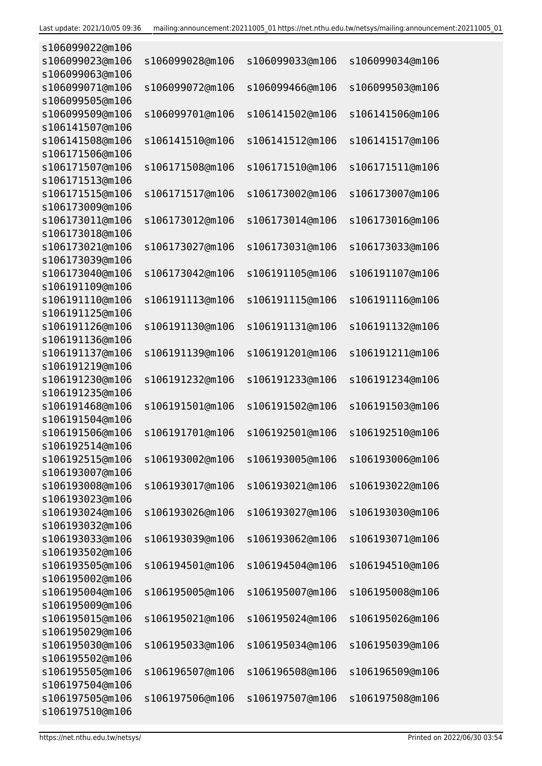| s106099022@m106                    |                 |                 |                 |
|------------------------------------|-----------------|-----------------|-----------------|
| s106099023@m106                    | s106099028@m106 | s106099033@m106 | s106099034@m106 |
| s106099063@m106                    |                 |                 |                 |
| s106099071@m106                    | s106099072@m106 | s106099466@m106 | s106099503@m106 |
| s106099505@m106                    |                 |                 |                 |
| s106099509@m106                    | s106099701@m106 | s106141502@m106 | s106141506@m106 |
| s106141507@m106                    |                 |                 |                 |
| s106141508@m106                    | s106141510@m106 | s106141512@m106 | s106141517@m106 |
| s106171506@m106                    |                 |                 |                 |
| s106171507@m106                    | s106171508@m106 | s106171510@m106 | s106171511@m106 |
| s106171513@m106                    |                 |                 |                 |
| s106171515@m106                    | s106171517@m106 | s106173002@m106 | s106173007@m106 |
| s106173009@m106                    |                 |                 |                 |
| s106173011@m106                    | s106173012@m106 | s106173014@m106 | s106173016@m106 |
| s106173018@m106                    |                 |                 |                 |
| s106173021@m106                    | s106173027@m106 | s106173031@m106 | s106173033@m106 |
| s106173039@m106                    |                 |                 |                 |
| s106173040@m106                    | s106173042@m106 | s106191105@m106 | s106191107@m106 |
| s106191109@m106                    |                 |                 |                 |
| s106191110@m106                    | s106191113@m106 | s106191115@m106 | s106191116@m106 |
| s106191125@m106                    |                 |                 |                 |
| s106191126@m106                    | s106191130@m106 | s106191131@m106 | s106191132@m106 |
| s106191136@m106                    |                 |                 |                 |
| s106191137@m106                    | s106191139@m106 | s106191201@m106 | s106191211@m106 |
| s106191219@m106                    |                 |                 |                 |
| s106191230@m106                    | s106191232@m106 | s106191233@m106 | s106191234@m106 |
| s106191235@m106                    |                 |                 |                 |
| s106191468@m106                    | s106191501@m106 | s106191502@m106 | s106191503@m106 |
| s106191504@m106                    |                 |                 |                 |
| s106191506@m106                    | s106191701@m106 | s106192501@m106 | s106192510@m106 |
| s106192514@m106                    |                 |                 |                 |
| s106192515@m106                    | s106193002@m106 | s106193005@m106 | s106193006@m106 |
| s106193007@m106                    |                 |                 |                 |
| s106193008@m106                    | s106193017@m106 | s106193021@m106 | s106193022@m106 |
| s106193023@m106                    |                 |                 |                 |
| s106193024@m106                    | s106193026@m106 | s106193027@m106 | s106193030@m106 |
| s106193032@m106                    |                 |                 |                 |
| s106193033@m106                    | s106193039@m106 | s106193062@m106 | s106193071@m106 |
| s106193502@m106<br>s106193505@m106 | s106194501@m106 |                 |                 |
| s106195002@m106                    |                 | s106194504@m106 | s106194510@m106 |
| s106195004@m106                    | s106195005@m106 | s106195007@m106 |                 |
| s106195009@m106                    |                 |                 | s106195008@m106 |
| s106195015@m106                    | s106195021@m106 | s106195024@m106 | s106195026@m106 |
| s106195029@m106                    |                 |                 |                 |
| s106195030@m106                    | s106195033@m106 | s106195034@m106 | s106195039@m106 |
| s106195502@m106                    |                 |                 |                 |
| s106195505@m106                    | s106196507@m106 | s106196508@m106 | s106196509@m106 |
| s106197504@m106                    |                 |                 |                 |
| s106197505@m106                    | s106197506@m106 | s106197507@m106 | s106197508@m106 |
| s106197510@m106                    |                 |                 |                 |
|                                    |                 |                 |                 |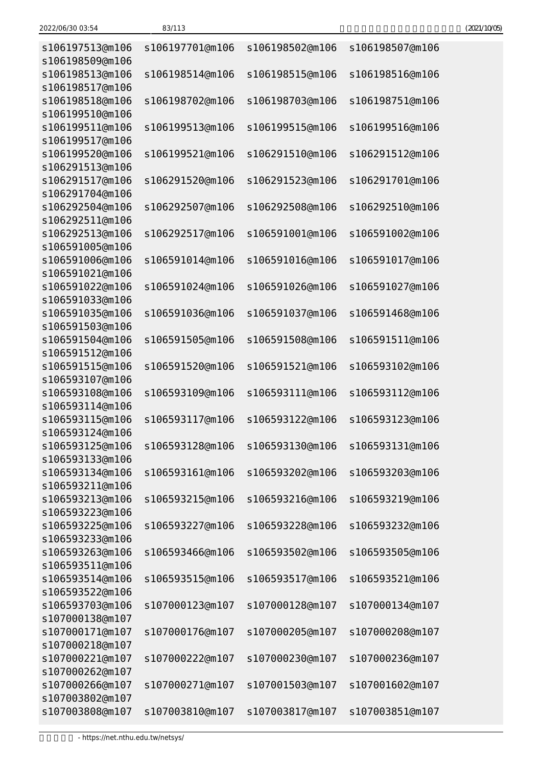| s106197513@m106<br>s106198509@m106 | s106197701@m106 | s106198502@m106                                 | s106198507@m106 |
|------------------------------------|-----------------|-------------------------------------------------|-----------------|
| s106198513@m106                    | s106198514@m106 | s106198515@m106                                 | s106198516@m106 |
| s106198517@m106<br>s106198518@m106 | s106198702@m106 | s106198703@m106                                 | s106198751@m106 |
| s106199510@m106                    |                 |                                                 |                 |
| s106199511@m106                    | s106199513@m106 | s106199515@m106                                 | s106199516@m106 |
| s106199517@m106                    |                 |                                                 |                 |
| s106199520@m106                    | s106199521@m106 | s106291510@m106                                 | s106291512@m106 |
| s106291513@m106                    |                 |                                                 |                 |
| s106291517@m106                    | s106291520@m106 | s106291523@m106                                 | s106291701@m106 |
| s106291704@m106                    |                 |                                                 |                 |
| s106292504@m106                    | s106292507@m106 | s106292508@m106                                 | s106292510@m106 |
| s106292511@m106                    |                 |                                                 |                 |
| s106292513@m106<br>s106591005@m106 | s106292517@m106 | s106591001@m106                                 | s106591002@m106 |
| s106591006@m106                    | s106591014@m106 | s106591016@m106                                 | s106591017@m106 |
| s106591021@m106                    |                 |                                                 |                 |
| s106591022@m106                    | s106591024@m106 | s106591026@m106                                 | s106591027@m106 |
| s106591033@m106                    |                 |                                                 |                 |
| s106591035@m106                    | s106591036@m106 | s106591037@m106                                 | s106591468@m106 |
| s106591503@m106                    |                 |                                                 |                 |
| s106591504@m106                    | s106591505@m106 | s106591508@m106                                 | s106591511@m106 |
| s106591512@m106                    |                 |                                                 |                 |
| s106591515@m106                    | s106591520@m106 | s106591521@m106                                 | s106593102@m106 |
| s106593107@m106                    |                 |                                                 |                 |
| s106593108@m106                    | s106593109@m106 | s106593111@m106                                 | s106593112@m106 |
| s106593114@m106                    |                 |                                                 |                 |
| s106593115@m106                    | s106593117@m106 | s106593122@m106                                 | s106593123@m106 |
| s106593124@m106<br>s106593125@m106 |                 | s106593128@m106 s106593130@m106 s106593131@m106 |                 |
| s106593133@m106                    |                 |                                                 |                 |
| s106593134@m106                    | s106593161@m106 | s106593202@m106                                 | s106593203@m106 |
| s106593211@m106                    |                 |                                                 |                 |
| s106593213@m106                    | s106593215@m106 | s106593216@m106                                 | s106593219@m106 |
| s106593223@m106                    |                 |                                                 |                 |
| s106593225@m106                    | s106593227@m106 | s106593228@m106                                 | s106593232@m106 |
| s106593233@m106                    |                 |                                                 |                 |
| s106593263@m106                    | s106593466@m106 | s106593502@m106                                 | s106593505@m106 |
| s106593511@m106                    |                 |                                                 |                 |
| s106593514@m106                    | s106593515@m106 | s106593517@m106                                 | s106593521@m106 |
| s106593522@m106                    |                 |                                                 |                 |
| s106593703@m106                    | s107000123@m107 | s107000128@m107                                 | s107000134@m107 |
| s107000138@m107<br>s107000171@m107 | s107000176@m107 | s107000205@m107                                 | s107000208@m107 |
| s107000218@m107                    |                 |                                                 |                 |
| s107000221@m107                    | s107000222@m107 | s107000230@m107                                 | s107000236@m107 |
| s107000262@m107                    |                 |                                                 |                 |
|                                    |                 |                                                 |                 |
|                                    |                 |                                                 |                 |
| s107000266@m107<br>s107003802@m107 | s107000271@m107 | s107001503@m107                                 | s107001602@m107 |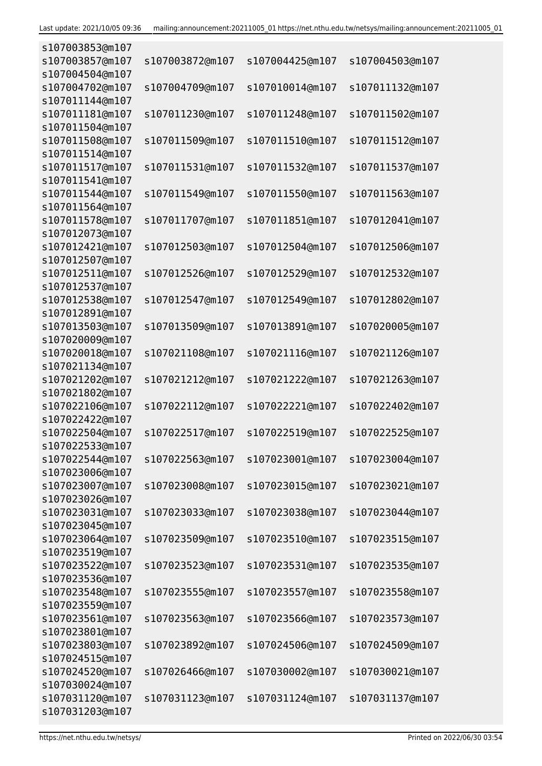| s107003853@m107 |                 |                 |                 |
|-----------------|-----------------|-----------------|-----------------|
| s107003857@m107 | s107003872@m107 | s107004425@m107 | s107004503@m107 |
| s107004504@m107 |                 |                 |                 |
| s107004702@m107 | s107004709@m107 | s107010014@m107 | s107011132@m107 |
| s107011144@m107 |                 |                 |                 |
| s107011181@m107 | s107011230@m107 | s107011248@m107 | s107011502@m107 |
| s107011504@m107 |                 |                 |                 |
| s107011508@m107 | s107011509@m107 | s107011510@m107 | s107011512@m107 |
| s107011514@m107 |                 |                 |                 |
|                 |                 |                 |                 |
| s107011517@m107 | s107011531@m107 | s107011532@m107 | s107011537@m107 |
| s107011541@m107 |                 |                 |                 |
| s107011544@m107 | s107011549@m107 | s107011550@m107 | s107011563@m107 |
| s107011564@m107 |                 |                 |                 |
| s107011578@m107 | s107011707@m107 | s107011851@m107 | s107012041@m107 |
| s107012073@m107 |                 |                 |                 |
| s107012421@m107 | s107012503@m107 | s107012504@m107 | s107012506@m107 |
| s107012507@m107 |                 |                 |                 |
| s107012511@m107 | s107012526@m107 | s107012529@m107 | s107012532@m107 |
| s107012537@m107 |                 |                 |                 |
| s107012538@m107 | s107012547@m107 | s107012549@m107 | s107012802@m107 |
| s107012891@m107 |                 |                 |                 |
| s107013503@m107 | s107013509@m107 | s107013891@m107 | s107020005@m107 |
| s107020009@m107 |                 |                 |                 |
| s107020018@m107 | s107021108@m107 | s107021116@m107 | s107021126@m107 |
| s107021134@m107 |                 |                 |                 |
| s107021202@m107 | s107021212@m107 | s107021222@m107 | s107021263@m107 |
| s107021802@m107 |                 |                 |                 |
| s107022106@m107 | s107022112@m107 | s107022221@m107 | s107022402@m107 |
| s107022422@m107 |                 |                 |                 |
| s107022504@m107 | s107022517@m107 | s107022519@m107 | s107022525@m107 |
| s107022533@m107 |                 |                 |                 |
| s107022544@m107 | s107022563@m107 | s107023001@m107 | s107023004@m107 |
| s107023006@m107 |                 |                 |                 |
| s107023007@m107 | s107023008@m107 | s107023015@m107 | s107023021@m107 |
| s107023026@m107 |                 |                 |                 |
| s107023031@m107 | s107023033@m107 | s107023038@m107 | s107023044@m107 |
| s107023045@m107 |                 |                 |                 |
| s107023064@m107 |                 |                 |                 |
| s107023519@m107 | s107023509@m107 | s107023510@m107 | s107023515@m107 |
|                 |                 |                 |                 |
| s107023522@m107 | s107023523@m107 | s107023531@m107 | s107023535@m107 |
| s107023536@m107 |                 |                 |                 |
| s107023548@m107 | s107023555@m107 | s107023557@m107 | s107023558@m107 |
| s107023559@m107 |                 |                 |                 |
| s107023561@m107 | s107023563@m107 | s107023566@m107 | s107023573@m107 |
| s107023801@m107 |                 |                 |                 |
| s107023803@m107 | s107023892@m107 | s107024506@m107 | s107024509@m107 |
| s107024515@m107 |                 |                 |                 |
| s107024520@m107 | s107026466@m107 | s107030002@m107 | s107030021@m107 |
| s107030024@m107 |                 |                 |                 |
| s107031120@m107 | s107031123@m107 | s107031124@m107 | s107031137@m107 |
| s107031203@m107 |                 |                 |                 |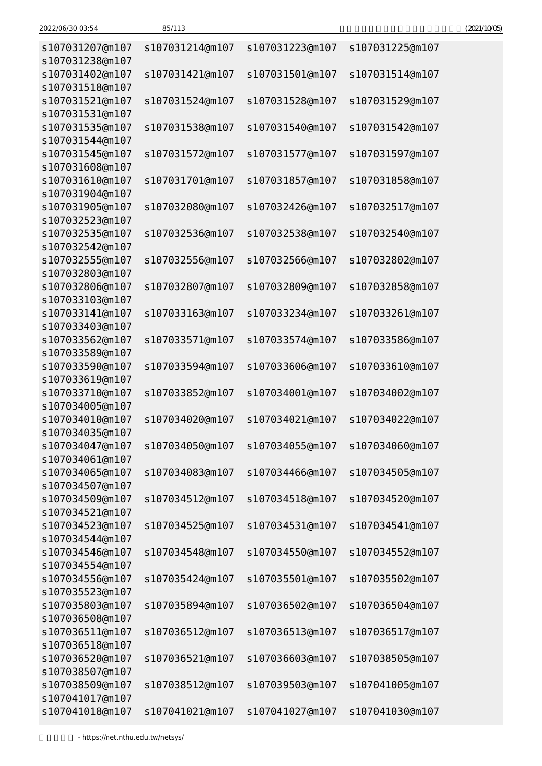| 2022/06/30 03:54 | 85/113 | (2021/10/05) |
|------------------|--------|--------------|
|------------------|--------|--------------|

| s107031207@m107<br>s107031238@m107 | s107031214@m107 | s107031223@m107                 | s107031225@m107 |
|------------------------------------|-----------------|---------------------------------|-----------------|
| s107031402@m107                    | s107031421@m107 | s107031501@m107                 | s107031514@m107 |
| s107031518@m107                    |                 |                                 |                 |
| s107031521@m107<br>s107031531@m107 | s107031524@m107 | s107031528@m107                 | s107031529@m107 |
| s107031535@m107<br>s107031544@m107 | s107031538@m107 | s107031540@m107                 | s107031542@m107 |
| s107031545@m107                    | s107031572@m107 | s107031577@m107                 | s107031597@m107 |
| s107031608@m107                    |                 |                                 |                 |
| s107031610@m107<br>s107031904@m107 | s107031701@m107 | s107031857@m107                 | s107031858@m107 |
| s107031905@m107                    | s107032080@m107 | s107032426@m107                 | s107032517@m107 |
| s107032523@m107                    |                 |                                 |                 |
| s107032535@m107                    | s107032536@m107 | s107032538@m107                 | s107032540@m107 |
| s107032542@m107                    |                 |                                 |                 |
| s107032555@m107                    | s107032556@m107 | s107032566@m107                 | s107032802@m107 |
| s107032803@m107                    |                 |                                 |                 |
| s107032806@m107                    | s107032807@m107 | s107032809@m107                 | s107032858@m107 |
| s107033103@m107                    |                 |                                 |                 |
| s107033141@m107                    | s107033163@m107 | s107033234@m107                 | s107033261@m107 |
| s107033403@m107                    |                 |                                 |                 |
| s107033562@m107                    | s107033571@m107 | s107033574@m107                 | s107033586@m107 |
| s107033589@m107                    |                 |                                 |                 |
| s107033590@m107                    | s107033594@m107 | s107033606@m107                 | s107033610@m107 |
| s107033619@m107                    |                 |                                 |                 |
| s107033710@m107                    | s107033852@m107 | s107034001@m107                 | s107034002@m107 |
| s107034005@m107                    |                 |                                 |                 |
| s107034010@m107                    | s107034020@m107 | s107034021@m107                 | s107034022@m107 |
| s107034035@m107                    |                 |                                 |                 |
| s107034047@m107                    |                 | s107034050@m107 s107034055@m107 | s107034060@m107 |
| s107034061@m107                    |                 |                                 |                 |
| s107034065@m107                    | s107034083@m107 | s107034466@m107                 | s107034505@m107 |
| s107034507@m107<br>s107034509@m107 | s107034512@m107 |                                 | s107034520@m107 |
| s107034521@m107                    |                 | s107034518@m107                 |                 |
| s107034523@m107                    | s107034525@m107 | s107034531@m107                 | s107034541@m107 |
| s107034544@m107                    |                 |                                 |                 |
| s107034546@m107                    | s107034548@m107 | s107034550@m107                 | s107034552@m107 |
| s107034554@m107                    |                 |                                 |                 |
| s107034556@m107                    | s107035424@m107 | s107035501@m107                 | s107035502@m107 |
| s107035523@m107                    |                 |                                 |                 |
| s107035803@m107                    | s107035894@m107 | s107036502@m107                 | s107036504@m107 |
| s107036508@m107                    |                 |                                 |                 |
| s107036511@m107                    | s107036512@m107 | s107036513@m107                 | s107036517@m107 |
| s107036518@m107                    |                 |                                 |                 |
| s107036520@m107                    | s107036521@m107 | s107036603@m107                 | s107038505@m107 |
| s107038507@m107                    |                 |                                 |                 |
| s107038509@m107                    | s107038512@m107 | s107039503@m107                 | s107041005@m107 |
| s107041017@m107                    |                 |                                 |                 |
| s107041018@m107                    | s107041021@m107 | s107041027@m107                 | s107041030@m107 |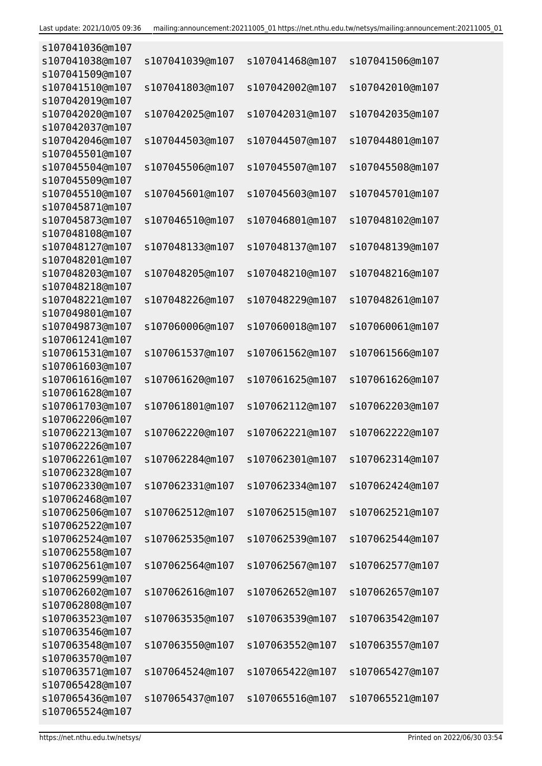| s107041036@m107 |                 |                 |                 |
|-----------------|-----------------|-----------------|-----------------|
| s107041038@m107 | s107041039@m107 | s107041468@m107 | s107041506@m107 |
| s107041509@m107 |                 |                 |                 |
| s107041510@m107 | s107041803@m107 | s107042002@m107 | s107042010@m107 |
| s107042019@m107 |                 |                 |                 |
| s107042020@m107 | s107042025@m107 | s107042031@m107 | s107042035@m107 |
| s107042037@m107 |                 |                 |                 |
| s107042046@m107 | s107044503@m107 | s107044507@m107 | s107044801@m107 |
| s107045501@m107 |                 |                 |                 |
| s107045504@m107 | s107045506@m107 | s107045507@m107 | s107045508@m107 |
| s107045509@m107 |                 |                 |                 |
|                 |                 |                 |                 |
| s107045510@m107 | s107045601@m107 | s107045603@m107 | s107045701@m107 |
| s107045871@m107 |                 |                 |                 |
| s107045873@m107 | s107046510@m107 | s107046801@m107 | s107048102@m107 |
| s107048108@m107 |                 |                 |                 |
| s107048127@m107 | s107048133@m107 | s107048137@m107 | s107048139@m107 |
| s107048201@m107 |                 |                 |                 |
| s107048203@m107 | s107048205@m107 | s107048210@m107 | s107048216@m107 |
| s107048218@m107 |                 |                 |                 |
| s107048221@m107 | s107048226@m107 | s107048229@m107 | s107048261@m107 |
| s107049801@m107 |                 |                 |                 |
| s107049873@m107 | s107060006@m107 | s107060018@m107 | s107060061@m107 |
| s107061241@m107 |                 |                 |                 |
| s107061531@m107 | s107061537@m107 | s107061562@m107 | s107061566@m107 |
| s107061603@m107 |                 |                 |                 |
| s107061616@m107 | s107061620@m107 | s107061625@m107 | s107061626@m107 |
| s107061628@m107 |                 |                 |                 |
| s107061703@m107 | s107061801@m107 | s107062112@m107 | s107062203@m107 |
| s107062206@m107 |                 |                 |                 |
| s107062213@m107 | s107062220@m107 | s107062221@m107 | s107062222@m107 |
| s107062226@m107 |                 |                 |                 |
| s107062261@m107 | s107062284@m107 | s107062301@m107 | s107062314@m107 |
| s107062328@m107 |                 |                 |                 |
| s107062330@m107 | s107062331@m107 | s107062334@m107 | s107062424@m107 |
| s107062468@m107 |                 |                 |                 |
| s107062506@m107 | s107062512@m107 | s107062515@m107 | s107062521@m107 |
| s107062522@m107 |                 |                 |                 |
| s107062524@m107 | s107062535@m107 | s107062539@m107 | s107062544@m107 |
|                 |                 |                 |                 |
| s107062558@m107 |                 |                 |                 |
| s107062561@m107 | s107062564@m107 | s107062567@m107 | s107062577@m107 |
| s107062599@m107 |                 |                 |                 |
| s107062602@m107 | s107062616@m107 | s107062652@m107 | s107062657@m107 |
| s107062808@m107 |                 |                 |                 |
| s107063523@m107 | s107063535@m107 | s107063539@m107 | s107063542@m107 |
| s107063546@m107 |                 |                 |                 |
| s107063548@m107 | s107063550@m107 | s107063552@m107 | s107063557@m107 |
| s107063570@m107 |                 |                 |                 |
| s107063571@m107 | s107064524@m107 | s107065422@m107 | s107065427@m107 |
| s107065428@m107 |                 |                 |                 |
| s107065436@m107 | s107065437@m107 | s107065516@m107 | s107065521@m107 |
| s107065524@m107 |                 |                 |                 |
|                 |                 |                 |                 |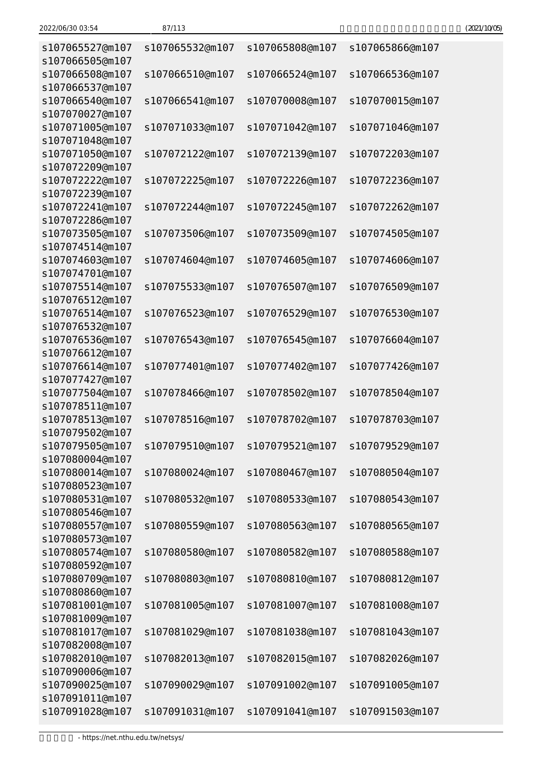| s107065527@m107                    | s107065532@m107 | s107065808@m107 | s107065866@m107 |
|------------------------------------|-----------------|-----------------|-----------------|
| s107066505@m107<br>s107066508@m107 | s107066510@m107 | s107066524@m107 | s107066536@m107 |
| s107066537@m107                    |                 |                 |                 |
| s107066540@m107<br>s107070027@m107 | s107066541@m107 | s107070008@m107 | s107070015@m107 |
| s107071005@m107                    | s107071033@m107 | s107071042@m107 | s107071046@m107 |
| s107071048@m107                    |                 |                 |                 |
| s107071050@m107<br>s107072209@m107 | s107072122@m107 | s107072139@m107 | s107072203@m107 |
| s107072222@m107<br>s107072239@m107 | s107072225@m107 | s107072226@m107 | s107072236@m107 |
| s107072241@m107                    | s107072244@m107 | s107072245@m107 | s107072262@m107 |
| s107072286@m107                    |                 |                 |                 |
| s107073505@m107                    | s107073506@m107 | s107073509@m107 | s107074505@m107 |
| s107074514@m107                    |                 |                 |                 |
| s107074603@m107                    | s107074604@m107 | s107074605@m107 | s107074606@m107 |
| s107074701@m107                    |                 |                 |                 |
| s107075514@m107                    | s107075533@m107 | s107076507@m107 | s107076509@m107 |
| s107076512@m107                    |                 |                 |                 |
| s107076514@m107                    | s107076523@m107 | s107076529@m107 | s107076530@m107 |
| s107076532@m107                    |                 |                 |                 |
| s107076536@m107                    | s107076543@m107 | s107076545@m107 | s107076604@m107 |
| s107076612@m107                    |                 |                 |                 |
| s107076614@m107                    | s107077401@m107 | s107077402@m107 | s107077426@m107 |
| s107077427@m107                    |                 |                 |                 |
| s107077504@m107                    | s107078466@m107 | s107078502@m107 | s107078504@m107 |
| s107078511@m107                    |                 |                 |                 |
| s107078513@m107                    | s107078516@m107 | s107078702@m107 | s107078703@m107 |
| s107079502@m107                    |                 |                 |                 |
| s107079505@m107                    | s107079510@m107 | s107079521@m107 | s107079529@m107 |
| s107080004@m107<br>s107080014@m107 | s107080024@m107 |                 |                 |
| s107080523@m107                    |                 | s107080467@m107 | s107080504@m107 |
| s107080531@m107                    | s107080532@m107 | s107080533@m107 | s107080543@m107 |
| s107080546@m107                    |                 |                 |                 |
| s107080557@m107                    | s107080559@m107 | s107080563@m107 | s107080565@m107 |
| s107080573@m107                    |                 |                 |                 |
| s107080574@m107                    | s107080580@m107 | s107080582@m107 | s107080588@m107 |
| s107080592@m107                    |                 |                 |                 |
| s107080709@m107                    | s107080803@m107 | s107080810@m107 | s107080812@m107 |
| s107080860@m107                    |                 |                 |                 |
| s107081001@m107                    | s107081005@m107 | s107081007@m107 | s107081008@m107 |
| s107081009@m107                    |                 |                 |                 |
| s107081017@m107                    | s107081029@m107 | s107081038@m107 | s107081043@m107 |
| s107082008@m107                    |                 |                 |                 |
| s107082010@m107                    | s107082013@m107 | s107082015@m107 | s107082026@m107 |
| s107090006@m107                    |                 |                 |                 |
| s107090025@m107                    | s107090029@m107 | s107091002@m107 | s107091005@m107 |
| s107091011@m107                    |                 |                 |                 |
| s107091028@m107                    | s107091031@m107 | s107091041@m107 | s107091503@m107 |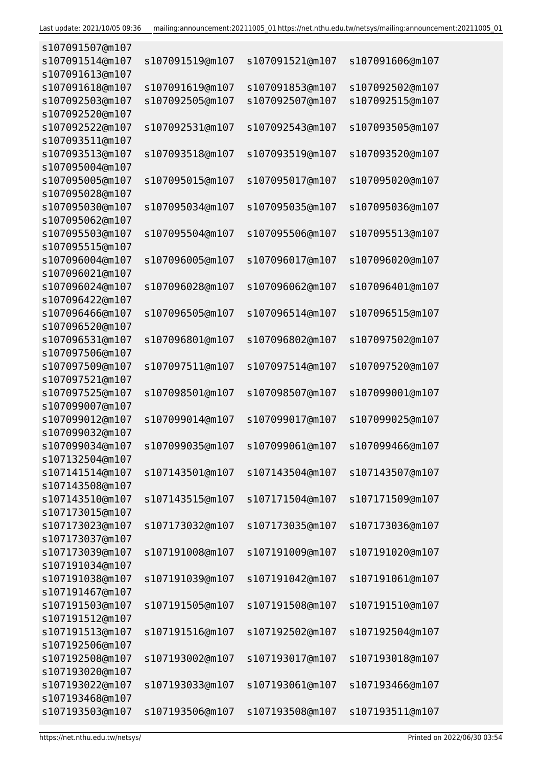| s107091507@m107 |                 |                 |                 |
|-----------------|-----------------|-----------------|-----------------|
| s107091514@m107 | s107091519@m107 | s107091521@m107 | s107091606@m107 |
| s107091613@m107 |                 |                 |                 |
| s107091618@m107 | s107091619@m107 | s107091853@m107 | s107092502@m107 |
| s107092503@m107 | s107092505@m107 | s107092507@m107 | s107092515@m107 |
| s107092520@m107 |                 |                 |                 |
| s107092522@m107 | s107092531@m107 | s107092543@m107 | s107093505@m107 |
| s107093511@m107 |                 |                 |                 |
| s107093513@m107 | s107093518@m107 | s107093519@m107 | s107093520@m107 |
| s107095004@m107 |                 |                 |                 |
|                 |                 |                 |                 |
| s107095005@m107 | s107095015@m107 | s107095017@m107 | s107095020@m107 |
| s107095028@m107 |                 |                 |                 |
| s107095030@m107 | s107095034@m107 | s107095035@m107 | s107095036@m107 |
| s107095062@m107 |                 |                 |                 |
| s107095503@m107 | s107095504@m107 | s107095506@m107 | s107095513@m107 |
| s107095515@m107 |                 |                 |                 |
| s107096004@m107 | s107096005@m107 | s107096017@m107 | s107096020@m107 |
| s107096021@m107 |                 |                 |                 |
| s107096024@m107 | s107096028@m107 | s107096062@m107 | s107096401@m107 |
| s107096422@m107 |                 |                 |                 |
| s107096466@m107 | s107096505@m107 | s107096514@m107 | s107096515@m107 |
| s107096520@m107 |                 |                 |                 |
| s107096531@m107 | s107096801@m107 | s107096802@m107 | s107097502@m107 |
| s107097506@m107 |                 |                 |                 |
| s107097509@m107 | s107097511@m107 | s107097514@m107 | s107097520@m107 |
| s107097521@m107 |                 |                 |                 |
| s107097525@m107 | s107098501@m107 | s107098507@m107 | s107099001@m107 |
| s107099007@m107 |                 |                 |                 |
| s107099012@m107 | s107099014@m107 | s107099017@m107 | s107099025@m107 |
| s107099032@m107 |                 |                 |                 |
| s107099034@m107 |                 |                 | s107099466@m107 |
|                 | s107099035@m107 | s107099061@m107 |                 |
| s107132504@m107 |                 |                 |                 |
| s107141514@m107 | s107143501@m107 | s107143504@m107 | s107143507@m107 |
| s107143508@m107 |                 |                 |                 |
| s107143510@m107 | s107143515@m107 | s107171504@m107 | s107171509@m107 |
| s107173015@m107 |                 |                 |                 |
| s107173023@m107 | s107173032@m107 | s107173035@m107 | s107173036@m107 |
| s107173037@m107 |                 |                 |                 |
| s107173039@m107 | s107191008@m107 | s107191009@m107 | s107191020@m107 |
| s107191034@m107 |                 |                 |                 |
| s107191038@m107 | s107191039@m107 | s107191042@m107 | s107191061@m107 |
| s107191467@m107 |                 |                 |                 |
| s107191503@m107 | s107191505@m107 | s107191508@m107 | s107191510@m107 |
| s107191512@m107 |                 |                 |                 |
| s107191513@m107 | s107191516@m107 | s107192502@m107 | s107192504@m107 |
| s107192506@m107 |                 |                 |                 |
| s107192508@m107 | s107193002@m107 | s107193017@m107 | s107193018@m107 |
| s107193020@m107 |                 |                 |                 |
| s107193022@m107 | s107193033@m107 | s107193061@m107 | s107193466@m107 |
| s107193468@m107 |                 |                 |                 |
|                 |                 |                 |                 |
| s107193503@m107 | s107193506@m107 | s107193508@m107 | s107193511@m107 |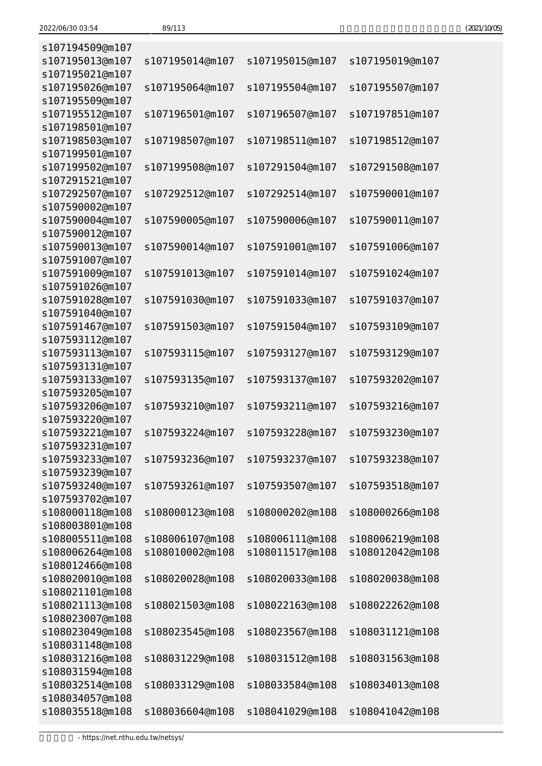| (2021/10/05) |
|--------------|
|--------------|

| s107194509@m107                    |                 |                 |                 |
|------------------------------------|-----------------|-----------------|-----------------|
| s107195013@m107                    | s107195014@m107 | s107195015@m107 | s107195019@m107 |
| s107195021@m107                    |                 |                 |                 |
| s107195026@m107                    | s107195064@m107 | s107195504@m107 | s107195507@m107 |
| s107195509@m107                    |                 |                 |                 |
| s107195512@m107                    | s107196501@m107 | s107196507@m107 | s107197851@m107 |
| s107198501@m107                    |                 |                 |                 |
| s107198503@m107                    | s107198507@m107 | s107198511@m107 | s107198512@m107 |
| s107199501@m107                    |                 |                 |                 |
| s107199502@m107                    | s107199508@m107 | s107291504@m107 | s107291508@m107 |
| s107291521@m107                    |                 |                 |                 |
| s107292507@m107                    | s107292512@m107 | s107292514@m107 | s107590001@m107 |
| s107590002@m107                    |                 |                 |                 |
| s107590004@m107                    | s107590005@m107 | s107590006@m107 | s107590011@m107 |
| s107590012@m107                    |                 |                 |                 |
| s107590013@m107                    | s107590014@m107 | s107591001@m107 | s107591006@m107 |
| s107591007@m107                    |                 |                 |                 |
| s107591009@m107                    |                 | s107591014@m107 | s107591024@m107 |
|                                    | s107591013@m107 |                 |                 |
| s107591026@m107<br>s107591028@m107 |                 |                 |                 |
|                                    | s107591030@m107 | s107591033@m107 | s107591037@m107 |
| s107591040@m107                    |                 |                 |                 |
| s107591467@m107                    | s107591503@m107 | s107591504@m107 | s107593109@m107 |
| s107593112@m107                    |                 |                 |                 |
| s107593113@m107                    | s107593115@m107 | s107593127@m107 | s107593129@m107 |
| s107593131@m107                    |                 |                 |                 |
| s107593133@m107                    | s107593135@m107 | s107593137@m107 | s107593202@m107 |
| s107593205@m107                    |                 |                 |                 |
| s107593206@m107                    | s107593210@m107 | s107593211@m107 | s107593216@m107 |
| s107593220@m107                    |                 |                 |                 |
| s107593221@m107                    | s107593224@m107 | s107593228@m107 | s107593230@m107 |
| s107593231@m107                    |                 |                 |                 |
| s107593233@m107                    | s107593236@m107 | s107593237@m107 | s107593238@m107 |
| s107593239@m107                    |                 |                 |                 |
| s107593240@m107                    | s107593261@m107 | s107593507@m107 | s107593518@m107 |
| s107593702@m107                    |                 |                 |                 |
| s108000118@m108                    | s108000123@m108 | s108000202@m108 | s108000266@m108 |
| s108003801@m108                    |                 |                 |                 |
| s108005511@m108                    | s108006107@m108 | s108006111@m108 | s108006219@m108 |
| s108006264@m108                    | s108010002@m108 | s108011517@m108 | s108012042@m108 |
| s108012466@m108                    |                 |                 |                 |
| s108020010@m108                    | s108020028@m108 | s108020033@m108 | s108020038@m108 |
| s108021101@m108                    |                 |                 |                 |
| s108021113@m108                    | s108021503@m108 | s108022163@m108 | s108022262@m108 |
| s108023007@m108                    |                 |                 |                 |
| s108023049@m108                    | s108023545@m108 | s108023567@m108 | s108031121@m108 |
| s108031148@m108                    |                 |                 |                 |
| s108031216@m108                    | s108031229@m108 | s108031512@m108 | s108031563@m108 |
| s108031594@m108                    |                 |                 |                 |
| s108032514@m108                    | s108033129@m108 | s108033584@m108 | s108034013@m108 |
| s108034057@m108                    |                 |                 |                 |
| s108035518@m108                    | s108036604@m108 | s108041029@m108 | s108041042@m108 |
|                                    |                 |                 |                 |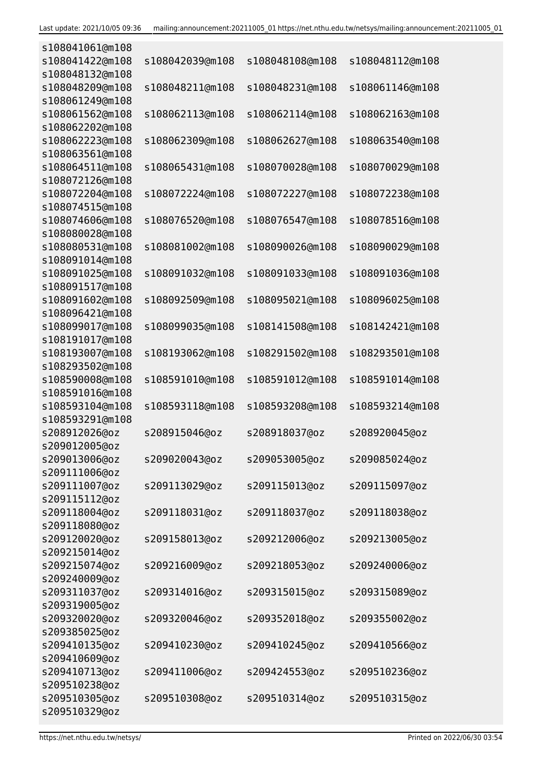| s108041061@m108 |                 |                 |                 |
|-----------------|-----------------|-----------------|-----------------|
| s108041422@m108 | s108042039@m108 | s108048108@m108 | s108048112@m108 |
| s108048132@m108 |                 |                 |                 |
| s108048209@m108 | s108048211@m108 | s108048231@m108 | s108061146@m108 |
| s108061249@m108 |                 |                 |                 |
| s108061562@m108 | s108062113@m108 | s108062114@m108 | s108062163@m108 |
| s108062202@m108 |                 |                 |                 |
| s108062223@m108 | s108062309@m108 | s108062627@m108 | s108063540@m108 |
| s108063561@m108 |                 |                 |                 |
| s108064511@m108 | s108065431@m108 | s108070028@m108 | s108070029@m108 |
| s108072126@m108 |                 |                 |                 |
|                 |                 |                 |                 |
| s108072204@m108 | s108072224@m108 | s108072227@m108 | s108072238@m108 |
| s108074515@m108 |                 |                 |                 |
| s108074606@m108 | s108076520@m108 | s108076547@m108 | s108078516@m108 |
| s108080028@m108 |                 |                 |                 |
| s108080531@m108 | s108081002@m108 | s108090026@m108 | s108090029@m108 |
| s108091014@m108 |                 |                 |                 |
| s108091025@m108 | s108091032@m108 | s108091033@m108 | s108091036@m108 |
| s108091517@m108 |                 |                 |                 |
| s108091602@m108 | s108092509@m108 | s108095021@m108 | s108096025@m108 |
| s108096421@m108 |                 |                 |                 |
| s108099017@m108 | s108099035@m108 | s108141508@m108 | s108142421@m108 |
| s108191017@m108 |                 |                 |                 |
| s108193007@m108 | s108193062@m108 | s108291502@m108 | s108293501@m108 |
| s108293502@m108 |                 |                 |                 |
| s108590008@m108 | s108591010@m108 | s108591012@m108 | s108591014@m108 |
| s108591016@m108 |                 |                 |                 |
| s108593104@m108 | s108593118@m108 | s108593208@m108 | s108593214@m108 |
| s108593291@m108 |                 |                 |                 |
| s208912026@oz   | s208915046@oz   | s208918037@oz   | s208920045@oz   |
| s209012005@oz   |                 |                 |                 |
| s209013006@oz   | s209020043@oz   | s209053005@oz   | s209085024@oz   |
| s209111006@oz   |                 |                 |                 |
| s209111007@oz   | s209113029@oz   | s209115013@oz   | s209115097@oz   |
| s209115112@oz   |                 |                 |                 |
| s209118004@oz   | s209118031@oz   | s209118037@oz   | s209118038@oz   |
| s209118080@oz   |                 |                 |                 |
| s209120020@oz   | s209158013@oz   | s209212006@oz   | s209213005@oz   |
| s209215014@oz   |                 |                 |                 |
| s209215074@oz   | s209216009@oz   | s209218053@oz   | s209240006@oz   |
| s209240009@oz   |                 |                 |                 |
| s209311037@oz   | s209314016@oz   | s209315015@oz   | s209315089@oz   |
|                 |                 |                 |                 |
| s209319005@oz   |                 |                 |                 |
| s209320020@oz   | s209320046@oz   | s209352018@oz   | s209355002@oz   |
| s209385025@oz   |                 |                 |                 |
| s209410135@oz   | s209410230@oz   | s209410245@oz   | s209410566@oz   |
| s209410609@oz   |                 |                 |                 |
| s209410713@oz   | s209411006@oz   | s209424553@oz   | s209510236@oz   |
| s209510238@oz   |                 |                 |                 |
| s209510305@oz   | s209510308@oz   | s209510314@oz   | s209510315@oz   |
| s209510329@oz   |                 |                 |                 |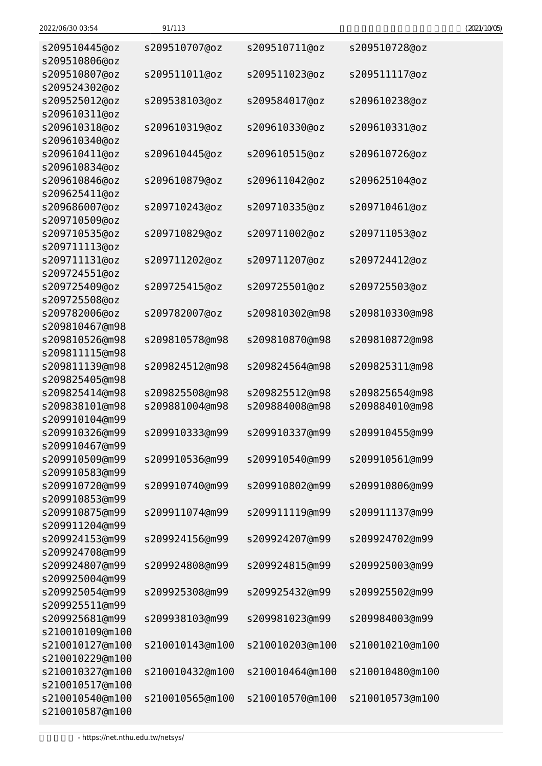| 2022/06/30 03:54                 | 91/113          |                 |                 | (2021/10/05) |
|----------------------------------|-----------------|-----------------|-----------------|--------------|
| s209510445@oz                    | s209510707@oz   | s209510711@oz   | s209510728@oz   |              |
| s209510806@oz                    |                 |                 |                 |              |
| s209510807@oz                    | s209511011@oz   | s209511023@oz   | s209511117@oz   |              |
| s209524302@oz                    |                 | s209584017@oz   |                 |              |
| s209525012@oz<br>s209610311@oz   | s209538103@oz   |                 | s209610238@oz   |              |
| s209610318@oz                    | s209610319@oz   | s209610330@oz   | s209610331@oz   |              |
| s209610340@oz                    |                 |                 |                 |              |
| s209610411@oz                    | s209610445@oz   | s209610515@oz   | s209610726@oz   |              |
| s209610834@oz                    |                 |                 |                 |              |
| s209610846@oz                    | s209610879@oz   | s209611042@oz   | s209625104@oz   |              |
| s209625411@oz                    |                 |                 |                 |              |
| s209686007@oz                    | s209710243@oz   | s209710335@oz   | s209710461@oz   |              |
| s209710509@oz                    |                 |                 |                 |              |
| s209710535@oz                    | s209710829@oz   | s209711002@oz   | s209711053@oz   |              |
| s209711113@oz                    |                 |                 |                 |              |
| s209711131@oz                    | s209711202@oz   | s209711207@oz   | s209724412@oz   |              |
| s209724551@oz                    |                 |                 |                 |              |
| s209725409@oz                    | s209725415@oz   | s209725501@oz   | s209725503@oz   |              |
| s209725508@oz                    |                 |                 |                 |              |
| s209782006@oz                    | s209782007@oz   | s209810302@m98  | s209810330@m98  |              |
| s209810467@m98                   |                 |                 |                 |              |
| s209810526@m98                   | s209810578@m98  | s209810870@m98  | s209810872@m98  |              |
| s209811115@m98                   |                 |                 |                 |              |
| s209811139@m98                   | s209824512@m98  | s209824564@m98  | s209825311@m98  |              |
| s209825405@m98                   |                 |                 |                 |              |
| s209825414@m98                   | s209825508@m98  | s209825512@m98  | s209825654@m98  |              |
| s209838101@m98                   | s209881004@m98  | s209884008@m98  | s209884010@m98  |              |
| s209910104@m99                   |                 |                 |                 |              |
| s209910326@m99<br>s209910467@m99 | s209910333@m99  | s209910337@m99  | s209910455@m99  |              |
| s209910509@m99                   | s209910536@m99  | s209910540@m99  | s209910561@m99  |              |
| s209910583@m99                   |                 |                 |                 |              |
| s209910720@m99                   | s209910740@m99  | s209910802@m99  | s209910806@m99  |              |
| s209910853@m99                   |                 |                 |                 |              |
| s209910875@m99                   | s209911074@m99  | s209911119@m99  | s209911137@m99  |              |
| s209911204@m99                   |                 |                 |                 |              |
| s209924153@m99                   | s209924156@m99  | s209924207@m99  | s209924702@m99  |              |
| s209924708@m99                   |                 |                 |                 |              |
| s209924807@m99                   | s209924808@m99  | s209924815@m99  | s209925003@m99  |              |
| s209925004@m99                   |                 |                 |                 |              |
| s209925054@m99                   | s209925308@m99  | s209925432@m99  | s209925502@m99  |              |
| s209925511@m99                   |                 |                 |                 |              |
| s209925681@m99                   | s209938103@m99  | s209981023@m99  | s209984003@m99  |              |
| s210010109@m100                  |                 |                 |                 |              |
| s210010127@m100                  | s210010143@m100 | s210010203@m100 | s210010210@m100 |              |
| s210010229@m100                  |                 |                 |                 |              |
| s210010327@m100                  | s210010432@m100 | s210010464@m100 | s210010480@m100 |              |
| s210010517@m100                  |                 |                 |                 |              |
| s210010540@m100                  | s210010565@m100 | s210010570@m100 | s210010573@m100 |              |
| s210010587@m100                  |                 |                 |                 |              |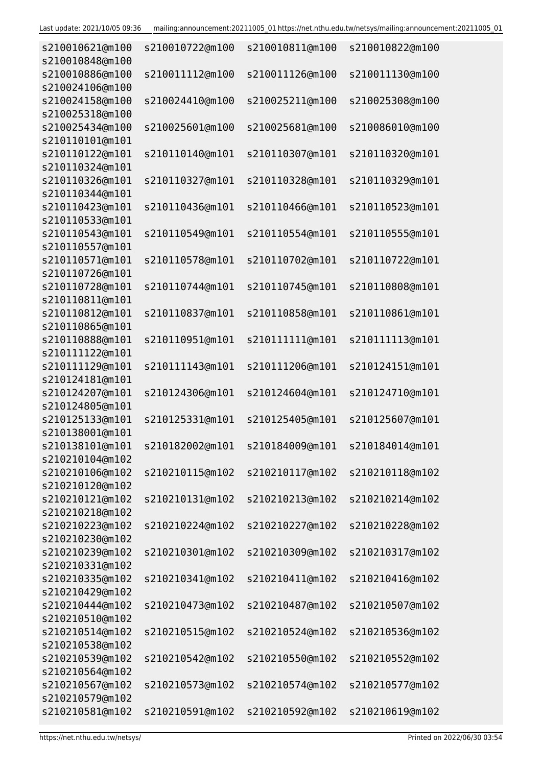| s210010621@m100<br>s210010848@m100 | s210010722@m100 | s210010811@m100 | s210010822@m100 |
|------------------------------------|-----------------|-----------------|-----------------|
| s210010886@m100                    | s210011112@m100 | s210011126@m100 | s210011130@m100 |
| s210024106@m100                    |                 |                 |                 |
| s210024158@m100<br>s210025318@m100 | s210024410@m100 | s210025211@m100 | s210025308@m100 |
| s210025434@m100<br>s210110101@m101 | s210025601@m100 | s210025681@m100 | s210086010@m100 |
| s210110122@m101                    | s210110140@m101 | s210110307@m101 | s210110320@m101 |
| s210110324@m101<br>s210110326@m101 | s210110327@m101 | s210110328@m101 | s210110329@m101 |
| s210110344@m101                    |                 |                 |                 |
| s210110423@m101                    | s210110436@m101 | s210110466@m101 | s210110523@m101 |
| s210110533@m101                    |                 |                 |                 |
| s210110543@m101                    | s210110549@m101 | s210110554@m101 | s210110555@m101 |
| s210110557@m101                    |                 |                 |                 |
| s210110571@m101                    | s210110578@m101 | s210110702@m101 | s210110722@m101 |
| s210110726@m101                    |                 |                 |                 |
| s210110728@m101                    | s210110744@m101 | s210110745@m101 | s210110808@m101 |
| s210110811@m101                    |                 |                 |                 |
| s210110812@m101                    | s210110837@m101 | s210110858@m101 | s210110861@m101 |
| s210110865@m101                    |                 |                 |                 |
| s210110888@m101                    | s210110951@m101 | s210111111@m101 | s210111113@m101 |
| s210111122@m101                    |                 |                 |                 |
| s210111129@m101                    | s210111143@m101 | s210111206@m101 | s210124151@m101 |
| s210124181@m101                    |                 |                 |                 |
| s210124207@m101                    | s210124306@m101 | s210124604@m101 | s210124710@m101 |
| s210124805@m101                    |                 |                 |                 |
| s210125133@m101                    | s210125331@m101 | s210125405@m101 | s210125607@m101 |
| s210138001@m101                    |                 |                 |                 |
| s210138101@m101                    |                 |                 |                 |
| s210210104@m102                    |                 |                 |                 |
| s210210106@m102                    | s210210115@m102 | s210210117@m102 | s210210118@m102 |
| s210210120@m102                    |                 |                 |                 |
| s210210121@m102                    | s210210131@m102 | s210210213@m102 | s210210214@m102 |
| s210210218@m102                    | s210210224@m102 |                 |                 |
| s210210223@m102<br>s210210230@m102 |                 | s210210227@m102 | s210210228@m102 |
| s210210239@m102                    | s210210301@m102 | s210210309@m102 | s210210317@m102 |
| s210210331@m102                    |                 |                 |                 |
| s210210335@m102                    | s210210341@m102 | s210210411@m102 | s210210416@m102 |
| s210210429@m102                    |                 |                 |                 |
| s210210444@m102                    | s210210473@m102 | s210210487@m102 | s210210507@m102 |
| s210210510@m102                    |                 |                 |                 |
| s210210514@m102                    | s210210515@m102 | s210210524@m102 | s210210536@m102 |
| s210210538@m102                    |                 |                 |                 |
| s210210539@m102                    | s210210542@m102 | s210210550@m102 | s210210552@m102 |
| s210210564@m102                    |                 |                 |                 |
| s210210567@m102                    | s210210573@m102 | s210210574@m102 | s210210577@m102 |
| s210210579@m102                    |                 |                 |                 |
| s210210581@m102                    | s210210591@m102 | s210210592@m102 | s210210619@m102 |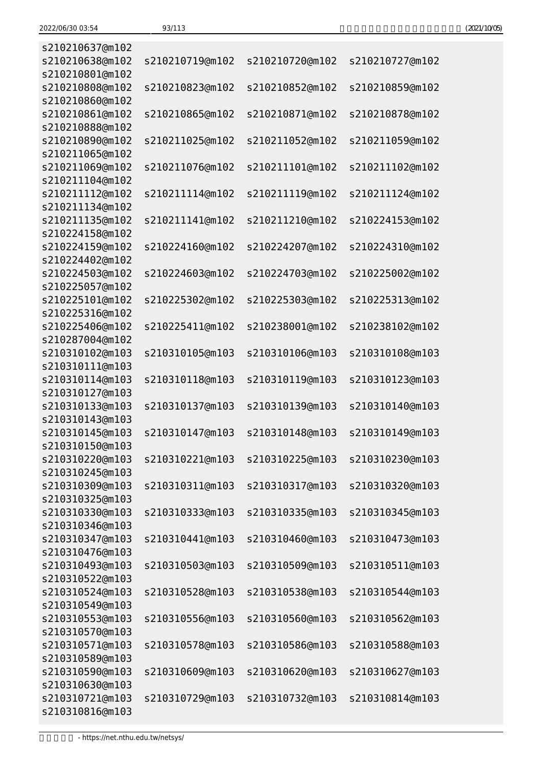| (2021/10/05) |  |
|--------------|--|
|--------------|--|

| s210210637@m102                    |                 |                 |                 |
|------------------------------------|-----------------|-----------------|-----------------|
| s210210638@m102                    | s210210719@m102 | s210210720@m102 | s210210727@m102 |
| s210210801@m102                    |                 |                 |                 |
| s210210808@m102                    | s210210823@m102 | s210210852@m102 | s210210859@m102 |
| s210210860@m102                    |                 |                 |                 |
| s210210861@m102                    | s210210865@m102 | s210210871@m102 | s210210878@m102 |
| s210210888@m102<br>s210210890@m102 | s210211025@m102 | s210211052@m102 | s210211059@m102 |
| s210211065@m102                    |                 |                 |                 |
| s210211069@m102                    | s210211076@m102 | s210211101@m102 | s210211102@m102 |
| s210211104@m102                    |                 |                 |                 |
| s210211112@m102                    | s210211114@m102 | s210211119@m102 | s210211124@m102 |
| s210211134@m102                    |                 |                 |                 |
| s210211135@m102                    | s210211141@m102 | s210211210@m102 | s210224153@m102 |
| s210224158@m102                    |                 |                 |                 |
| s210224159@m102                    | s210224160@m102 | s210224207@m102 | s210224310@m102 |
| s210224402@m102                    |                 |                 |                 |
| s210224503@m102                    | s210224603@m102 | s210224703@m102 | s210225002@m102 |
| s210225057@m102                    |                 |                 |                 |
| s210225101@m102                    | s210225302@m102 | s210225303@m102 | s210225313@m102 |
| s210225316@m102                    |                 |                 |                 |
| s210225406@m102<br>s210287004@m102 | s210225411@m102 | s210238001@m102 | s210238102@m102 |
| s210310102@m103                    | s210310105@m103 | s210310106@m103 | s210310108@m103 |
| s210310111@m103                    |                 |                 |                 |
| s210310114@m103                    | s210310118@m103 | s210310119@m103 | s210310123@m103 |
| s210310127@m103                    |                 |                 |                 |
| s210310133@m103                    | s210310137@m103 | s210310139@m103 | s210310140@m103 |
| s210310143@m103                    |                 |                 |                 |
| s210310145@m103                    | s210310147@m103 | s210310148@m103 | s210310149@m103 |
| s210310150@m103                    |                 |                 |                 |
| s210310220@m103                    | s210310221@m103 | s210310225@m103 | s210310230@m103 |
| s210310245@m103                    |                 |                 |                 |
| s210310309@m103                    | s210310311@m103 | s210310317@m103 | s210310320@m103 |
| s210310325@m103                    |                 |                 |                 |
| s210310330@m103                    | s210310333@m103 | s210310335@m103 | s210310345@m103 |
| s210310346@m103<br>s210310347@m103 | s210310441@m103 | s210310460@m103 | s210310473@m103 |
| s210310476@m103                    |                 |                 |                 |
| s210310493@m103                    | s210310503@m103 | s210310509@m103 | s210310511@m103 |
| s210310522@m103                    |                 |                 |                 |
| s210310524@m103                    | s210310528@m103 | s210310538@m103 | s210310544@m103 |
| s210310549@m103                    |                 |                 |                 |
| s210310553@m103                    | s210310556@m103 | s210310560@m103 | s210310562@m103 |
| s210310570@m103                    |                 |                 |                 |
| s210310571@m103                    | s210310578@m103 | s210310586@m103 | s210310588@m103 |
| s210310589@m103                    |                 |                 |                 |
| s210310590@m103                    | s210310609@m103 | s210310620@m103 | s210310627@m103 |
| s210310630@m103                    |                 |                 |                 |
| s210310721@m103                    | s210310729@m103 | s210310732@m103 | s210310814@m103 |
| s210310816@m103                    |                 |                 |                 |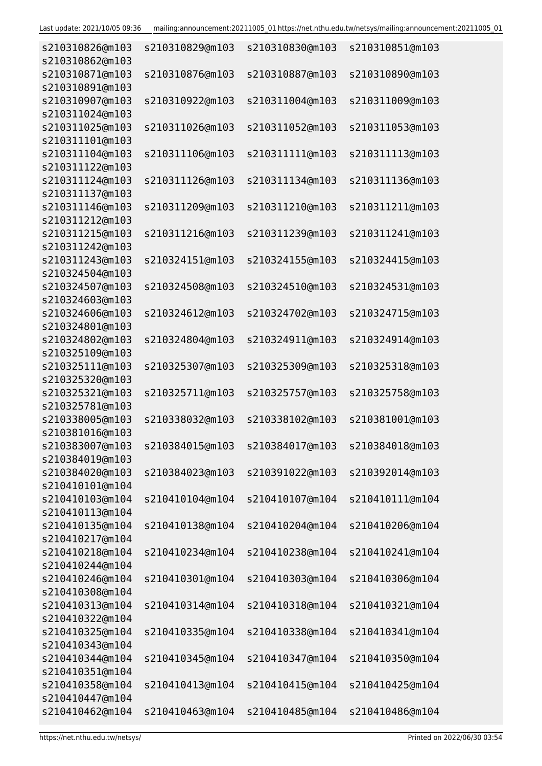| s210310826@m103<br>s210310862@m103 | s210310829@m103 | s210310830@m103                 | s210310851@m103 |
|------------------------------------|-----------------|---------------------------------|-----------------|
| s210310871@m103<br>s210310891@m103 | s210310876@m103 | s210310887@m103                 | s210310890@m103 |
| s210310907@m103                    | s210310922@m103 | s210311004@m103                 | s210311009@m103 |
| s210311024@m103<br>s210311025@m103 | s210311026@m103 | s210311052@m103                 | s210311053@m103 |
| s210311101@m103<br>s210311104@m103 | s210311106@m103 | s210311111@m103                 | s210311113@m103 |
| s210311122@m103<br>s210311124@m103 | s210311126@m103 | s210311134@m103                 | s210311136@m103 |
| s210311137@m103<br>s210311146@m103 | s210311209@m103 | s210311210@m103                 | s210311211@m103 |
| s210311212@m103                    |                 |                                 |                 |
| s210311215@m103<br>s210311242@m103 | s210311216@m103 | s210311239@m103                 | s210311241@m103 |
| s210311243@m103<br>s210324504@m103 | s210324151@m103 | s210324155@m103                 | s210324415@m103 |
| s210324507@m103<br>s210324603@m103 | s210324508@m103 | s210324510@m103                 | s210324531@m103 |
| s210324606@m103<br>s210324801@m103 | s210324612@m103 | s210324702@m103                 | s210324715@m103 |
| s210324802@m103<br>s210325109@m103 | s210324804@m103 | s210324911@m103                 | s210324914@m103 |
| s210325111@m103                    | s210325307@m103 | s210325309@m103                 | s210325318@m103 |
| s210325320@m103<br>s210325321@m103 | s210325711@m103 | s210325757@m103                 | s210325758@m103 |
| s210325781@m103<br>s210338005@m103 | s210338032@m103 | s210338102@m103                 | s210381001@m103 |
| s210381016@m103<br>s210383007@m103 | s210384015@m103 | s210384017@m103 s210384018@m103 |                 |
| s210384019@m103<br>s210384020@m103 | s210384023@m103 | s210391022@m103                 | s210392014@m103 |
| s210410101@m104<br>s210410103@m104 | s210410104@m104 | s210410107@m104                 | s210410111@m104 |
| s210410113@m104                    |                 |                                 |                 |
| s210410135@m104<br>s210410217@m104 | s210410138@m104 | s210410204@m104                 | s210410206@m104 |
| s210410218@m104<br>s210410244@m104 | s210410234@m104 | s210410238@m104                 | s210410241@m104 |
| s210410246@m104<br>s210410308@m104 | s210410301@m104 | s210410303@m104                 | s210410306@m104 |
| s210410313@m104<br>s210410322@m104 | s210410314@m104 | s210410318@m104                 | s210410321@m104 |
| s210410325@m104<br>s210410343@m104 | s210410335@m104 | s210410338@m104                 | s210410341@m104 |
| s210410344@m104                    | s210410345@m104 | s210410347@m104                 | s210410350@m104 |
| s210410351@m104<br>s210410358@m104 | s210410413@m104 | s210410415@m104                 | s210410425@m104 |
| s210410447@m104<br>s210410462@m104 | s210410463@m104 | s210410485@m104                 | s210410486@m104 |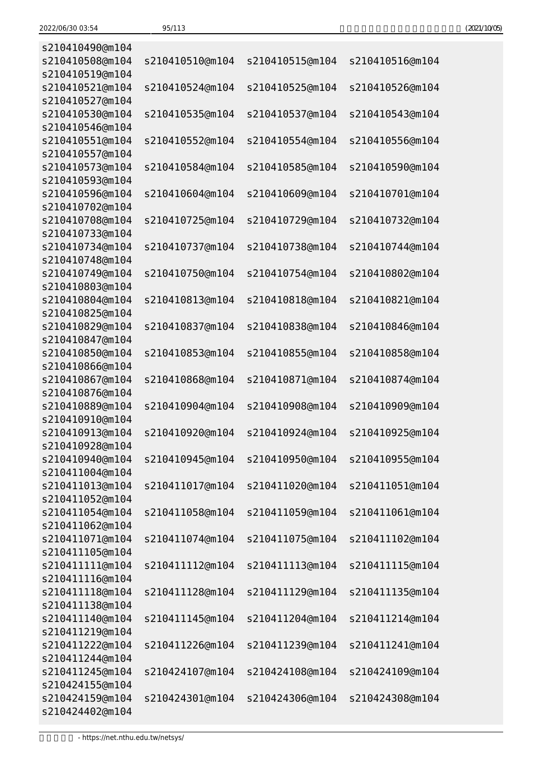| s210410490@m104                    |                 |                 |                 |
|------------------------------------|-----------------|-----------------|-----------------|
| s210410508@m104                    | s210410510@m104 | s210410515@m104 | s210410516@m104 |
| s210410519@m104                    |                 |                 |                 |
| s210410521@m104                    | s210410524@m104 | s210410525@m104 | s210410526@m104 |
| s210410527@m104                    |                 |                 |                 |
| s210410530@m104                    | s210410535@m104 | s210410537@m104 | s210410543@m104 |
| s210410546@m104                    |                 |                 |                 |
| s210410551@m104                    | s210410552@m104 | s210410554@m104 | s210410556@m104 |
| s210410557@m104                    |                 |                 |                 |
| s210410573@m104                    | s210410584@m104 | s210410585@m104 | s210410590@m104 |
| s210410593@m104                    |                 |                 |                 |
| s210410596@m104                    | s210410604@m104 | s210410609@m104 | s210410701@m104 |
| s210410702@m104                    |                 |                 |                 |
| s210410708@m104                    | s210410725@m104 | s210410729@m104 | s210410732@m104 |
| s210410733@m104                    |                 |                 |                 |
| s210410734@m104                    | s210410737@m104 | s210410738@m104 | s210410744@m104 |
| s210410748@m104                    |                 |                 |                 |
| s210410749@m104                    | s210410750@m104 | s210410754@m104 | s210410802@m104 |
| s210410803@m104                    |                 |                 |                 |
| s210410804@m104                    | s210410813@m104 | s210410818@m104 | s210410821@m104 |
| s210410825@m104                    |                 |                 |                 |
| s210410829@m104                    | s210410837@m104 | s210410838@m104 | s210410846@m104 |
| s210410847@m104                    |                 |                 |                 |
| s210410850@m104                    | s210410853@m104 | s210410855@m104 | s210410858@m104 |
| s210410866@m104                    |                 |                 |                 |
| s210410867@m104                    | s210410868@m104 | s210410871@m104 | s210410874@m104 |
| s210410876@m104                    |                 |                 |                 |
| s210410889@m104                    | s210410904@m104 | s210410908@m104 | s210410909@m104 |
| s210410910@m104                    |                 |                 |                 |
| s210410913@m104                    | s210410920@m104 | s210410924@m104 | s210410925@m104 |
| s210410928@m104                    |                 |                 |                 |
| s210410940@m104                    | s210410945@m104 | s210410950@m104 | s210410955@m104 |
| s210411004@m104                    |                 |                 |                 |
| s210411013@m104                    | s210411017@m104 | s210411020@m104 | s210411051@m104 |
| s210411052@m104                    |                 |                 |                 |
| s210411054@m104                    | s210411058@m104 | s210411059@m104 | s210411061@m104 |
| s210411062@m104<br>s210411071@m104 | s210411074@m104 |                 |                 |
| s210411105@m104                    |                 | s210411075@m104 | s210411102@m104 |
| s210411111@m104                    | s210411112@m104 | s210411113@m104 | s210411115@m104 |
| s210411116@m104                    |                 |                 |                 |
| s210411118@m104                    | s210411128@m104 | s210411129@m104 | s210411135@m104 |
| s210411138@m104                    |                 |                 |                 |
| s210411140@m104                    | s210411145@m104 | s210411204@m104 | s210411214@m104 |
| s210411219@m104                    |                 |                 |                 |
| s210411222@m104                    | s210411226@m104 | s210411239@m104 | s210411241@m104 |
| s210411244@m104                    |                 |                 |                 |
| s210411245@m104                    | s210424107@m104 | s210424108@m104 | s210424109@m104 |
| s210424155@m104                    |                 |                 |                 |
| s210424159@m104                    | s210424301@m104 | s210424306@m104 | s210424308@m104 |
| s210424402@m104                    |                 |                 |                 |
|                                    |                 |                 |                 |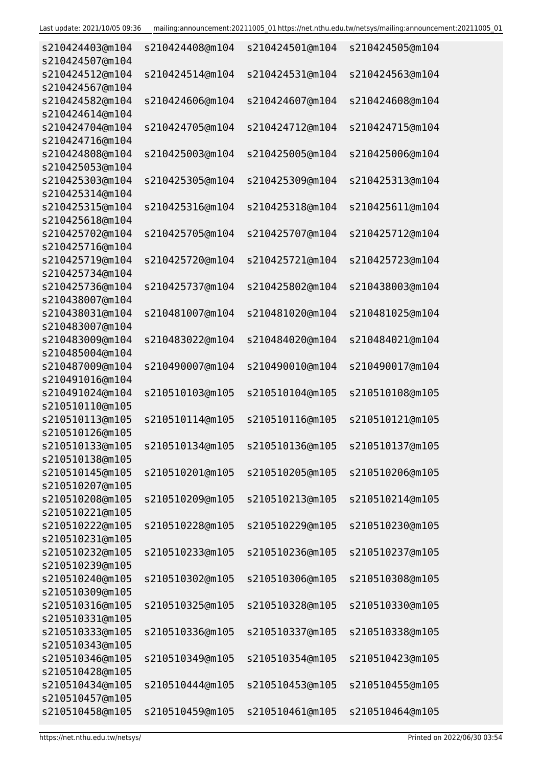| s210424403@m104<br>s210424507@m104 | s210424408@m104 | s210424501@m104 | s210424505@m104 |
|------------------------------------|-----------------|-----------------|-----------------|
| s210424512@m104<br>s210424567@m104 | s210424514@m104 | s210424531@m104 | s210424563@m104 |
| s210424582@m104<br>s210424614@m104 | s210424606@m104 | s210424607@m104 | s210424608@m104 |
| s210424704@m104<br>s210424716@m104 | s210424705@m104 | s210424712@m104 | s210424715@m104 |
| s210424808@m104<br>s210425053@m104 | s210425003@m104 | s210425005@m104 | s210425006@m104 |
| s210425303@m104<br>s210425314@m104 | s210425305@m104 | s210425309@m104 | s210425313@m104 |
| s210425315@m104<br>s210425618@m104 | s210425316@m104 | s210425318@m104 | s210425611@m104 |
| s210425702@m104<br>s210425716@m104 | s210425705@m104 | s210425707@m104 | s210425712@m104 |
| s210425719@m104<br>s210425734@m104 | s210425720@m104 | s210425721@m104 | s210425723@m104 |
| s210425736@m104<br>s210438007@m104 | s210425737@m104 | s210425802@m104 | s210438003@m104 |
| s210438031@m104<br>s210483007@m104 | s210481007@m104 | s210481020@m104 | s210481025@m104 |
| s210483009@m104<br>s210485004@m104 | s210483022@m104 | s210484020@m104 | s210484021@m104 |
| s210487009@m104<br>s210491016@m104 | s210490007@m104 | s210490010@m104 | s210490017@m104 |
| s210491024@m104<br>s210510110@m105 | s210510103@m105 | s210510104@m105 | s210510108@m105 |
| s210510113@m105<br>s210510126@m105 | s210510114@m105 | s210510116@m105 | s210510121@m105 |
| s210510133@m105<br>s210510138@m105 | s210510134@m105 | s210510136@m105 | s210510137@m105 |
| s210510145@m105<br>s210510207@m105 | s210510201@m105 | s210510205@m105 | s210510206@m105 |
| s210510208@m105<br>s210510221@m105 | s210510209@m105 | s210510213@m105 | s210510214@m105 |
| s210510222@m105<br>s210510231@m105 | s210510228@m105 | s210510229@m105 | s210510230@m105 |
| s210510232@m105<br>s210510239@m105 | s210510233@m105 | s210510236@m105 | s210510237@m105 |
| s210510240@m105<br>s210510309@m105 | s210510302@m105 | s210510306@m105 | s210510308@m105 |
| s210510316@m105<br>s210510331@m105 | s210510325@m105 | s210510328@m105 | s210510330@m105 |
| s210510333@m105<br>s210510343@m105 | s210510336@m105 | s210510337@m105 | s210510338@m105 |
| s210510346@m105<br>s210510428@m105 | s210510349@m105 | s210510354@m105 | s210510423@m105 |
| s210510434@m105<br>s210510457@m105 | s210510444@m105 | s210510453@m105 | s210510455@m105 |
| s210510458@m105                    | s210510459@m105 | s210510461@m105 | s210510464@m105 |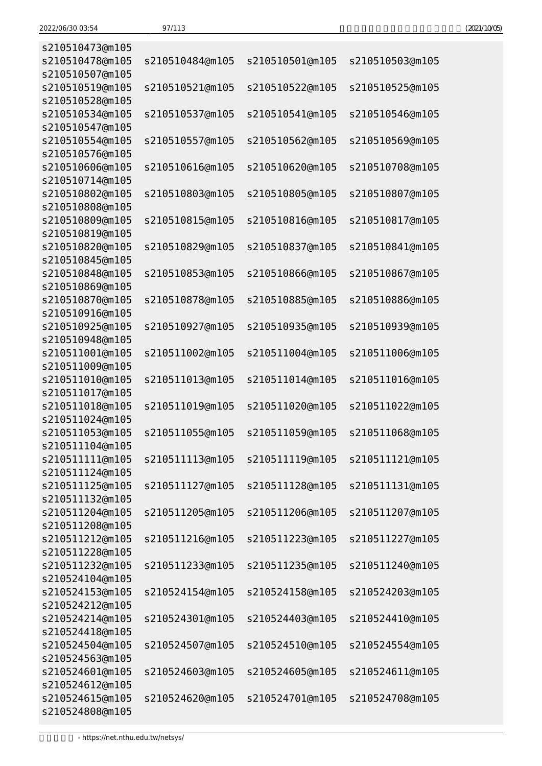| (2021/10/05) |
|--------------|
|--------------|

| s210510473@m105 |                 |                 |                 |
|-----------------|-----------------|-----------------|-----------------|
| s210510478@m105 | s210510484@m105 | s210510501@m105 | s210510503@m105 |
| s210510507@m105 |                 |                 |                 |
| s210510519@m105 | s210510521@m105 | s210510522@m105 | s210510525@m105 |
| s210510528@m105 |                 |                 |                 |
| s210510534@m105 | s210510537@m105 | s210510541@m105 | s210510546@m105 |
| s210510547@m105 |                 |                 |                 |
| s210510554@m105 | s210510557@m105 | s210510562@m105 | s210510569@m105 |
| s210510576@m105 |                 |                 |                 |
| s210510606@m105 | s210510616@m105 | s210510620@m105 | s210510708@m105 |
| s210510714@m105 |                 |                 |                 |
| s210510802@m105 | s210510803@m105 | s210510805@m105 | s210510807@m105 |
| s210510808@m105 |                 |                 |                 |
| s210510809@m105 | s210510815@m105 | s210510816@m105 | s210510817@m105 |
| s210510819@m105 |                 |                 |                 |
| s210510820@m105 | s210510829@m105 | s210510837@m105 | s210510841@m105 |
| s210510845@m105 |                 |                 |                 |
| s210510848@m105 | s210510853@m105 | s210510866@m105 | s210510867@m105 |
| s210510869@m105 |                 |                 |                 |
| s210510870@m105 | s210510878@m105 | s210510885@m105 | s210510886@m105 |
| s210510916@m105 |                 |                 |                 |
| s210510925@m105 | s210510927@m105 | s210510935@m105 | s210510939@m105 |
| s210510948@m105 |                 |                 |                 |
| s210511001@m105 | s210511002@m105 | s210511004@m105 | s210511006@m105 |
| s210511009@m105 |                 |                 |                 |
| s210511010@m105 | s210511013@m105 | s210511014@m105 | s210511016@m105 |
| s210511017@m105 |                 |                 |                 |
| s210511018@m105 | s210511019@m105 | s210511020@m105 | s210511022@m105 |
| s210511024@m105 |                 |                 |                 |
| s210511053@m105 | s210511055@m105 | s210511059@m105 | s210511068@m105 |
| s210511104@m105 |                 |                 |                 |
| s210511111@m105 | s210511113@m105 | s210511119@m105 | s210511121@m105 |
| s210511124@m105 |                 |                 |                 |
| s210511125@m105 | s210511127@m105 | s210511128@m105 | s210511131@m105 |
| s210511132@m105 |                 |                 |                 |
| s210511204@m105 | s210511205@m105 | s210511206@m105 | s210511207@m105 |
| s210511208@m105 |                 |                 |                 |
| s210511212@m105 | s210511216@m105 | s210511223@m105 | s210511227@m105 |
| s210511228@m105 |                 |                 |                 |
| s210511232@m105 | s210511233@m105 | s210511235@m105 | s210511240@m105 |
| s210524104@m105 |                 |                 |                 |
| s210524153@m105 | s210524154@m105 | s210524158@m105 | s210524203@m105 |
| s210524212@m105 |                 |                 |                 |
| s210524214@m105 | s210524301@m105 | s210524403@m105 | s210524410@m105 |
| s210524418@m105 |                 |                 |                 |
| s210524504@m105 | s210524507@m105 | s210524510@m105 | s210524554@m105 |
| s210524563@m105 |                 |                 |                 |
| s210524601@m105 | s210524603@m105 | s210524605@m105 | s210524611@m105 |
| s210524612@m105 |                 |                 |                 |
| s210524615@m105 | s210524620@m105 | s210524701@m105 | s210524708@m105 |
| s210524808@m105 |                 |                 |                 |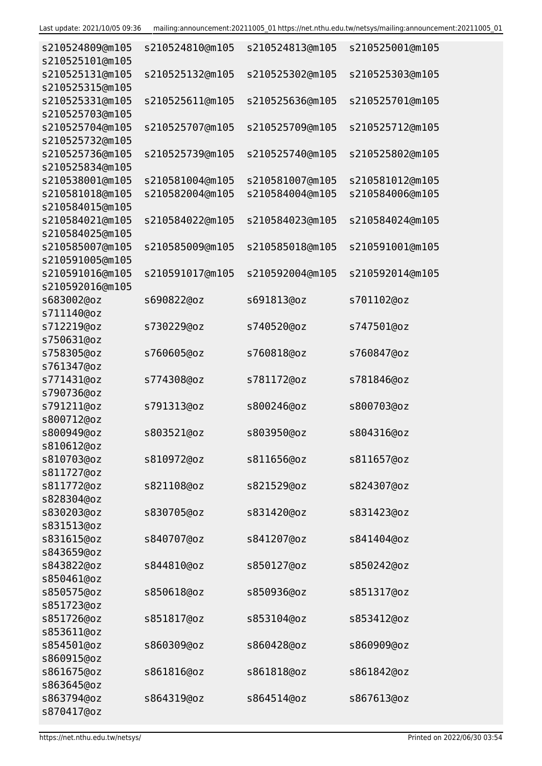| Last update: 2021/10/05 09:36 |  |  |
|-------------------------------|--|--|
|-------------------------------|--|--|

| s210524809@m105<br>s210525101@m105 | s210524810@m105 | s210524813@m105 | s210525001@m105 |
|------------------------------------|-----------------|-----------------|-----------------|
| s210525131@m105<br>s210525315@m105 | s210525132@m105 | s210525302@m105 | s210525303@m105 |
| s210525331@m105<br>s210525703@m105 | s210525611@m105 | s210525636@m105 | s210525701@m105 |
| s210525704@m105<br>s210525732@m105 | s210525707@m105 | s210525709@m105 | s210525712@m105 |
| s210525736@m105<br>s210525834@m105 | s210525739@m105 | s210525740@m105 | s210525802@m105 |
| s210538001@m105                    | s210581004@m105 | s210581007@m105 | s210581012@m105 |
| s210581018@m105<br>s210584015@m105 | s210582004@m105 | s210584004@m105 | s210584006@m105 |
| s210584021@m105                    | s210584022@m105 | s210584023@m105 | s210584024@m105 |
| s210584025@m105<br>s210585007@m105 | s210585009@m105 | s210585018@m105 | s210591001@m105 |
| s210591005@m105                    |                 |                 |                 |
| s210591016@m105<br>s210592016@m105 | s210591017@m105 | s210592004@m105 | s210592014@m105 |
| s683002@oz<br>s711140@oz           | s690822@oz      | s691813@oz      | s701102@oz      |
|                                    |                 |                 |                 |
| s712219@oz<br>s750631@oz           | s730229@oz      | s740520@oz      | s747501@oz      |
| s758305@oz<br>s761347@oz           | s760605@oz      | s760818@oz      | s760847@oz      |
| s771431@oz<br>s790736@oz           | s774308@oz      | s781172@oz      | s781846@oz      |
| s791211@oz                         | s791313@oz      | s800246@oz      | s800703@oz      |
| s800712@oz                         |                 |                 |                 |
| s800949@oz                         | s803521@oz      | s803950@oz      | s804316@oz      |
| s810612@oz                         |                 |                 |                 |
| s810703@oz                         | s810972@oz      | s811656@oz      | s811657@oz      |
| s811727@oz                         |                 |                 |                 |
| s811772@oz                         | s821108@oz      | s821529@oz      | s824307@oz      |
| s828304@oz                         |                 |                 |                 |
| s830203@oz                         | s830705@oz      | s831420@oz      | s831423@oz      |
| s831513@oz                         |                 |                 |                 |
| s831615@oz                         | s840707@oz      | s841207@oz      | s841404@oz      |
| s843659@oz                         |                 |                 |                 |
| s843822@oz                         | s844810@oz      | s850127@oz      | s850242@oz      |
| s850461@oz                         |                 |                 |                 |
| s850575@oz<br>s851723@oz           | s850618@oz      | s850936@oz      | s851317@oz      |
| s851726@oz                         | s851817@oz      | s853104@oz      | s853412@oz      |
| s853611@oz                         |                 |                 |                 |
| s854501@oz                         | s860309@oz      | s860428@oz      | s860909@oz      |
| s860915@oz                         |                 |                 |                 |
| s861675@oz                         | s861816@oz      | s861818@oz      | s861842@oz      |
| s863645@oz                         |                 |                 |                 |
| s863794@oz                         | s864319@oz      | s864514@oz      | s867613@oz      |
| s870417@oz                         |                 |                 |                 |
|                                    |                 |                 |                 |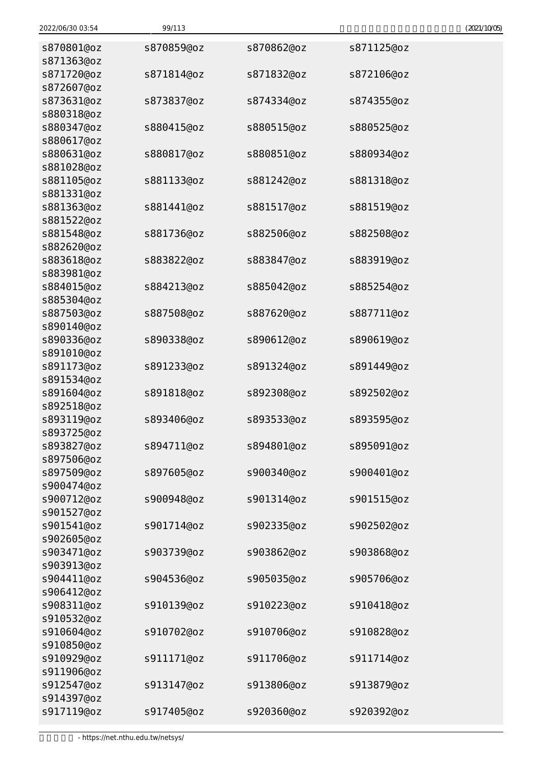| 2022/06/30 03:54         | 99/113     |            |            | (2021/10/05) |
|--------------------------|------------|------------|------------|--------------|
| s870801@oz               | s870859@oz | s870862@oz | s871125@oz |              |
| s871363@oz               |            |            |            |              |
| s871720@oz               | s871814@oz | s871832@oz | s872106@oz |              |
| s872607@oz               |            |            |            |              |
| s873631@oz               | s873837@oz | s874334@oz | s874355@oz |              |
| s880318@oz               |            |            |            |              |
| s880347@oz               | s880415@oz | s880515@oz | s880525@oz |              |
| s880617@oz               |            |            |            |              |
| s880631@oz               | s880817@oz | s880851@oz | s880934@oz |              |
| s881028@oz               |            |            |            |              |
| s881105@oz<br>s881331@oz | s881133@oz | s881242@oz | s881318@oz |              |
| s881363@oz               | s881441@oz | s881517@oz | s881519@oz |              |
| s881522@oz               |            |            |            |              |
| s881548@oz               | s881736@oz | s882506@oz | s882508@oz |              |
| s882620@oz               |            |            |            |              |
| s883618@oz               | s883822@oz | s883847@oz | s883919@oz |              |
| s883981@oz               |            |            |            |              |
| s884015@oz               | s884213@oz | s885042@oz | s885254@oz |              |
| s885304@oz               |            |            |            |              |
| s887503@oz               | s887508@oz | s887620@oz | s887711@oz |              |
| s890140@oz               |            |            |            |              |
| s890336@oz               | s890338@oz | s890612@oz | s890619@oz |              |
| s891010@oz               |            |            |            |              |
| s891173@oz               | s891233@oz | s891324@oz | s891449@oz |              |
| s891534@oz               |            |            |            |              |
| s891604@oz               | s891818@oz | s892308@oz | s892502@oz |              |
| s892518@oz               |            |            |            |              |
| s893119@oz               | s893406@oz | s893533@oz | s893595@oz |              |
| s893725@oz               |            |            |            |              |
| s893827@oz               | s894711@oz | s894801@oz | s895091@oz |              |
| s897506@oz<br>s897509@oz |            | s900340@oz | s900401@oz |              |
| s900474@oz               | s897605@oz |            |            |              |
| s900712@oz               | s900948@oz | s901314@oz | s901515@oz |              |
| s901527@oz               |            |            |            |              |
| s901541@oz               | s901714@oz | s902335@oz | s902502@oz |              |
| s902605@oz               |            |            |            |              |
| s903471@oz               | s903739@oz | s903862@oz | s903868@oz |              |
| s903913@oz               |            |            |            |              |
| s904411@oz               | s904536@oz | s905035@oz | s905706@oz |              |
| s906412@oz               |            |            |            |              |
| s908311@oz               | s910139@oz | s910223@oz | s910418@oz |              |
| s910532@oz               |            |            |            |              |
| s910604@oz               | s910702@oz | s910706@oz | s910828@oz |              |
| s910850@oz               |            |            |            |              |
| s910929@oz               | s911171@oz | s911706@oz | s911714@oz |              |
| s911906@oz               |            |            |            |              |
| s912547@oz               | s913147@oz | s913806@oz | s913879@oz |              |
| s914397@oz               |            |            |            |              |
| s917119@oz               | s917405@oz | s920360@oz | s920392@oz |              |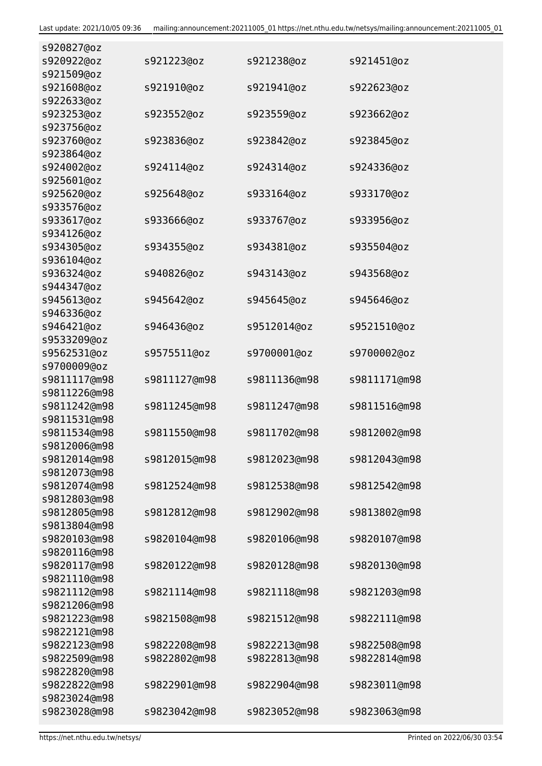| s920827@oz                   |              |              |              |
|------------------------------|--------------|--------------|--------------|
| s920922@oz                   | s921223@oz   | s921238@oz   | s921451@oz   |
| s921509@oz                   |              |              |              |
| s921608@oz                   | s921910@oz   | s921941@oz   | s922623@oz   |
| s922633@oz                   |              |              |              |
| s923253@oz                   | s923552@oz   | s923559@oz   | s923662@oz   |
| s923756@oz                   |              |              |              |
| s923760@oz                   | s923836@oz   | s923842@oz   | s923845@oz   |
| s923864@oz                   |              |              |              |
| s924002@oz                   | s924114@oz   | s924314@oz   | s924336@oz   |
| s925601@oz                   |              |              |              |
| s925620@oz                   | s925648@oz   | s933164@oz   | s933170@oz   |
| s933576@oz                   |              |              |              |
| s933617@oz                   | s933666@oz   | s933767@oz   | s933956@oz   |
| s934126@oz                   |              |              |              |
| s934305@oz                   | s934355@oz   | s934381@oz   | s935504@oz   |
| s936104@oz                   |              |              |              |
| s936324@oz                   | s940826@oz   | s943143@oz   | s943568@oz   |
| s944347@oz                   |              |              |              |
| s945613@oz                   | s945642@oz   | s945645@oz   | s945646@oz   |
| s946336@oz                   |              |              |              |
| s946421@oz                   | s946436@oz   | s9512014@oz  | s9521510@oz  |
| s9533209@oz                  |              |              |              |
| s9562531@oz                  | s9575511@oz  | s9700001@oz  | s9700002@oz  |
| s9700009@oz                  |              |              |              |
| s9811117@m98                 | s9811127@m98 | s9811136@m98 | s9811171@m98 |
| s9811226@m98                 |              |              |              |
| s9811242@m98                 | s9811245@m98 | s9811247@m98 | s9811516@m98 |
| s9811531@m98<br>s9811534@m98 |              |              |              |
|                              | s9811550@m98 | s9811702@m98 | s9812002@m98 |
| s9812006@m98                 |              |              |              |
| s9812014@m98                 | s9812015@m98 | s9812023@m98 | s9812043@m98 |
| s9812073@m98<br>s9812074@m98 |              |              | s9812542@m98 |
| s9812803@m98                 | s9812524@m98 | s9812538@m98 |              |
| s9812805@m98                 | s9812812@m98 | s9812902@m98 | s9813802@m98 |
| s9813804@m98                 |              |              |              |
| s9820103@m98                 | s9820104@m98 | s9820106@m98 | s9820107@m98 |
| s9820116@m98                 |              |              |              |
| s9820117@m98                 | s9820122@m98 | s9820128@m98 | s9820130@m98 |
| s9821110@m98                 |              |              |              |
| s9821112@m98                 | s9821114@m98 | s9821118@m98 | s9821203@m98 |
| s9821206@m98                 |              |              |              |
| s9821223@m98                 | s9821508@m98 | s9821512@m98 | s9822111@m98 |
| s9822121@m98                 |              |              |              |
| s9822123@m98                 | s9822208@m98 | s9822213@m98 | s9822508@m98 |
| s9822509@m98                 | s9822802@m98 | s9822813@m98 | s9822814@m98 |
| s9822820@m98                 |              |              |              |
| s9822822@m98                 | s9822901@m98 | s9822904@m98 | s9823011@m98 |
| s9823024@m98                 |              |              |              |
| s9823028@m98                 | s9823042@m98 | s9823052@m98 | s9823063@m98 |
|                              |              |              |              |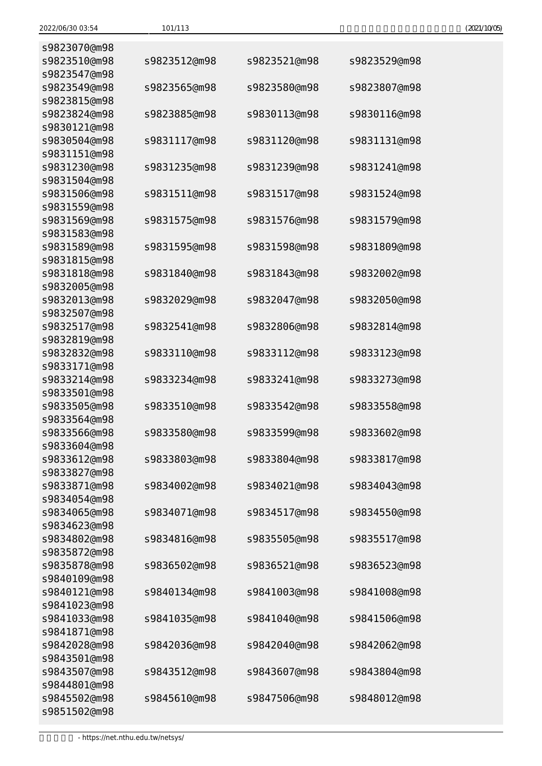| 101 |
|-----|
|     |

| s9823070@m98<br>s9823510@m98 | s9823512@m98 | s9823521@m98 | s9823529@m98 |
|------------------------------|--------------|--------------|--------------|
| s9823547@m98                 |              |              |              |
| s9823549@m98<br>s9823815@m98 | s9823565@m98 | s9823580@m98 | s9823807@m98 |
| s9823824@m98                 | s9823885@m98 | s9830113@m98 | s9830116@m98 |
| s9830121@m98<br>s9830504@m98 | s9831117@m98 | s9831120@m98 | s9831131@m98 |
| s9831151@m98<br>s9831230@m98 | s9831235@m98 | s9831239@m98 | s9831241@m98 |
| s9831504@m98<br>s9831506@m98 | s9831511@m98 | s9831517@m98 | s9831524@m98 |
| s9831559@m98<br>s9831569@m98 | s9831575@m98 | s9831576@m98 | s9831579@m98 |
| s9831583@m98<br>s9831589@m98 | s9831595@m98 | s9831598@m98 | s9831809@m98 |
| s9831815@m98                 |              |              |              |
| s9831818@m98<br>s9832005@m98 | s9831840@m98 | s9831843@m98 | s9832002@m98 |
| s9832013@m98<br>s9832507@m98 | s9832029@m98 | s9832047@m98 | s9832050@m98 |
| s9832517@m98                 | s9832541@m98 | s9832806@m98 | s9832814@m98 |
| s9832819@m98<br>s9832832@m98 | s9833110@m98 | s9833112@m98 | s9833123@m98 |
| s9833171@m98<br>s9833214@m98 | s9833234@m98 | s9833241@m98 | s9833273@m98 |
| s9833501@m98<br>s9833505@m98 | s9833510@m98 | s9833542@m98 | s9833558@m98 |
| s9833564@m98<br>s9833566@m98 | s9833580@m98 | s9833599@m98 | s9833602@m98 |
| s9833604@m98<br>s9833612@m98 | s9833803@m98 | s9833804@m98 | s9833817@m98 |
| s9833827@m98                 |              |              |              |
| s9833871@m98<br>s9834054@m98 | s9834002@m98 | s9834021@m98 | s9834043@m98 |
| s9834065@m98<br>s9834623@m98 | s9834071@m98 | s9834517@m98 | s9834550@m98 |
| s9834802@m98                 | s9834816@m98 | s9835505@m98 | s9835517@m98 |
| s9835872@m98<br>s9835878@m98 | s9836502@m98 | s9836521@m98 | s9836523@m98 |
| s9840109@m98<br>s9840121@m98 | s9840134@m98 | s9841003@m98 | s9841008@m98 |
| s9841023@m98                 |              |              |              |
| s9841033@m98<br>s9841871@m98 | s9841035@m98 | s9841040@m98 | s9841506@m98 |
| s9842028@m98<br>s9843501@m98 | s9842036@m98 | s9842040@m98 | s9842062@m98 |
| s9843507@m98                 | s9843512@m98 | s9843607@m98 | s9843804@m98 |
| s9844801@m98<br>s9845502@m98 | s9845610@m98 | s9847506@m98 | s9848012@m98 |
| s9851502@m98                 |              |              |              |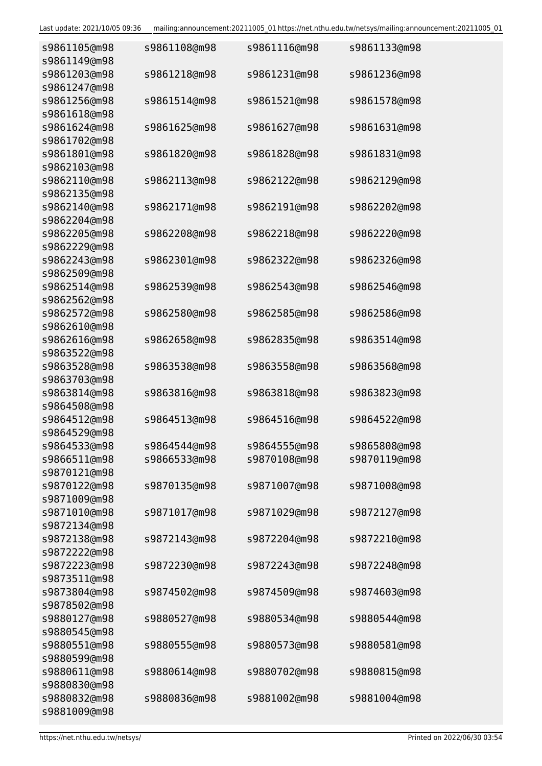| s9861105@m98<br>s9861149@m98 | s9861108@m98 | s9861116@m98 | s9861133@m98 |
|------------------------------|--------------|--------------|--------------|
| s9861203@m98<br>s9861247@m98 | s9861218@m98 | s9861231@m98 | s9861236@m98 |
| s9861256@m98                 | s9861514@m98 | s9861521@m98 | s9861578@m98 |
| s9861618@m98<br>s9861624@m98 | s9861625@m98 | s9861627@m98 | s9861631@m98 |
| s9861702@m98<br>s9861801@m98 | s9861820@m98 | s9861828@m98 | s9861831@m98 |
| s9862103@m98<br>s9862110@m98 | s9862113@m98 | s9862122@m98 | s9862129@m98 |
| s9862135@m98                 |              |              |              |
| s9862140@m98<br>s9862204@m98 | s9862171@m98 | s9862191@m98 | s9862202@m98 |
| s9862205@m98<br>s9862229@m98 | s9862208@m98 | s9862218@m98 | s9862220@m98 |
| s9862243@m98<br>s9862509@m98 | s9862301@m98 | s9862322@m98 | s9862326@m98 |
| s9862514@m98<br>s9862562@m98 | s9862539@m98 | s9862543@m98 | s9862546@m98 |
| s9862572@m98<br>s9862610@m98 | s9862580@m98 | s9862585@m98 | s9862586@m98 |
| s9862616@m98                 | s9862658@m98 | s9862835@m98 | s9863514@m98 |
| s9863522@m98<br>s9863528@m98 | s9863538@m98 | s9863558@m98 | s9863568@m98 |
| s9863703@m98<br>s9863814@m98 | s9863816@m98 | s9863818@m98 | s9863823@m98 |
| s9864508@m98<br>s9864512@m98 | s9864513@m98 | s9864516@m98 | s9864522@m98 |
| s9864529@m98<br>s9864533@m98 | s9864544@m98 | s9864555@m98 | s9865808@m98 |
| s9866511@m98                 | s9866533@m98 | s9870108@m98 | s9870119@m98 |
| s9870121@m98<br>s9870122@m98 | s9870135@m98 | s9871007@m98 | s9871008@m98 |
| s9871009@m98<br>s9871010@m98 | s9871017@m98 | s9871029@m98 | s9872127@m98 |
| s9872134@m98<br>s9872138@m98 | s9872143@m98 | s9872204@m98 | s9872210@m98 |
| s9872222@m98<br>s9872223@m98 | s9872230@m98 | s9872243@m98 | s9872248@m98 |
| s9873511@m98                 |              |              |              |
| s9873804@m98<br>s9878502@m98 | s9874502@m98 | s9874509@m98 | s9874603@m98 |
| s9880127@m98<br>s9880545@m98 | s9880527@m98 | s9880534@m98 | s9880544@m98 |
| s9880551@m98<br>s9880599@m98 | s9880555@m98 | s9880573@m98 | s9880581@m98 |
| s9880611@m98<br>s9880830@m98 | s9880614@m98 | s9880702@m98 | s9880815@m98 |
| s9880832@m98<br>s9881009@m98 | s9880836@m98 | s9881002@m98 | s9881004@m98 |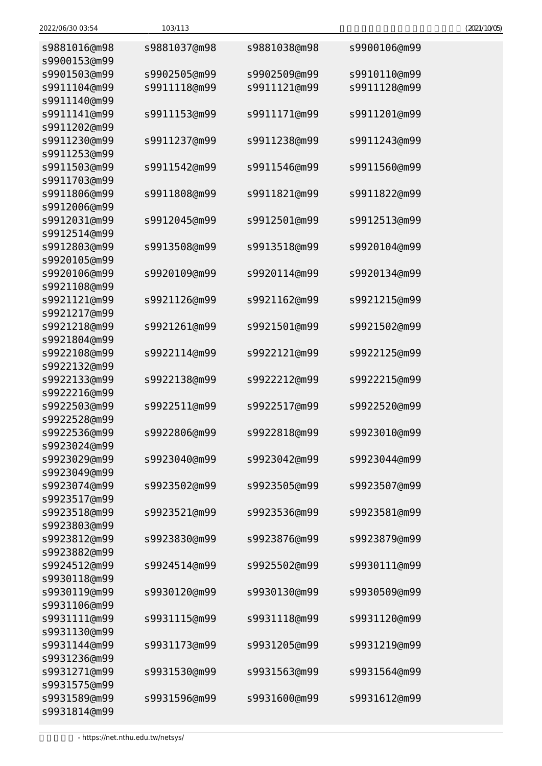| 2022/06/30 03:54 | 103/113      |              |              | (2021/10/05) |
|------------------|--------------|--------------|--------------|--------------|
| s9881016@m98     | s9881037@m98 | s9881038@m98 | s9900106@m99 |              |
| s9900153@m99     |              |              |              |              |
| s9901503@m99     | s9902505@m99 | s9902509@m99 | s9910110@m99 |              |
| s9911104@m99     | s9911118@m99 | s9911121@m99 | s9911128@m99 |              |
| s9911140@m99     |              |              |              |              |
| s9911141@m99     | s9911153@m99 | s9911171@m99 | s9911201@m99 |              |
| s9911202@m99     |              |              |              |              |
| s9911230@m99     | s9911237@m99 | s9911238@m99 | s9911243@m99 |              |
| s9911253@m99     |              |              |              |              |
| s9911503@m99     | s9911542@m99 | s9911546@m99 | s9911560@m99 |              |
| s9911703@m99     |              |              |              |              |
| s9911806@m99     | s9911808@m99 | s9911821@m99 | s9911822@m99 |              |
| s9912006@m99     |              |              |              |              |
| s9912031@m99     | s9912045@m99 | s9912501@m99 | s9912513@m99 |              |
| s9912514@m99     |              |              |              |              |
| s9912803@m99     | s9913508@m99 | s9913518@m99 | s9920104@m99 |              |
| s9920105@m99     |              |              |              |              |
| s9920106@m99     | s9920109@m99 | s9920114@m99 | s9920134@m99 |              |
| s9921108@m99     |              |              |              |              |
| s9921121@m99     | s9921126@m99 | s9921162@m99 | s9921215@m99 |              |
| s9921217@m99     |              |              |              |              |
| s9921218@m99     | s9921261@m99 | s9921501@m99 | s9921502@m99 |              |
| s9921804@m99     |              |              |              |              |
| s9922108@m99     | s9922114@m99 | s9922121@m99 | s9922125@m99 |              |
| s9922132@m99     |              |              |              |              |
| s9922133@m99     | s9922138@m99 | s9922212@m99 | s9922215@m99 |              |
| s9922216@m99     |              |              |              |              |
| s9922503@m99     | s9922511@m99 | s9922517@m99 | s9922520@m99 |              |
| s9922528@m99     |              |              |              |              |
| s9922536@m99     | s9922806@m99 | s9922818@m99 | s9923010@m99 |              |
| s9923024@m99     |              |              |              |              |
| s9923029@m99     | s9923040@m99 | s9923042@m99 | s9923044@m99 |              |
| s9923049@m99     |              |              |              |              |
| s9923074@m99     | s9923502@m99 | s9923505@m99 | s9923507@m99 |              |
| s9923517@m99     |              |              |              |              |
| s9923518@m99     | s9923521@m99 | s9923536@m99 | s9923581@m99 |              |
| s9923803@m99     |              |              |              |              |
| s9923812@m99     | s9923830@m99 | s9923876@m99 | s9923879@m99 |              |
| s9923882@m99     |              |              |              |              |
| s9924512@m99     | s9924514@m99 | s9925502@m99 | s9930111@m99 |              |
| s9930118@m99     |              |              |              |              |
| s9930119@m99     | s9930120@m99 | s9930130@m99 | s9930509@m99 |              |
| s9931106@m99     |              |              |              |              |
| s9931111@m99     | s9931115@m99 | s9931118@m99 | s9931120@m99 |              |
| s9931130@m99     |              |              |              |              |
| s9931144@m99     | s9931173@m99 | s9931205@m99 | s9931219@m99 |              |
| s9931236@m99     |              |              |              |              |
| s9931271@m99     | s9931530@m99 | s9931563@m99 | s9931564@m99 |              |
| s9931575@m99     |              |              |              |              |
| s9931589@m99     | s9931596@m99 | s9931600@m99 | s9931612@m99 |              |
| s9931814@m99     |              |              |              |              |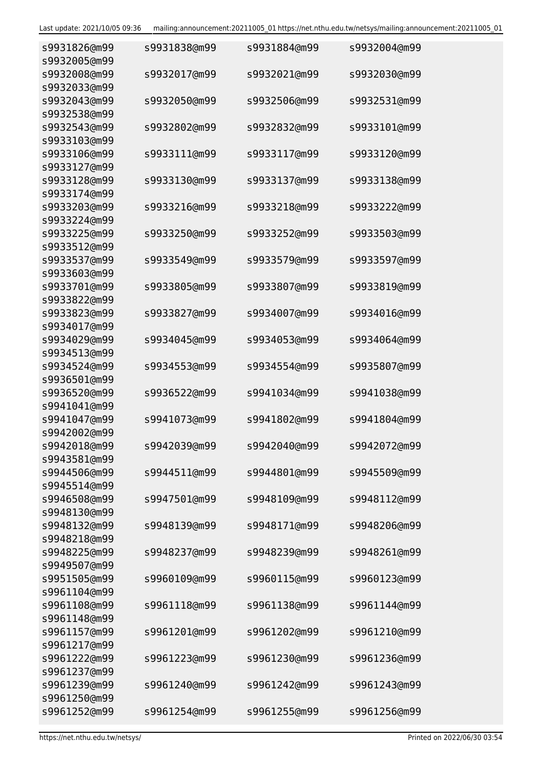| s9931826@m99<br>s9932005@m99 | s9931838@m99 | s9931884@m99 | s9932004@m99 |
|------------------------------|--------------|--------------|--------------|
| s9932008@m99<br>s9932033@m99 | s9932017@m99 | s9932021@m99 | s9932030@m99 |
| s9932043@m99                 | s9932050@m99 | s9932506@m99 | s9932531@m99 |
| s9932538@m99                 |              |              |              |
| s9932543@m99                 | s9932802@m99 | s9932832@m99 | s9933101@m99 |
| s9933103@m99<br>s9933106@m99 | s9933111@m99 | s9933117@m99 | s9933120@m99 |
| s9933127@m99                 |              |              |              |
| s9933128@m99                 | s9933130@m99 | s9933137@m99 | s9933138@m99 |
| s9933174@m99                 |              |              |              |
| s9933203@m99                 | s9933216@m99 | s9933218@m99 | s9933222@m99 |
| s9933224@m99                 |              |              |              |
| s9933225@m99                 | s9933250@m99 | s9933252@m99 | s9933503@m99 |
| s9933512@m99                 |              |              |              |
| s9933537@m99                 | s9933549@m99 | s9933579@m99 | s9933597@m99 |
| s9933603@m99                 |              |              |              |
| s9933701@m99                 | s9933805@m99 | s9933807@m99 | s9933819@m99 |
| s9933822@m99                 |              |              |              |
| s9933823@m99                 | s9933827@m99 | s9934007@m99 | s9934016@m99 |
| s9934017@m99                 |              |              |              |
| s9934029@m99                 | s9934045@m99 | s9934053@m99 | s9934064@m99 |
| s9934513@m99                 |              |              |              |
| s9934524@m99                 | s9934553@m99 | s9934554@m99 | s9935807@m99 |
| s9936501@m99<br>s9936520@m99 | s9936522@m99 |              | s9941038@m99 |
| s9941041@m99                 |              | s9941034@m99 |              |
| s9941047@m99                 | s9941073@m99 | s9941802@m99 | s9941804@m99 |
| s9942002@m99                 |              |              |              |
| s9942018@m99                 | s9942039@m99 | s9942040@m99 | s9942072@m99 |
| s9943581@m99                 |              |              |              |
| s9944506@m99                 | s9944511@m99 | s9944801@m99 | s9945509@m99 |
| s9945514@m99                 |              |              |              |
| s9946508@m99                 | s9947501@m99 | s9948109@m99 | s9948112@m99 |
| s9948130@m99                 |              |              |              |
| s9948132@m99                 | s9948139@m99 | s9948171@m99 | s9948206@m99 |
| s9948218@m99                 |              |              |              |
| s9948225@m99                 | s9948237@m99 | s9948239@m99 | s9948261@m99 |
| s9949507@m99                 |              |              |              |
| s9951505@m99                 | s9960109@m99 | s9960115@m99 | s9960123@m99 |
| s9961104@m99                 |              |              |              |
| s9961108@m99                 | s9961118@m99 | s9961138@m99 | s9961144@m99 |
| s9961148@m99                 |              |              |              |
| s9961157@m99<br>s9961217@m99 | s9961201@m99 | s9961202@m99 | s9961210@m99 |
| s9961222@m99                 | s9961223@m99 | s9961230@m99 | s9961236@m99 |
| s9961237@m99                 |              |              |              |
| s9961239@m99                 | s9961240@m99 | s9961242@m99 | s9961243@m99 |
| s9961250@m99                 |              |              |              |
| s9961252@m99                 | s9961254@m99 | s9961255@m99 | s9961256@m99 |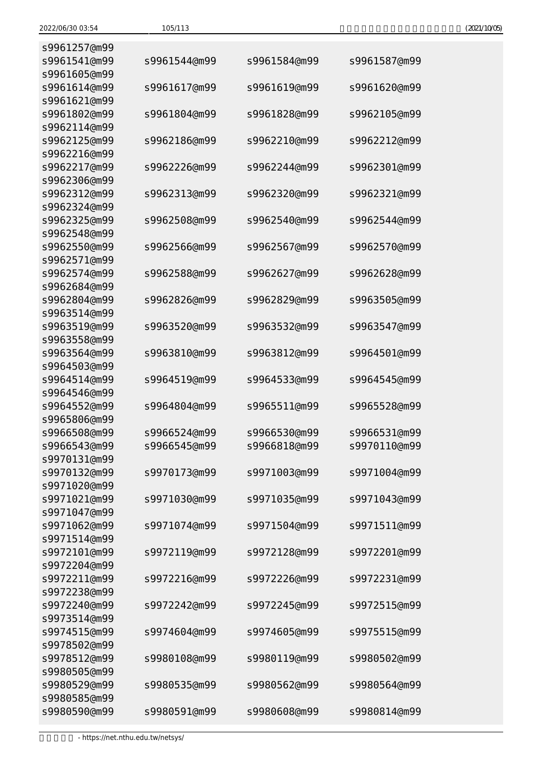| s9961257@m99                 |                              |              |                              |
|------------------------------|------------------------------|--------------|------------------------------|
| s9961541@m99                 | s9961544@m99                 | s9961584@m99 | s9961587@m99                 |
| s9961605@m99                 |                              |              |                              |
| s9961614@m99                 | s9961617@m99                 | s9961619@m99 | s9961620@m99                 |
| s9961621@m99                 |                              |              |                              |
| s9961802@m99                 | s9961804@m99                 | s9961828@m99 | s9962105@m99                 |
| s9962114@m99                 |                              |              |                              |
| s9962125@m99                 | s9962186@m99                 | s9962210@m99 | s9962212@m99                 |
| s9962216@m99                 |                              |              |                              |
| s9962217@m99                 | s9962226@m99                 | s9962244@m99 | s9962301@m99                 |
| s9962306@m99                 |                              |              |                              |
| s9962312@m99                 | s9962313@m99                 | s9962320@m99 | s9962321@m99                 |
| s9962324@m99                 |                              |              |                              |
| s9962325@m99                 | s9962508@m99                 | s9962540@m99 | s9962544@m99                 |
| s9962548@m99                 |                              |              |                              |
| s9962550@m99                 | s9962566@m99                 | s9962567@m99 | s9962570@m99                 |
| s9962571@m99                 |                              |              |                              |
| s9962574@m99                 | s9962588@m99                 | s9962627@m99 | s9962628@m99                 |
| s9962684@m99                 |                              |              |                              |
| s9962804@m99                 | s9962826@m99                 | s9962829@m99 | s9963505@m99                 |
| s9963514@m99                 |                              |              |                              |
| s9963519@m99                 | s9963520@m99                 | s9963532@m99 | s9963547@m99                 |
| s9963558@m99                 |                              |              |                              |
| s9963564@m99                 | s9963810@m99                 | s9963812@m99 | s9964501@m99                 |
| s9964503@m99                 |                              |              |                              |
| s9964514@m99                 | s9964519@m99                 | s9964533@m99 | s9964545@m99                 |
| s9964546@m99                 |                              |              |                              |
| s9964552@m99                 | s9964804@m99                 | s9965511@m99 | s9965528@m99                 |
| s9965806@m99<br>s9966508@m99 |                              | s9966530@m99 |                              |
| s9966543@m99                 | s9966524@m99<br>s9966545@m99 | s9966818@m99 | s9966531@m99<br>s9970110@m99 |
| s9970131@m99                 |                              |              |                              |
| s9970132@m99                 | s9970173@m99                 | s9971003@m99 | s9971004@m99                 |
| s9971020@m99                 |                              |              |                              |
| s9971021@m99                 | s9971030@m99                 | s9971035@m99 | s9971043@m99                 |
| s9971047@m99                 |                              |              |                              |
| s9971062@m99                 | s9971074@m99                 | s9971504@m99 | s9971511@m99                 |
| s9971514@m99                 |                              |              |                              |
| s9972101@m99                 | s9972119@m99                 | s9972128@m99 | s9972201@m99                 |
| s9972204@m99                 |                              |              |                              |
| s9972211@m99                 | s9972216@m99                 | s9972226@m99 | s9972231@m99                 |
| s9972238@m99                 |                              |              |                              |
| s9972240@m99                 | s9972242@m99                 | s9972245@m99 | s9972515@m99                 |
| s9973514@m99                 |                              |              |                              |
| s9974515@m99                 | s9974604@m99                 | s9974605@m99 | s9975515@m99                 |
| s9978502@m99                 |                              |              |                              |
| s9978512@m99                 | s9980108@m99                 | s9980119@m99 | s9980502@m99                 |
| s9980505@m99                 |                              |              |                              |
| s9980529@m99                 | s9980535@m99                 | s9980562@m99 | s9980564@m99                 |
| s9980585@m99                 |                              |              |                              |
| s9980590@m99                 | s9980591@m99                 | s9980608@m99 | s9980814@m99                 |
|                              |                              |              |                              |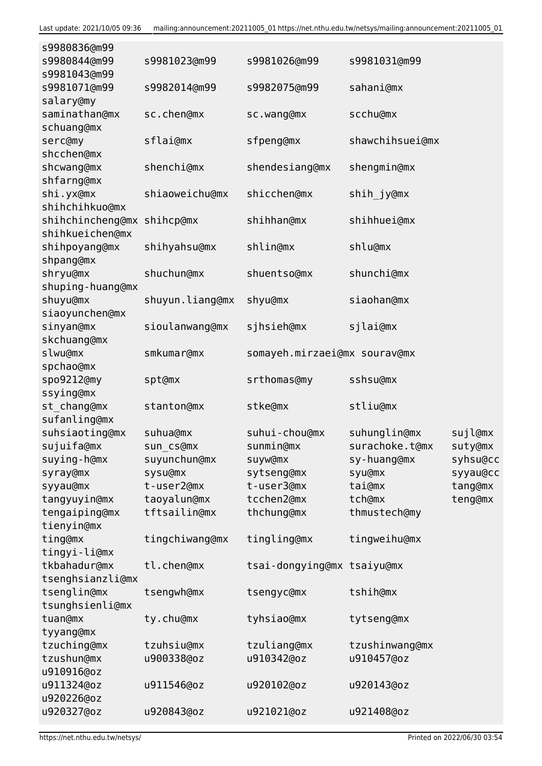| s9980836@m99     |                 |                              |                 |          |
|------------------|-----------------|------------------------------|-----------------|----------|
| s9980844@m99     | s9981023@m99    | s9981026@m99                 | s9981031@m99    |          |
| s9981043@m99     |                 |                              |                 |          |
| s9981071@m99     | s9982014@m99    | s9982075@m99                 | sahani@mx       |          |
| salary@my        |                 |                              |                 |          |
| saminathan@mx    | sc.chen@mx      | sc.wang@mx                   | scchu@mx        |          |
| schuang@mx       |                 |                              |                 |          |
| serc@my          | sflai@mx        | sfpeng@mx                    | shawchihsuei@mx |          |
| shcchen@mx       |                 |                              |                 |          |
| shcwang@mx       | shenchi@mx      | shendesiang@mx               | shengmin@mx     |          |
| shfarng@mx       |                 |                              |                 |          |
| shi.yx@mx        | shiaoweichu@mx  | shicchen@mx                  | shih_jy@mx      |          |
| shihchihkuo@mx   |                 |                              |                 |          |
|                  |                 |                              |                 |          |
| shihchincheng@mx | shihcp@mx       | shihhan@mx                   | shihhuei@mx     |          |
| shihkueichen@mx  |                 |                              |                 |          |
| shihpoyang@mx    | shihyahsu@mx    | shlin@mx                     | shlu@mx         |          |
| shpang@mx        |                 |                              |                 |          |
| shryu@mx         | shuchun@mx      | shuentso@mx                  | shunchi@mx      |          |
| shuping-huang@mx |                 |                              |                 |          |
| shuyu@mx         | shuyun.liang@mx | shyu@mx                      | siaohan@mx      |          |
| siaoyunchen@mx   |                 |                              |                 |          |
| sinyan@mx        | sioulanwang@mx  | sjhsieh@mx                   | sjlai@mx        |          |
| skchuang@mx      |                 |                              |                 |          |
| slwu@mx          | smkumar@mx      | somayeh.mirzaei@mx sourav@mx |                 |          |
| spchao@mx        |                 |                              |                 |          |
| spo9212@my       | spt@mx          | srthomas@my                  | sshsu@mx        |          |
| ssying@mx        |                 |                              |                 |          |
| st chang@mx      | stanton@mx      | stke@mx                      | stliu@mx        |          |
| sufanling@mx     |                 |                              |                 |          |
| suhsiaoting@mx   | suhua@mx        | suhui-chou@mx                | suhunglin@mx    | sujl@mx  |
| sujuifa@mx       | sun cs@mx       | sunmin@mx                    | surachoke.t@mx  | suty@mx  |
| suying-h@mx      | suyunchun@mx    | suyw@mx                      | sy-huang@mx     | syhsu@cc |
| syray@mx         | sysu@mx         | sytseng@mx                   | syu@mx          | syyau@cc |
|                  |                 |                              |                 |          |
| syyau@mx         | t-user2@mx      | t-user3@mx                   | tai@mx          | tang@mx  |
| tangyuyin@mx     | taoyalun@mx     | tcchen2@mx                   | tch@mx          | teng@mx  |
| tengaiping@mx    | tftsailin@mx    | thchung@mx                   | thmustech@my    |          |
| tienyin@mx       |                 |                              |                 |          |
| ting@mx          | tingchiwang@mx  | tingling@mx                  | tingweihu@mx    |          |
| tingyi-li@mx     |                 |                              |                 |          |
| tkbahadur@mx     | tl.chen@mx      | tsai-dongying@mx tsaiyu@mx   |                 |          |
| tsenghsianzli@mx |                 |                              |                 |          |
| tsenglin@mx      | tsengwh@mx      | tsengyc@mx                   | tshih@mx        |          |
| tsunghsienli@mx  |                 |                              |                 |          |
| tuan@mx          | ty.chu@mx       | tyhsiao@mx                   | tytseng@mx      |          |
| tyyang@mx        |                 |                              |                 |          |
| tzuching@mx      | tzuhsiu@mx      | tzuliang@mx                  | tzushinwang@mx  |          |
| tzushun@mx       | u900338@oz      | u910342@oz                   | u910457@oz      |          |
| u910916@oz       |                 |                              |                 |          |
| u911324@oz       | u911546@oz      | u920102@oz                   | u920143@oz      |          |
| u920226@oz       |                 |                              |                 |          |
| u920327@oz       | u920843@oz      | u921021@oz                   | u921408@oz      |          |
|                  |                 |                              |                 |          |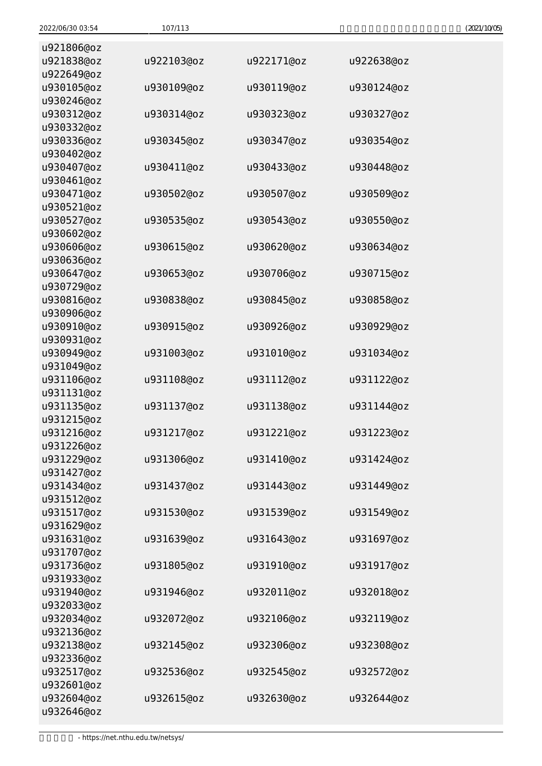| 2022/06/30 03:54         | 107/113    |            |            | (2021/10/05) |
|--------------------------|------------|------------|------------|--------------|
| u921806@oz               |            |            |            |              |
| u921838@oz               | u922103@oz | u922171@oz | u922638@oz |              |
| u922649@oz               |            |            |            |              |
| u930105@oz               | u930109@oz | u930119@oz | u930124@oz |              |
| u930246@oz               |            |            |            |              |
| u930312@oz               | u930314@oz | u930323@oz | u930327@oz |              |
| u930332@oz               |            |            |            |              |
| u930336@oz               | u930345@oz | u930347@oz | u930354@oz |              |
| u930402@oz               |            |            |            |              |
| u930407@oz               | u930411@oz | u930433@oz | u930448@oz |              |
| u930461@oz               |            |            |            |              |
| u930471@oz               | u930502@oz | u930507@oz | u930509@oz |              |
| u930521@oz               |            |            |            |              |
| u930527@oz               | u930535@oz | u930543@oz | u930550@oz |              |
| u930602@oz               |            |            |            |              |
| u930606@oz               | u930615@oz | u930620@oz | u930634@oz |              |
| u930636@oz               |            |            |            |              |
| u930647@oz               | u930653@oz | u930706@oz | u930715@oz |              |
| u930729@oz               |            |            |            |              |
| u930816@oz               | u930838@oz | u930845@oz | u930858@oz |              |
| u930906@oz               |            |            |            |              |
| u930910@oz               | u930915@oz | u930926@oz | u930929@oz |              |
| u930931@oz               |            |            |            |              |
| u930949@oz               | u931003@oz | u931010@oz | u931034@oz |              |
| u931049@oz<br>u931106@oz | u931108@oz | u931112@oz | u931122@oz |              |
| u931131@oz               |            |            |            |              |
| u931135@oz               | u931137@oz | u931138@oz | u931144@oz |              |
| u931215@oz               |            |            |            |              |
| u931216@oz               | u931217@oz | u931221@oz | u931223@oz |              |
| u931226@oz               |            |            |            |              |
| u931229@oz               | u931306@oz | u931410@oz | u931424@oz |              |
| u931427@oz               |            |            |            |              |
| u931434@oz               | u931437@oz | u931443@oz | u931449@oz |              |
| u931512@oz               |            |            |            |              |
| u931517@oz               | u931530@oz | u931539@oz | u931549@oz |              |
| u931629@oz               |            |            |            |              |
| u931631@oz               | u931639@oz | u931643@oz | u931697@oz |              |
| u931707@oz               |            |            |            |              |
| u931736@oz               | u931805@oz | u931910@oz | u931917@oz |              |
| u931933@oz               |            |            |            |              |
| u931940@oz               | u931946@oz | u932011@oz | u932018@oz |              |
| u932033@oz               |            |            |            |              |
| u932034@oz               | u932072@oz | u932106@oz | u932119@oz |              |
| u932136@oz               |            |            |            |              |
| u932138@oz               | u932145@oz | u932306@oz | u932308@oz |              |
| u932336@oz               |            |            |            |              |
| u932517@oz<br>u932601@oz | u932536@oz | u932545@oz | u932572@oz |              |
| u932604@oz               | u932615@oz | u932630@oz | u932644@oz |              |
| u932646@oz               |            |            |            |              |
|                          |            |            |            |              |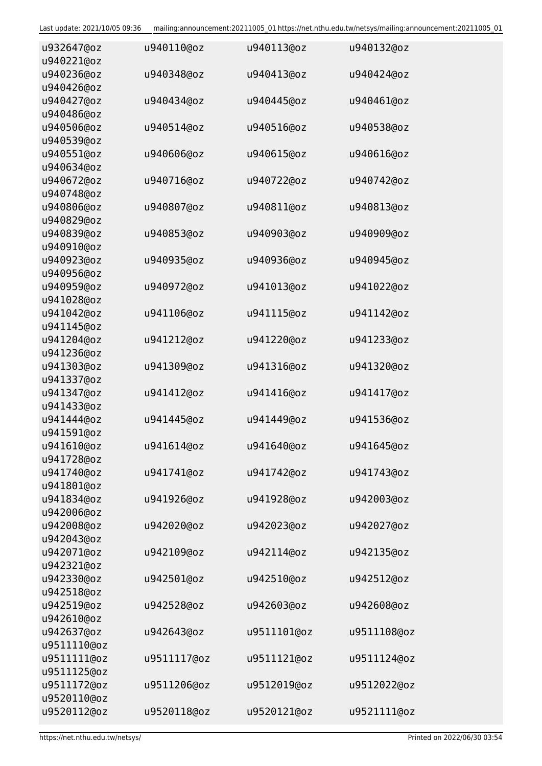| u932647@oz  | u940110@oz  | u940113@oz  | u940132@oz  |
|-------------|-------------|-------------|-------------|
| u940221@oz  |             |             |             |
| u940236@oz  | u940348@oz  | u940413@oz  | u940424@oz  |
| u940426@oz  |             |             |             |
| u940427@oz  | u940434@oz  | u940445@oz  | u940461@oz  |
| u940486@oz  |             |             |             |
| u940506@oz  | u940514@oz  | u940516@oz  | u940538@oz  |
| u940539@oz  |             |             |             |
| u940551@oz  | u940606@oz  | u940615@oz  | u940616@oz  |
| u940634@oz  |             |             |             |
| u940672@oz  | u940716@oz  | u940722@oz  | u940742@oz  |
| u940748@oz  |             |             |             |
| u940806@oz  | u940807@oz  | u940811@oz  | u940813@oz  |
| u940829@oz  |             |             |             |
| u940839@oz  | u940853@oz  | u940903@oz  | u940909@oz  |
| u940910@oz  |             |             |             |
| u940923@oz  | u940935@oz  | u940936@oz  | u940945@oz  |
| u940956@oz  |             |             |             |
| u940959@oz  | u940972@oz  | u941013@oz  | u941022@oz  |
| u941028@oz  |             |             |             |
| u941042@oz  | u941106@oz  | u941115@oz  | u941142@oz  |
| u941145@oz  |             |             |             |
| u941204@oz  | u941212@oz  | u941220@oz  | u941233@oz  |
| u941236@oz  |             |             |             |
| u941303@oz  | u941309@oz  | u941316@oz  | u941320@oz  |
| u941337@oz  |             |             |             |
| u941347@oz  | u941412@oz  |             |             |
|             |             | u941416@oz  | u941417@oz  |
| u941433@oz  |             |             |             |
| u941444@oz  | u941445@oz  | u941449@oz  | u941536@oz  |
| u941591@oz  |             |             |             |
| u941610@oz  | u941614@oz  | u941640@oz  | u941645@oz  |
| u941728@oz  |             |             |             |
| u941740@oz  | u941741@oz  | u941742@oz  | u941743@oz  |
| u941801@oz  |             |             |             |
| u941834@oz  | u941926@oz  | u941928@oz  | u942003@oz  |
| u942006@oz  |             |             |             |
| u942008@oz  | u942020@oz  | u942023@oz  | u942027@oz  |
| u942043@oz  |             |             |             |
| u942071@oz  | u942109@oz  | u942114@oz  | u942135@oz  |
| u942321@oz  |             |             |             |
| u942330@oz  | u942501@oz  | u942510@oz  | u942512@oz  |
| u942518@oz  |             |             |             |
| u942519@oz  | u942528@oz  | u942603@oz  | u942608@oz  |
| u942610@oz  |             |             |             |
| u942637@oz  | u942643@oz  | u9511101@oz | u9511108@oz |
| u9511110@oz |             |             |             |
| u9511111@oz | u9511117@oz | u9511121@oz | u9511124@oz |
| u9511125@oz |             |             |             |
| u9511172@oz | u9511206@oz | u9512019@oz | u9512022@oz |
| u9520110@oz |             |             |             |
| u9520112@oz | u9520118@oz | u9520121@oz | u9521111@oz |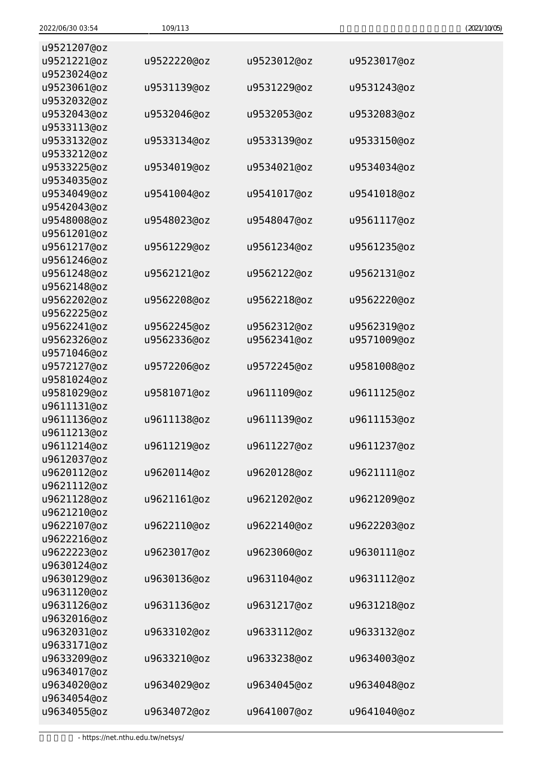| u9521207@oz<br>u9521221@oz | u9522220@oz | u9523012@oz | u9523017@oz |
|----------------------------|-------------|-------------|-------------|
| u9523024@oz<br>u9523061@oz | u9531139@oz | u9531229@oz | u9531243@oz |
| u9532032@oz                |             |             |             |
| u9532043@oz<br>u9533113@oz | u9532046@oz | u9532053@oz | u9532083@oz |
| u9533132@oz                | u9533134@oz | u9533139@oz | u9533150@oz |
| u9533212@oz<br>u9533225@oz | u9534019@oz | u9534021@oz | u9534034@oz |
| u9534035@oz<br>u9534049@oz | u9541004@oz | u9541017@oz | u9541018@oz |
| u9542043@oz                |             |             |             |
| u9548008@oz<br>u9561201@oz | u9548023@oz | u9548047@oz | u9561117@oz |
| u9561217@oz                | u9561229@oz | u9561234@oz | u9561235@oz |
| u9561246@oz<br>u9561248@oz | u9562121@oz | u9562122@oz | u9562131@oz |
| u9562148@oz                |             |             |             |
| u9562202@oz<br>u9562225@oz | u9562208@oz | u9562218@oz | u9562220@oz |
| u9562241@oz                | u9562245@oz | u9562312@oz | u9562319@oz |
| u9562326@oz                | u9562336@oz | u9562341@oz | u9571009@oz |
| u9571046@oz                |             |             |             |
| u9572127@oz                | u9572206@oz | u9572245@oz | u9581008@oz |
| u9581024@oz                |             |             |             |
| u9581029@oz                | u9581071@oz | u9611109@oz | u9611125@oz |
| u9611131@oz                |             |             |             |
| u9611136@oz                | u9611138@oz | u9611139@oz | u9611153@oz |
| u9611213@oz                |             |             |             |
| u9611214@oz                | u9611219@oz | u9611227@oz | u9611237@oz |
| u9612037@oz                |             |             |             |
| u9620112@oz<br>u9621112@oz | u9620114@oz | u9620128@oz | u9621111@oz |
| u9621128@oz                | u9621161@oz | u9621202@oz | u9621209@oz |
| u9621210@oz                |             |             |             |
| u9622107@oz                | u9622110@oz | u9622140@oz | u9622203@oz |
| u9622216@oz                |             |             |             |
| u9622223@oz                | u9623017@oz | u9623060@oz | u9630111@oz |
| u9630124@oz                |             |             |             |
| u9630129@oz                | u9630136@oz | u9631104@oz | u9631112@oz |
| u9631120@oz                |             |             |             |
| u9631126@oz                | u9631136@oz | u9631217@oz | u9631218@oz |
| u9632016@oz                |             |             |             |
| u9632031@oz                | u9633102@oz | u9633112@oz | u9633132@oz |
| u9633171@oz                |             |             |             |
| u9633209@oz                | u9633210@oz | u9633238@oz | u9634003@oz |
| u9634017@oz                |             |             |             |
| u9634020@oz<br>u9634054@oz | u9634029@oz | u9634045@oz | u9634048@oz |
| u9634055@oz                | u9634072@oz | u9641007@oz | u9641040@oz |
|                            |             |             |             |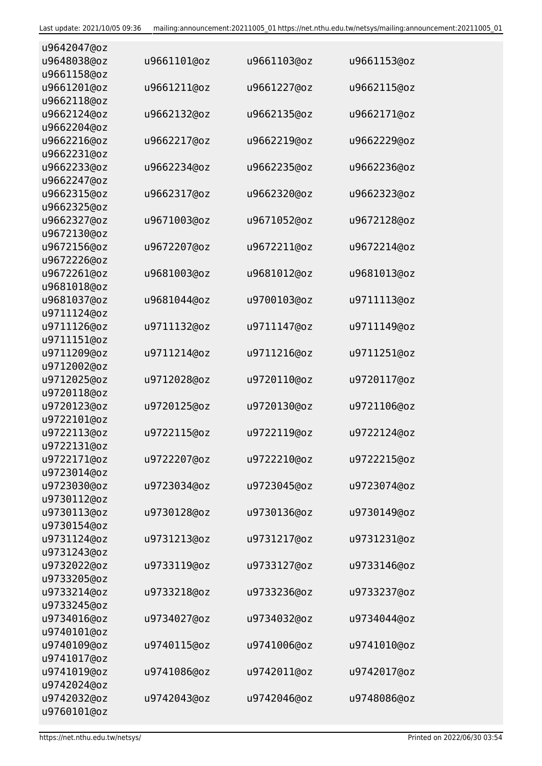| u9642047@oz |             |             |             |
|-------------|-------------|-------------|-------------|
| u9648038@oz | u9661101@oz | u9661103@oz | u9661153@oz |
| u9661158@oz |             |             |             |
| u9661201@oz | u9661211@oz | u9661227@oz | u9662115@oz |
| u9662118@oz |             |             |             |
| u9662124@oz | u9662132@oz | u9662135@oz | u9662171@oz |
| u9662204@oz |             |             |             |
| u9662216@oz | u9662217@oz | u9662219@oz | u9662229@oz |
| u9662231@oz |             |             |             |
| u9662233@oz | u9662234@oz | u9662235@oz | u9662236@oz |
| u9662247@oz |             |             |             |
| u9662315@oz | u9662317@oz | u9662320@oz | u9662323@oz |
| u9662325@oz |             |             |             |
| u9662327@oz | u9671003@oz | u9671052@oz | u9672128@oz |
| u9672130@oz |             |             |             |
| u9672156@oz | u9672207@oz | u9672211@oz | u9672214@oz |
| u9672226@oz |             |             |             |
| u9672261@oz | u9681003@oz | u9681012@oz | u9681013@oz |
| u9681018@oz |             |             |             |
| u9681037@oz | u9681044@oz | u9700103@oz | u9711113@oz |
| u9711124@oz |             |             |             |
| u9711126@oz | u9711132@oz | u9711147@oz | u9711149@oz |
| u9711151@oz |             |             |             |
| u9711209@oz | u9711214@oz | u9711216@oz | u9711251@oz |
| u9712002@oz |             |             |             |
| u9712025@oz | u9712028@oz | u9720110@oz | u9720117@oz |
| u9720118@oz |             |             |             |
| u9720123@oz | u9720125@oz | u9720130@oz | u9721106@oz |
| u9722101@oz |             |             |             |
| u9722113@oz | u9722115@oz | u9722119@oz | u9722124@oz |
| u9722131@oz |             |             |             |
| u9722171@oz | u9722207@oz | u9722210@oz | u9722215@oz |
| u9723014@oz |             |             |             |
| u9723030@oz | u9723034@oz | u9723045@oz | u9723074@oz |
| u9730112@oz |             |             |             |
| u9730113@oz | u9730128@oz | u9730136@oz | u9730149@oz |
| u9730154@oz |             |             |             |
| u9731124@oz | u9731213@oz | u9731217@oz | u9731231@oz |
| u9731243@oz |             |             |             |
| u9732022@oz | u9733119@oz | u9733127@oz | u9733146@oz |
| u9733205@oz |             |             |             |
| u9733214@oz | u9733218@oz | u9733236@oz | u9733237@oz |
| u9733245@oz |             |             |             |
| u9734016@oz | u9734027@oz | u9734032@oz | u9734044@oz |
| u9740101@oz |             |             |             |
| u9740109@oz | u9740115@oz | u9741006@oz | u9741010@oz |
| u9741017@oz |             |             |             |
| u9741019@oz | u9741086@oz | u9742011@oz | u9742017@oz |
| u9742024@oz |             |             |             |
| u9742032@oz | u9742043@oz | u9742046@oz | u9748086@oz |
| u9760101@oz |             |             |             |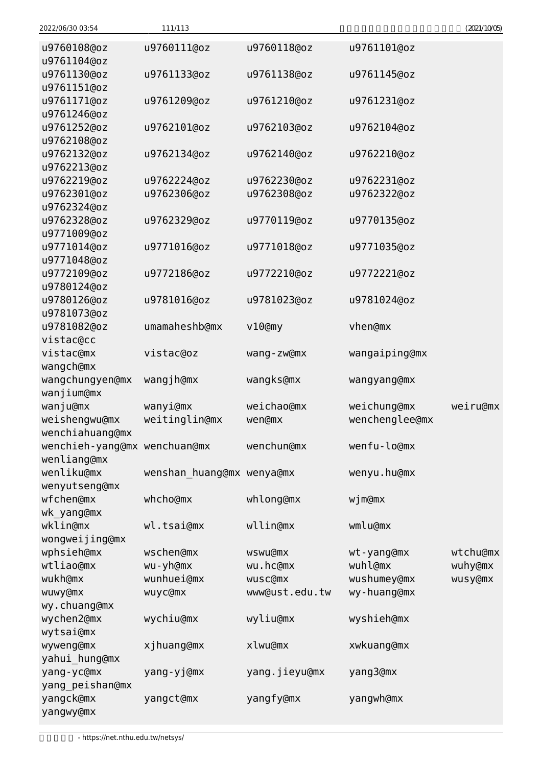| 2022/06/30 03:54             | 111/113                   |                |                | (2021/10/05) |
|------------------------------|---------------------------|----------------|----------------|--------------|
| u9760108@oz                  | u9760111@oz               | u9760118@oz    | u9761101@oz    |              |
| u9761104@oz                  |                           |                |                |              |
| u9761130@oz                  | u9761133@oz               | u9761138@oz    | u9761145@oz    |              |
| u9761151@oz                  |                           |                |                |              |
| u9761171@oz                  | u9761209@oz               | u9761210@oz    | u9761231@oz    |              |
| u9761246@oz                  |                           |                |                |              |
| u9761252@oz                  | u9762101@oz               | u9762103@oz    | u9762104@oz    |              |
| u9762108@oz                  |                           |                |                |              |
| u9762132@oz                  | u9762134@oz               | u9762140@oz    | u9762210@oz    |              |
| u9762213@oz                  |                           |                |                |              |
| u9762219@oz                  | u9762224@oz               | u9762230@oz    | u9762231@oz    |              |
| u9762301@oz                  | u9762306@oz               | u9762308@oz    | u9762322@oz    |              |
| u9762324@oz                  |                           |                |                |              |
| u9762328@oz                  | u9762329@oz               | u9770119@oz    | u9770135@oz    |              |
| u9771009@oz                  |                           |                |                |              |
| u9771014@oz                  | u9771016@oz               | u9771018@oz    | u9771035@oz    |              |
| u9771048@oz                  |                           |                |                |              |
| u9772109@oz                  | u9772186@oz               | u9772210@oz    | u9772221@oz    |              |
| u9780124@oz                  |                           |                |                |              |
| u9780126@oz                  | u9781016@oz               | u9781023@oz    | u9781024@oz    |              |
| u9781073@oz                  |                           |                |                |              |
| u9781082@oz                  | umamaheshb@mx             | v10@my         | vhen@mx        |              |
| vistac@cc                    |                           |                |                |              |
| vistac@mx                    | vistac@oz                 | wang-zw@mx     | wangaiping@mx  |              |
| wangch@mx                    |                           |                |                |              |
| wangchungyen@mx              | wangjh@mx                 | wangks@mx      | wangyang@mx    |              |
| wanjium@mx                   |                           |                |                |              |
| wanju@mx                     | wanyi@mx                  | weichao@mx     | weichung@mx    | weiru@mx     |
| weishengwu@mx                | weitinglin@mx             | wen@mx         | wenchenglee@mx |              |
| wenchiahuang@mx              |                           |                |                |              |
| wenchieh-yang@mx wenchuan@mx |                           | wenchun@mx     | wenfu-lo@mx    |              |
| wenliang@mx                  |                           |                |                |              |
| wenliku@mx                   | wenshan_huang@mx wenya@mx |                | wenyu.hu@mx    |              |
| wenyutseng@mx                |                           |                |                |              |
| wfchen@mx                    | whcho@mx                  | whlong@mx      | $wj$ m $Qmx$   |              |
| wk yang@mx                   |                           |                |                |              |
| wklin@mx                     | wl.tsai@mx                | wllin@mx       | wmlu@mx        |              |
| wongweijing@mx               |                           |                |                |              |
| wphsieh@mx                   | wschen@mx                 | wswu@mx        | wt-yang@mx     | wtchu@mx     |
| wtliao@mx                    | wu-yh@mx                  | wu.hc@mx       | wuhl@mx        | wuhy@mx      |
| wukh@mx                      | wunhuei@mx                | wusc@mx        | wushumey@mx    | wusy@mx      |
| wuwy@mx                      | wuyc@mx                   | www@ust.edu.tw | wy-huang@mx    |              |
| wy.chuang@mx                 |                           |                |                |              |
| wychen2@mx                   | wychiu@mx                 | wyliu@mx       | wyshieh@mx     |              |
| wytsai@mx                    |                           |                |                |              |
| wyweng@mx                    | xjhuang@mx                | xlwu@mx        | xwkuang@mx     |              |
| yahui_hung@mx                |                           |                |                |              |
| yang-yc@mx                   | yang-yj@mx                | yang.jieyu@mx  | yang3@mx       |              |
| yang_peishan@mx              |                           |                |                |              |
| yangck@mx                    | yangct@mx                 | yangfy@mx      | yangwh@mx      |              |
| yangwy@mx                    |                           |                |                |              |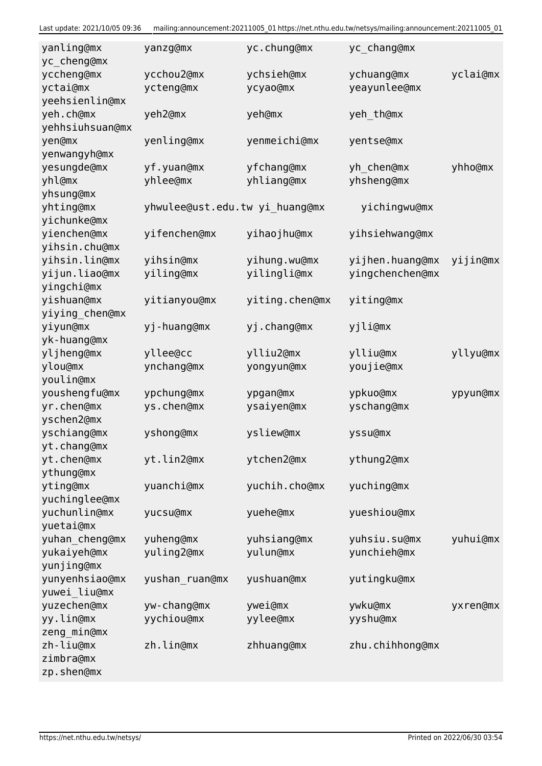Last update: 2021/10/05 09:36 mailing:announcement:20211005\_01 https://net.nthu.edu.tw/netsys/mailing:announcement:20211005\_01

| yanling@mx<br>yc_cheng@mx | yanzg@mx                       | yc.chung@mx    | yc_chang@mx     |          |
|---------------------------|--------------------------------|----------------|-----------------|----------|
| yccheng@mx                | ycchou2@mx                     | ychsieh@mx     | ychuang@mx      | yclai@mx |
| yctai@mx                  | ycteng@mx                      | ycyao@mx       | yeayunlee@mx    |          |
| yeehsienlin@mx            |                                |                |                 |          |
| yeh.ch@mx                 | yeh2@mx                        | yeh@mx         | yeh_th@mx       |          |
| yehhsiuhsuan@mx           |                                |                |                 |          |
| yen@mx                    | yenling@mx                     | yenmeichi@mx   | yentse@mx       |          |
| yenwangyh@mx              |                                |                |                 |          |
| yesungde@mx               | yf.yuan@mx                     | yfchang@mx     | yh_chen@mx      | yhho@mx  |
| yhl@mx                    | yhlee@mx                       | yhliang@mx     | yhsheng@mx      |          |
| yhsung@mx                 |                                |                |                 |          |
| yhting@mx                 | yhwulee@ust.edu.tw yi_huang@mx |                | yichingwu@mx    |          |
| yichunke@mx               |                                |                |                 |          |
| yienchen@mx               | yifenchen@mx                   | yihaojhu@mx    | yihsiehwang@mx  |          |
|                           |                                |                |                 |          |
| yihsin.chu@mx             |                                |                |                 |          |
| yihsin.lin@mx             | yihsin@mx                      | yihung.wu@mx   | yijhen.huang@mx | yijin@mx |
| yijun.liao@mx             | yiling@mx                      | yilingli@mx    | yingchenchen@mx |          |
| yingchi@mx                |                                |                |                 |          |
| yishuan@mx                | yitianyou@mx                   | yiting.chen@mx | yiting@mx       |          |
| yiying_chen@mx            |                                |                |                 |          |
| yiyun@mx                  | yj-huang@mx                    | yj.chang@mx    | yjli@mx         |          |
| yk-huang@mx               |                                |                |                 |          |
| yljheng@mx                | yllee@cc                       | ylliu2@mx      | ylliu@mx        | yllyu@mx |
| ylou@mx                   | ynchang@mx                     | yongyun@mx     | youjie@mx       |          |
| youlin@mx                 |                                |                |                 |          |
| youshengfu@mx             | ypchung@mx                     | ypgan@mx       | ypkuo@mx        | ypyun@mx |
| yr.chen@mx                | ys.chen@mx                     | ysaiyen@mx     | yschang@mx      |          |
| yschen2@mx                |                                |                |                 |          |
| yschiang@mx               | yshong@mx                      | ysliew@mx      | yssu@mx         |          |
| yt.chang@mx               |                                |                |                 |          |
| yt.chen@mx                | yt.lin2@mx                     | ytchen2@mx     | ythung2@mx      |          |
| ythung@mx                 |                                |                |                 |          |
| yting@mx                  | yuanchi@mx                     | yuchih.cho@mx  | yuching@mx      |          |
| yuchinglee@mx             |                                |                |                 |          |
| yuchunlin@mx              | yucsu@mx                       | yuehe@mx       | yueshiou@mx     |          |
| yuetai@mx                 |                                |                |                 |          |
| yuhan_cheng@mx            | yuheng@mx                      | yuhsiang@mx    | yuhsiu.su@mx    | yuhui@mx |
| yukaiyeh@mx               | yuling2@mx                     | yulun@mx       | yunchieh@mx     |          |
| yunjing@mx                |                                |                |                 |          |
| yunyenhsiao@mx            | yushan_ruan@mx                 | yushuan@mx     | yutingku@mx     |          |
| yuwei_liu@mx              |                                |                |                 |          |
| yuzechen@mx               | yw-chang@mx                    | ywei@mx        | ywku@mx         | yxren@mx |
| yy.lin@mx                 | yychiou@mx                     | yylee@mx       | yyshu@mx        |          |
| zeng_min@mx               |                                |                |                 |          |
| zh-liu@mx                 | zh.lin@mx                      | zhhuang@mx     | zhu.chihhong@mx |          |
| zimbra@mx                 |                                |                |                 |          |
| zp.shen@mx                |                                |                |                 |          |
|                           |                                |                |                 |          |